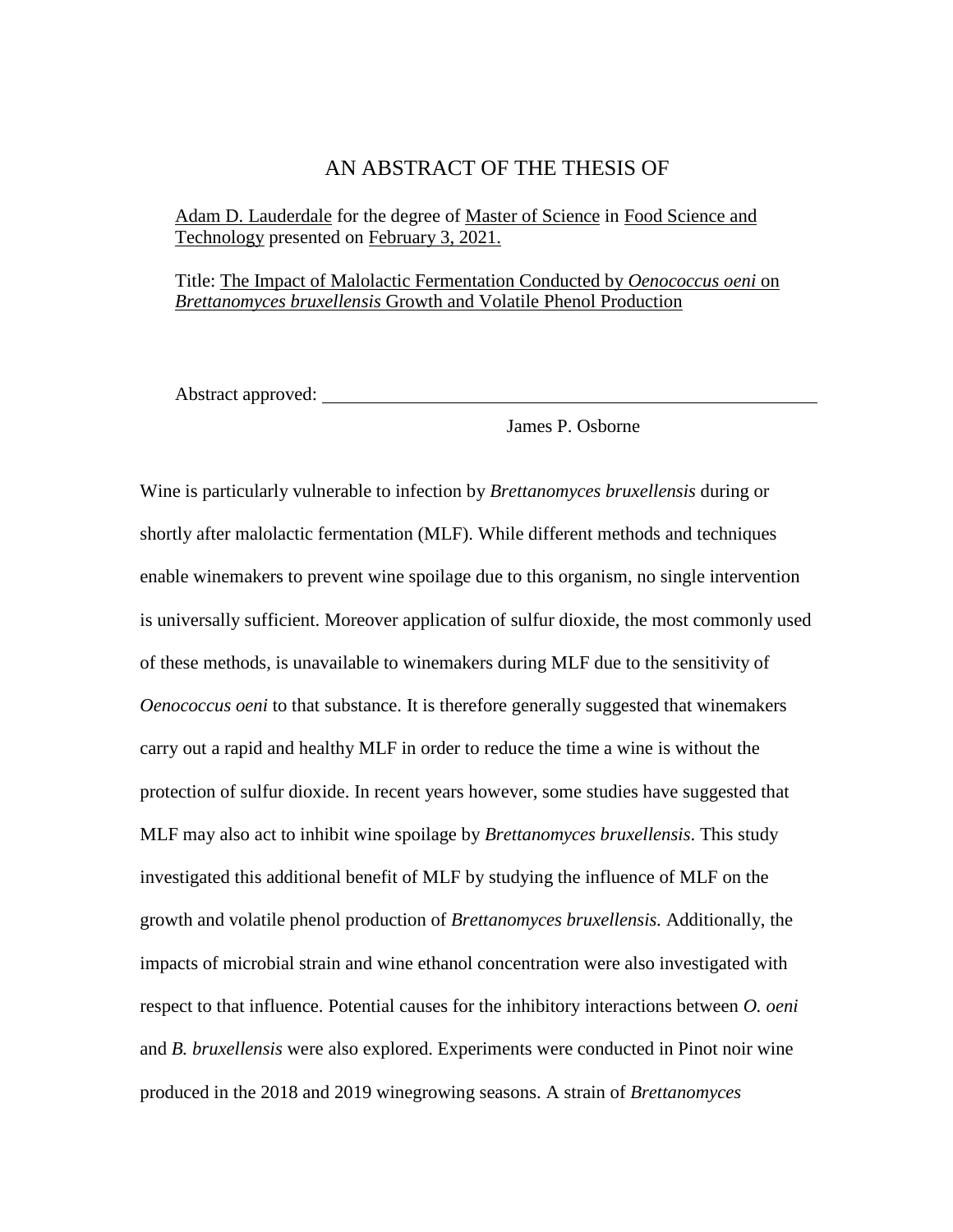### AN ABSTRACT OF THE THESIS OF

Adam D. Lauderdale for the degree of Master of Science in Food Science and Technology presented on February 3, 2021.

Title: The Impact of Malolactic Fermentation Conducted by *Oenococcus oeni* on *Brettanomyces bruxellensis* Growth and Volatile Phenol Production

Abstract approved:

James P. Osborne

Wine is particularly vulnerable to infection by *Brettanomyces bruxellensis* during or shortly after malolactic fermentation (MLF). While different methods and techniques enable winemakers to prevent wine spoilage due to this organism, no single intervention is universally sufficient. Moreover application of sulfur dioxide, the most commonly used of these methods, is unavailable to winemakers during MLF due to the sensitivity of *Oenococcus oeni* to that substance. It is therefore generally suggested that winemakers carry out a rapid and healthy MLF in order to reduce the time a wine is without the protection of sulfur dioxide. In recent years however, some studies have suggested that MLF may also act to inhibit wine spoilage by *Brettanomyces bruxellensis*. This study investigated this additional benefit of MLF by studying the influence of MLF on the growth and volatile phenol production of *Brettanomyces bruxellensis.* Additionally, the impacts of microbial strain and wine ethanol concentration were also investigated with respect to that influence. Potential causes for the inhibitory interactions between *O. oeni*  and *B. bruxellensis* were also explored. Experiments were conducted in Pinot noir wine produced in the 2018 and 2019 winegrowing seasons. A strain of *Brettanomyces*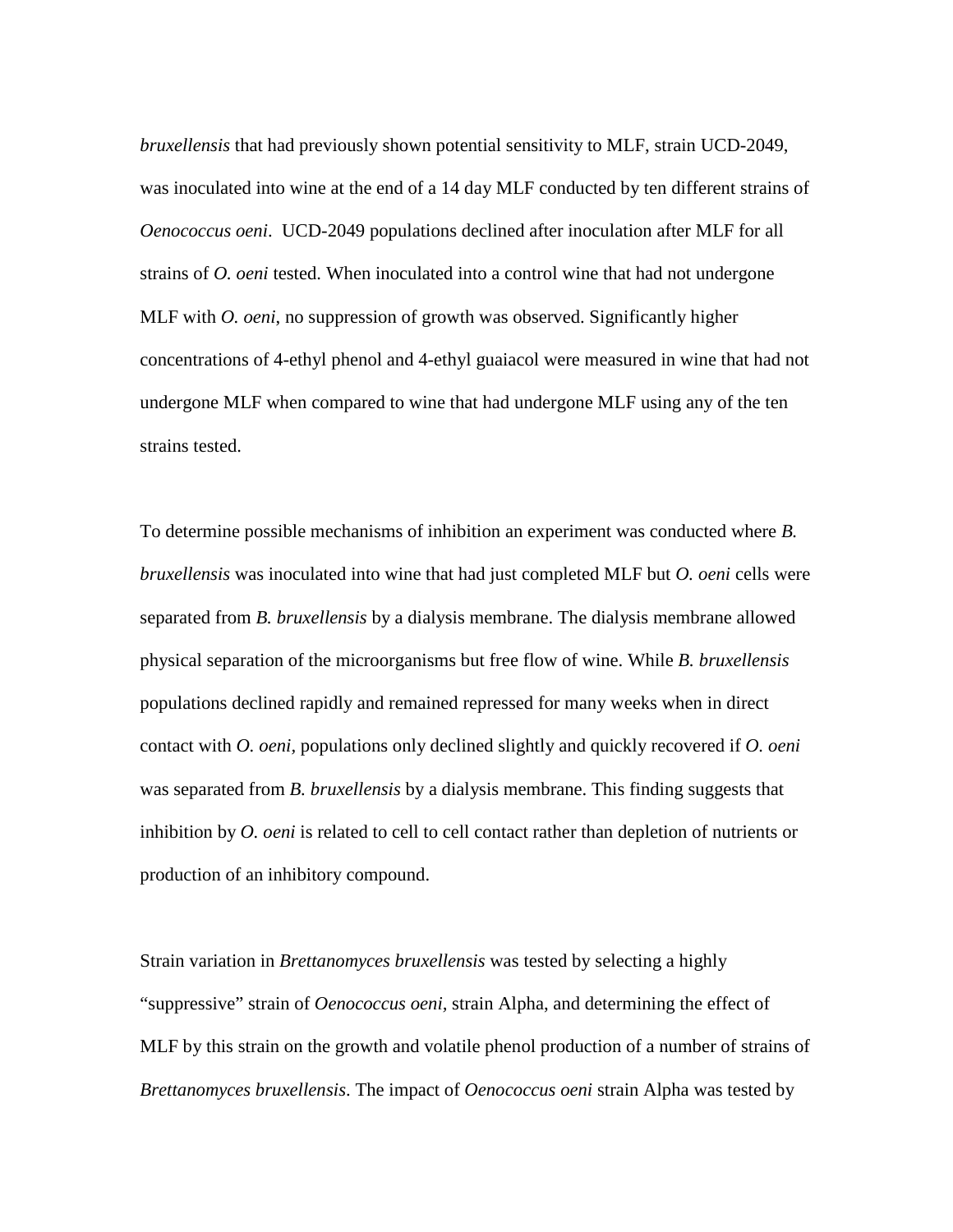*bruxellensis* that had previously shown potential sensitivity to MLF, strain UCD-2049, was inoculated into wine at the end of a 14 day MLF conducted by ten different strains of *Oenococcus oeni*. UCD-2049 populations declined after inoculation after MLF for all strains of *O. oeni* tested. When inoculated into a control wine that had not undergone MLF with *O. oeni*, no suppression of growth was observed. Significantly higher concentrations of 4-ethyl phenol and 4-ethyl guaiacol were measured in wine that had not undergone MLF when compared to wine that had undergone MLF using any of the ten strains tested.

To determine possible mechanisms of inhibition an experiment was conducted where *B. bruxellensis* was inoculated into wine that had just completed MLF but *O. oeni* cells were separated from *B. bruxellensis* by a dialysis membrane. The dialysis membrane allowed physical separation of the microorganisms but free flow of wine. While *B. bruxellensis*  populations declined rapidly and remained repressed for many weeks when in direct contact with *O. oeni,* populations only declined slightly and quickly recovered if *O. oeni*  was separated from *B. bruxellensis* by a dialysis membrane. This finding suggests that inhibition by *O. oeni* is related to cell to cell contact rather than depletion of nutrients or production of an inhibitory compound.

Strain variation in *Brettanomyces bruxellensis* was tested by selecting a highly "suppressive" strain of *Oenococcus oeni,* strain Alpha, and determining the effect of MLF by this strain on the growth and volatile phenol production of a number of strains of *Brettanomyces bruxellensis*. The impact of *Oenococcus oeni* strain Alpha was tested by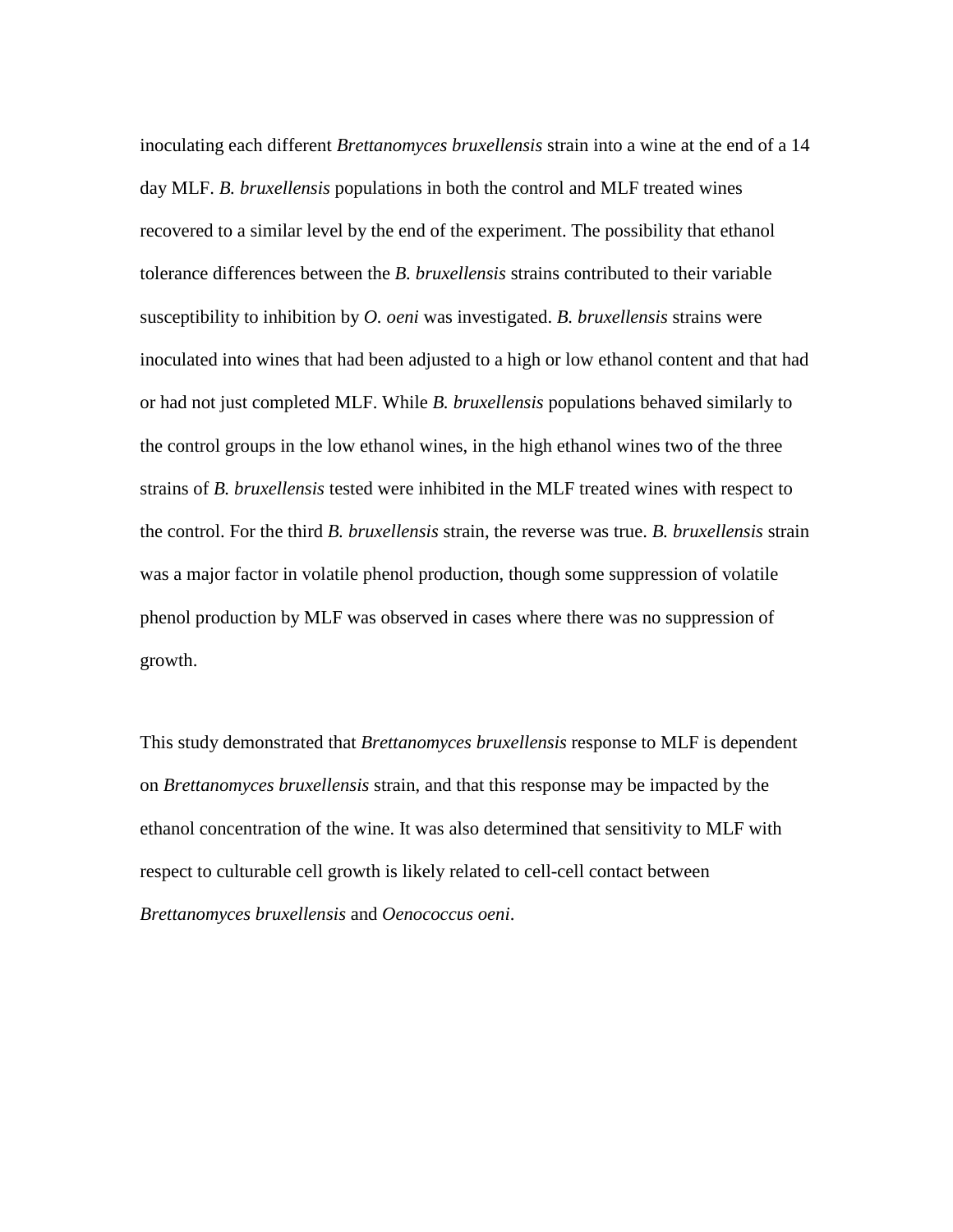inoculating each different *Brettanomyces bruxellensis* strain into a wine at the end of a 14 day MLF. *B. bruxellensis* populations in both the control and MLF treated wines recovered to a similar level by the end of the experiment. The possibility that ethanol tolerance differences between the *B. bruxellensis* strains contributed to their variable susceptibility to inhibition by *O. oeni* was investigated. *B. bruxellensis* strains were inoculated into wines that had been adjusted to a high or low ethanol content and that had or had not just completed MLF. While *B. bruxellensis* populations behaved similarly to the control groups in the low ethanol wines, in the high ethanol wines two of the three strains of *B. bruxellensis* tested were inhibited in the MLF treated wines with respect to the control. For the third *B. bruxellensis* strain, the reverse was true. *B. bruxellensis* strain was a major factor in volatile phenol production, though some suppression of volatile phenol production by MLF was observed in cases where there was no suppression of growth.

This study demonstrated that *Brettanomyces bruxellensis* response to MLF is dependent on *Brettanomyces bruxellensis* strain, and that this response may be impacted by the ethanol concentration of the wine. It was also determined that sensitivity to MLF with respect to culturable cell growth is likely related to cell-cell contact between *Brettanomyces bruxellensis* and *Oenococcus oeni*.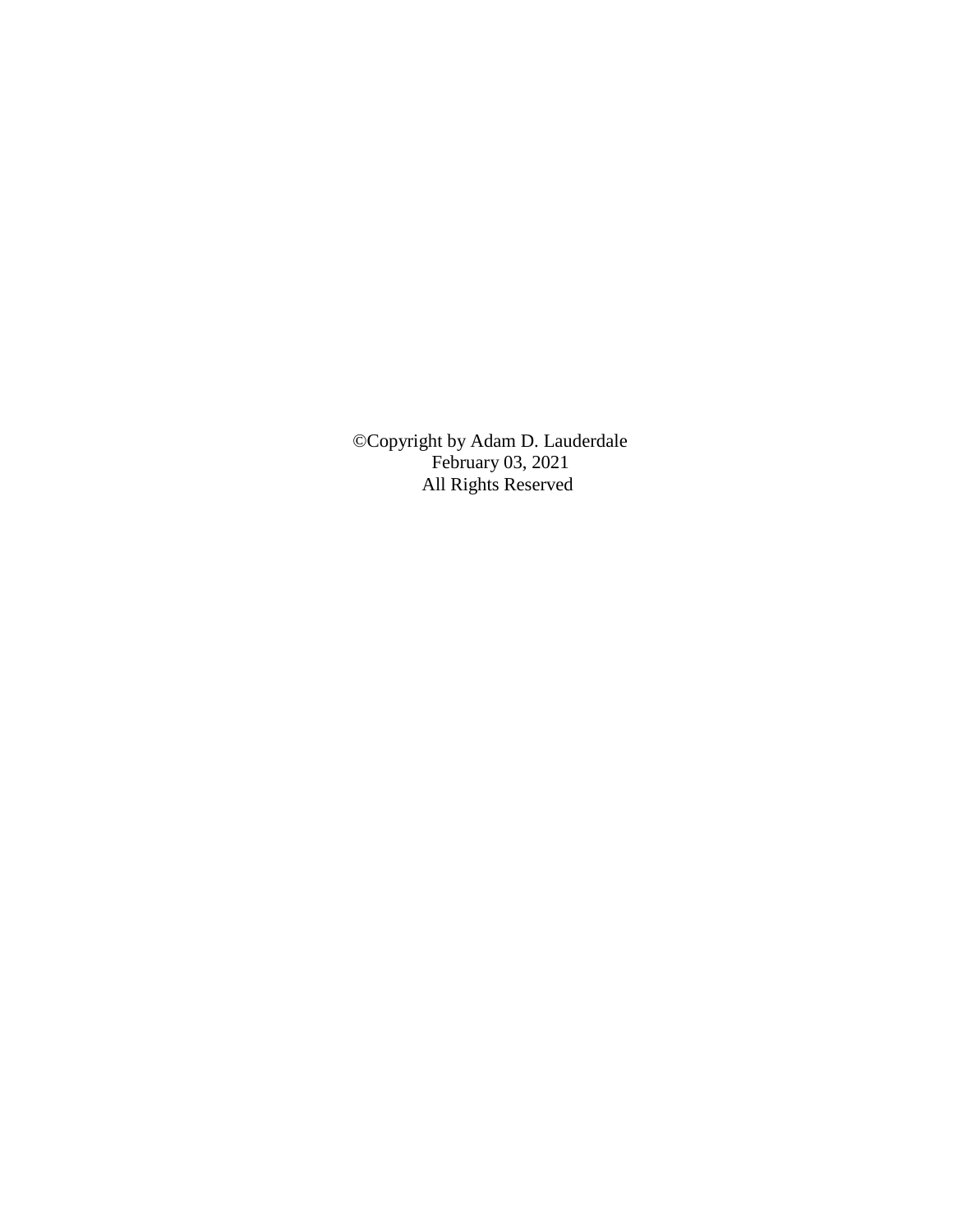©Copyright by Adam D. Lauderdale February 03, 2021 All Rights Reserved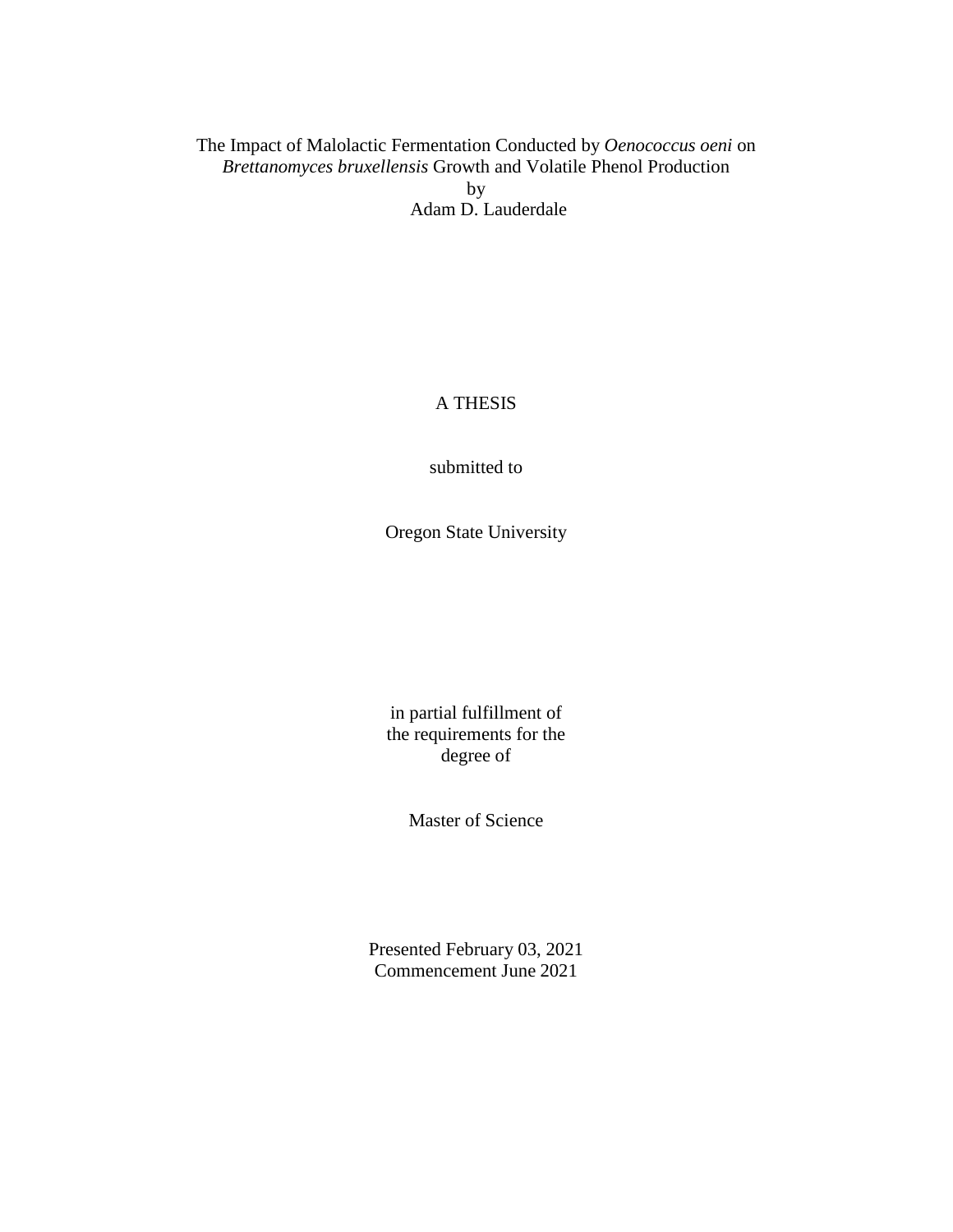## The Impact of Malolactic Fermentation Conducted by *Oenococcus oeni* on *Brettanomyces bruxellensis* Growth and Volatile Phenol Production by Adam D. Lauderdale

## A THESIS

submitted to

Oregon State University

in partial fulfillment of the requirements for the degree of

Master of Science

Presented February 03, 2021 Commencement June 2021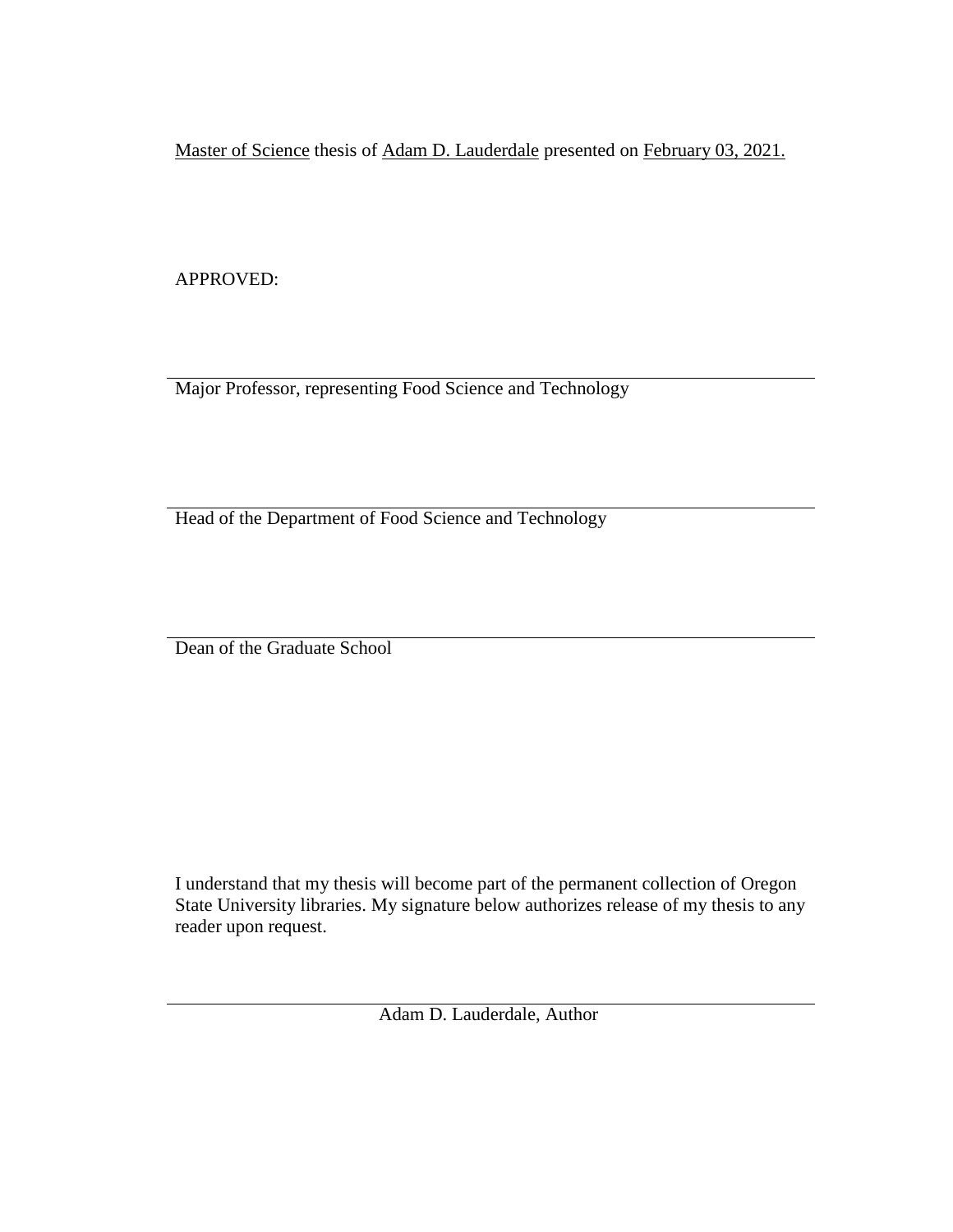Master of Science thesis of Adam D. Lauderdale presented on February 03, 2021.

APPROVED:

Major Professor, representing Food Science and Technology

Head of the Department of Food Science and Technology

Dean of the Graduate School

I understand that my thesis will become part of the permanent collection of Oregon State University libraries. My signature below authorizes release of my thesis to any reader upon request.

Adam D. Lauderdale, Author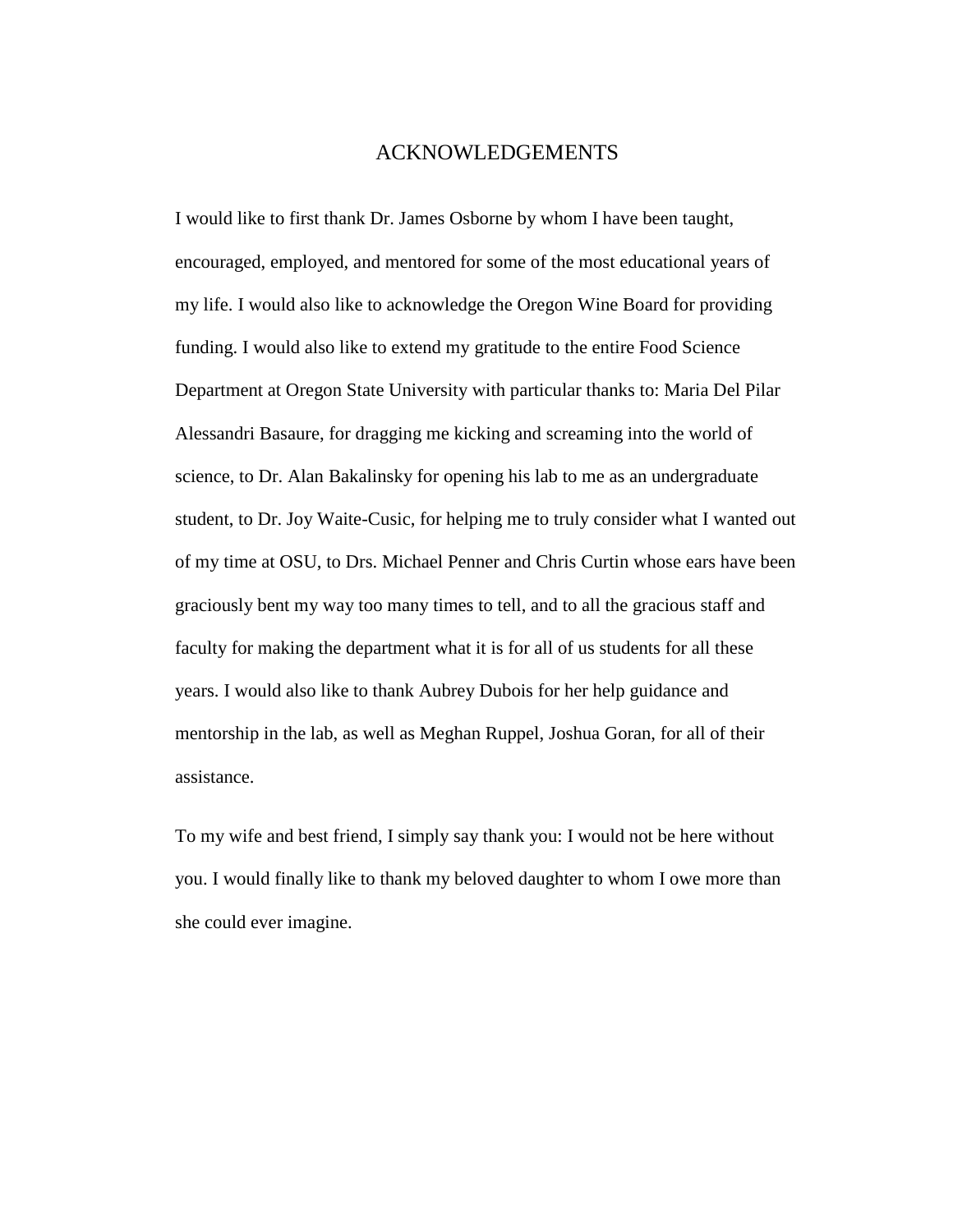### ACKNOWLEDGEMENTS

I would like to first thank Dr. James Osborne by whom I have been taught, encouraged, employed, and mentored for some of the most educational years of my life. I would also like to acknowledge the Oregon Wine Board for providing funding. I would also like to extend my gratitude to the entire Food Science Department at Oregon State University with particular thanks to: Maria Del Pilar Alessandri Basaure, for dragging me kicking and screaming into the world of science, to Dr. Alan Bakalinsky for opening his lab to me as an undergraduate student, to Dr. Joy Waite-Cusic, for helping me to truly consider what I wanted out of my time at OSU, to Drs. Michael Penner and Chris Curtin whose ears have been graciously bent my way too many times to tell, and to all the gracious staff and faculty for making the department what it is for all of us students for all these years. I would also like to thank Aubrey Dubois for her help guidance and mentorship in the lab, as well as Meghan Ruppel, Joshua Goran, for all of their assistance.

To my wife and best friend, I simply say thank you: I would not be here without you. I would finally like to thank my beloved daughter to whom I owe more than she could ever imagine.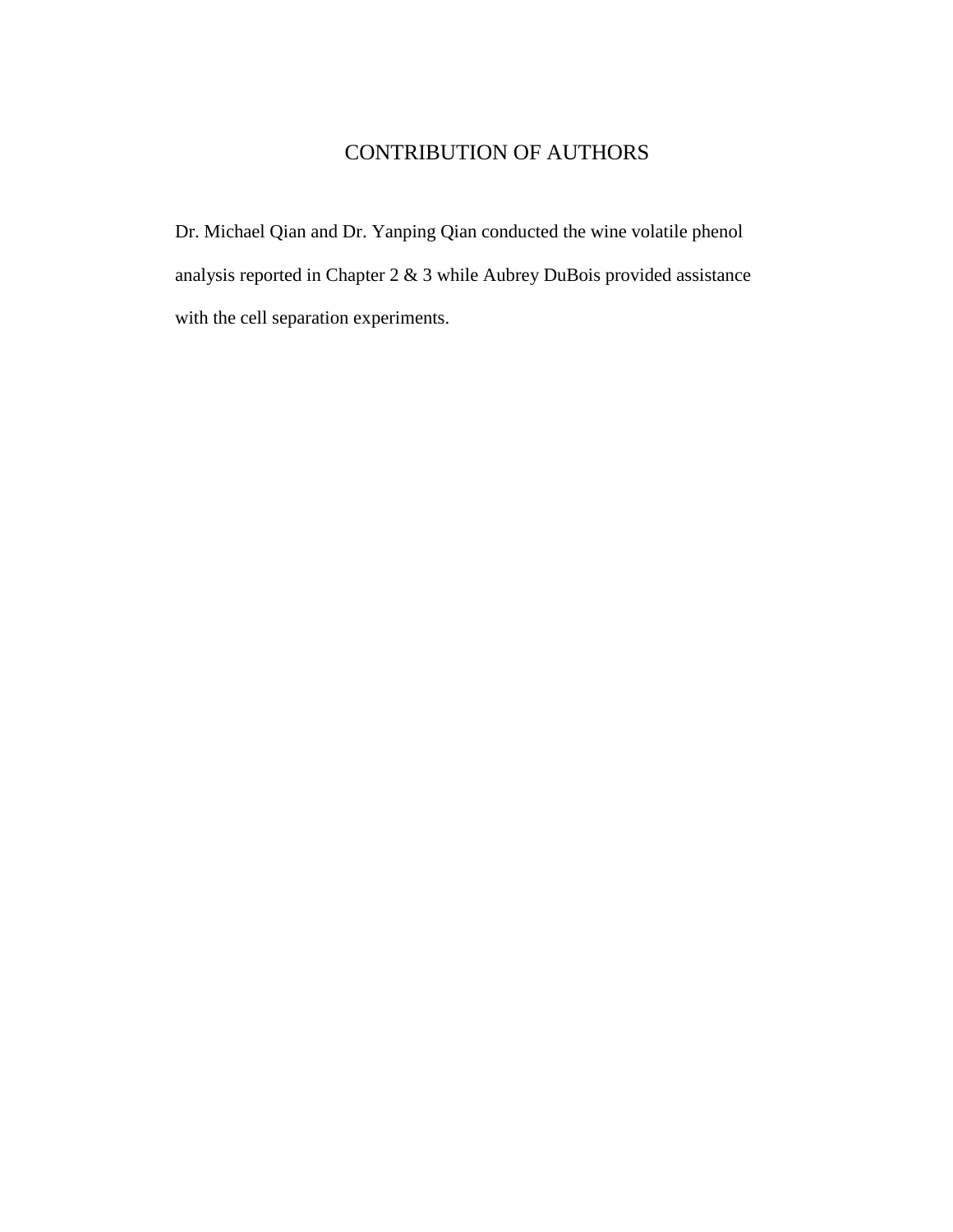# CONTRIBUTION OF AUTHORS

Dr. Michael Qian and Dr. Yanping Qian conducted the wine volatile phenol analysis reported in Chapter 2 & 3 while Aubrey DuBois provided assistance with the cell separation experiments.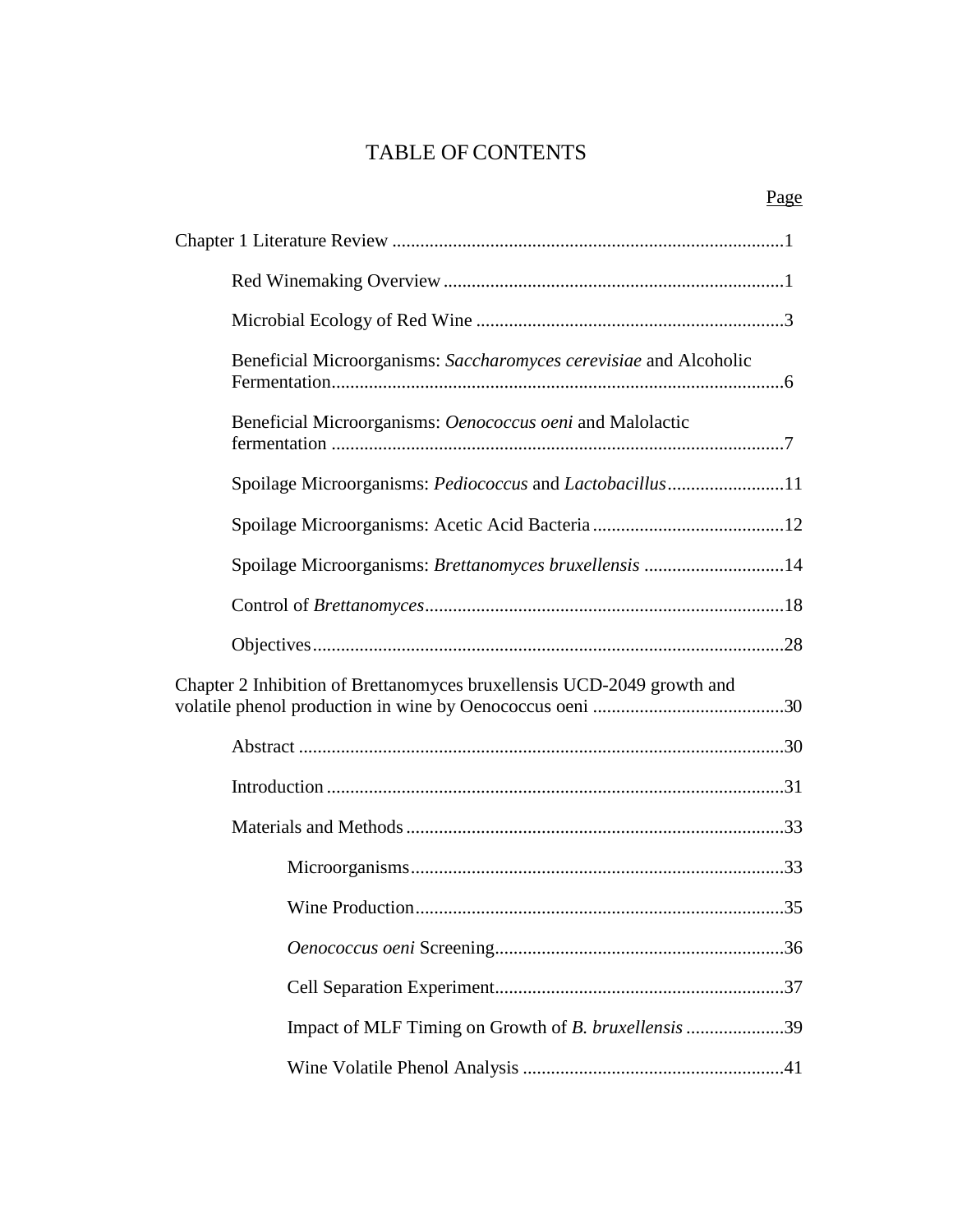# TABLE OF CONTENTS

| Beneficial Microorganisms: Saccharomyces cerevisiae and Alcoholic      |  |
|------------------------------------------------------------------------|--|
| Beneficial Microorganisms: Oenococcus oeni and Malolactic              |  |
| Spoilage Microorganisms: Pediococcus and Lactobacillus11               |  |
|                                                                        |  |
| Spoilage Microorganisms: Brettanomyces bruxellensis 14                 |  |
|                                                                        |  |
|                                                                        |  |
| Chapter 2 Inhibition of Brettanomyces bruxellensis UCD-2049 growth and |  |
|                                                                        |  |
|                                                                        |  |
|                                                                        |  |
|                                                                        |  |
|                                                                        |  |
|                                                                        |  |
|                                                                        |  |
| Impact of MLF Timing on Growth of B. bruxellensis 39                   |  |
|                                                                        |  |

## Page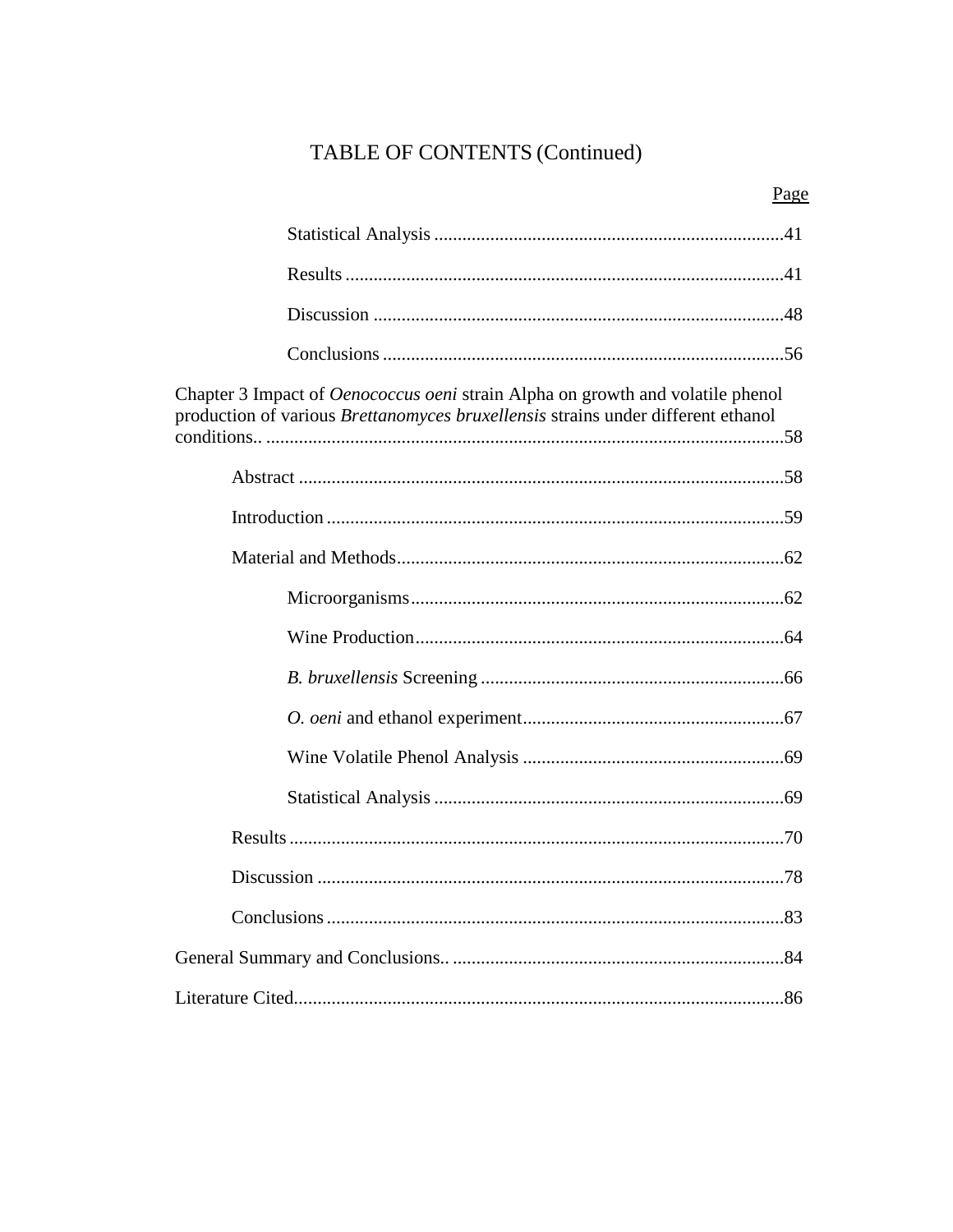# TABLE OF CONTENTS (Continued)

| Chapter 3 Impact of <i>Oenococcus oeni</i> strain Alpha on growth and volatile phenol<br>production of various Brettanomyces bruxellensis strains under different ethanol |  |
|---------------------------------------------------------------------------------------------------------------------------------------------------------------------------|--|
|                                                                                                                                                                           |  |
|                                                                                                                                                                           |  |
|                                                                                                                                                                           |  |
|                                                                                                                                                                           |  |
|                                                                                                                                                                           |  |
|                                                                                                                                                                           |  |
|                                                                                                                                                                           |  |
|                                                                                                                                                                           |  |
|                                                                                                                                                                           |  |
|                                                                                                                                                                           |  |
|                                                                                                                                                                           |  |
|                                                                                                                                                                           |  |
|                                                                                                                                                                           |  |
|                                                                                                                                                                           |  |

# Page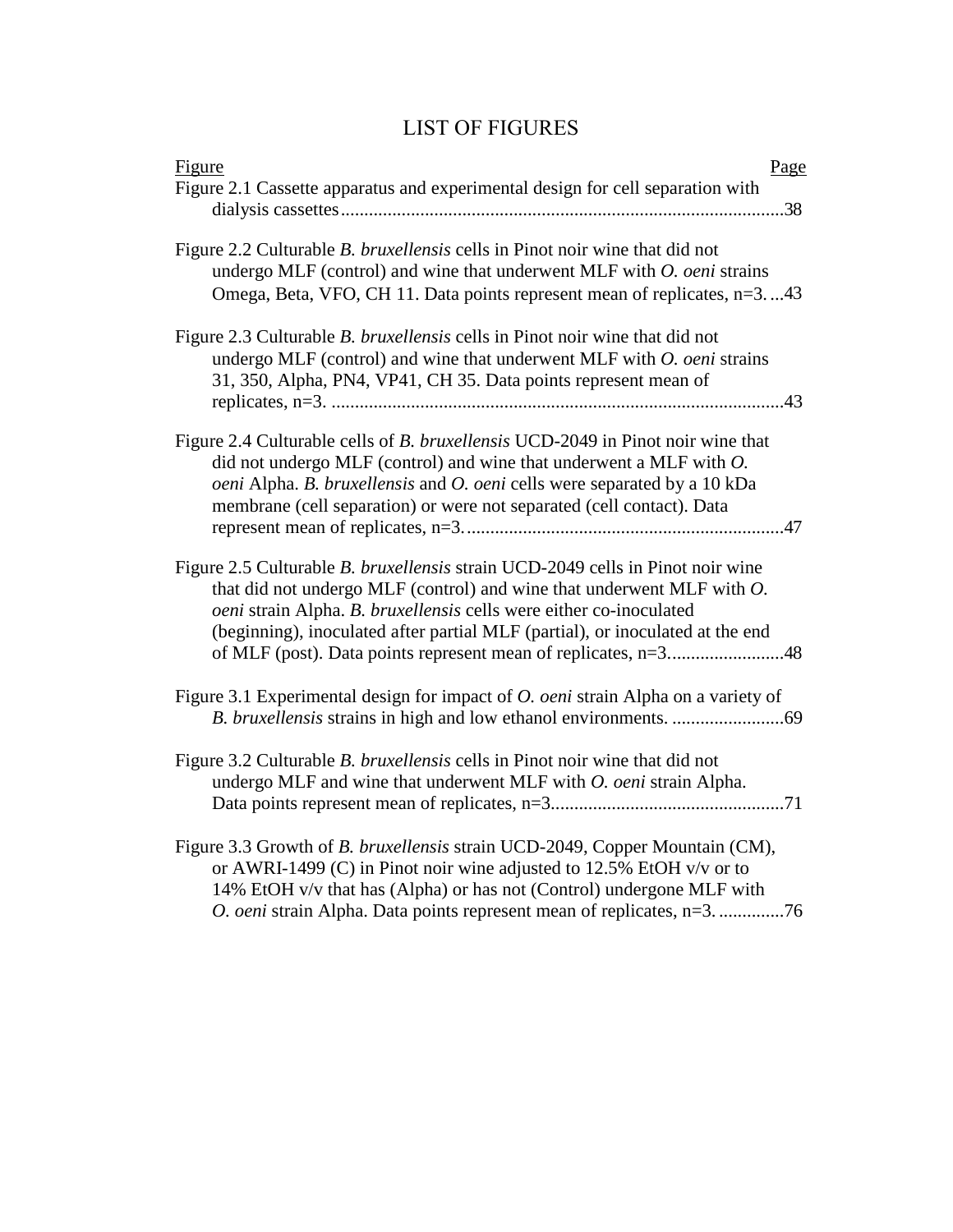# LIST OF FIGURES

| Figure<br>Page                                                                                                                                                                                                                                                                                                        |
|-----------------------------------------------------------------------------------------------------------------------------------------------------------------------------------------------------------------------------------------------------------------------------------------------------------------------|
| Figure 2.1 Cassette apparatus and experimental design for cell separation with                                                                                                                                                                                                                                        |
| Figure 2.2 Culturable B. bruxellensis cells in Pinot noir wine that did not<br>undergo MLF (control) and wine that underwent MLF with $O.$ oeni strains<br>Omega, Beta, VFO, CH 11. Data points represent mean of replicates, n=343                                                                                   |
| Figure 2.3 Culturable <i>B. bruxellensis</i> cells in Pinot noir wine that did not<br>undergo MLF (control) and wine that underwent MLF with O. oeni strains<br>31, 350, Alpha, PN4, VP41, CH 35. Data points represent mean of                                                                                       |
| Figure 2.4 Culturable cells of <i>B. bruxellensis</i> UCD-2049 in Pinot noir wine that<br>did not undergo MLF (control) and wine that underwent a MLF with $O$ .<br>oeni Alpha. B. bruxellensis and O. oeni cells were separated by a 10 kDa<br>membrane (cell separation) or were not separated (cell contact). Data |
| Figure 2.5 Culturable B. bruxellensis strain UCD-2049 cells in Pinot noir wine<br>that did not undergo MLF (control) and wine that underwent MLF with $O$ .<br>oeni strain Alpha. B. bruxellensis cells were either co-inoculated<br>(beginning), inoculated after partial MLF (partial), or inoculated at the end    |
| Figure 3.1 Experimental design for impact of <i>O. oeni</i> strain Alpha on a variety of                                                                                                                                                                                                                              |
| Figure 3.2 Culturable B. bruxellensis cells in Pinot noir wine that did not<br>undergo MLF and wine that underwent MLF with O. oeni strain Alpha.                                                                                                                                                                     |
| Figure 3.3 Growth of B. bruxellensis strain UCD-2049, Copper Mountain (CM),<br>or AWRI-1499 (C) in Pinot noir wine adjusted to 12.5% EtOH v/v or to<br>14% EtOH v/v that has (Alpha) or has not (Control) undergone MLF with<br>O. oeni strain Alpha. Data points represent mean of replicates, n=376                 |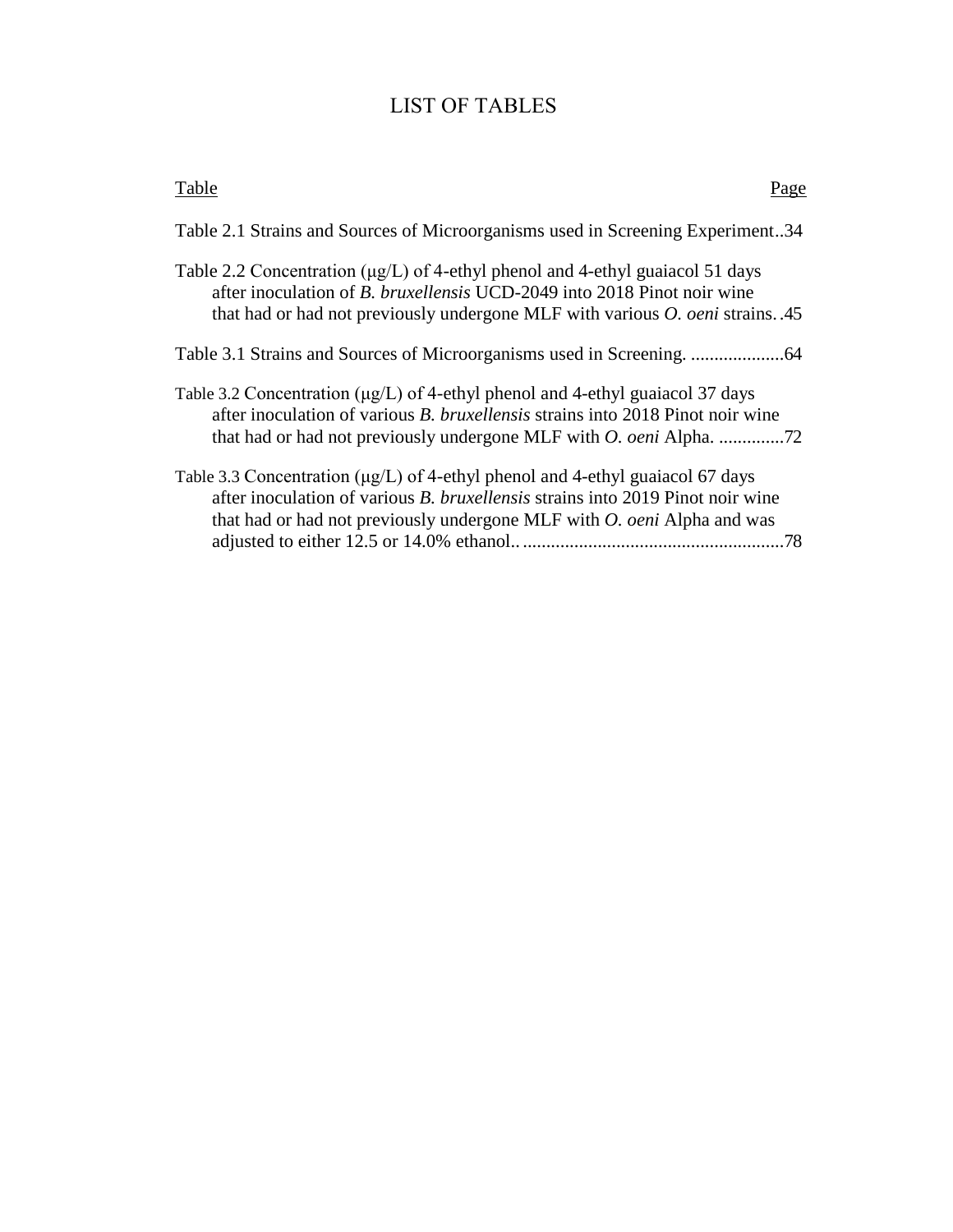# LIST OF TABLES

| Table<br>'a ge                                                                                                                                                                                                                                                |
|---------------------------------------------------------------------------------------------------------------------------------------------------------------------------------------------------------------------------------------------------------------|
| Table 2.1 Strains and Sources of Microorganisms used in Screening Experiment34                                                                                                                                                                                |
| Table 2.2 Concentration ( $\mu$ g/L) of 4-ethyl phenol and 4-ethyl guaiacol 51 days<br>after inoculation of <i>B. bruxellensis</i> UCD-2049 into 2018 Pinot noir wine<br>that had or had not previously undergone MLF with various <i>O. oeni</i> strains. 45 |
|                                                                                                                                                                                                                                                               |
| Table 3.2 Concentration ( $\mu$ g/L) of 4-ethyl phenol and 4-ethyl guaiacol 37 days<br>after inoculation of various <i>B. bruxellensis</i> strains into 2018 Pinot noir wine                                                                                  |
| Table 3.3 Concentration (µg/L) of 4-ethyl phenol and 4-ethyl guaiacol 67 days<br>after inoculation of various <i>B. bruxellensis</i> strains into 2019 Pinot noir wine<br>that had or had not previously undergone MLF with O. oeni Alpha and was<br>.78      |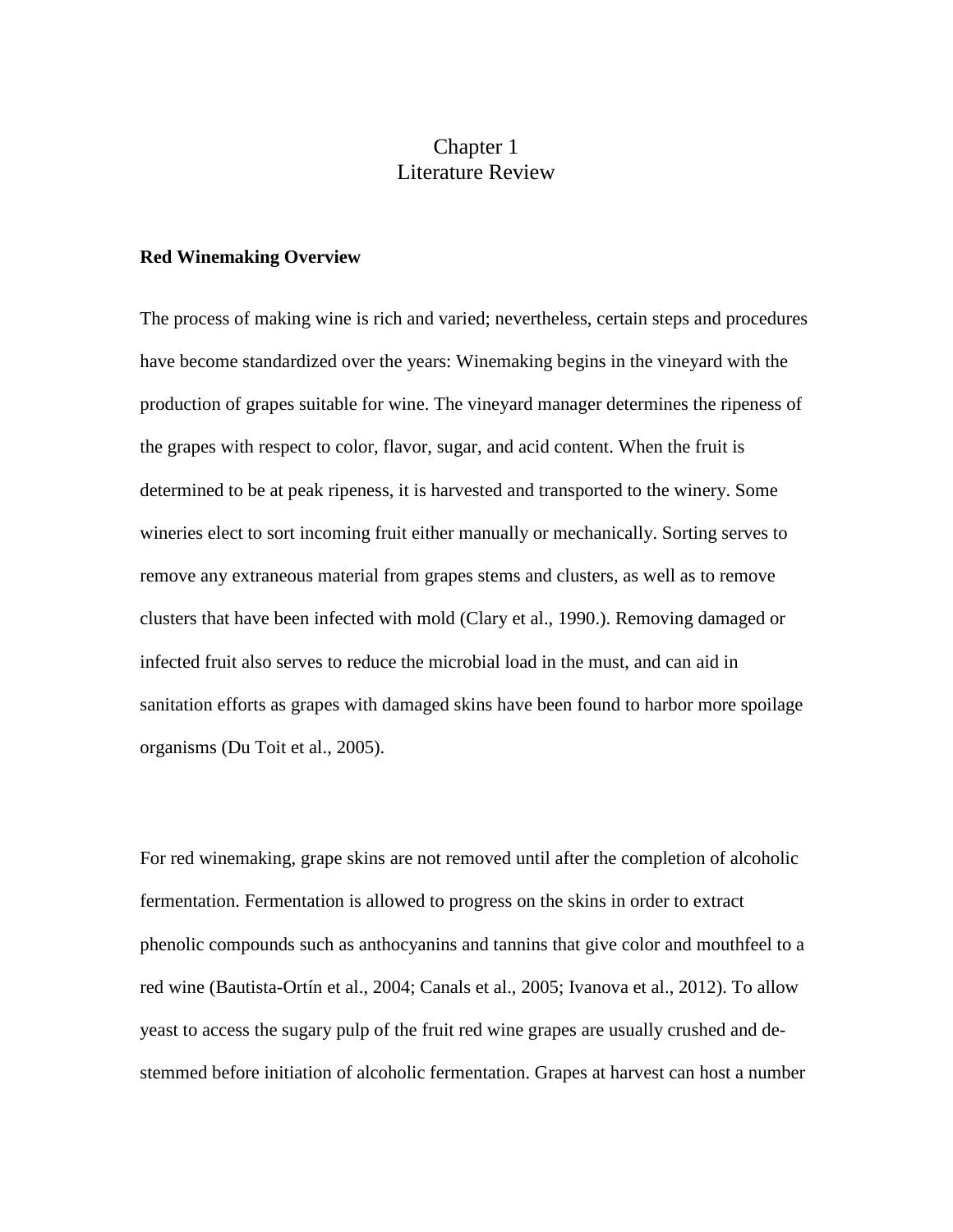# Chapter 1 Literature Review

### **Red Winemaking Overview**

The process of making wine is rich and varied; nevertheless, certain steps and procedures have become standardized over the years: Winemaking begins in the vineyard with the production of grapes suitable for wine. The vineyard manager determines the ripeness of the grapes with respect to color, flavor, sugar, and acid content. When the fruit is determined to be at peak ripeness, it is harvested and transported to the winery. Some wineries elect to sort incoming fruit either manually or mechanically. Sorting serves to remove any extraneous material from grapes stems and clusters, as well as to remove clusters that have been infected with mold (Clary et al., 1990.). Removing damaged or infected fruit also serves to reduce the microbial load in the must, and can aid in sanitation efforts as grapes with damaged skins have been found to harbor more spoilage organisms (Du Toit et al., 2005).

For red winemaking, grape skins are not removed until after the completion of alcoholic fermentation. Fermentation is allowed to progress on the skins in order to extract phenolic compounds such as anthocyanins and tannins that give color and mouthfeel to a red wine (Bautista-Ortín et al., 2004; Canals et al., 2005; Ivanova et al., 2012). To allow yeast to access the sugary pulp of the fruit red wine grapes are usually crushed and destemmed before initiation of alcoholic fermentation. Grapes at harvest can host a number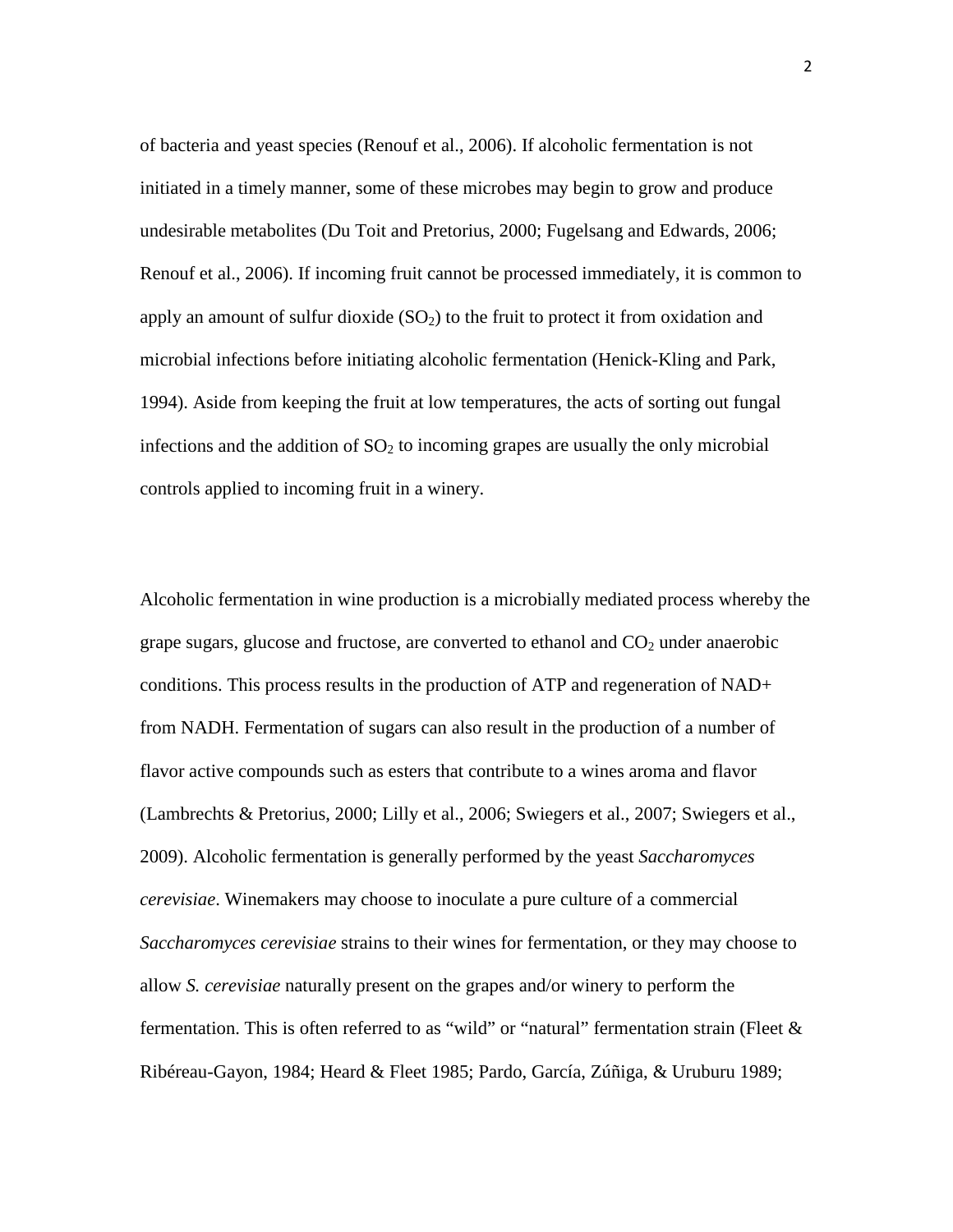of bacteria and yeast species (Renouf et al., 2006). If alcoholic fermentation is not initiated in a timely manner, some of these microbes may begin to grow and produce undesirable metabolites (Du Toit and Pretorius, 2000; Fugelsang and Edwards, 2006; Renouf et al., 2006). If incoming fruit cannot be processed immediately, it is common to apply an amount of sulfur dioxide  $(SO<sub>2</sub>)$  to the fruit to protect it from oxidation and microbial infections before initiating alcoholic fermentation (Henick-Kling and Park, 1994). Aside from keeping the fruit at low temperatures, the acts of sorting out fungal infections and the addition of  $SO<sub>2</sub>$  to incoming grapes are usually the only microbial controls applied to incoming fruit in a winery.

Alcoholic fermentation in wine production is a microbially mediated process whereby the grape sugars, glucose and fructose, are converted to ethanol and  $CO<sub>2</sub>$  under anaerobic conditions. This process results in the production of ATP and regeneration of NAD+ from NADH. Fermentation of sugars can also result in the production of a number of flavor active compounds such as esters that contribute to a wines aroma and flavor (Lambrechts & Pretorius, 2000; Lilly et al., 2006; Swiegers et al., 2007; Swiegers et al., 2009). Alcoholic fermentation is generally performed by the yeast *Saccharomyces cerevisiae*. Winemakers may choose to inoculate a pure culture of a commercial *Saccharomyces cerevisiae* strains to their wines for fermentation, or they may choose to allow *S. cerevisiae* naturally present on the grapes and/or winery to perform the fermentation. This is often referred to as "wild" or "natural" fermentation strain (Fleet & Ribéreau-Gayon, 1984; Heard & Fleet 1985; Pardo, García, Zúñiga, & Uruburu 1989;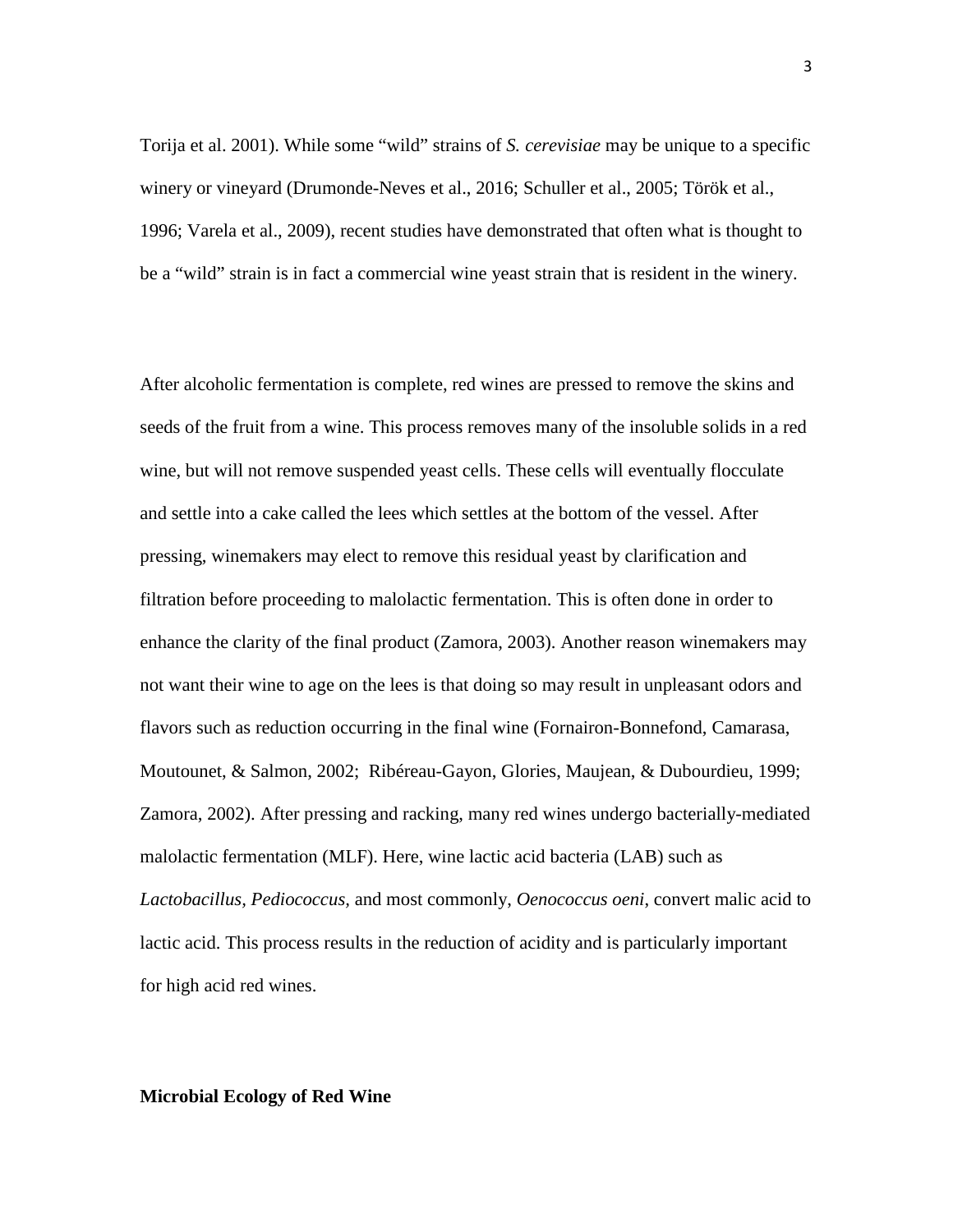Torija et al. 2001). While some "wild" strains of *S. cerevisiae* may be unique to a specific winery or vineyard (Drumonde-Neves et al., 2016; Schuller et al., 2005; Török et al., 1996; Varela et al., 2009), recent studies have demonstrated that often what is thought to be a "wild" strain is in fact a commercial wine yeast strain that is resident in the winery.

After alcoholic fermentation is complete, red wines are pressed to remove the skins and seeds of the fruit from a wine. This process removes many of the insoluble solids in a red wine, but will not remove suspended yeast cells. These cells will eventually flocculate and settle into a cake called the lees which settles at the bottom of the vessel. After pressing, winemakers may elect to remove this residual yeast by clarification and filtration before proceeding to malolactic fermentation. This is often done in order to enhance the clarity of the final product (Zamora, 2003). Another reason winemakers may not want their wine to age on the lees is that doing so may result in unpleasant odors and flavors such as reduction occurring in the final wine (Fornairon-Bonnefond, Camarasa, Moutounet, & Salmon, 2002; Ribéreau-Gayon, Glories, Maujean, & Dubourdieu, 1999; Zamora, 2002). After pressing and racking, many red wines undergo bacterially-mediated malolactic fermentation (MLF). Here, wine lactic acid bacteria (LAB) such as *Lactobacillus, Pediococcus,* and most commonly, *Oenococcus oeni*, convert malic acid to lactic acid. This process results in the reduction of acidity and is particularly important for high acid red wines.

### **Microbial Ecology of Red Wine**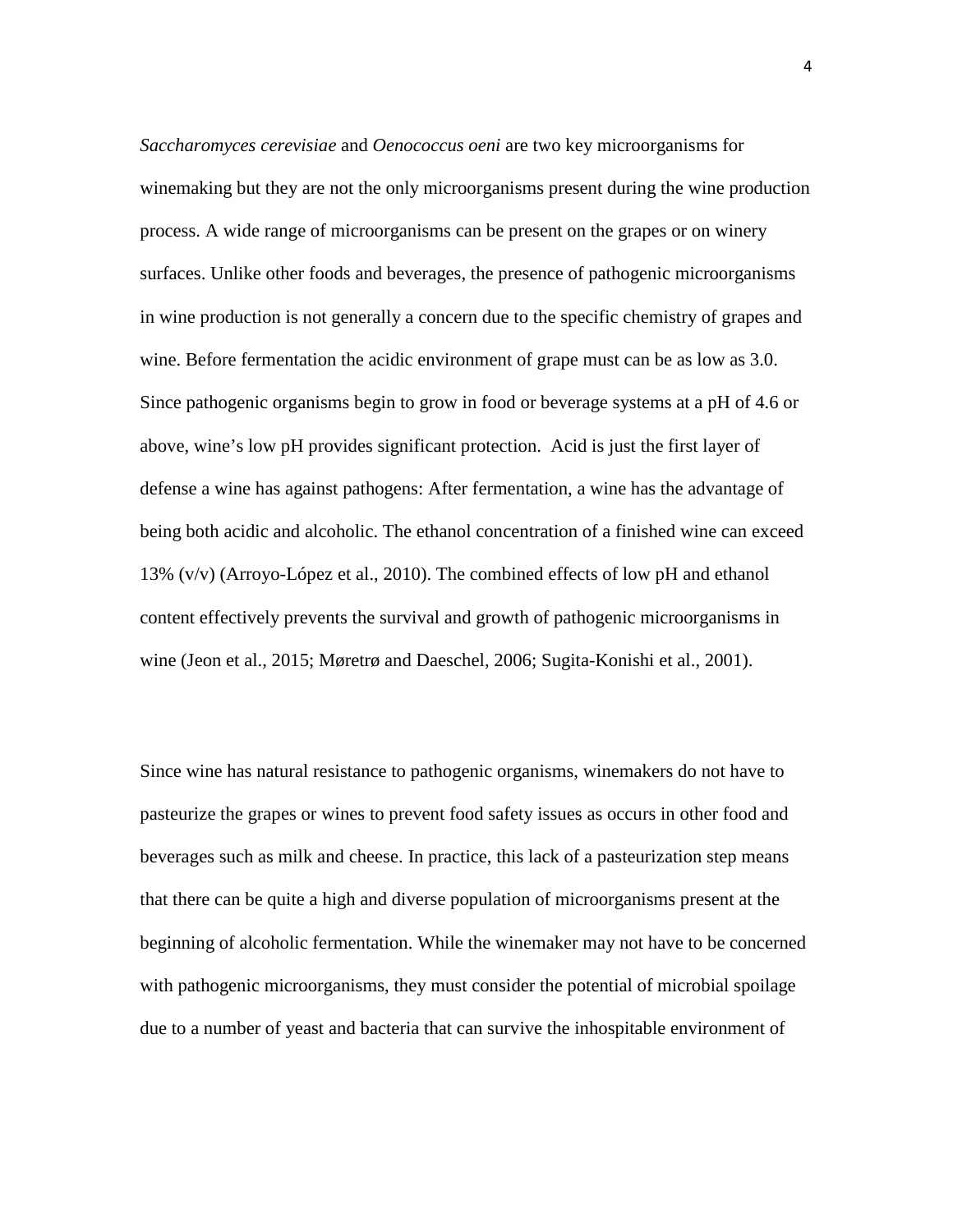*Saccharomyces cerevisiae* and *Oenococcus oeni* are two key microorganisms for winemaking but they are not the only microorganisms present during the wine production process. A wide range of microorganisms can be present on the grapes or on winery surfaces. Unlike other foods and beverages, the presence of pathogenic microorganisms in wine production is not generally a concern due to the specific chemistry of grapes and wine. Before fermentation the acidic environment of grape must can be as low as 3.0. Since pathogenic organisms begin to grow in food or beverage systems at a pH of 4.6 or above, wine's low pH provides significant protection. Acid is just the first layer of defense a wine has against pathogens: After fermentation, a wine has the advantage of being both acidic and alcoholic. The ethanol concentration of a finished wine can exceed 13% (v/v) (Arroyo-López et al., 2010). The combined effects of low pH and ethanol content effectively prevents the survival and growth of pathogenic microorganisms in wine (Jeon et al., 2015; Møretrø and Daeschel, 2006; Sugita-Konishi et al., 2001).

Since wine has natural resistance to pathogenic organisms, winemakers do not have to pasteurize the grapes or wines to prevent food safety issues as occurs in other food and beverages such as milk and cheese. In practice, this lack of a pasteurization step means that there can be quite a high and diverse population of microorganisms present at the beginning of alcoholic fermentation. While the winemaker may not have to be concerned with pathogenic microorganisms, they must consider the potential of microbial spoilage due to a number of yeast and bacteria that can survive the inhospitable environment of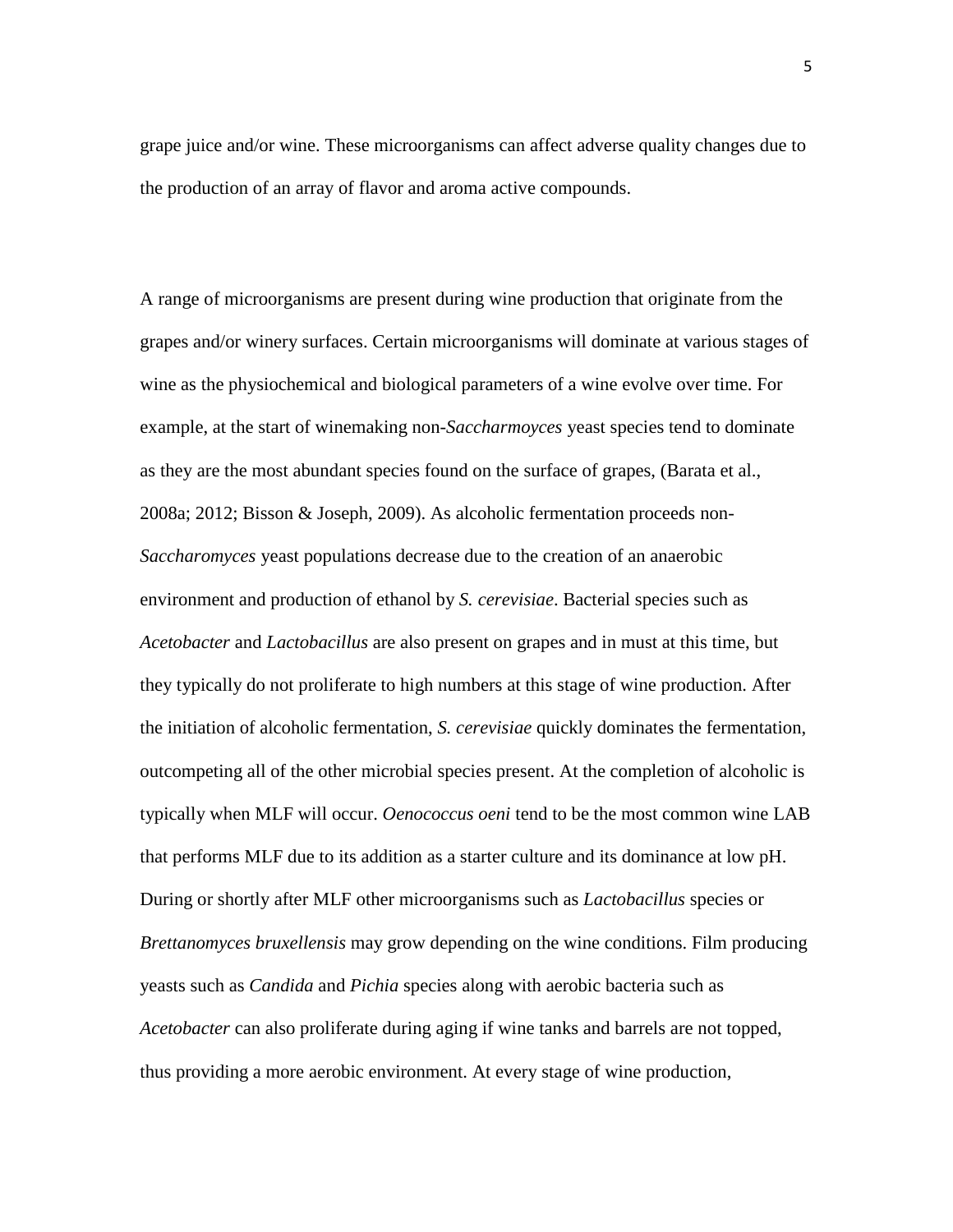grape juice and/or wine. These microorganisms can affect adverse quality changes due to the production of an array of flavor and aroma active compounds.

A range of microorganisms are present during wine production that originate from the grapes and/or winery surfaces. Certain microorganisms will dominate at various stages of wine as the physiochemical and biological parameters of a wine evolve over time. For example, at the start of winemaking non-*Saccharmoyces* yeast species tend to dominate as they are the most abundant species found on the surface of grapes, (Barata et al., 2008a; 2012; Bisson & Joseph, 2009). As alcoholic fermentation proceeds non-*Saccharomyces* yeast populations decrease due to the creation of an anaerobic environment and production of ethanol by *S. cerevisiae*. Bacterial species such as *Acetobacter* and *Lactobacillus* are also present on grapes and in must at this time, but they typically do not proliferate to high numbers at this stage of wine production. After the initiation of alcoholic fermentation, *S. cerevisiae* quickly dominates the fermentation, outcompeting all of the other microbial species present. At the completion of alcoholic is typically when MLF will occur. *Oenococcus oeni* tend to be the most common wine LAB that performs MLF due to its addition as a starter culture and its dominance at low pH. During or shortly after MLF other microorganisms such as *Lactobacillus* species or *Brettanomyces bruxellensis* may grow depending on the wine conditions. Film producing yeasts such as *Candida* and *Pichia* species along with aerobic bacteria such as *Acetobacter* can also proliferate during aging if wine tanks and barrels are not topped, thus providing a more aerobic environment. At every stage of wine production,

5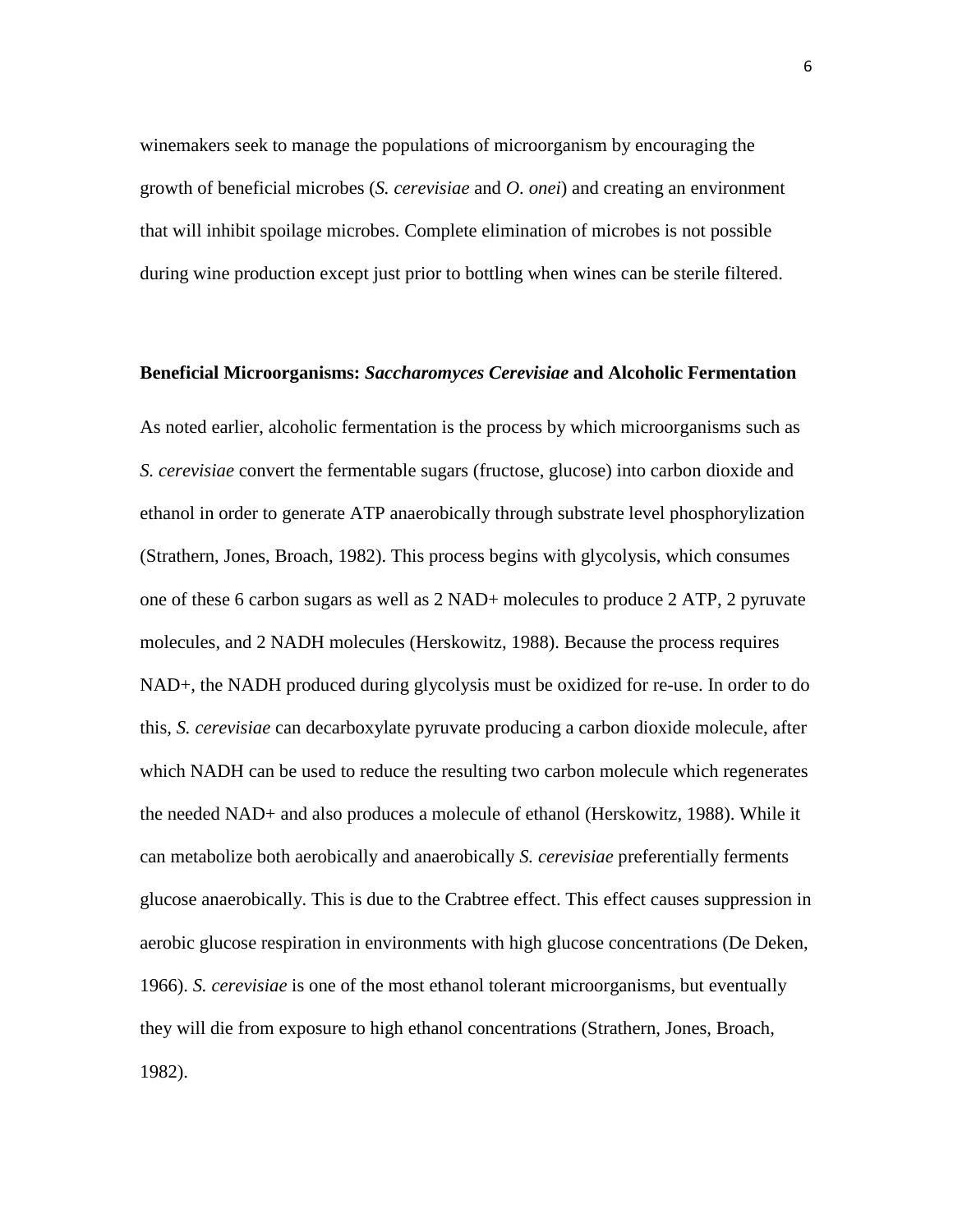winemakers seek to manage the populations of microorganism by encouraging the growth of beneficial microbes (*S. cerevisiae* and *O. onei*) and creating an environment that will inhibit spoilage microbes. Complete elimination of microbes is not possible during wine production except just prior to bottling when wines can be sterile filtered.

#### **Beneficial Microorganisms:** *Saccharomyces Cerevisiae* **and Alcoholic Fermentation**

As noted earlier, alcoholic fermentation is the process by which microorganisms such as *S. cerevisiae* convert the fermentable sugars (fructose, glucose) into carbon dioxide and ethanol in order to generate ATP anaerobically through substrate level phosphorylization (Strathern, Jones, Broach, 1982). This process begins with glycolysis, which consumes one of these 6 carbon sugars as well as 2 NAD+ molecules to produce 2 ATP, 2 pyruvate molecules, and 2 NADH molecules (Herskowitz, 1988). Because the process requires NAD+, the NADH produced during glycolysis must be oxidized for re-use. In order to do this, *S. cerevisiae* can decarboxylate pyruvate producing a carbon dioxide molecule, after which NADH can be used to reduce the resulting two carbon molecule which regenerates the needed NAD+ and also produces a molecule of ethanol (Herskowitz, 1988). While it can metabolize both aerobically and anaerobically *S. cerevisiae* preferentially ferments glucose anaerobically. This is due to the Crabtree effect. This effect causes suppression in aerobic glucose respiration in environments with high glucose concentrations (De Deken, 1966). *S. cerevisiae* is one of the most ethanol tolerant microorganisms, but eventually they will die from exposure to high ethanol concentrations (Strathern, Jones, Broach, 1982).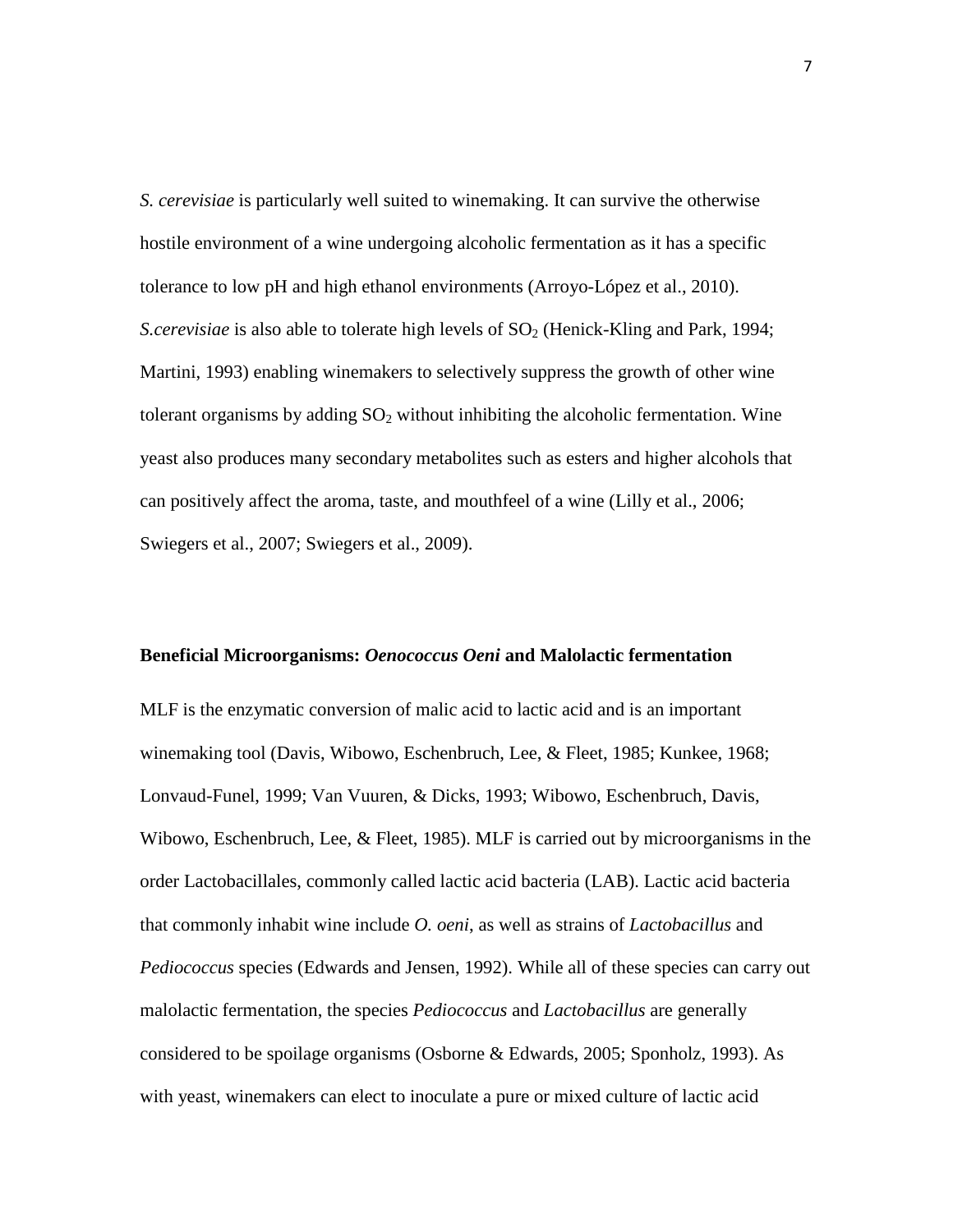*S. cerevisiae* is particularly well suited to winemaking. It can survive the otherwise hostile environment of a wine undergoing alcoholic fermentation as it has a specific tolerance to low pH and high ethanol environments (Arroyo-López et al., 2010). *S.cerevisiae* is also able to tolerate high levels of  $SO<sub>2</sub>$  (Henick-Kling and Park, 1994; Martini, 1993) enabling winemakers to selectively suppress the growth of other wine tolerant organisms by adding  $SO<sub>2</sub>$  without inhibiting the alcoholic fermentation. Wine yeast also produces many secondary metabolites such as esters and higher alcohols that can positively affect the aroma, taste, and mouthfeel of a wine (Lilly et al., 2006; Swiegers et al., 2007; Swiegers et al., 2009).

### **Beneficial Microorganisms:** *Oenococcus Oeni* **and Malolactic fermentation**

MLF is the enzymatic conversion of malic acid to lactic acid and is an important winemaking tool (Davis, Wibowo, Eschenbruch, Lee, & Fleet, 1985; Kunkee, 1968; Lonvaud-Funel, 1999; Van Vuuren, & Dicks, 1993; Wibowo, Eschenbruch, Davis, Wibowo, Eschenbruch, Lee, & Fleet, 1985). MLF is carried out by microorganisms in the order Lactobacillales, commonly called lactic acid bacteria (LAB). Lactic acid bacteria that commonly inhabit wine include *O. oeni*, as well as strains of *Lactobacillus* and *Pediococcus* species (Edwards and Jensen, 1992). While all of these species can carry out malolactic fermentation, the species *Pediococcus* and *Lactobacillus* are generally considered to be spoilage organisms (Osborne & Edwards, 2005; Sponholz, 1993). As with yeast, winemakers can elect to inoculate a pure or mixed culture of lactic acid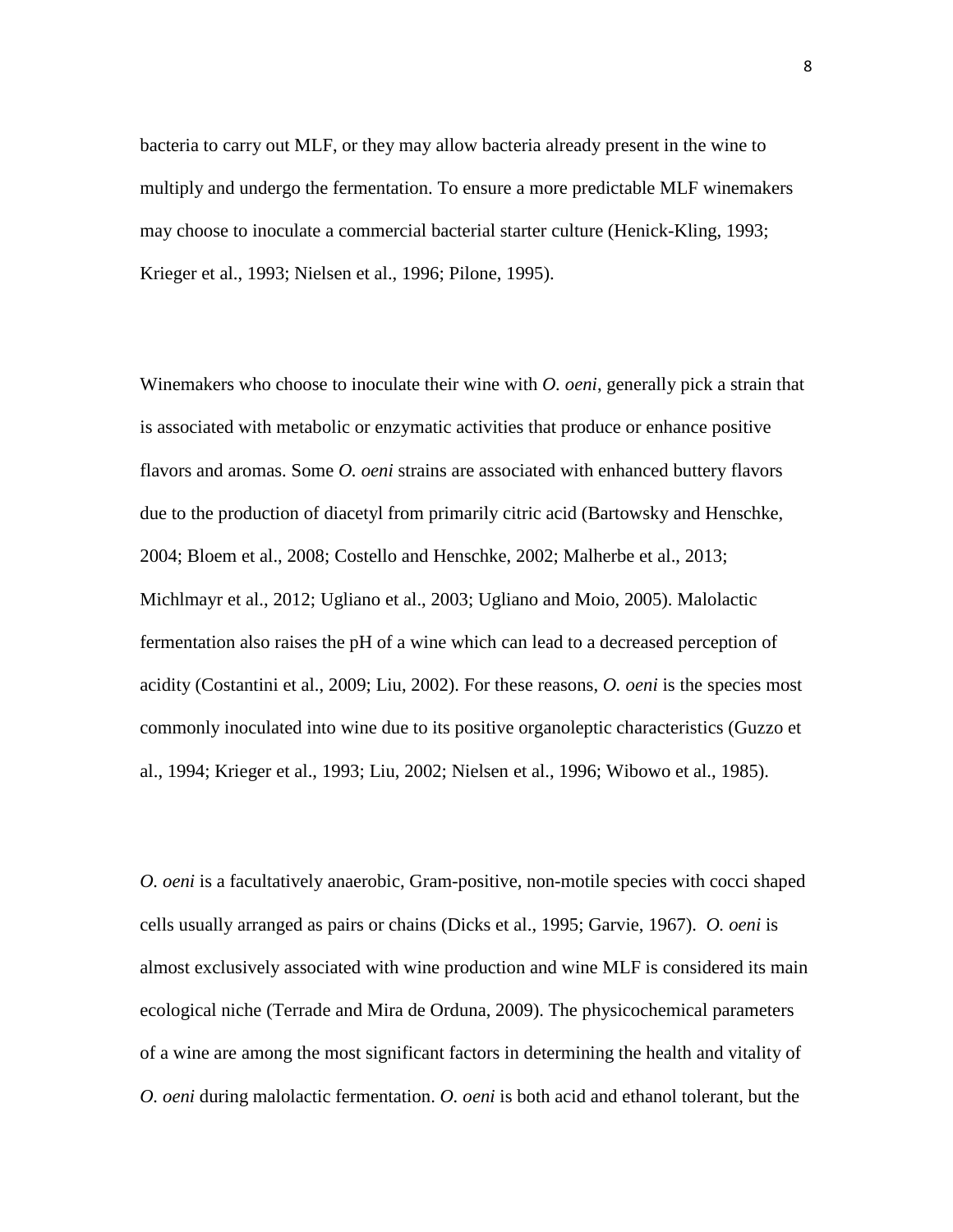bacteria to carry out MLF, or they may allow bacteria already present in the wine to multiply and undergo the fermentation. To ensure a more predictable MLF winemakers may choose to inoculate a commercial bacterial starter culture (Henick-Kling, 1993; Krieger et al., 1993; Nielsen et al., 1996; Pilone, 1995).

Winemakers who choose to inoculate their wine with *O. oeni*, generally pick a strain that is associated with metabolic or enzymatic activities that produce or enhance positive flavors and aromas. Some *O. oeni* strains are associated with enhanced buttery flavors due to the production of diacetyl from primarily citric acid (Bartowsky and Henschke, 2004; Bloem et al., 2008; Costello and Henschke, 2002; Malherbe et al., 2013; Michlmayr et al., 2012; Ugliano et al., 2003; Ugliano and Moio, 2005). Malolactic fermentation also raises the pH of a wine which can lead to a decreased perception of acidity (Costantini et al., 2009; Liu, 2002). For these reasons, *O. oeni* is the species most commonly inoculated into wine due to its positive organoleptic characteristics (Guzzo et al., 1994; Krieger et al., 1993; Liu, 2002; Nielsen et al., 1996; Wibowo et al., 1985).

*O. oeni* is a facultatively anaerobic, Gram-positive, non-motile species with cocci shaped cells usually arranged as pairs or chains (Dicks et al., 1995; Garvie, 1967). *O. oeni* is almost exclusively associated with wine production and wine MLF is considered its main ecological niche (Terrade and Mira de Orduna, 2009). The physicochemical parameters of a wine are among the most significant factors in determining the health and vitality of *O. oeni* during malolactic fermentation. *O. oeni* is both acid and ethanol tolerant, but the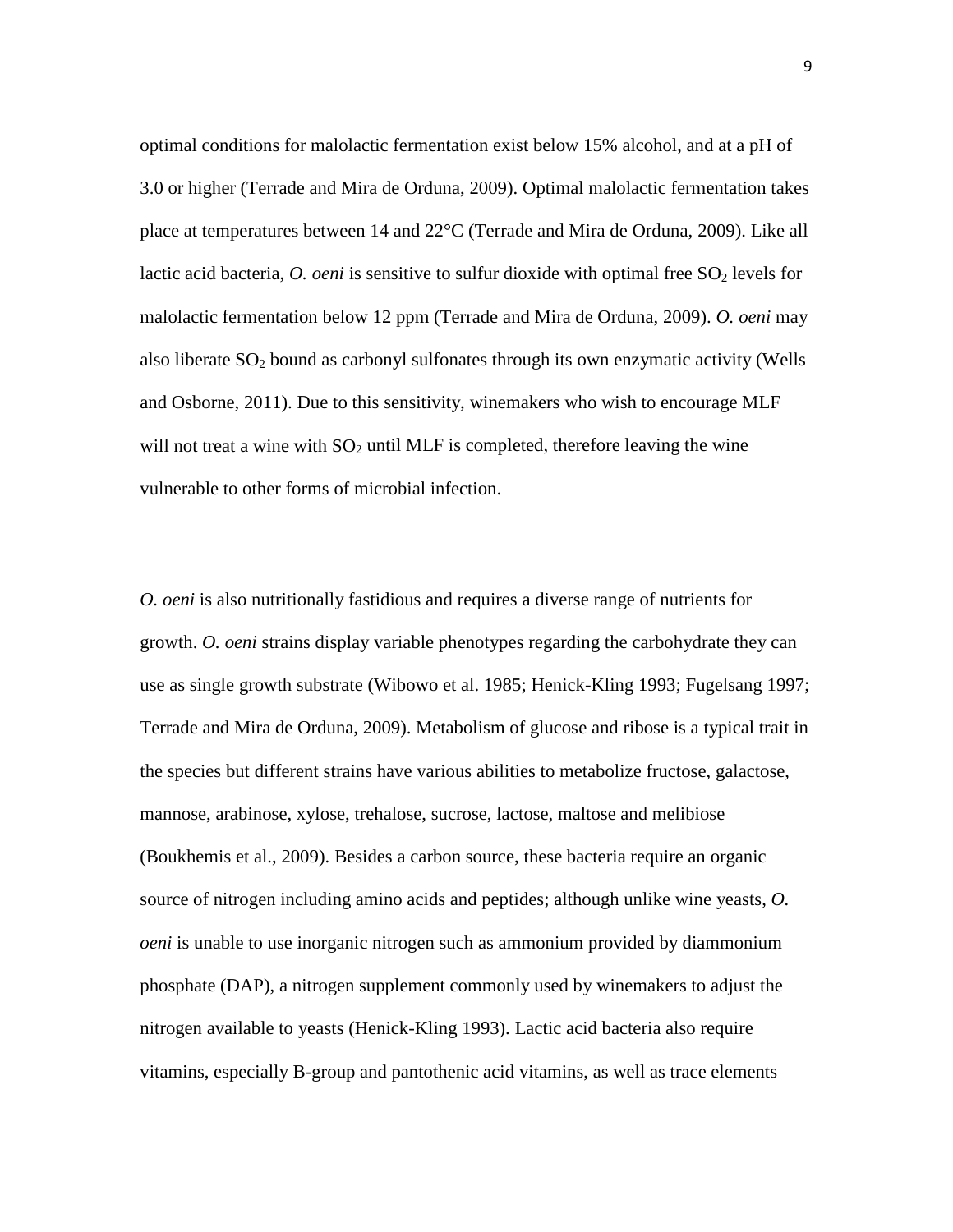optimal conditions for malolactic fermentation exist below 15% alcohol, and at a pH of 3.0 or higher (Terrade and Mira de Orduna, 2009). Optimal malolactic fermentation takes place at temperatures between 14 and 22°C (Terrade and Mira de Orduna, 2009). Like all lactic acid bacteria, *O. oeni* is sensitive to sulfur dioxide with optimal free SO<sub>2</sub> levels for malolactic fermentation below 12 ppm (Terrade and Mira de Orduna, 2009). *O. oeni* may also liberate  $SO_2$  bound as carbonyl sulfonates through its own enzymatic activity (Wells and Osborne, 2011). Due to this sensitivity, winemakers who wish to encourage MLF will not treat a wine with  $SO_2$  until MLF is completed, therefore leaving the wine vulnerable to other forms of microbial infection.

*O. oeni* is also nutritionally fastidious and requires a diverse range of nutrients for growth. *O. oeni* strains display variable phenotypes regarding the carbohydrate they can use as single growth substrate (Wibowo et al. 1985; Henick-Kling 1993; Fugelsang 1997; Terrade and Mira de Orduna, 2009). Metabolism of glucose and ribose is a typical trait in the species but different strains have various abilities to metabolize fructose, galactose, mannose, arabinose, xylose, trehalose, sucrose, lactose, maltose and melibiose (Boukhemis et al., 2009). Besides a carbon source, these bacteria require an organic source of nitrogen including amino acids and peptides; although unlike wine yeasts, *O. oeni* is unable to use inorganic nitrogen such as ammonium provided by diammonium phosphate (DAP), a nitrogen supplement commonly used by winemakers to adjust the nitrogen available to yeasts (Henick-Kling 1993). Lactic acid bacteria also require vitamins, especially B-group and pantothenic acid vitamins, as well as trace elements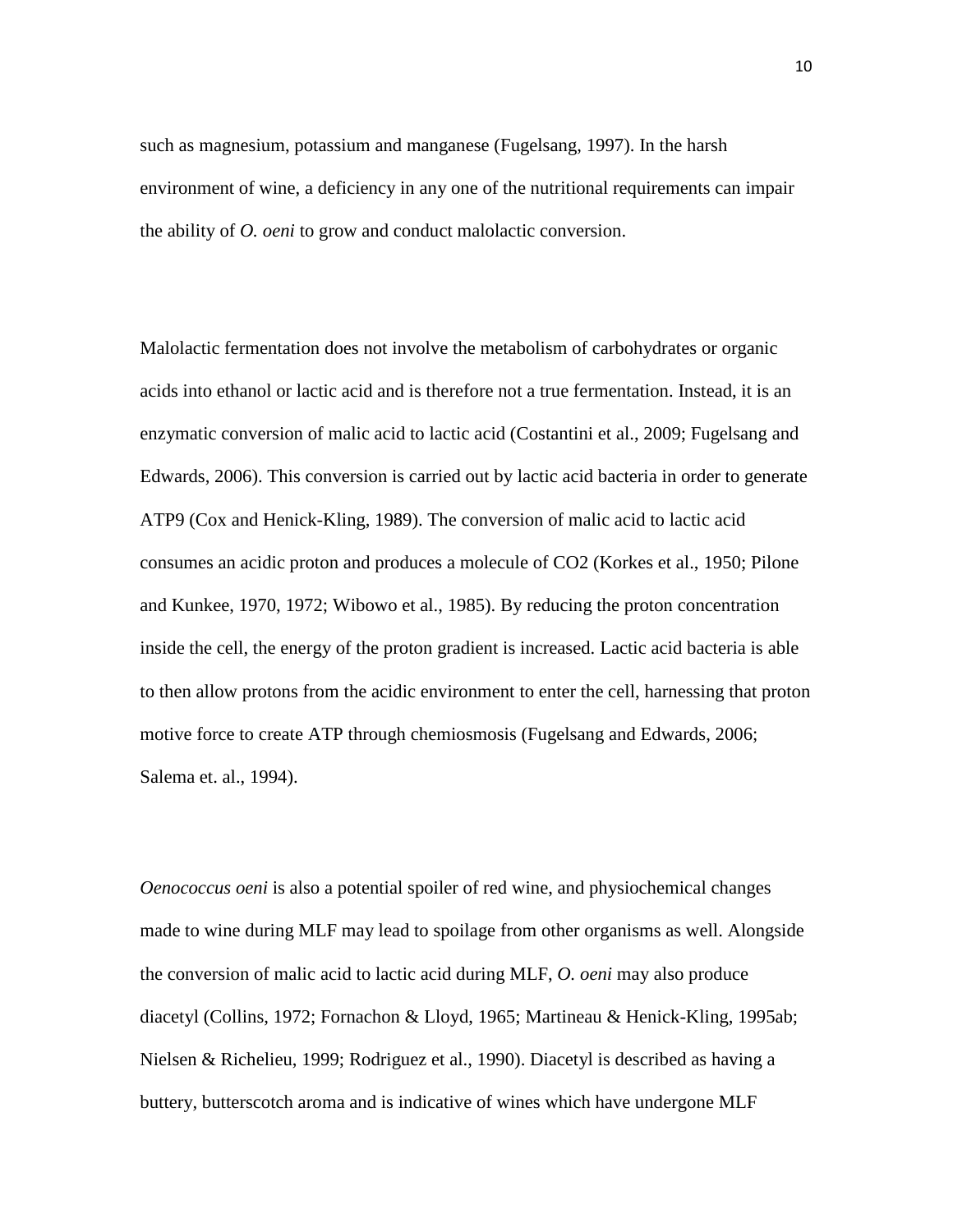such as magnesium, potassium and manganese (Fugelsang, 1997). In the harsh environment of wine, a deficiency in any one of the nutritional requirements can impair the ability of *O. oeni* to grow and conduct malolactic conversion.

Malolactic fermentation does not involve the metabolism of carbohydrates or organic acids into ethanol or lactic acid and is therefore not a true fermentation. Instead, it is an enzymatic conversion of malic acid to lactic acid (Costantini et al., 2009; Fugelsang and Edwards, 2006). This conversion is carried out by lactic acid bacteria in order to generate ATP9 (Cox and Henick-Kling, 1989). The conversion of malic acid to lactic acid consumes an acidic proton and produces a molecule of CO2 (Korkes et al., 1950; Pilone and Kunkee, 1970, 1972; Wibowo et al., 1985). By reducing the proton concentration inside the cell, the energy of the proton gradient is increased. Lactic acid bacteria is able to then allow protons from the acidic environment to enter the cell, harnessing that proton motive force to create ATP through chemiosmosis (Fugelsang and Edwards, 2006; Salema et. al., 1994).

*Oenococcus oeni* is also a potential spoiler of red wine, and physiochemical changes made to wine during MLF may lead to spoilage from other organisms as well. Alongside the conversion of malic acid to lactic acid during MLF, *O. oeni* may also produce diacetyl (Collins, 1972; Fornachon & Lloyd, 1965; Martineau & Henick-Kling, 1995ab; Nielsen & Richelieu, 1999; Rodriguez et al., 1990). Diacetyl is described as having a buttery, butterscotch aroma and is indicative of wines which have undergone MLF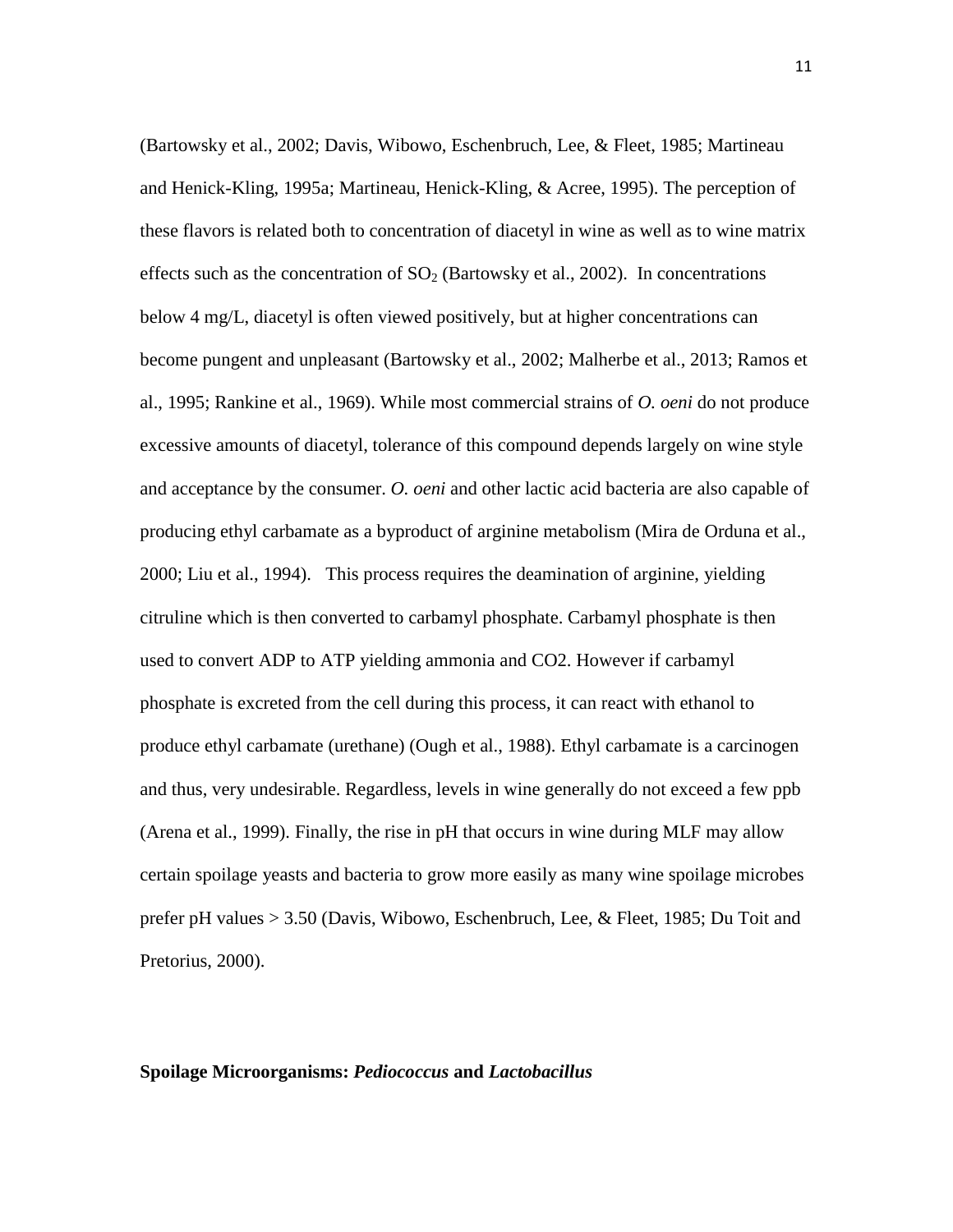(Bartowsky et al., 2002; Davis, Wibowo, Eschenbruch, Lee, & Fleet, 1985; Martineau and Henick-Kling, 1995a; Martineau, Henick-Kling, & Acree, 1995). The perception of these flavors is related both to concentration of diacetyl in wine as well as to wine matrix effects such as the concentration of  $SO<sub>2</sub>$  (Bartowsky et al., 2002). In concentrations below 4 mg/L, diacetyl is often viewed positively, but at higher concentrations can become pungent and unpleasant (Bartowsky et al., 2002; Malherbe et al., 2013; Ramos et al., 1995; Rankine et al., 1969). While most commercial strains of *O. oeni* do not produce excessive amounts of diacetyl, tolerance of this compound depends largely on wine style and acceptance by the consumer. *O. oeni* and other lactic acid bacteria are also capable of producing ethyl carbamate as a byproduct of arginine metabolism (Mira de Orduna et al., 2000; Liu et al., 1994). This process requires the deamination of arginine, yielding citruline which is then converted to carbamyl phosphate. Carbamyl phosphate is then used to convert ADP to ATP yielding ammonia and CO2. However if carbamyl phosphate is excreted from the cell during this process, it can react with ethanol to produce ethyl carbamate (urethane) (Ough et al., 1988). Ethyl carbamate is a carcinogen and thus, very undesirable. Regardless, levels in wine generally do not exceed a few ppb (Arena et al., 1999). Finally, the rise in pH that occurs in wine during MLF may allow certain spoilage yeasts and bacteria to grow more easily as many wine spoilage microbes prefer pH values > 3.50 (Davis, Wibowo, Eschenbruch, Lee, & Fleet, 1985; Du Toit and Pretorius, 2000).

### **Spoilage Microorganisms:** *Pediococcus* **and** *Lactobacillus*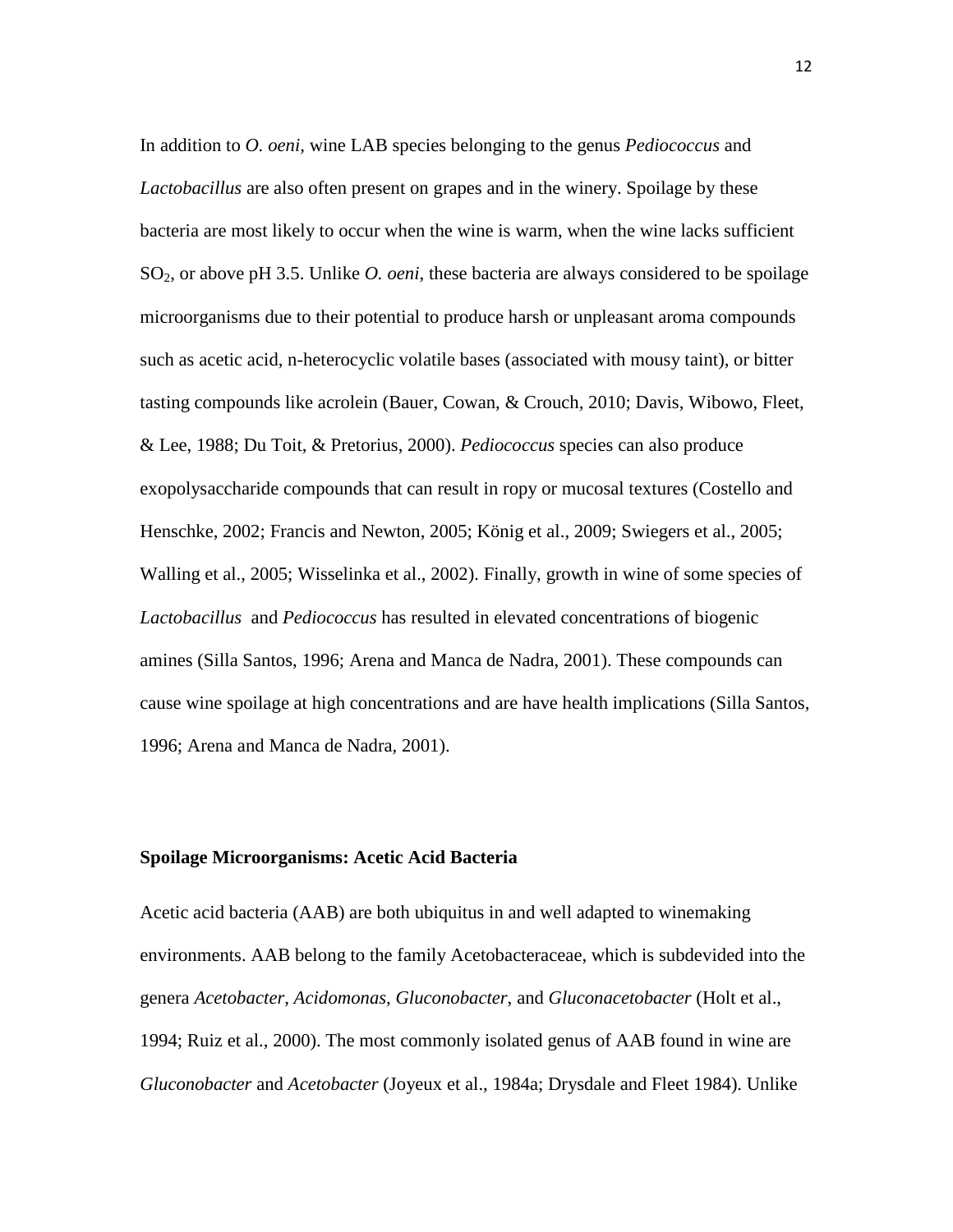In addition to *O. oeni,* wine LAB species belonging to the genus *Pediococcus* and *Lactobacillus* are also often present on grapes and in the winery. Spoilage by these bacteria are most likely to occur when the wine is warm, when the wine lacks sufficient SO2, or above pH 3.5. Unlike *O. oeni*, these bacteria are always considered to be spoilage microorganisms due to their potential to produce harsh or unpleasant aroma compounds such as acetic acid, n-heterocyclic volatile bases (associated with mousy taint), or bitter tasting compounds like acrolein (Bauer, Cowan, & Crouch, 2010; Davis, Wibowo, Fleet, & Lee, 1988; Du Toit, & Pretorius, 2000). *Pediococcus* species can also produce exopolysaccharide compounds that can result in ropy or mucosal textures (Costello and Henschke, 2002; Francis and Newton, 2005; König et al., 2009; Swiegers et al., 2005; Walling et al., 2005; Wisselinka et al., 2002). Finally, growth in wine of some species of *Lactobacillus* and *Pediococcus* has resulted in elevated concentrations of biogenic amines (Silla Santos, 1996; Arena and Manca de Nadra, 2001). These compounds can cause wine spoilage at high concentrations and are have health implications (Silla Santos, 1996; Arena and Manca de Nadra, 2001).

### **Spoilage Microorganisms: Acetic Acid Bacteria**

Acetic acid bacteria (AAB) are both ubiquitus in and well adapted to winemaking environments. AAB belong to the family Acetobacteraceae, which is subdevided into the genera *Acetobacter*, *Acidomonas, Gluconobacter*, and *Gluconacetobacter* (Holt et al., 1994; Ruiz et al., 2000). The most commonly isolated genus of AAB found in wine are *Gluconobacter* and *Acetobacter* (Joyeux et al., 1984a; Drysdale and Fleet 1984). Unlike

12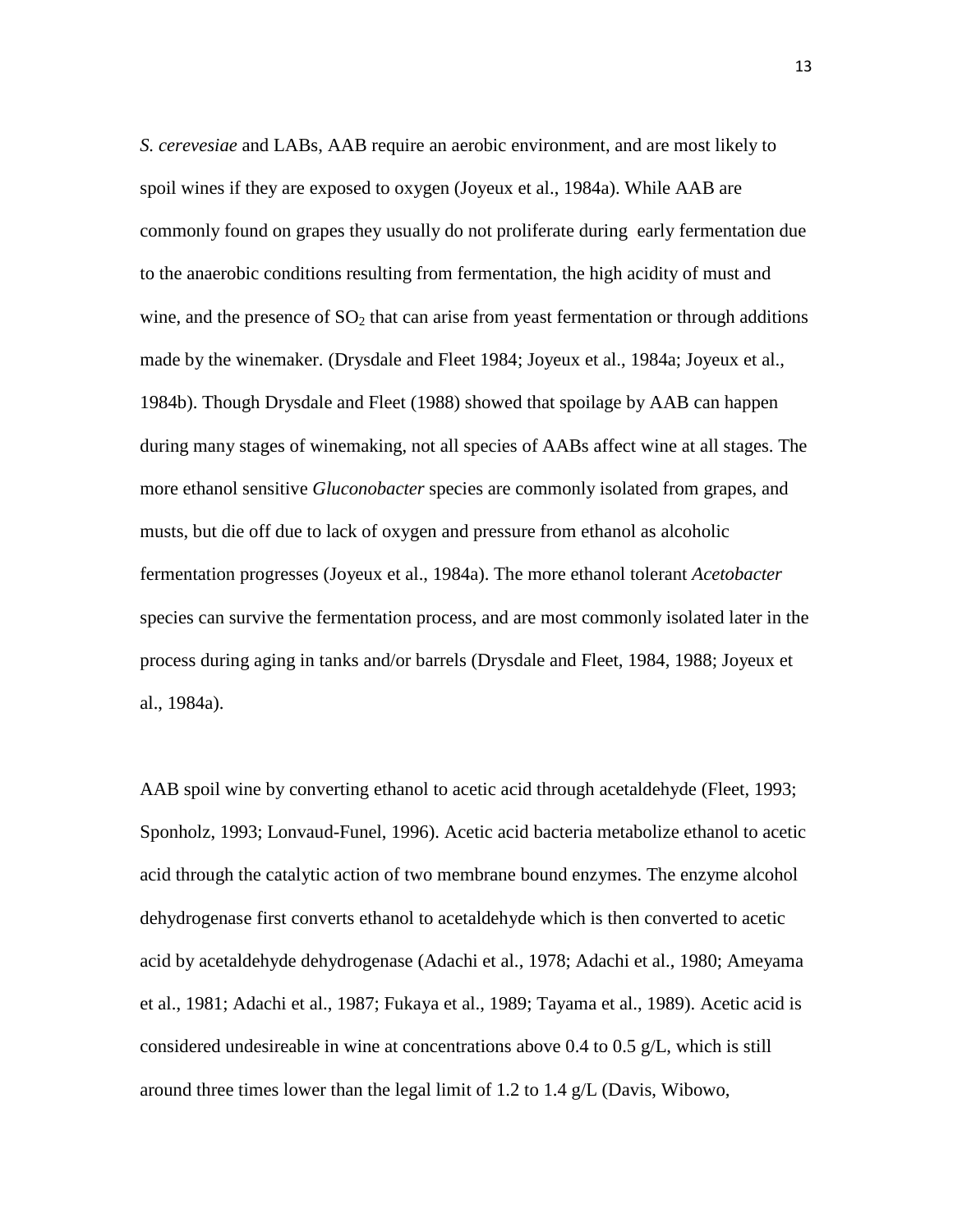*S. cerevesiae* and LABs, AAB require an aerobic environment, and are most likely to spoil wines if they are exposed to oxygen (Joyeux et al., 1984a). While AAB are commonly found on grapes they usually do not proliferate during early fermentation due to the anaerobic conditions resulting from fermentation, the high acidity of must and wine, and the presence of  $SO<sub>2</sub>$  that can arise from yeast fermentation or through additions made by the winemaker. (Drysdale and Fleet 1984; Joyeux et al., 1984a; Joyeux et al., 1984b). Though Drysdale and Fleet (1988) showed that spoilage by AAB can happen during many stages of winemaking, not all species of AABs affect wine at all stages. The more ethanol sensitive *Gluconobacter* species are commonly isolated from grapes, and musts, but die off due to lack of oxygen and pressure from ethanol as alcoholic fermentation progresses (Joyeux et al., 1984a). The more ethanol tolerant *Acetobacter* species can survive the fermentation process, and are most commonly isolated later in the process during aging in tanks and/or barrels (Drysdale and Fleet, 1984, 1988; Joyeux et al., 1984a).

AAB spoil wine by converting ethanol to acetic acid through acetaldehyde (Fleet, 1993; Sponholz, 1993; Lonvaud-Funel, 1996). Acetic acid bacteria metabolize ethanol to acetic acid through the catalytic action of two membrane bound enzymes. The enzyme alcohol dehydrogenase first converts ethanol to acetaldehyde which is then converted to acetic acid by acetaldehyde dehydrogenase (Adachi et al., 1978; Adachi et al., 1980; Ameyama et al., 1981; Adachi et al., 1987; Fukaya et al., 1989; Tayama et al., 1989). Acetic acid is considered undesireable in wine at concentrations above 0.4 to 0.5 g/L, which is still around three times lower than the legal limit of 1.2 to 1.4 g/L (Davis, Wibowo,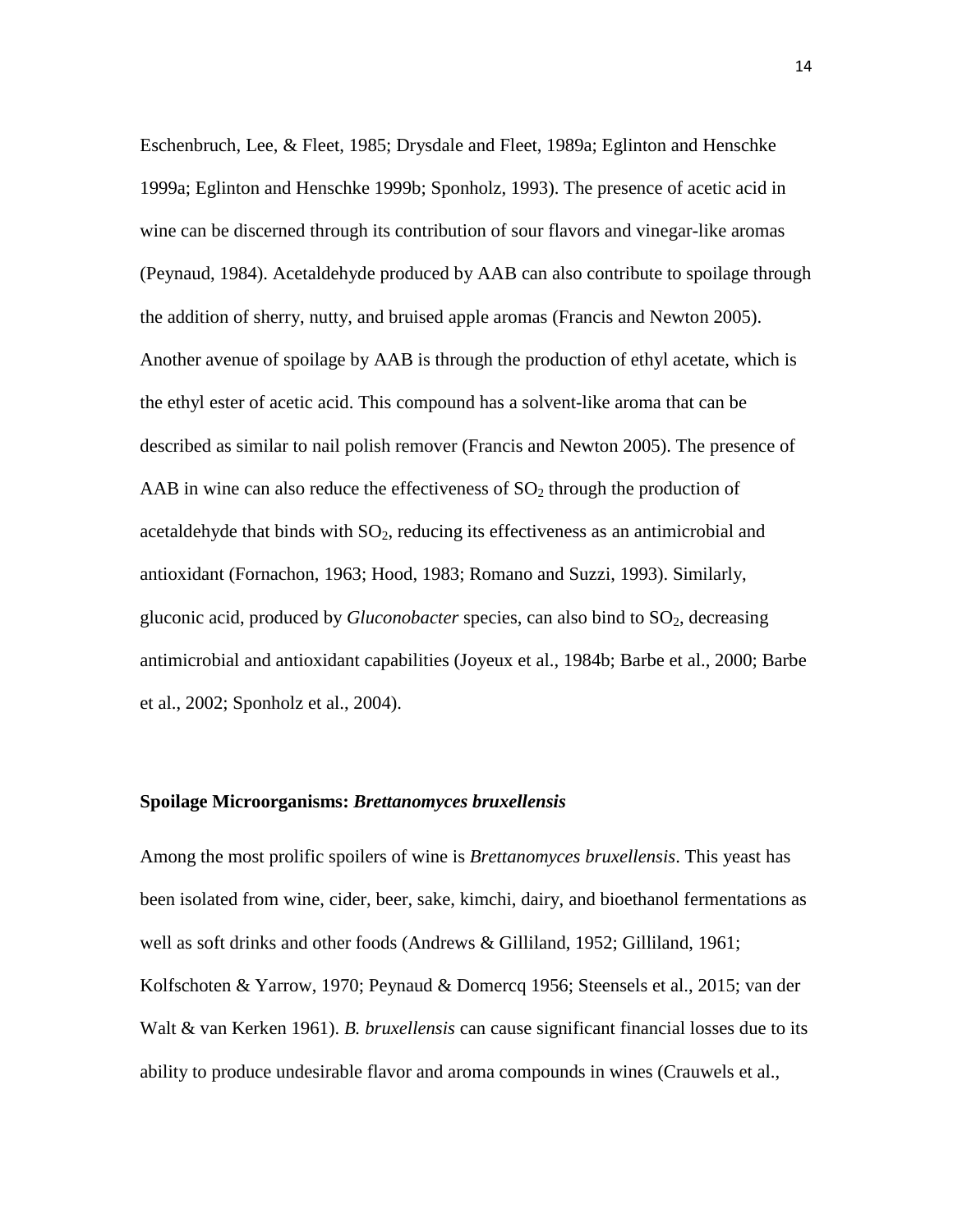Eschenbruch, Lee, & Fleet, 1985; Drysdale and Fleet, 1989a; Eglinton and Henschke 1999a; Eglinton and Henschke 1999b; Sponholz, 1993). The presence of acetic acid in wine can be discerned through its contribution of sour flavors and vinegar-like aromas (Peynaud, 1984). Acetaldehyde produced by AAB can also contribute to spoilage through the addition of sherry, nutty, and bruised apple aromas (Francis and Newton 2005). Another avenue of spoilage by AAB is through the production of ethyl acetate, which is the ethyl ester of acetic acid. This compound has a solvent-like aroma that can be described as similar to nail polish remover (Francis and Newton 2005). The presence of AAB in wine can also reduce the effectiveness of  $SO<sub>2</sub>$  through the production of acetaldehyde that binds with  $SO<sub>2</sub>$ , reducing its effectiveness as an antimicrobial and antioxidant (Fornachon, 1963; Hood, 1983; Romano and Suzzi, 1993). Similarly, gluconic acid, produced by *Gluconobacter* species, can also bind to SO<sub>2</sub>, decreasing antimicrobial and antioxidant capabilities (Joyeux et al., 1984b; Barbe et al., 2000; Barbe et al., 2002; Sponholz et al., 2004).

### **Spoilage Microorganisms:** *Brettanomyces bruxellensis*

Among the most prolific spoilers of wine is *Brettanomyces bruxellensis*. This yeast has been isolated from wine, cider, beer, sake, kimchi, dairy, and bioethanol fermentations as well as soft drinks and other foods (Andrews & Gilliland, 1952; Gilliland, 1961; Kolfschoten & Yarrow, 1970; Peynaud & Domercq 1956; Steensels et al., 2015; van der Walt & van Kerken 1961). *B. bruxellensis* can cause significant financial losses due to its ability to produce undesirable flavor and aroma compounds in wines (Crauwels et al.,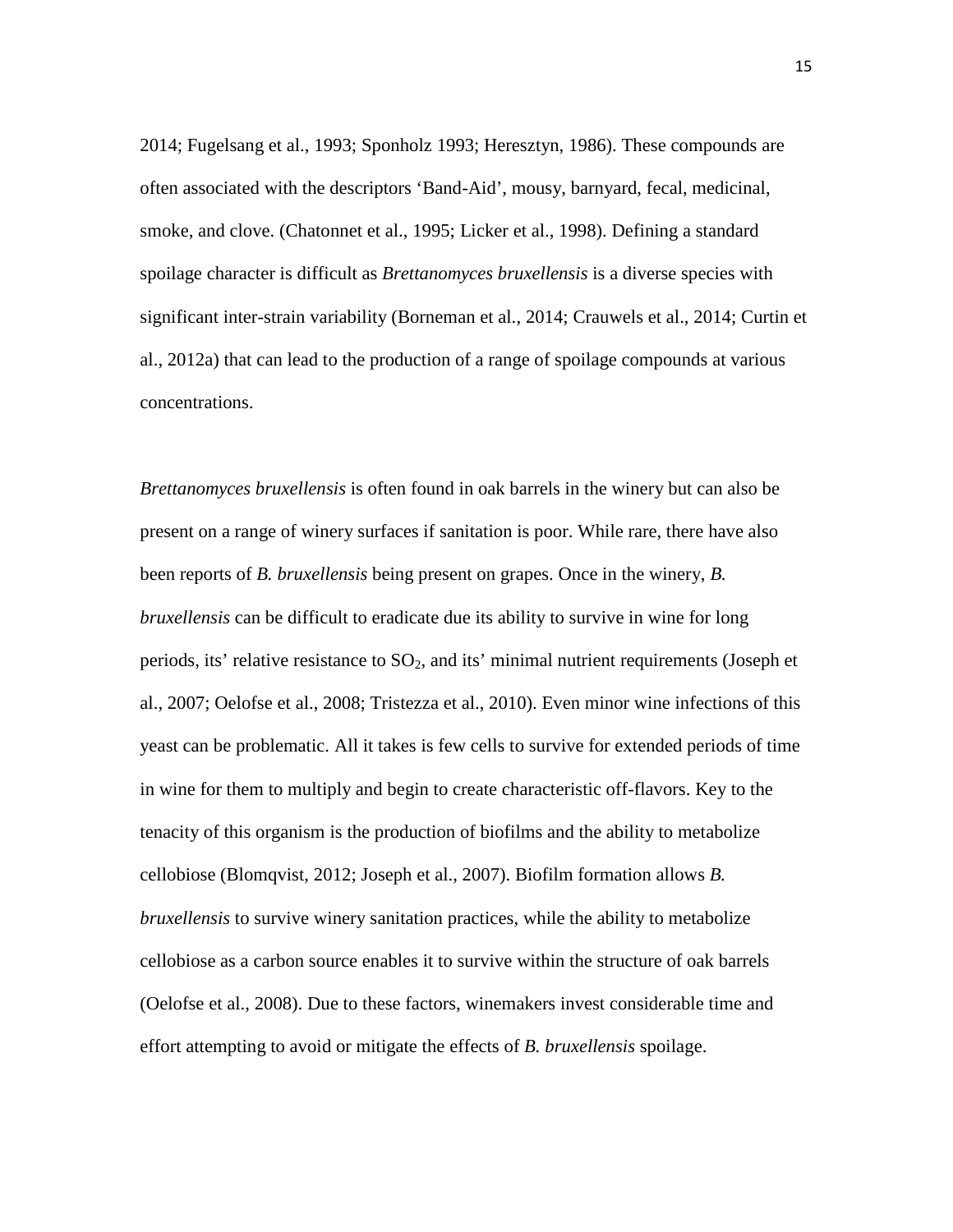2014; Fugelsang et al., 1993; Sponholz 1993; Heresztyn, 1986). These compounds are often associated with the descriptors 'Band-Aid', mousy, barnyard, fecal, medicinal, smoke, and clove. (Chatonnet et al., 1995; Licker et al., 1998). Defining a standard spoilage character is difficult as *Brettanomyces bruxellensis* is a diverse species with significant inter-strain variability (Borneman et al., 2014; Crauwels et al., 2014; Curtin et al., 2012a) that can lead to the production of a range of spoilage compounds at various concentrations.

*Brettanomyces bruxellensis* is often found in oak barrels in the winery but can also be present on a range of winery surfaces if sanitation is poor. While rare, there have also been reports of *B. bruxellensis* being present on grapes. Once in the winery, *B. bruxellensis* can be difficult to eradicate due its ability to survive in wine for long periods, its' relative resistance to  $SO<sub>2</sub>$ , and its' minimal nutrient requirements (Joseph et al., 2007; Oelofse et al., 2008; Tristezza et al., 2010). Even minor wine infections of this yeast can be problematic. All it takes is few cells to survive for extended periods of time in wine for them to multiply and begin to create characteristic off-flavors. Key to the tenacity of this organism is the production of biofilms and the ability to metabolize cellobiose (Blomqvist, 2012; Joseph et al., 2007). Biofilm formation allows *B. bruxellensis* to survive winery sanitation practices, while the ability to metabolize cellobiose as a carbon source enables it to survive within the structure of oak barrels (Oelofse et al., 2008). Due to these factors, winemakers invest considerable time and effort attempting to avoid or mitigate the effects of *B. bruxellensis* spoilage.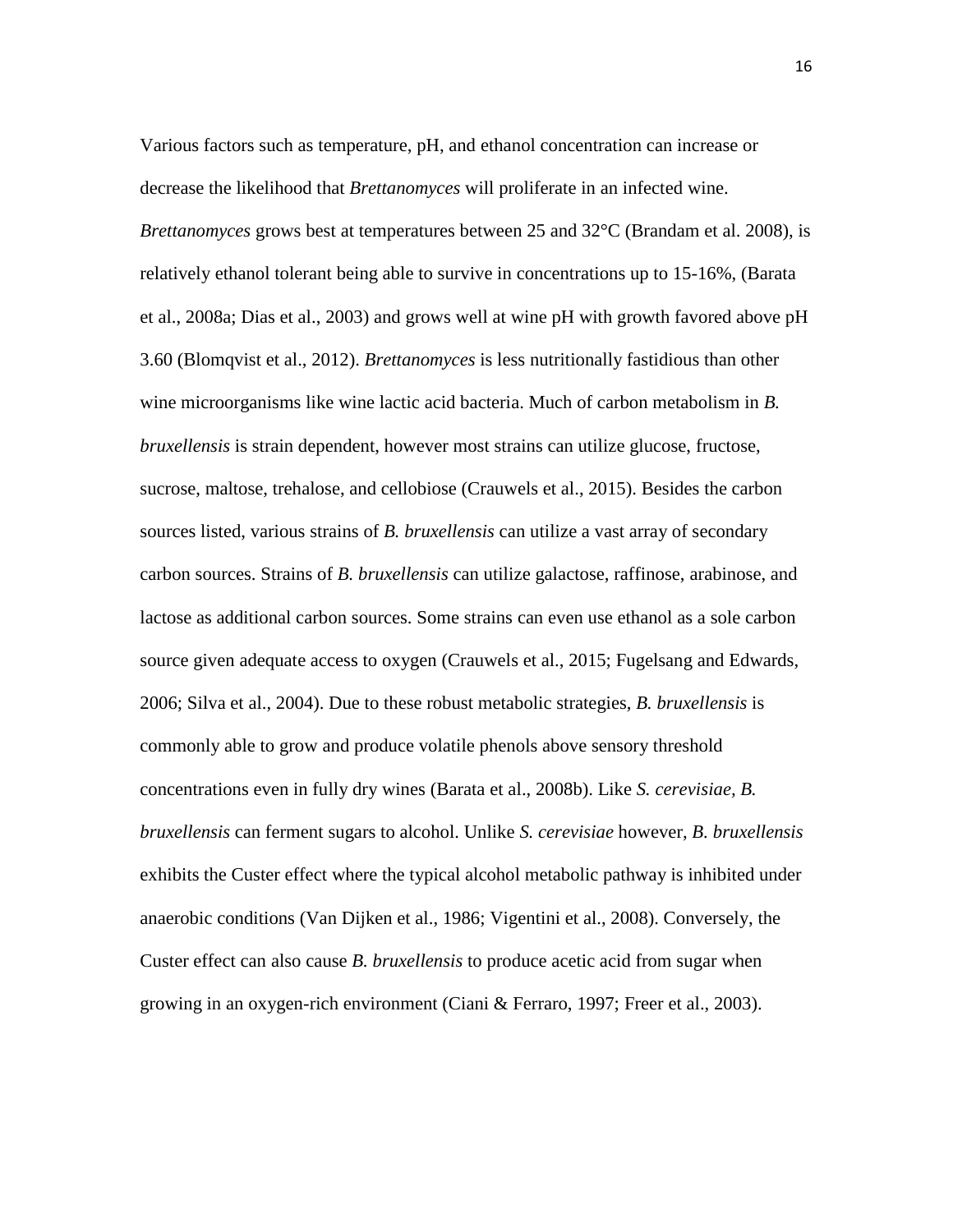Various factors such as temperature, pH, and ethanol concentration can increase or decrease the likelihood that *Brettanomyces* will proliferate in an infected wine. *Brettanomyces* grows best at temperatures between 25 and 32°C (Brandam et al. 2008), is relatively ethanol tolerant being able to survive in concentrations up to 15-16%, (Barata et al., 2008a; Dias et al., 2003) and grows well at wine pH with growth favored above pH 3.60 (Blomqvist et al., 2012). *Brettanomyces* is less nutritionally fastidious than other wine microorganisms like wine lactic acid bacteria. Much of carbon metabolism in *B. bruxellensis* is strain dependent, however most strains can utilize glucose, fructose, sucrose, maltose, trehalose, and cellobiose (Crauwels et al., 2015). Besides the carbon sources listed, various strains of *B. bruxellensis* can utilize a vast array of secondary carbon sources. Strains of *B. bruxellensis* can utilize galactose, raffinose, arabinose, and lactose as additional carbon sources. Some strains can even use ethanol as a sole carbon source given adequate access to oxygen (Crauwels et al., 2015; Fugelsang and Edwards, 2006; Silva et al., 2004). Due to these robust metabolic strategies, *B. bruxellensis* is commonly able to grow and produce volatile phenols above sensory threshold concentrations even in fully dry wines (Barata et al., 2008b). Like *S. cerevisiae, B. bruxellensis* can ferment sugars to alcohol. Unlike *S. cerevisiae* however, *B. bruxellensis*  exhibits the Custer effect where the typical alcohol metabolic pathway is inhibited under anaerobic conditions (Van Dijken et al., 1986; Vigentini et al., 2008). Conversely, the Custer effect can also cause *B. bruxellensis* to produce acetic acid from sugar when growing in an oxygen-rich environment (Ciani & Ferraro, 1997; Freer et al., 2003).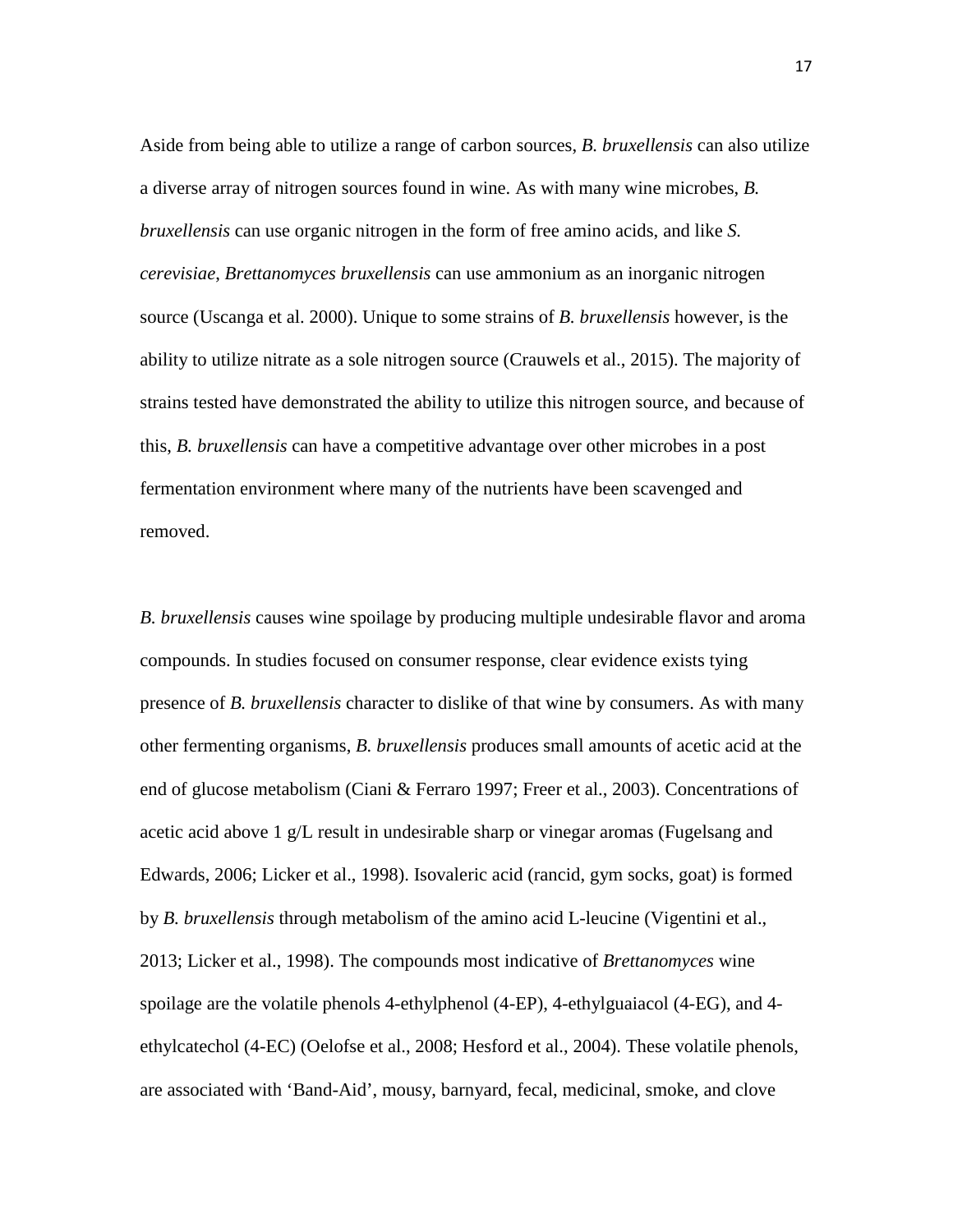Aside from being able to utilize a range of carbon sources, *B. bruxellensis* can also utilize a diverse array of nitrogen sources found in wine. As with many wine microbes, *B. bruxellensis* can use organic nitrogen in the form of free amino acids, and like *S. cerevisiae*, *Brettanomyces bruxellensis* can use ammonium as an inorganic nitrogen source (Uscanga et al. 2000). Unique to some strains of *B. bruxellensis* however, is the ability to utilize nitrate as a sole nitrogen source (Crauwels et al., 2015). The majority of strains tested have demonstrated the ability to utilize this nitrogen source, and because of this, *B. bruxellensis* can have a competitive advantage over other microbes in a post fermentation environment where many of the nutrients have been scavenged and removed.

*B. bruxellensis* causes wine spoilage by producing multiple undesirable flavor and aroma compounds. In studies focused on consumer response, clear evidence exists tying presence of *B. bruxellensis* character to dislike of that wine by consumers. As with many other fermenting organisms, *B. bruxellensis* produces small amounts of acetic acid at the end of glucose metabolism (Ciani & Ferraro 1997; Freer et al., 2003). Concentrations of acetic acid above 1 g/L result in undesirable sharp or vinegar aromas (Fugelsang and Edwards, 2006; Licker et al., 1998). Isovaleric acid (rancid, gym socks, goat) is formed by *B. bruxellensis* through metabolism of the amino acid L-leucine (Vigentini et al., 2013; Licker et al., 1998). The compounds most indicative of *Brettanomyces* wine spoilage are the volatile phenols 4-ethylphenol (4-EP), 4-ethylguaiacol (4-EG), and 4 ethylcatechol (4-EC) (Oelofse et al., 2008; Hesford et al., 2004). These volatile phenols, are associated with 'Band-Aid', mousy, barnyard, fecal, medicinal, smoke, and clove

17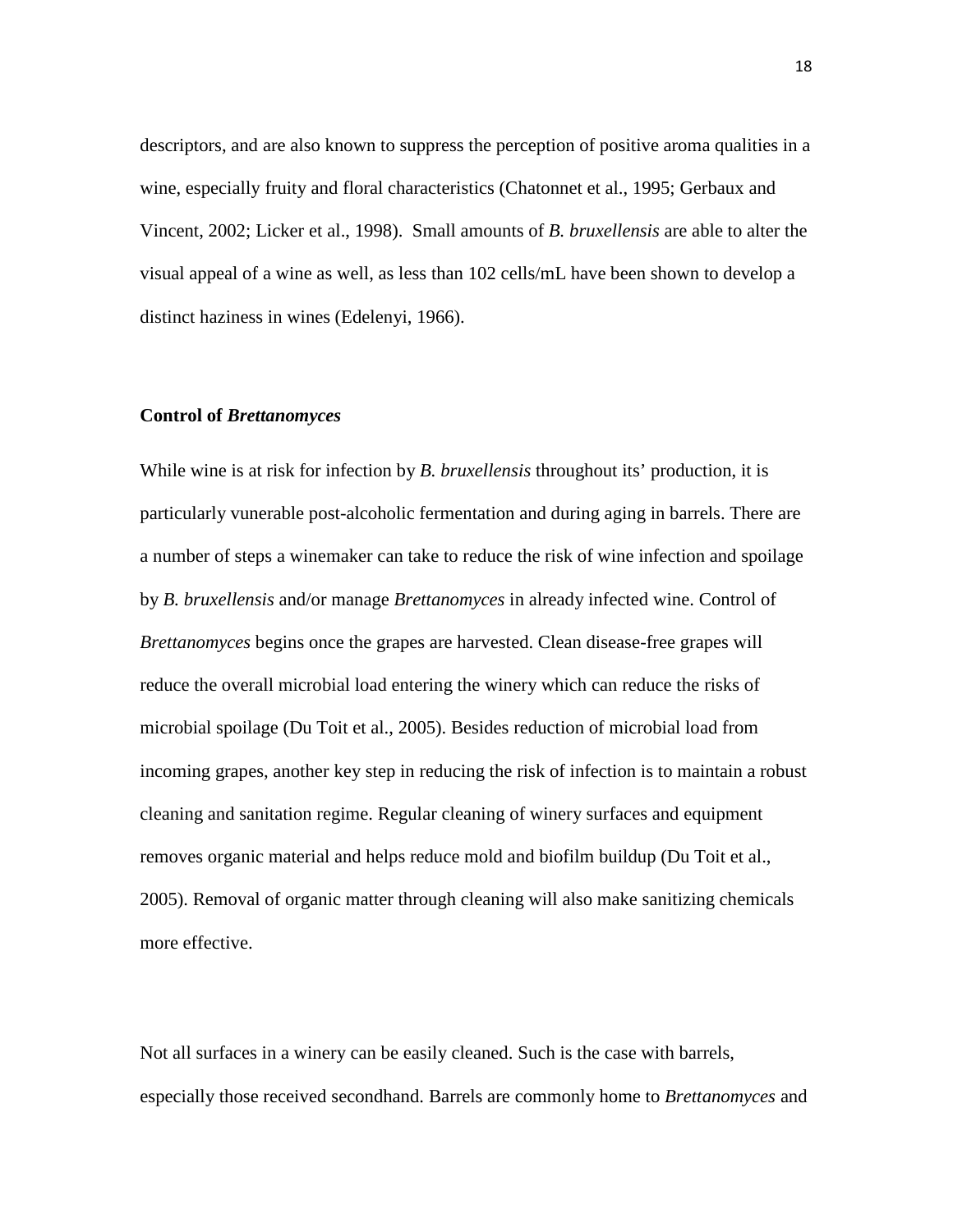descriptors, and are also known to suppress the perception of positive aroma qualities in a wine, especially fruity and floral characteristics (Chatonnet et al., 1995; Gerbaux and Vincent, 2002; Licker et al., 1998). Small amounts of *B. bruxellensis* are able to alter the visual appeal of a wine as well, as less than 102 cells/mL have been shown to develop a distinct haziness in wines (Edelenyi, 1966).

### **Control of** *Brettanomyces*

While wine is at risk for infection by *B. bruxellensis* throughout its' production, it is particularly vunerable post-alcoholic fermentation and during aging in barrels. There are a number of steps a winemaker can take to reduce the risk of wine infection and spoilage by *B. bruxellensis* and/or manage *Brettanomyces* in already infected wine. Control of *Brettanomyces* begins once the grapes are harvested. Clean disease-free grapes will reduce the overall microbial load entering the winery which can reduce the risks of microbial spoilage (Du Toit et al., 2005). Besides reduction of microbial load from incoming grapes, another key step in reducing the risk of infection is to maintain a robust cleaning and sanitation regime. Regular cleaning of winery surfaces and equipment removes organic material and helps reduce mold and biofilm buildup (Du Toit et al., 2005). Removal of organic matter through cleaning will also make sanitizing chemicals more effective.

Not all surfaces in a winery can be easily cleaned. Such is the case with barrels, especially those received secondhand. Barrels are commonly home to *Brettanomyces* and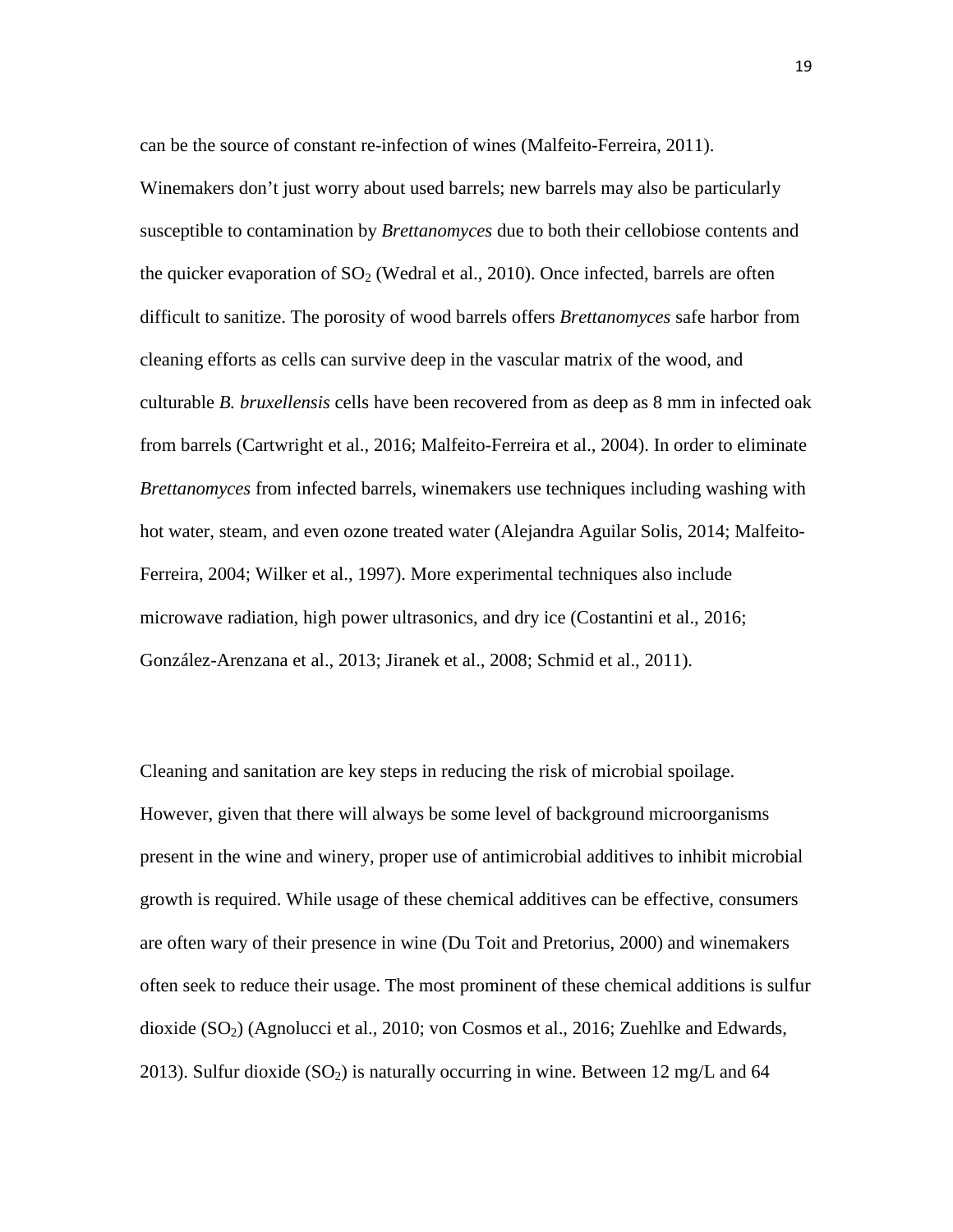can be the source of constant re-infection of wines (Malfeito-Ferreira, 2011).

Winemakers don't just worry about used barrels; new barrels may also be particularly susceptible to contamination by *Brettanomyces* due to both their cellobiose contents and the quicker evaporation of  $SO<sub>2</sub>$  (Wedral et al., 2010). Once infected, barrels are often difficult to sanitize. The porosity of wood barrels offers *Brettanomyces* safe harbor from cleaning efforts as cells can survive deep in the vascular matrix of the wood, and culturable *B. bruxellensis* cells have been recovered from as deep as 8 mm in infected oak from barrels (Cartwright et al., 2016; Malfeito-Ferreira et al., 2004). In order to eliminate *Brettanomyces* from infected barrels, winemakers use techniques including washing with hot water, steam, and even ozone treated water (Alejandra Aguilar Solis, 2014; Malfeito-Ferreira, 2004; Wilker et al., 1997). More experimental techniques also include microwave radiation, high power ultrasonics, and dry ice (Costantini et al., 2016; González-Arenzana et al., 2013; Jiranek et al., 2008; Schmid et al., 2011).

Cleaning and sanitation are key steps in reducing the risk of microbial spoilage. However, given that there will always be some level of background microorganisms present in the wine and winery, proper use of antimicrobial additives to inhibit microbial growth is required. While usage of these chemical additives can be effective, consumers are often wary of their presence in wine (Du Toit and Pretorius, 2000) and winemakers often seek to reduce their usage. The most prominent of these chemical additions is sulfur dioxide  $(SO<sub>2</sub>)$  (Agnolucci et al., 2010; von Cosmos et al., 2016; Zuehlke and Edwards, 2013). Sulfur dioxide  $(SO<sub>2</sub>)$  is naturally occurring in wine. Between 12 mg/L and 64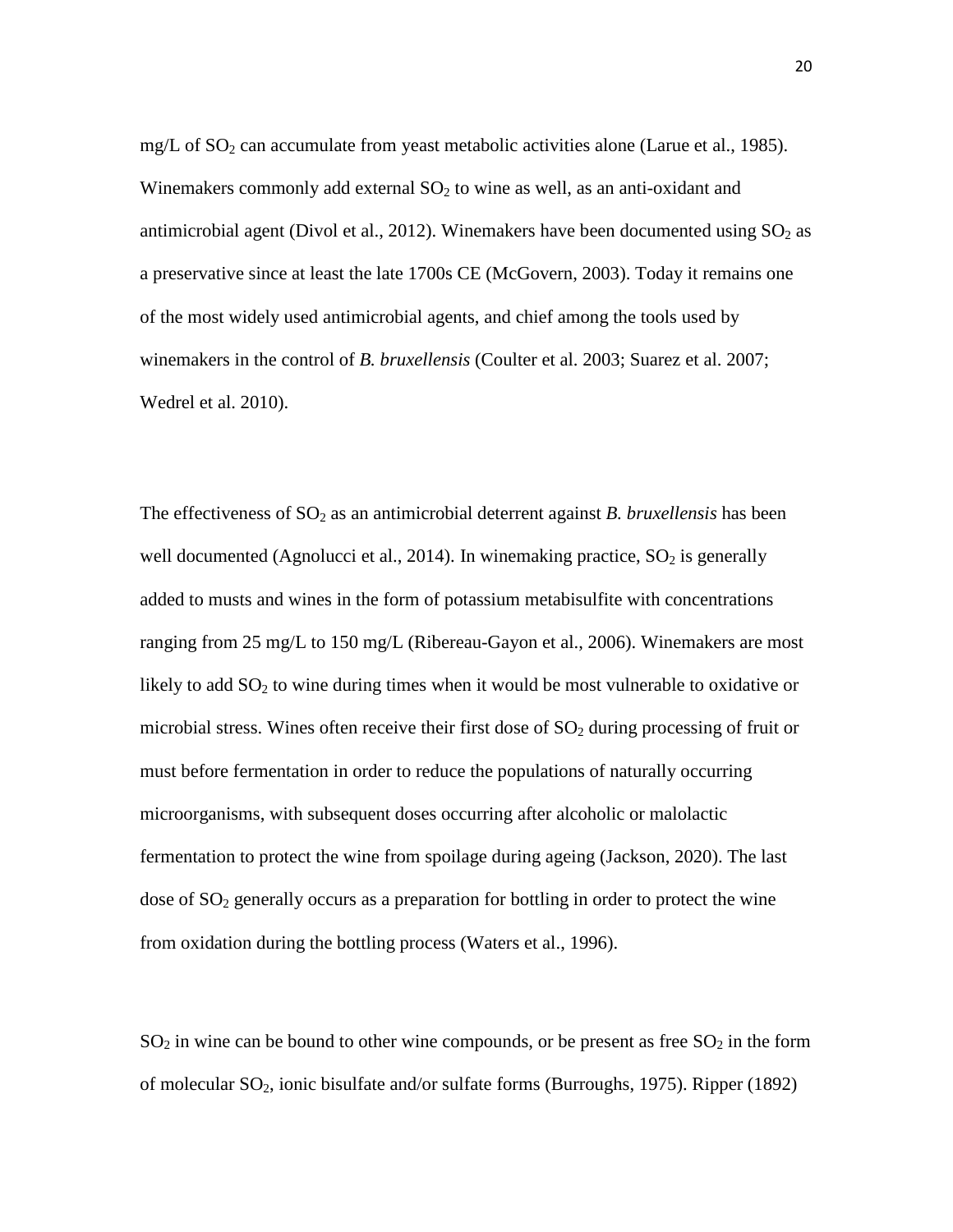mg/L of  $SO_2$  can accumulate from yeast metabolic activities alone (Larue et al., 1985). Winemakers commonly add external  $SO<sub>2</sub>$  to wine as well, as an anti-oxidant and antimicrobial agent (Divol et al., 2012). Winemakers have been documented using  $SO_2$  as a preservative since at least the late 1700s CE (McGovern, 2003). Today it remains one of the most widely used antimicrobial agents, and chief among the tools used by winemakers in the control of *B. bruxellensis* (Coulter et al. 2003; Suarez et al. 2007; Wedrel et al. 2010).

The effectiveness of SO<sub>2</sub> as an antimicrobial deterrent against *B. bruxellensis* has been well documented (Agnolucci et al., 2014). In winemaking practice,  $SO_2$  is generally added to musts and wines in the form of potassium metabisulfite with concentrations ranging from 25 mg/L to 150 mg/L (Ribereau-Gayon et al., 2006). Winemakers are most likely to add  $SO<sub>2</sub>$  to wine during times when it would be most vulnerable to oxidative or microbial stress. Wines often receive their first dose of  $SO<sub>2</sub>$  during processing of fruit or must before fermentation in order to reduce the populations of naturally occurring microorganisms, with subsequent doses occurring after alcoholic or malolactic fermentation to protect the wine from spoilage during ageing (Jackson, 2020). The last dose of  $SO<sub>2</sub>$  generally occurs as a preparation for bottling in order to protect the wine from oxidation during the bottling process (Waters et al., 1996).

 $SO<sub>2</sub>$  in wine can be bound to other wine compounds, or be present as free  $SO<sub>2</sub>$  in the form of molecular SO2, ionic bisulfate and/or sulfate forms (Burroughs, 1975). Ripper (1892)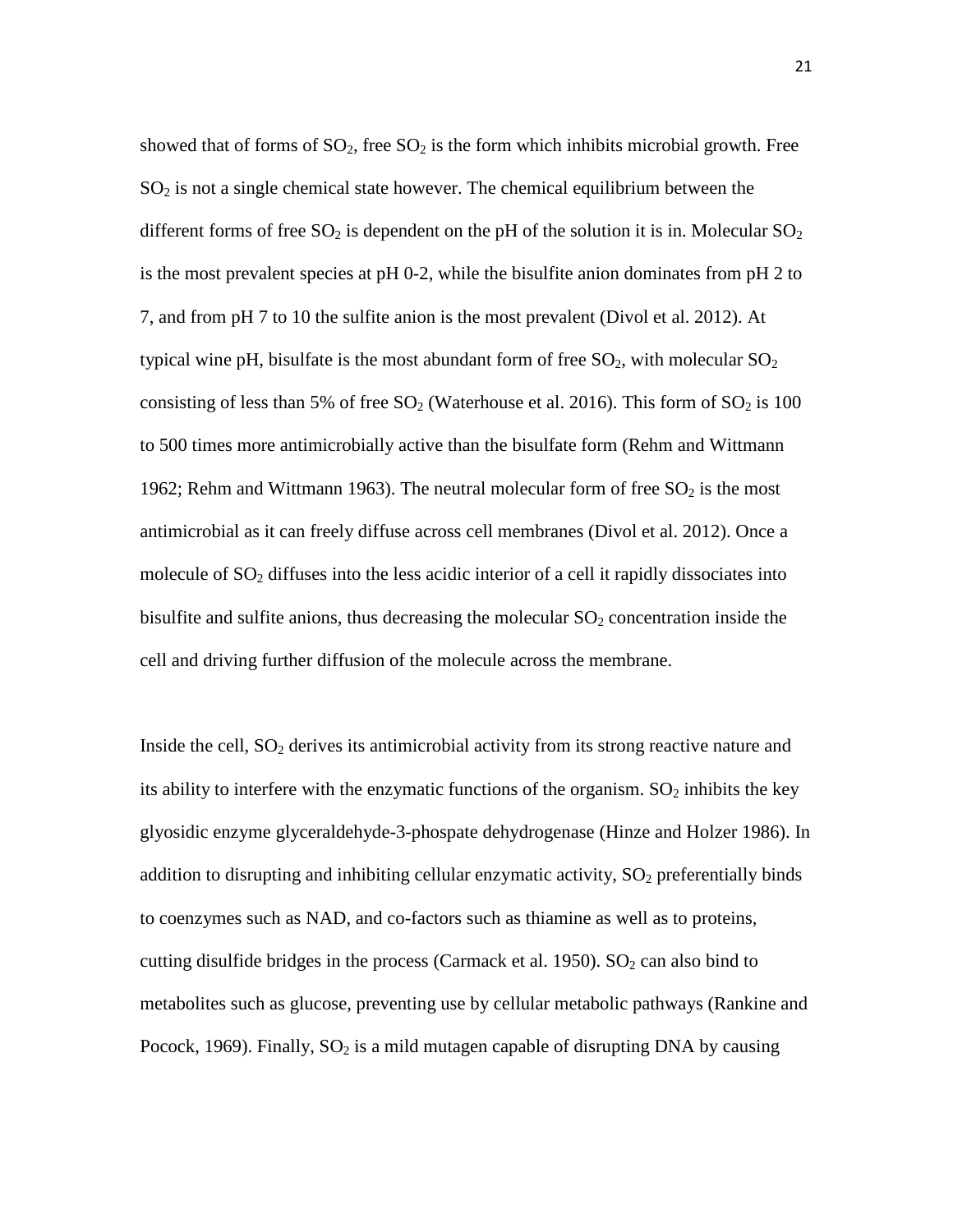showed that of forms of  $SO_2$ , free  $SO_2$  is the form which inhibits microbial growth. Free  $SO<sub>2</sub>$  is not a single chemical state however. The chemical equilibrium between the different forms of free  $SO_2$  is dependent on the pH of the solution it is in. Molecular  $SO_2$ is the most prevalent species at pH 0-2, while the bisulfite anion dominates from pH 2 to 7, and from pH 7 to 10 the sulfite anion is the most prevalent (Divol et al. 2012). At typical wine pH, bisulfate is the most abundant form of free  $SO_2$ , with molecular  $SO_2$ consisting of less than 5% of free  $SO_2$  (Waterhouse et al. 2016). This form of  $SO_2$  is 100 to 500 times more antimicrobially active than the bisulfate form (Rehm and Wittmann 1962; Rehm and Wittmann 1963). The neutral molecular form of free  $SO<sub>2</sub>$  is the most antimicrobial as it can freely diffuse across cell membranes (Divol et al. 2012). Once a molecule of  $SO<sub>2</sub>$  diffuses into the less acidic interior of a cell it rapidly dissociates into bisulfite and sulfite anions, thus decreasing the molecular  $SO<sub>2</sub>$  concentration inside the cell and driving further diffusion of the molecule across the membrane.

Inside the cell,  $SO_2$  derives its antimicrobial activity from its strong reactive nature and its ability to interfere with the enzymatic functions of the organism.  $SO_2$  inhibits the key glyosidic enzyme glyceraldehyde-3-phospate dehydrogenase (Hinze and Holzer 1986). In addition to disrupting and inhibiting cellular enzymatic activity,  $SO<sub>2</sub>$  preferentially binds to coenzymes such as NAD, and co-factors such as thiamine as well as to proteins, cutting disulfide bridges in the process (Carmack et al. 1950).  $SO<sub>2</sub>$  can also bind to metabolites such as glucose, preventing use by cellular metabolic pathways (Rankine and Pocock, 1969). Finally,  $SO_2$  is a mild mutagen capable of disrupting DNA by causing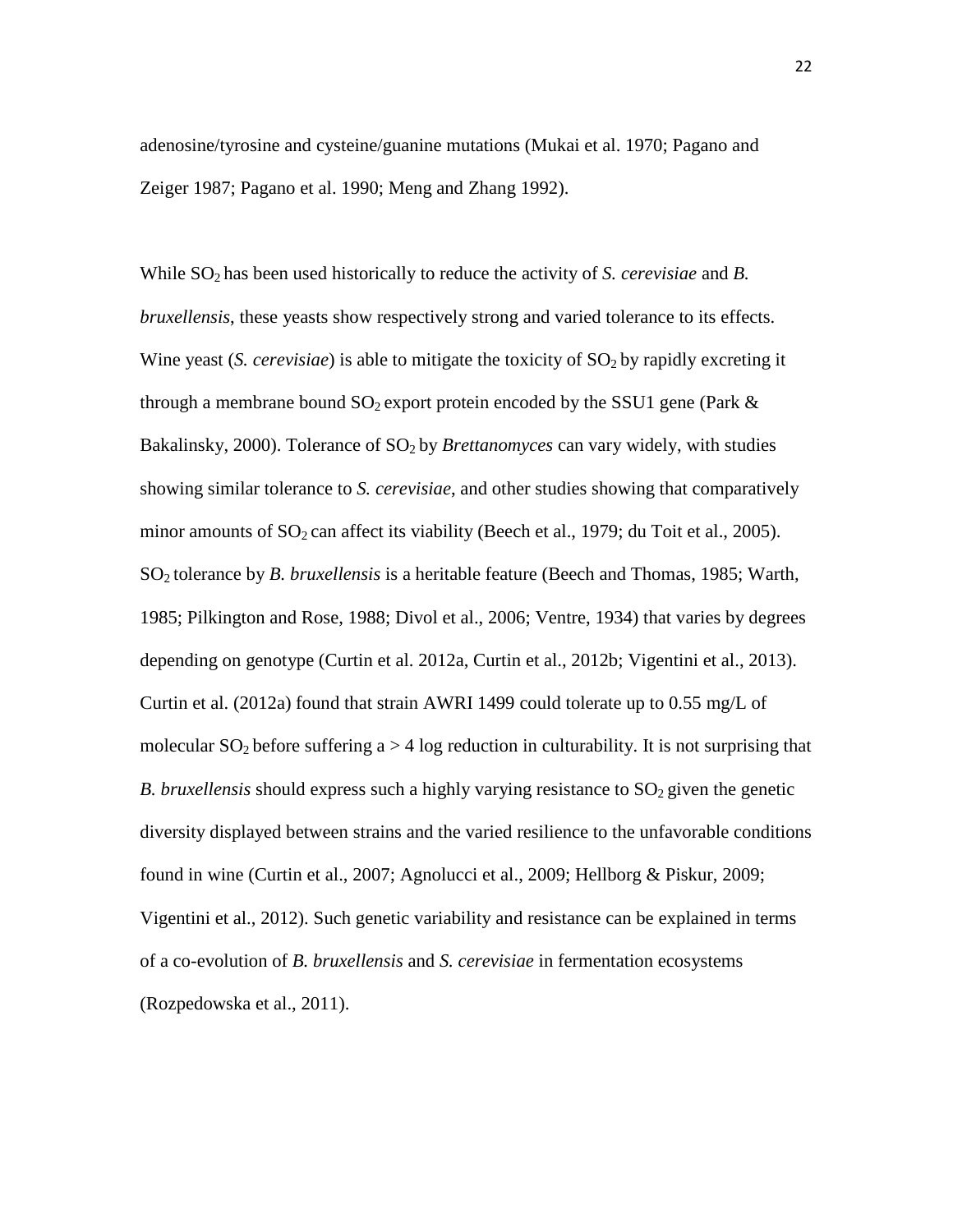adenosine/tyrosine and cysteine/guanine mutations (Mukai et al. 1970; Pagano and Zeiger 1987; Pagano et al. 1990; Meng and Zhang 1992).

While SO<sub>2</sub> has been used historically to reduce the activity of *S. cerevisiae* and *B. bruxellensis*, these yeasts show respectively strong and varied tolerance to its effects. Wine yeast (*S. cerevisiae*) is able to mitigate the toxicity of SO<sub>2</sub> by rapidly excreting it through a membrane bound  $SO_2$  export protein encoded by the SSU1 gene (Park  $\&$ Bakalinsky, 2000). Tolerance of SO<sub>2</sub> by *Brettanomyces* can vary widely, with studies showing similar tolerance to *S. cerevisiae*, and other studies showing that comparatively minor amounts of  $SO_2$  can affect its viability (Beech et al., 1979; du Toit et al., 2005). SO2 tolerance by *B. bruxellensis* is a heritable feature (Beech and Thomas, 1985; Warth, 1985; Pilkington and Rose, 1988; Divol et al., 2006; Ventre, 1934) that varies by degrees depending on genotype (Curtin et al. 2012a, Curtin et al., 2012b; Vigentini et al., 2013). Curtin et al. (2012a) found that strain AWRI 1499 could tolerate up to 0.55 mg/L of molecular  $SO_2$  before suffering  $a > 4$  log reduction in culturability. It is not surprising that *B. bruxellensis* should express such a highly varying resistance to SO<sub>2</sub> given the genetic diversity displayed between strains and the varied resilience to the unfavorable conditions found in wine (Curtin et al., 2007; Agnolucci et al., 2009; Hellborg & Piskur, 2009; Vigentini et al., 2012). Such genetic variability and resistance can be explained in terms of a co-evolution of *B. bruxellensis* and *S. cerevisiae* in fermentation ecosystems (Rozpedowska et al., 2011).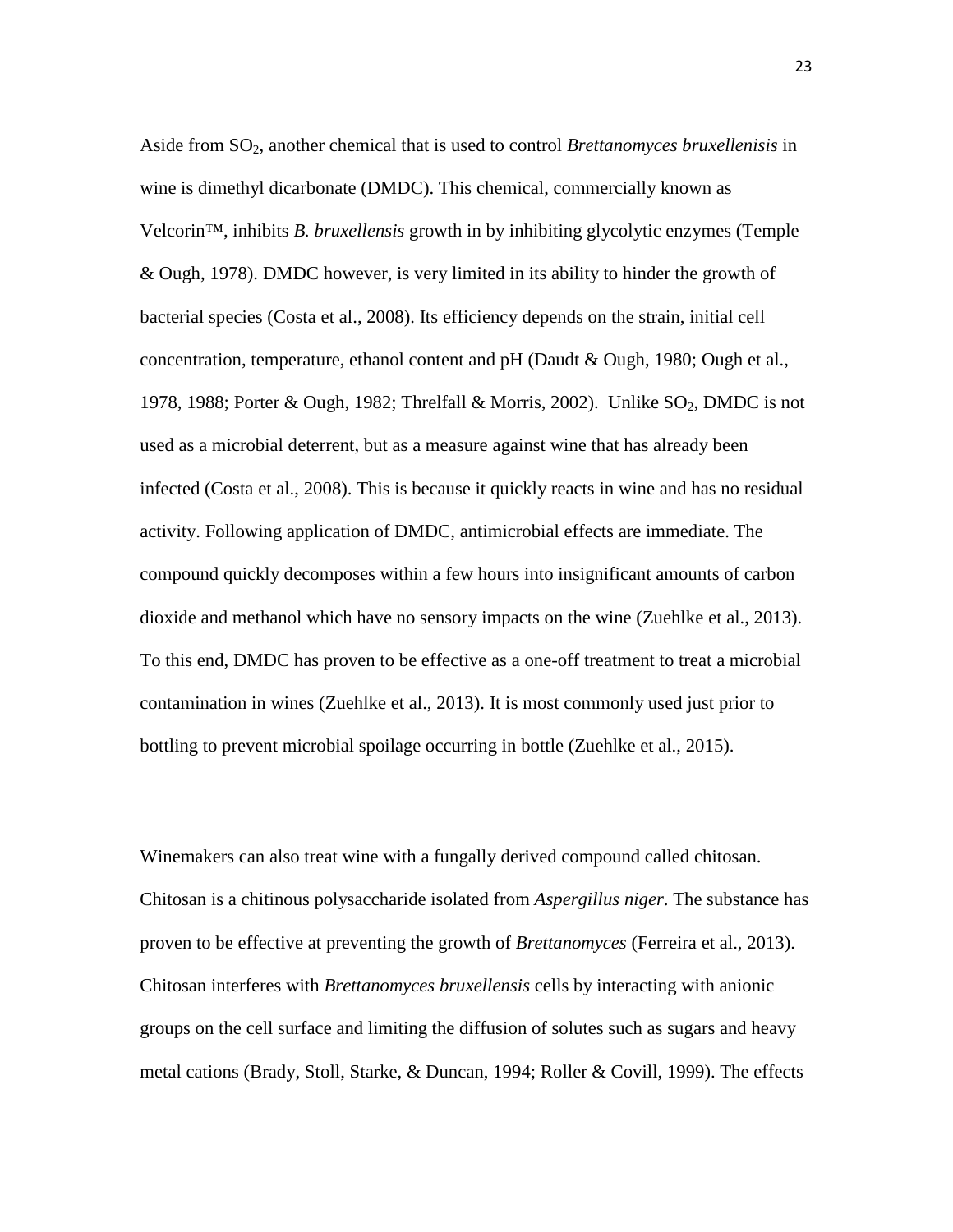Aside from SO2, another chemical that is used to control *Brettanomyces bruxellenisis* in wine is dimethyl dicarbonate (DMDC). This chemical, commercially known as Velcorin™, inhibits *B. bruxellensis* growth in by inhibiting glycolytic enzymes (Temple & Ough, 1978). DMDC however, is very limited in its ability to hinder the growth of bacterial species (Costa et al., 2008). Its efficiency depends on the strain, initial cell concentration, temperature, ethanol content and pH (Daudt & Ough, 1980; Ough et al., 1978, 1988; Porter & Ough, 1982; Threlfall & Morris, 2002). Unlike  $SO_2$ , DMDC is not used as a microbial deterrent, but as a measure against wine that has already been infected (Costa et al., 2008). This is because it quickly reacts in wine and has no residual activity. Following application of DMDC, antimicrobial effects are immediate. The compound quickly decomposes within a few hours into insignificant amounts of carbon dioxide and methanol which have no sensory impacts on the wine (Zuehlke et al., 2013). To this end, DMDC has proven to be effective as a one-off treatment to treat a microbial contamination in wines (Zuehlke et al., 2013). It is most commonly used just prior to bottling to prevent microbial spoilage occurring in bottle (Zuehlke et al., 2015).

Winemakers can also treat wine with a fungally derived compound called chitosan. Chitosan is a chitinous polysaccharide isolated from *Aspergillus niger*. The substance has proven to be effective at preventing the growth of *Brettanomyces* (Ferreira et al., 2013). Chitosan interferes with *Brettanomyces bruxellensis* cells by interacting with anionic groups on the cell surface and limiting the diffusion of solutes such as sugars and heavy metal cations (Brady, Stoll, Starke, & Duncan, 1994; Roller & Covill, 1999). The effects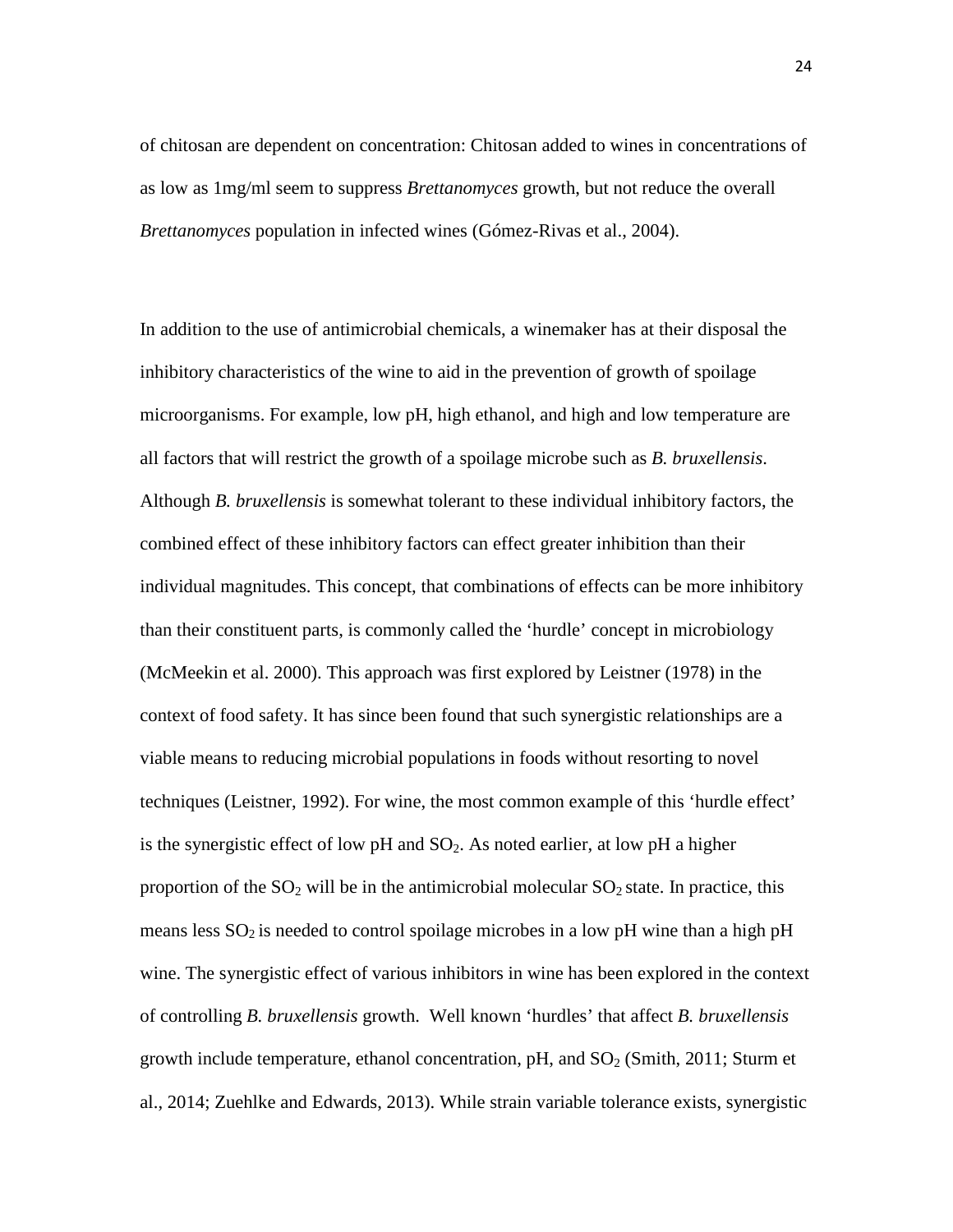of chitosan are dependent on concentration: Chitosan added to wines in concentrations of as low as 1mg/ml seem to suppress *Brettanomyces* growth, but not reduce the overall *Brettanomyces* population in infected wines (Gómez-Rivas et al., 2004).

In addition to the use of antimicrobial chemicals, a winemaker has at their disposal the inhibitory characteristics of the wine to aid in the prevention of growth of spoilage microorganisms. For example, low pH, high ethanol, and high and low temperature are all factors that will restrict the growth of a spoilage microbe such as *B. bruxellensis*. Although *B. bruxellensis* is somewhat tolerant to these individual inhibitory factors, the combined effect of these inhibitory factors can effect greater inhibition than their individual magnitudes. This concept, that combinations of effects can be more inhibitory than their constituent parts, is commonly called the 'hurdle' concept in microbiology (McMeekin et al. 2000). This approach was first explored by Leistner (1978) in the context of food safety. It has since been found that such synergistic relationships are a viable means to reducing microbial populations in foods without resorting to novel techniques (Leistner, 1992). For wine, the most common example of this 'hurdle effect' is the synergistic effect of low  $pH$  and  $SO_2$ . As noted earlier, at low  $pH$  a higher proportion of the  $SO_2$  will be in the antimicrobial molecular  $SO_2$  state. In practice, this means less  $SO_2$  is needed to control spoilage microbes in a low pH wine than a high pH wine. The synergistic effect of various inhibitors in wine has been explored in the context of controlling *B. bruxellensis* growth. Well known 'hurdles' that affect *B. bruxellensis*  growth include temperature, ethanol concentration,  $pH$ , and  $SO<sub>2</sub>$  (Smith, 2011; Sturm et al., 2014; Zuehlke and Edwards, 2013). While strain variable tolerance exists, synergistic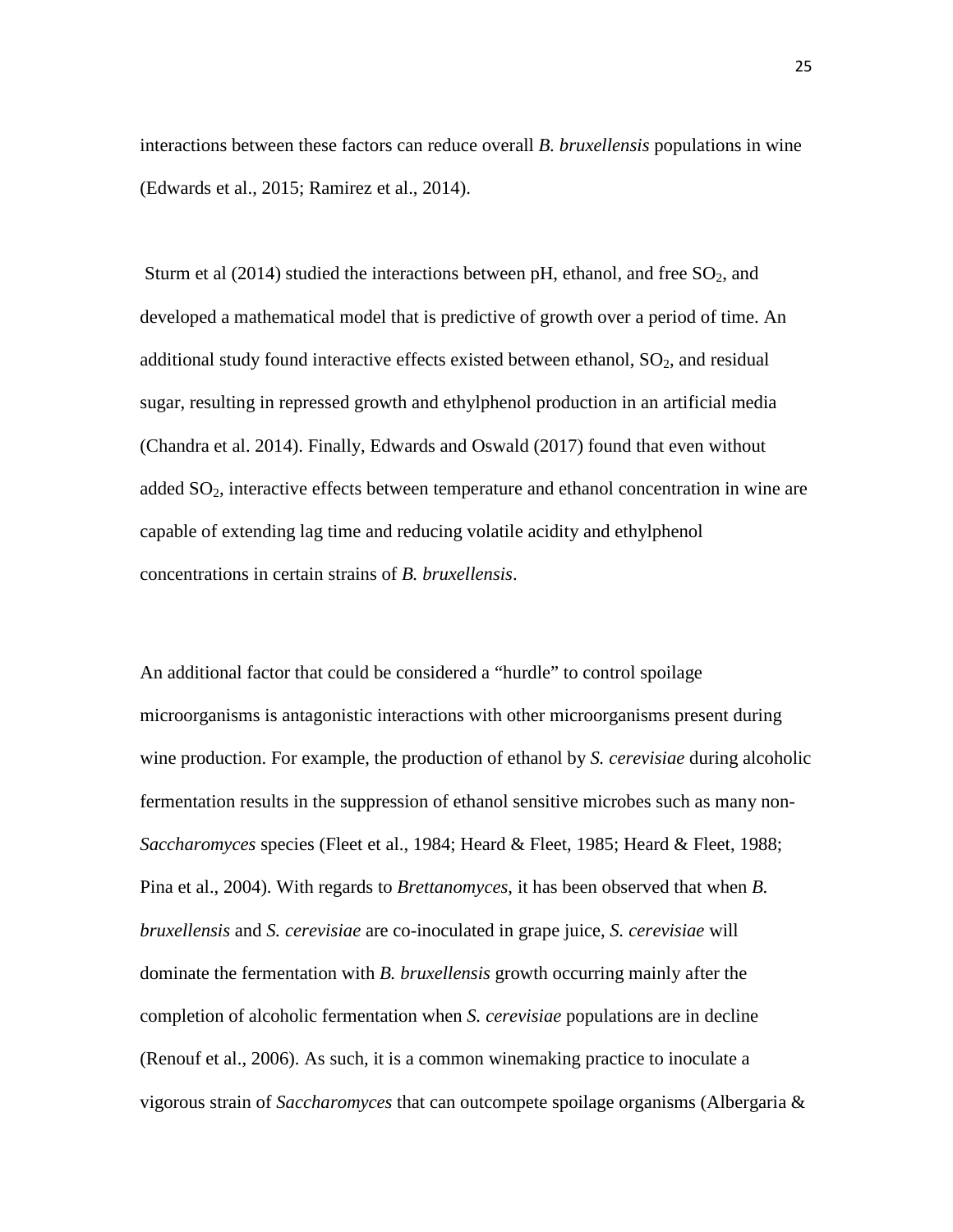interactions between these factors can reduce overall *B. bruxellensis* populations in wine (Edwards et al., 2015; Ramirez et al., 2014).

Sturm et al (2014) studied the interactions between pH, ethanol, and free  $SO_2$ , and developed a mathematical model that is predictive of growth over a period of time. An additional study found interactive effects existed between ethanol,  $SO<sub>2</sub>$ , and residual sugar, resulting in repressed growth and ethylphenol production in an artificial media (Chandra et al. 2014). Finally, Edwards and Oswald (2017) found that even without added  $SO<sub>2</sub>$ , interactive effects between temperature and ethanol concentration in wine are capable of extending lag time and reducing volatile acidity and ethylphenol concentrations in certain strains of *B. bruxellensis*.

An additional factor that could be considered a "hurdle" to control spoilage microorganisms is antagonistic interactions with other microorganisms present during wine production. For example, the production of ethanol by *S. cerevisiae* during alcoholic fermentation results in the suppression of ethanol sensitive microbes such as many non-*Saccharomyces* species (Fleet et al., 1984; Heard & Fleet, 1985; Heard & Fleet, 1988; Pina et al., 2004). With regards to *Brettanomyces*, it has been observed that when *B. bruxellensis* and *S. cerevisiae* are co-inoculated in grape juice, *S. cerevisiae* will dominate the fermentation with *B. bruxellensis* growth occurring mainly after the completion of alcoholic fermentation when *S. cerevisiae* populations are in decline (Renouf et al., 2006). As such, it is a common winemaking practice to inoculate a vigorous strain of *Saccharomyces* that can outcompete spoilage organisms (Albergaria &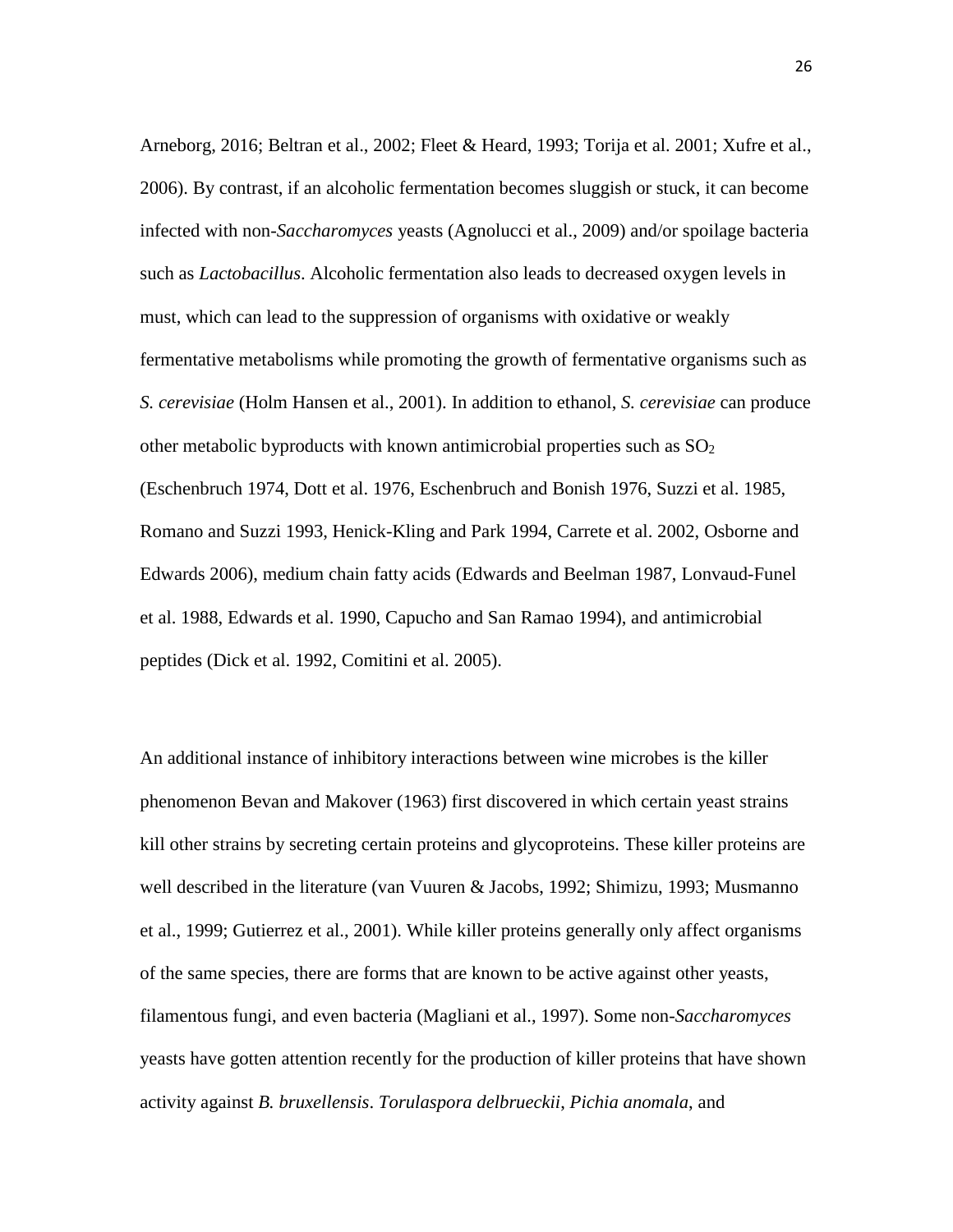Arneborg, 2016; Beltran et al., 2002; Fleet & Heard, 1993; Torija et al. 2001; Xufre et al., 2006). By contrast, if an alcoholic fermentation becomes sluggish or stuck, it can become infected with non-*Saccharomyces* yeasts (Agnolucci et al., 2009) and/or spoilage bacteria such as *Lactobacillus*. Alcoholic fermentation also leads to decreased oxygen levels in must, which can lead to the suppression of organisms with oxidative or weakly fermentative metabolisms while promoting the growth of fermentative organisms such as *S. cerevisiae* (Holm Hansen et al., 2001). In addition to ethanol, *S. cerevisiae* can produce other metabolic byproducts with known antimicrobial properties such as  $SO<sub>2</sub>$ (Eschenbruch 1974, Dott et al. 1976, Eschenbruch and Bonish 1976, Suzzi et al. 1985, Romano and Suzzi 1993, Henick-Kling and Park 1994, Carrete et al. 2002, Osborne and Edwards 2006), medium chain fatty acids (Edwards and Beelman 1987, Lonvaud-Funel et al. 1988, Edwards et al. 1990, Capucho and San Ramao 1994), and antimicrobial peptides (Dick et al. 1992, Comitini et al. 2005).

An additional instance of inhibitory interactions between wine microbes is the killer phenomenon Bevan and Makover (1963) first discovered in which certain yeast strains kill other strains by secreting certain proteins and glycoproteins. These killer proteins are well described in the literature (van Vuuren & Jacobs, 1992; Shimizu, 1993; Musmanno et al., 1999; Gutierrez et al., 2001). While killer proteins generally only affect organisms of the same species, there are forms that are known to be active against other yeasts, filamentous fungi, and even bacteria (Magliani et al., 1997). Some non-*Saccharomyces* yeasts have gotten attention recently for the production of killer proteins that have shown activity against *B. bruxellensis*. *Torulaspora delbrueckii*, *Pichia anomala*, and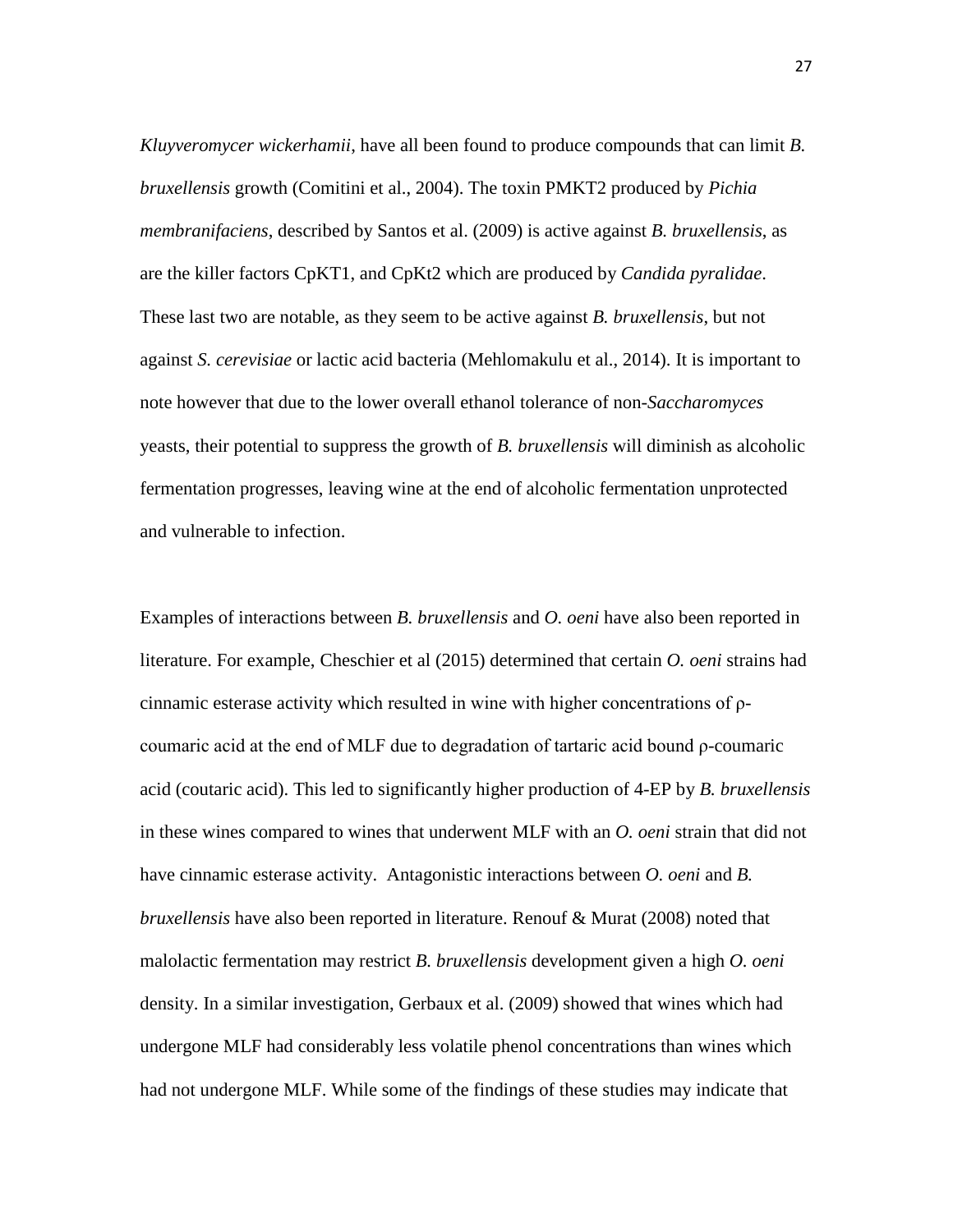*Kluyveromycer wickerhamii*, have all been found to produce compounds that can limit *B. bruxellensis* growth (Comitini et al., 2004). The toxin PMKT2 produced by *Pichia membranifaciens*, described by Santos et al. (2009) is active against *B. bruxellensis*, as are the killer factors CpKT1, and CpKt2 which are produced by *Candida pyralidae*. These last two are notable, as they seem to be active against *B. bruxellensis*, but not against *S. cerevisiae* or lactic acid bacteria (Mehlomakulu et al., 2014). It is important to note however that due to the lower overall ethanol tolerance of non-*Saccharomyces* yeasts, their potential to suppress the growth of *B. bruxellensis* will diminish as alcoholic fermentation progresses, leaving wine at the end of alcoholic fermentation unprotected and vulnerable to infection.

Examples of interactions between *B. bruxellensis* and *O. oeni* have also been reported in literature. For example, Cheschier et al (2015) determined that certain *O. oeni* strains had cinnamic esterase activity which resulted in wine with higher concentrations of ρcoumaric acid at the end of MLF due to degradation of tartaric acid bound ρ-coumaric acid (coutaric acid). This led to significantly higher production of 4-EP by *B. bruxellensis* in these wines compared to wines that underwent MLF with an *O. oeni* strain that did not have cinnamic esterase activity. Antagonistic interactions between *O. oeni* and *B. bruxellensis* have also been reported in literature. Renouf & Murat (2008) noted that malolactic fermentation may restrict *B. bruxellensis* development given a high *O. oeni* density. In a similar investigation, Gerbaux et al. (2009) showed that wines which had undergone MLF had considerably less volatile phenol concentrations than wines which had not undergone MLF. While some of the findings of these studies may indicate that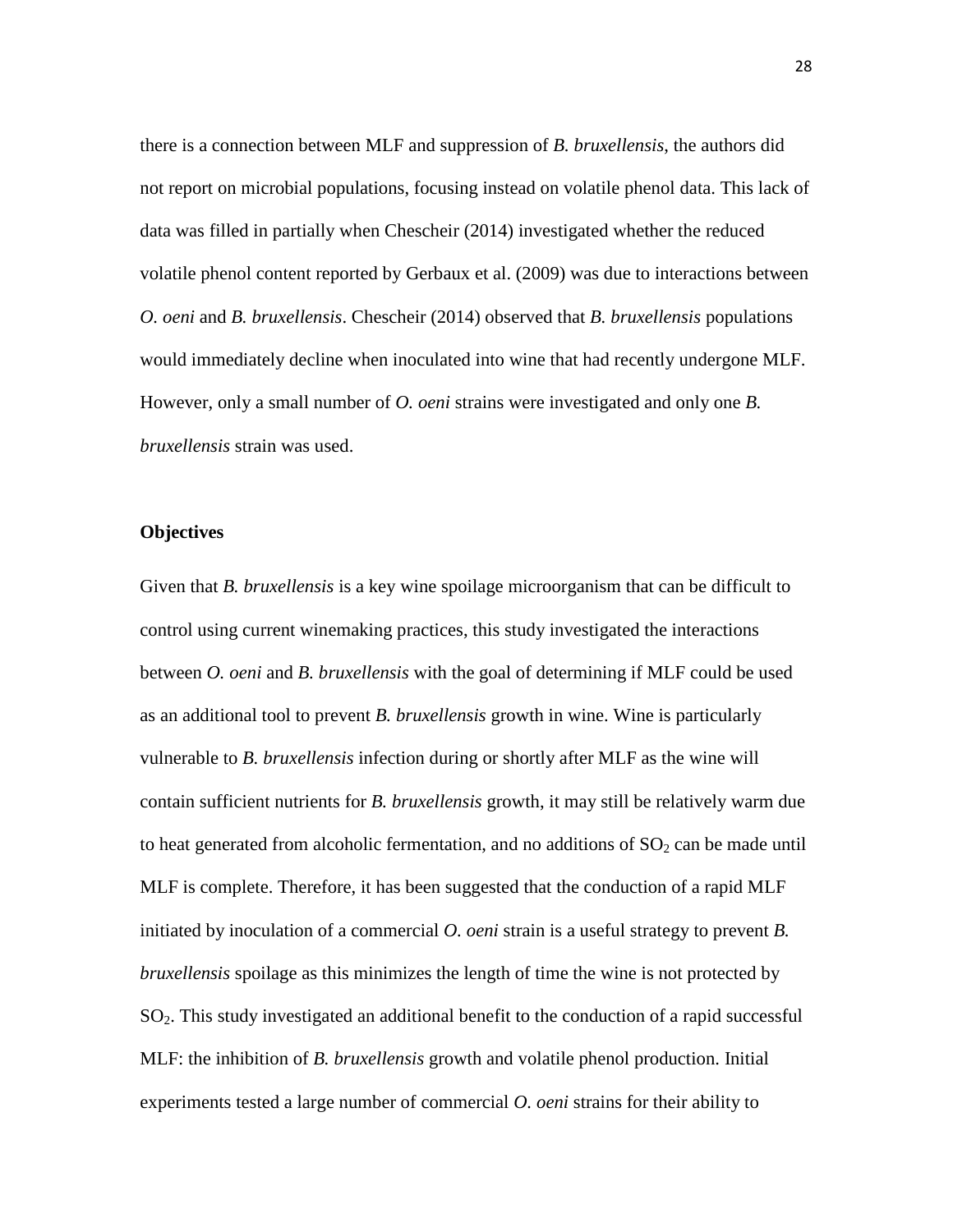there is a connection between MLF and suppression of *B. bruxellensis*, the authors did not report on microbial populations, focusing instead on volatile phenol data. This lack of data was filled in partially when Chescheir (2014) investigated whether the reduced volatile phenol content reported by Gerbaux et al. (2009) was due to interactions between *O. oeni* and *B. bruxellensis*. Chescheir (2014) observed that *B. bruxellensis* populations would immediately decline when inoculated into wine that had recently undergone MLF. However, only a small number of *O. oeni* strains were investigated and only one *B. bruxellensis* strain was used.

#### **Objectives**

Given that *B. bruxellensis* is a key wine spoilage microorganism that can be difficult to control using current winemaking practices, this study investigated the interactions between *O. oeni* and *B. bruxellensis* with the goal of determining if MLF could be used as an additional tool to prevent *B. bruxellensis* growth in wine. Wine is particularly vulnerable to *B. bruxellensis* infection during or shortly after MLF as the wine will contain sufficient nutrients for *B. bruxellensis* growth, it may still be relatively warm due to heat generated from alcoholic fermentation, and no additions of  $SO<sub>2</sub>$  can be made until MLF is complete. Therefore, it has been suggested that the conduction of a rapid MLF initiated by inoculation of a commercial *O. oeni* strain is a useful strategy to prevent *B. bruxellensis* spoilage as this minimizes the length of time the wine is not protected by SO2. This study investigated an additional benefit to the conduction of a rapid successful MLF: the inhibition of *B. bruxellensis* growth and volatile phenol production. Initial experiments tested a large number of commercial *O. oeni* strains for their ability to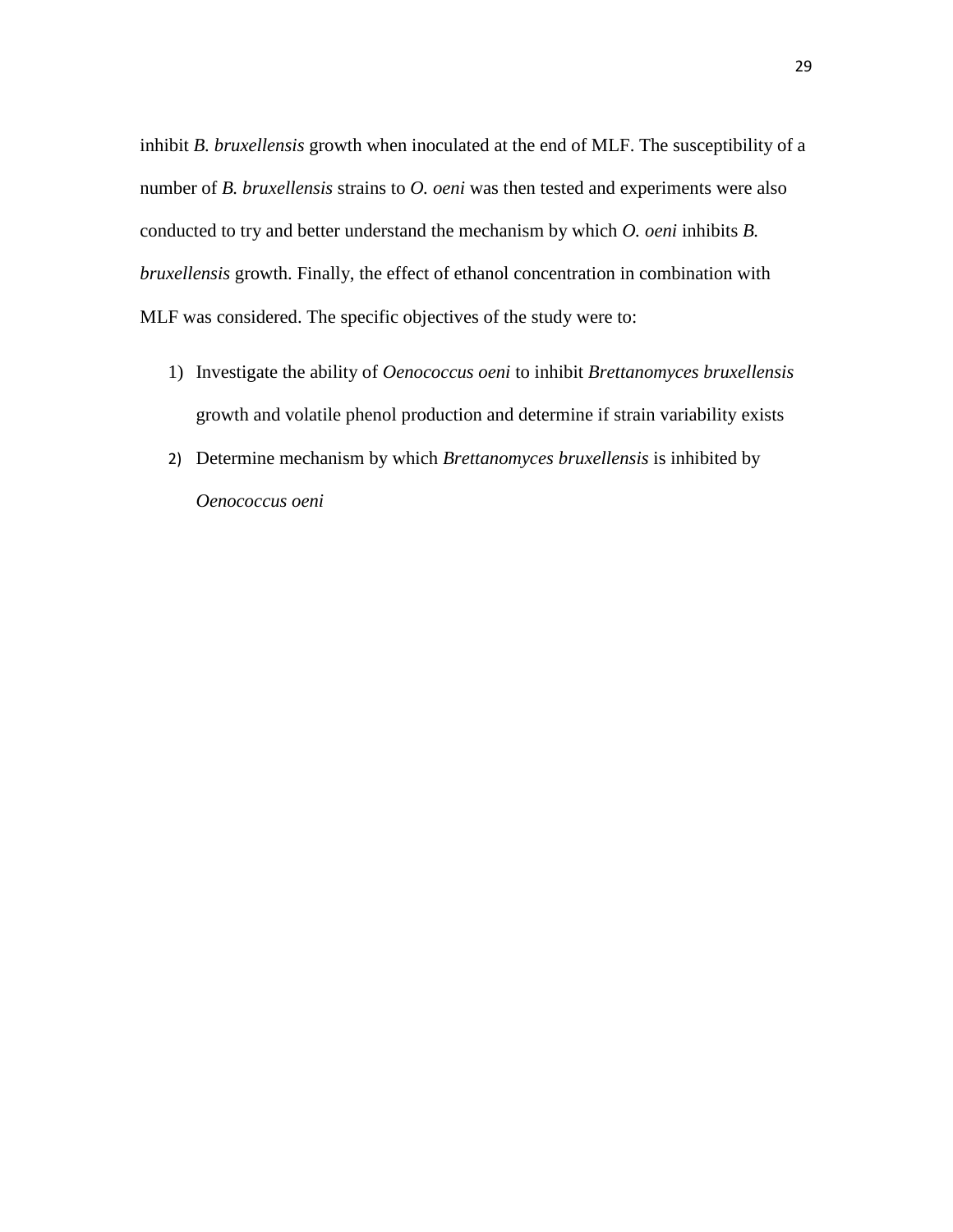inhibit *B. bruxellensis* growth when inoculated at the end of MLF. The susceptibility of a number of *B. bruxellensis* strains to *O. oeni* was then tested and experiments were also conducted to try and better understand the mechanism by which *O. oeni* inhibits *B. bruxellensis* growth. Finally, the effect of ethanol concentration in combination with MLF was considered. The specific objectives of the study were to:

- 1) Investigate the ability of *Oenococcus oeni* to inhibit *Brettanomyces bruxellensis* growth and volatile phenol production and determine if strain variability exists
- 2) Determine mechanism by which *Brettanomyces bruxellensis* is inhibited by *Oenococcus oeni*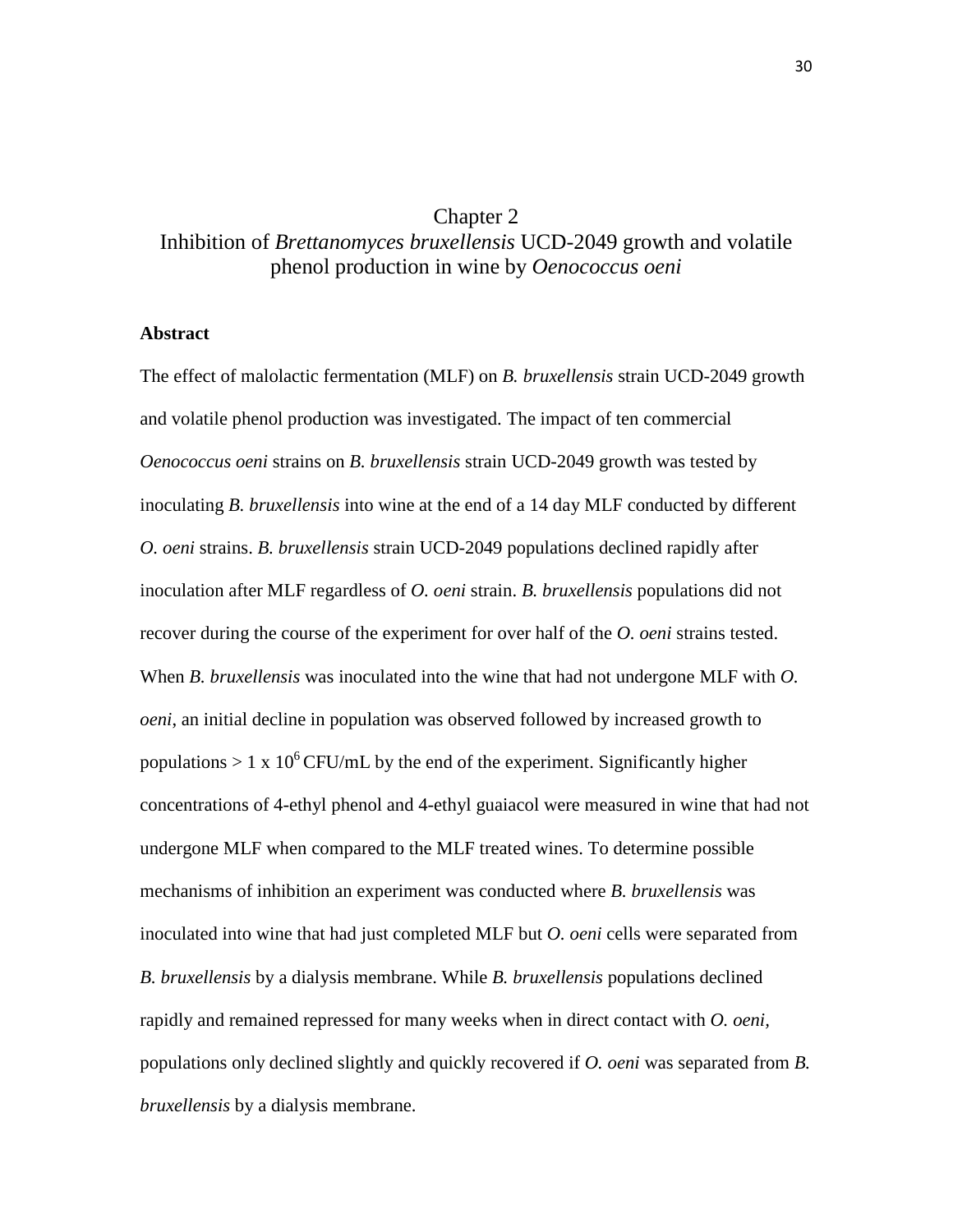# Chapter 2

# Inhibition of *Brettanomyces bruxellensis* UCD-2049 growth and volatile phenol production in wine by *Oenococcus oeni*

### **Abstract**

The effect of malolactic fermentation (MLF) on *B. bruxellensis* strain UCD-2049 growth and volatile phenol production was investigated. The impact of ten commercial *Oenococcus oeni* strains on *B. bruxellensis* strain UCD-2049 growth was tested by inoculating *B. bruxellensis* into wine at the end of a 14 day MLF conducted by different *O. oeni* strains. *B. bruxellensis* strain UCD-2049 populations declined rapidly after inoculation after MLF regardless of *O. oeni* strain. *B. bruxellensis* populations did not recover during the course of the experiment for over half of the *O. oeni* strains tested. When *B. bruxellensis* was inoculated into the wine that had not undergone MLF with *O. oeni*, an initial decline in population was observed followed by increased growth to populations  $> 1 \times 10^6$  CFU/mL by the end of the experiment. Significantly higher concentrations of 4-ethyl phenol and 4-ethyl guaiacol were measured in wine that had not undergone MLF when compared to the MLF treated wines. To determine possible mechanisms of inhibition an experiment was conducted where *B. bruxellensis* was inoculated into wine that had just completed MLF but *O. oeni* cells were separated from *B. bruxellensis* by a dialysis membrane. While *B. bruxellensis* populations declined rapidly and remained repressed for many weeks when in direct contact with *O. oeni,*  populations only declined slightly and quickly recovered if *O. oeni* was separated from *B. bruxellensis* by a dialysis membrane.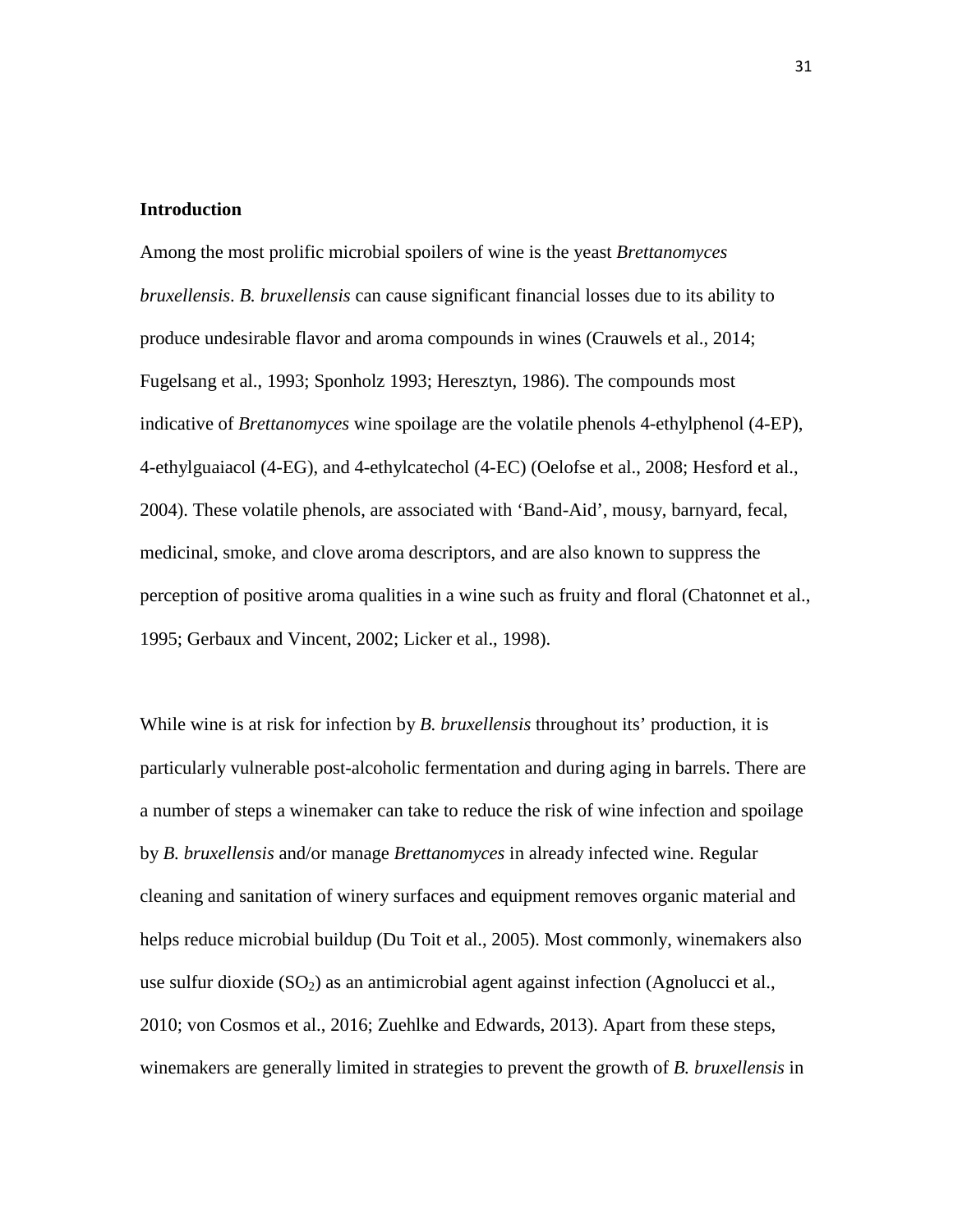#### **Introduction**

Among the most prolific microbial spoilers of wine is the yeast *Brettanomyces bruxellensis*. *B. bruxellensis* can cause significant financial losses due to its ability to produce undesirable flavor and aroma compounds in wines (Crauwels et al., 2014; Fugelsang et al., 1993; Sponholz 1993; Heresztyn, 1986). The compounds most indicative of *Brettanomyces* wine spoilage are the volatile phenols 4-ethylphenol (4-EP), 4-ethylguaiacol (4-EG), and 4-ethylcatechol (4-EC) (Oelofse et al., 2008; Hesford et al., 2004). These volatile phenols, are associated with 'Band-Aid', mousy, barnyard, fecal, medicinal, smoke, and clove aroma descriptors, and are also known to suppress the perception of positive aroma qualities in a wine such as fruity and floral (Chatonnet et al., 1995; Gerbaux and Vincent, 2002; Licker et al., 1998).

While wine is at risk for infection by *B. bruxellensis* throughout its' production, it is particularly vulnerable post-alcoholic fermentation and during aging in barrels. There are a number of steps a winemaker can take to reduce the risk of wine infection and spoilage by *B. bruxellensis* and/or manage *Brettanomyces* in already infected wine. Regular cleaning and sanitation of winery surfaces and equipment removes organic material and helps reduce microbial buildup (Du Toit et al., 2005). Most commonly, winemakers also use sulfur dioxide  $(SO_2)$  as an antimicrobial agent against infection (Agnolucci et al., 2010; von Cosmos et al., 2016; Zuehlke and Edwards, 2013). Apart from these steps, winemakers are generally limited in strategies to prevent the growth of *B. bruxellensis* in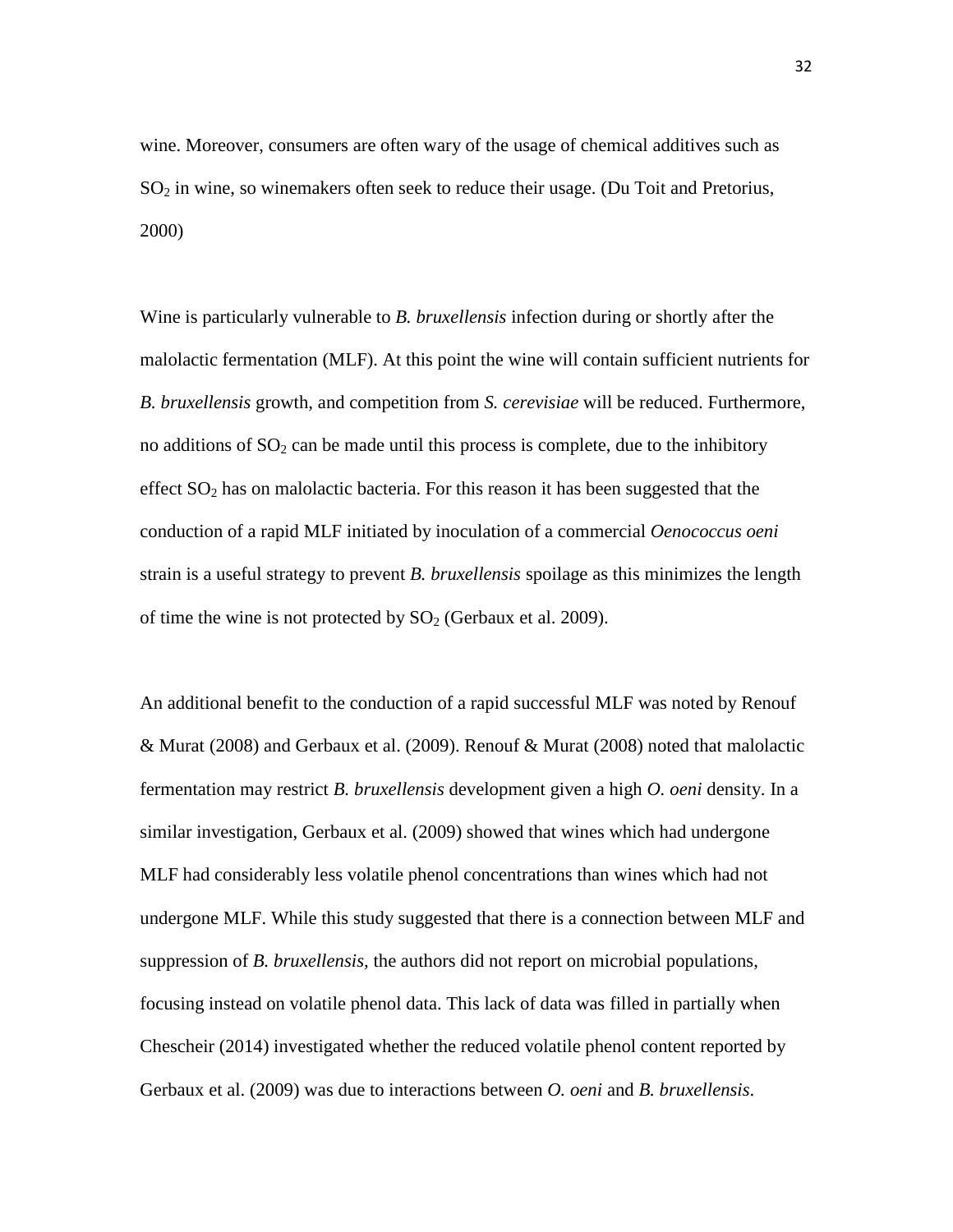wine. Moreover, consumers are often wary of the usage of chemical additives such as  $SO<sub>2</sub>$  in wine, so winemakers often seek to reduce their usage. (Du Toit and Pretorius, 2000)

Wine is particularly vulnerable to *B. bruxellensis* infection during or shortly after the malolactic fermentation (MLF). At this point the wine will contain sufficient nutrients for *B. bruxellensis* growth, and competition from *S. cerevisiae* will be reduced. Furthermore, no additions of  $SO_2$  can be made until this process is complete, due to the inhibitory effect SO2 has on malolactic bacteria. For this reason it has been suggested that the conduction of a rapid MLF initiated by inoculation of a commercial *Oenococcus oeni* strain is a useful strategy to prevent *B. bruxellensis* spoilage as this minimizes the length of time the wine is not protected by  $SO<sub>2</sub>$  (Gerbaux et al. 2009).

An additional benefit to the conduction of a rapid successful MLF was noted by Renouf & Murat (2008) and Gerbaux et al. (2009). Renouf & Murat (2008) noted that malolactic fermentation may restrict *B. bruxellensis* development given a high *O. oeni* density. In a similar investigation, Gerbaux et al. (2009) showed that wines which had undergone MLF had considerably less volatile phenol concentrations than wines which had not undergone MLF. While this study suggested that there is a connection between MLF and suppression of *B. bruxellensis,* the authors did not report on microbial populations, focusing instead on volatile phenol data. This lack of data was filled in partially when Chescheir (2014) investigated whether the reduced volatile phenol content reported by Gerbaux et al. (2009) was due to interactions between *O. oeni* and *B. bruxellensis*.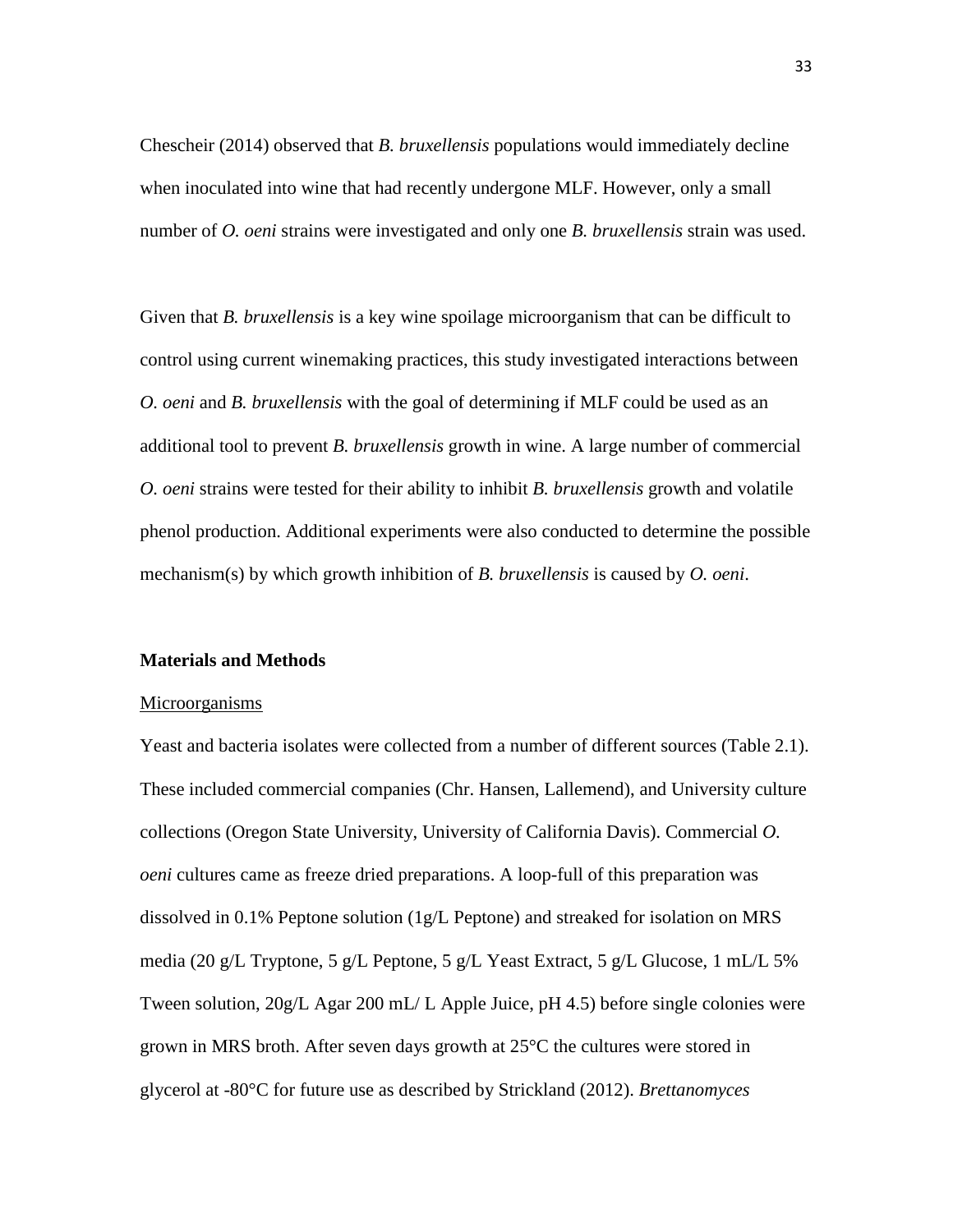Chescheir (2014) observed that *B. bruxellensis* populations would immediately decline when inoculated into wine that had recently undergone MLF. However, only a small number of *O. oeni* strains were investigated and only one *B. bruxellensis* strain was used.

Given that *B. bruxellensis* is a key wine spoilage microorganism that can be difficult to control using current winemaking practices, this study investigated interactions between *O. oeni* and *B. bruxellensis* with the goal of determining if MLF could be used as an additional tool to prevent *B. bruxellensis* growth in wine. A large number of commercial *O. oeni* strains were tested for their ability to inhibit *B. bruxellensis* growth and volatile phenol production. Additional experiments were also conducted to determine the possible mechanism(s) by which growth inhibition of *B. bruxellensis* is caused by *O. oeni*.

#### **Materials and Methods**

#### Microorganisms

Yeast and bacteria isolates were collected from a number of different sources (Table 2.1). These included commercial companies (Chr. Hansen, Lallemend), and University culture collections (Oregon State University, University of California Davis). Commercial *O. oeni* cultures came as freeze dried preparations. A loop-full of this preparation was dissolved in 0.1% Peptone solution (1g/L Peptone) and streaked for isolation on MRS media (20 g/L Tryptone, 5 g/L Peptone, 5 g/L Yeast Extract, 5 g/L Glucose, 1 mL/L 5% Tween solution, 20g/L Agar 200 mL/ L Apple Juice, pH 4.5) before single colonies were grown in MRS broth. After seven days growth at 25°C the cultures were stored in glycerol at -80°C for future use as described by Strickland (2012). *Brettanomyces*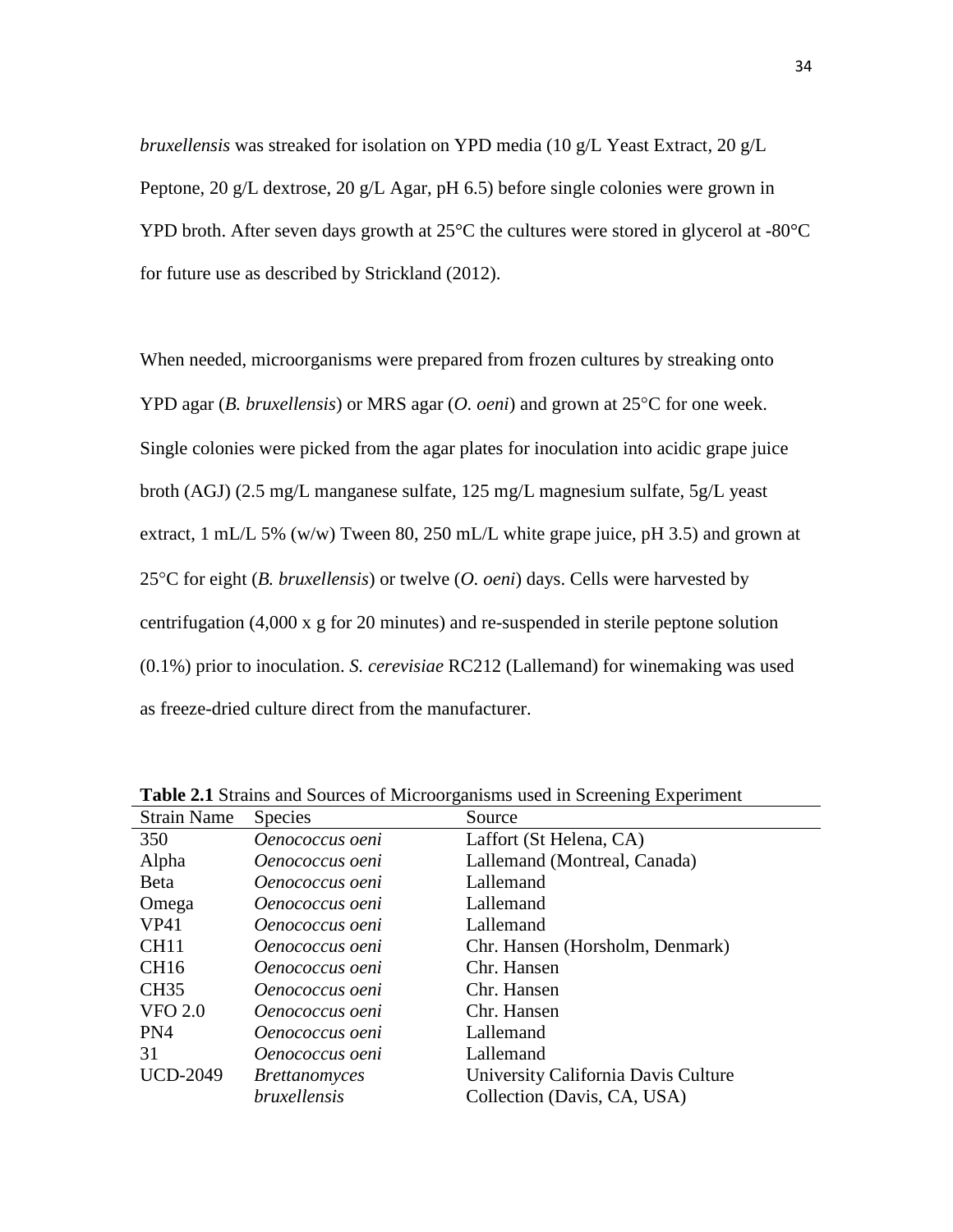*bruxellensis* was streaked for isolation on YPD media (10 g/L Yeast Extract, 20 g/L Peptone, 20 g/L dextrose, 20 g/L Agar, pH 6.5) before single colonies were grown in YPD broth. After seven days growth at 25°C the cultures were stored in glycerol at -80°C for future use as described by Strickland (2012).

When needed, microorganisms were prepared from frozen cultures by streaking onto YPD agar (*B. bruxellensis*) or MRS agar (*O. oeni*) and grown at 25°C for one week. Single colonies were picked from the agar plates for inoculation into acidic grape juice broth (AGJ) (2.5 mg/L manganese sulfate, 125 mg/L magnesium sulfate, 5g/L yeast extract, 1 mL/L 5% (w/w) Tween 80, 250 mL/L white grape juice, pH 3.5) and grown at 25°C for eight (*B. bruxellensis*) or twelve (*O. oeni*) days. Cells were harvested by centrifugation (4,000 x g for 20 minutes) and re-suspended in sterile peptone solution (0.1%) prior to inoculation. *S. cerevisiae* RC212 (Lallemand) for winemaking was used as freeze-dried culture direct from the manufacturer.

| <b>Strain Name</b> | <b>Species</b>       | Source                              |
|--------------------|----------------------|-------------------------------------|
| 350                | Oenococcus oeni      | Laffort (St Helena, CA)             |
| Alpha              | Oenococcus oeni      | Lallemand (Montreal, Canada)        |
| <b>B</b> eta       | Oenococcus oeni      | Lallemand                           |
| Omega              | Oenococcus oeni      | Lallemand                           |
| VP41               | Oenococcus oeni      | Lallemand                           |
| CH <sub>11</sub>   | Oenococcus oeni      | Chr. Hansen (Horsholm, Denmark)     |
| <b>CH16</b>        | Oenococcus oeni      | Chr. Hansen                         |
| <b>CH35</b>        | Oenococcus oeni      | Chr. Hansen                         |
| <b>VFO 2.0</b>     | Oenococcus oeni      | Chr. Hansen                         |
| PN4                | Oenococcus oeni      | Lallemand                           |
| 31                 | Oenococcus oeni      | Lallemand                           |
| <b>UCD-2049</b>    | <i>Brettanomyces</i> | University California Davis Culture |
|                    | <i>bruxellensis</i>  | Collection (Davis, CA, USA)         |

**Table 2.1** Strains and Sources of Microorganisms used in Screening Experiment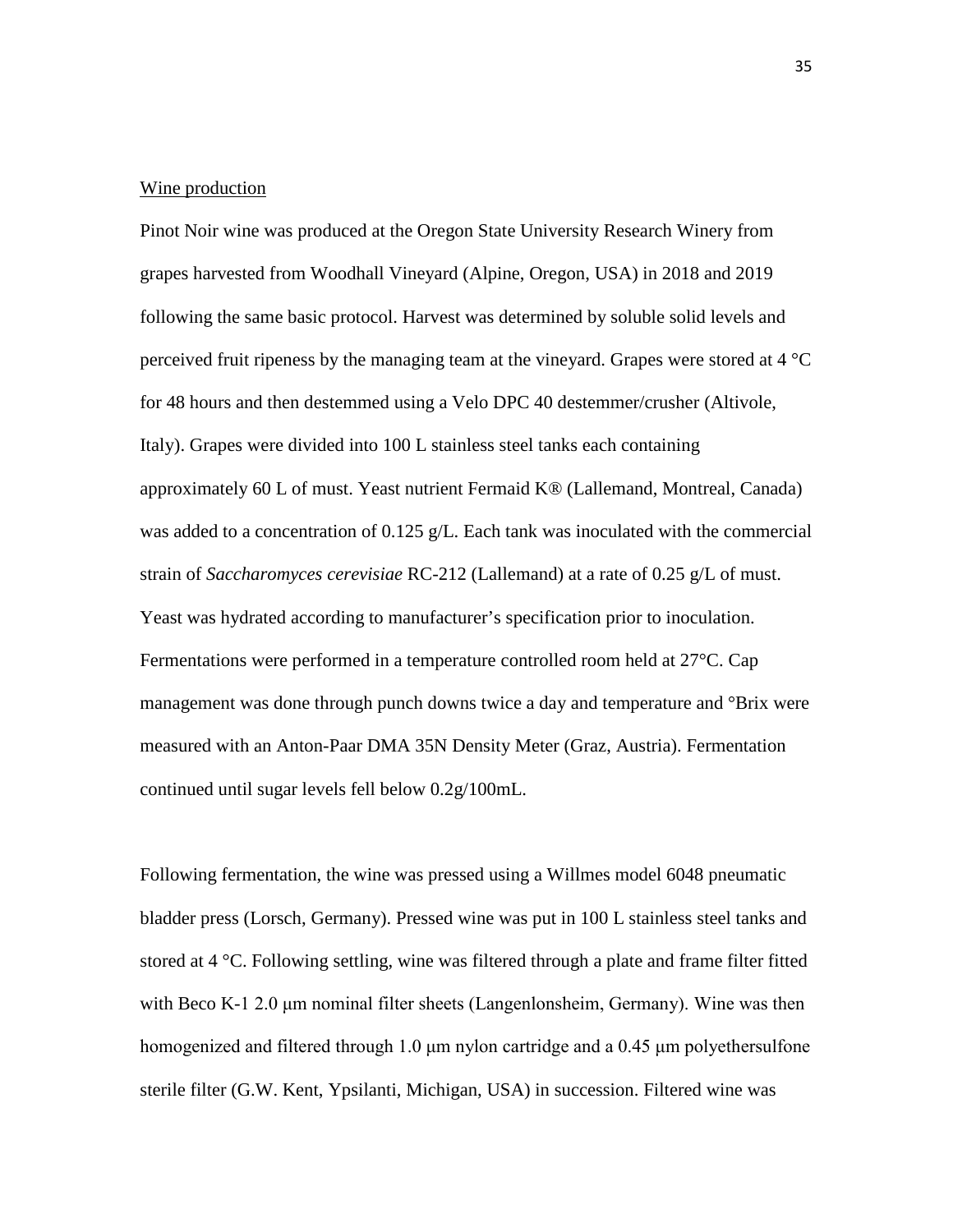#### Wine production

Pinot Noir wine was produced at the Oregon State University Research Winery from grapes harvested from Woodhall Vineyard (Alpine, Oregon, USA) in 2018 and 2019 following the same basic protocol. Harvest was determined by soluble solid levels and perceived fruit ripeness by the managing team at the vineyard. Grapes were stored at 4 °C for 48 hours and then destemmed using a Velo DPC 40 destemmer/crusher (Altivole, Italy). Grapes were divided into 100 L stainless steel tanks each containing approximately 60 L of must. Yeast nutrient Fermaid K® (Lallemand, Montreal, Canada) was added to a concentration of  $0.125$  g/L. Each tank was inoculated with the commercial strain of *Saccharomyces cerevisiae* RC-212 (Lallemand) at a rate of 0.25 g/L of must. Yeast was hydrated according to manufacturer's specification prior to inoculation. Fermentations were performed in a temperature controlled room held at 27°C. Cap management was done through punch downs twice a day and temperature and °Brix were measured with an Anton-Paar DMA 35N Density Meter (Graz, Austria). Fermentation continued until sugar levels fell below 0.2g/100mL.

Following fermentation, the wine was pressed using a Willmes model 6048 pneumatic bladder press (Lorsch, Germany). Pressed wine was put in 100 L stainless steel tanks and stored at 4 °C. Following settling, wine was filtered through a plate and frame filter fitted with Beco K-1 2.0  $\mu$ m nominal filter sheets (Langenlonsheim, Germany). Wine was then homogenized and filtered through 1.0 μm nylon cartridge and a 0.45 μm polyethersulfone sterile filter (G.W. Kent, Ypsilanti, Michigan, USA) in succession. Filtered wine was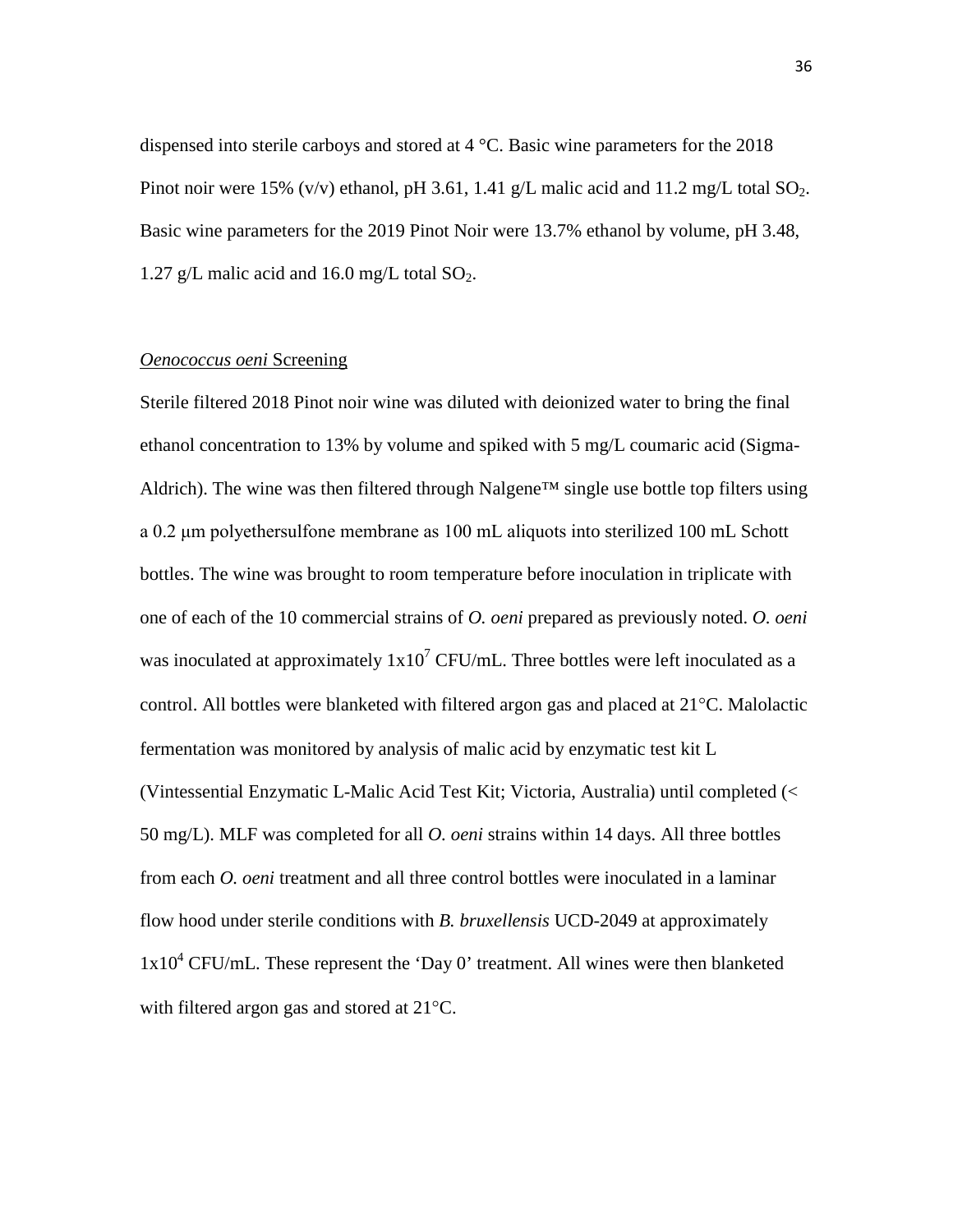dispensed into sterile carboys and stored at 4 °C. Basic wine parameters for the 2018 Pinot noir were 15% (v/v) ethanol, pH 3.61, 1.41 g/L malic acid and 11.2 mg/L total  $SO_2$ . Basic wine parameters for the 2019 Pinot Noir were 13.7% ethanol by volume, pH 3.48, 1.27 g/L malic acid and 16.0 mg/L total  $SO_2$ .

### *Oenococcus oeni* Screening

Sterile filtered 2018 Pinot noir wine was diluted with deionized water to bring the final ethanol concentration to 13% by volume and spiked with 5 mg/L coumaric acid (Sigma-Aldrich). The wine was then filtered through Nalgene<sup>™</sup> single use bottle top filters using a 0.2 μm polyethersulfone membrane as 100 mL aliquots into sterilized 100 mL Schott bottles. The wine was brought to room temperature before inoculation in triplicate with one of each of the 10 commercial strains of *O. oeni* prepared as previously noted. *O. oeni*  was inoculated at approximately  $1x10^7$  CFU/mL. Three bottles were left inoculated as a control. All bottles were blanketed with filtered argon gas and placed at 21°C. Malolactic fermentation was monitored by analysis of malic acid by enzymatic test kit L (Vintessential Enzymatic L-Malic Acid Test Kit; Victoria, Australia) until completed (< 50 mg/L). MLF was completed for all *O. oeni* strains within 14 days. All three bottles from each *O. oeni* treatment and all three control bottles were inoculated in a laminar flow hood under sterile conditions with *B. bruxellensis* UCD-2049 at approximately  $1x10^4$  CFU/mL. These represent the 'Day 0' treatment. All wines were then blanketed with filtered argon gas and stored at 21°C.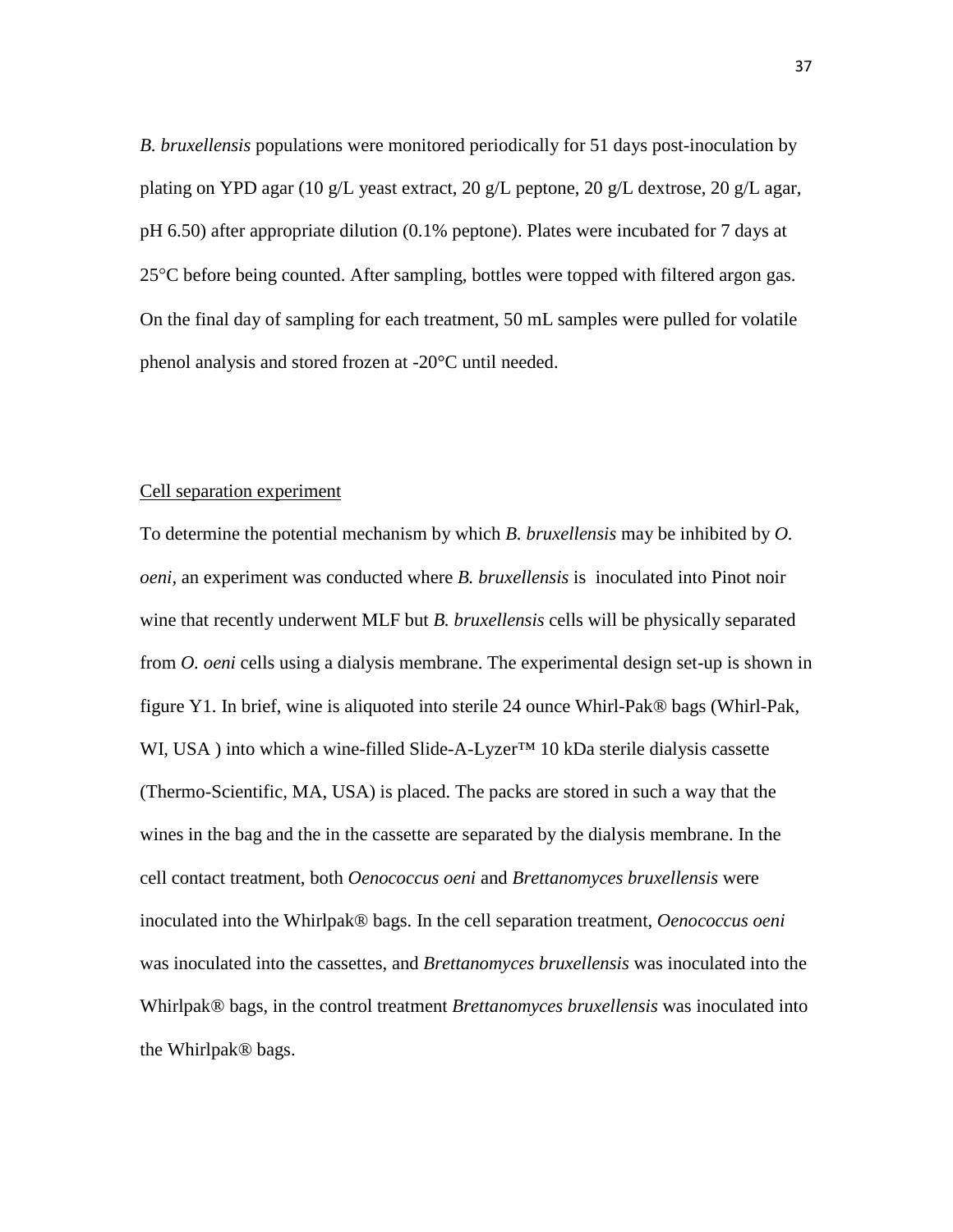*B. bruxellensis* populations were monitored periodically for 51 days post-inoculation by plating on YPD agar (10 g/L yeast extract, 20 g/L peptone, 20 g/L dextrose, 20 g/L agar, pH 6.50) after appropriate dilution (0.1% peptone). Plates were incubated for 7 days at  $25^{\circ}$ C before being counted. After sampling, bottles were topped with filtered argon gas. On the final day of sampling for each treatment, 50 mL samples were pulled for volatile phenol analysis and stored frozen at -20°C until needed.

#### Cell separation experiment

To determine the potential mechanism by which *B. bruxellensis* may be inhibited by *O. oeni,* an experiment was conducted where *B. bruxellensis* is inoculated into Pinot noir wine that recently underwent MLF but *B. bruxellensis* cells will be physically separated from *O. oeni* cells using a dialysis membrane. The experimental design set-up is shown in figure Y1. In brief, wine is aliquoted into sterile 24 ounce Whirl-Pak® bags (Whirl-Pak, WI, USA) into which a wine-filled Slide-A-Lyzer™ 10 kDa sterile dialysis cassette (Thermo-Scientific, MA, USA) is placed. The packs are stored in such a way that the wines in the bag and the in the cassette are separated by the dialysis membrane. In the cell contact treatment, both *Oenococcus oeni* and *Brettanomyces bruxellensis* were inoculated into the Whirlpak® bags. In the cell separation treatment, *Oenococcus oeni*  was inoculated into the cassettes, and *Brettanomyces bruxellensis* was inoculated into the Whirlpak® bags, in the control treatment *Brettanomyces bruxellensis* was inoculated into the Whirlpak® bags.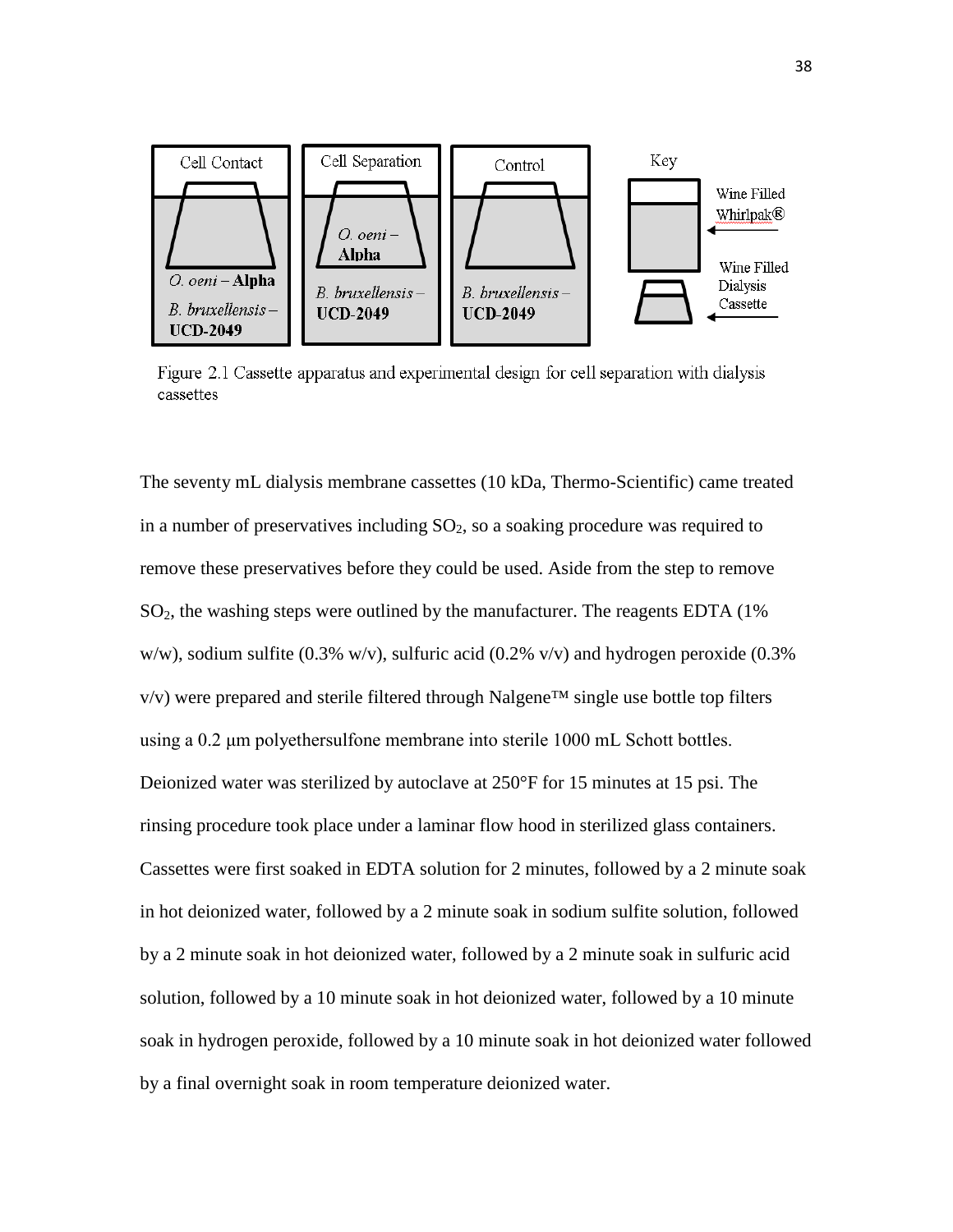

Figure 2.1 Cassette apparatus and experimental design for cell separation with dialysis cassettes

The seventy mL dialysis membrane cassettes (10 kDa, Thermo-Scientific) came treated in a number of preservatives including  $SO_2$ , so a soaking procedure was required to remove these preservatives before they could be used. Aside from the step to remove  $SO<sub>2</sub>$ , the washing steps were outlined by the manufacturer. The reagents EDTA (1%) w/w), sodium sulfite (0.3% w/v), sulfuric acid (0.2% v/v) and hydrogen peroxide (0.3%  $v/v$ ) were prepared and sterile filtered through Nalgene<sup>TM</sup> single use bottle top filters using a 0.2 μm polyethersulfone membrane into sterile 1000 mL Schott bottles. Deionized water was sterilized by autoclave at 250°F for 15 minutes at 15 psi. The rinsing procedure took place under a laminar flow hood in sterilized glass containers. Cassettes were first soaked in EDTA solution for 2 minutes, followed by a 2 minute soak in hot deionized water, followed by a 2 minute soak in sodium sulfite solution, followed by a 2 minute soak in hot deionized water, followed by a 2 minute soak in sulfuric acid solution, followed by a 10 minute soak in hot deionized water, followed by a 10 minute soak in hydrogen peroxide, followed by a 10 minute soak in hot deionized water followed by a final overnight soak in room temperature deionized water.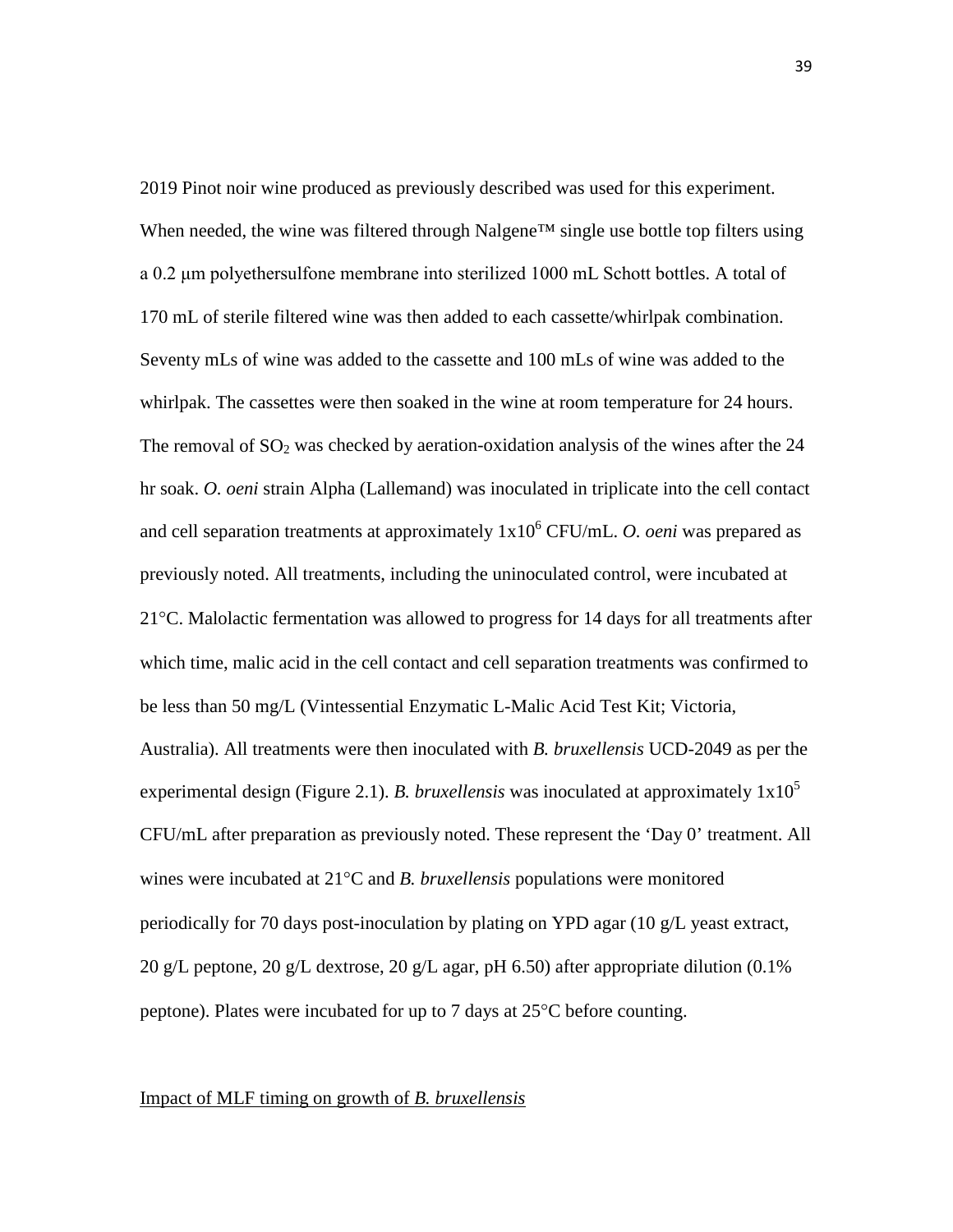2019 Pinot noir wine produced as previously described was used for this experiment. When needed, the wine was filtered through Nalgene™ single use bottle top filters using a 0.2 μm polyethersulfone membrane into sterilized 1000 mL Schott bottles. A total of 170 mL of sterile filtered wine was then added to each cassette/whirlpak combination. Seventy mLs of wine was added to the cassette and 100 mLs of wine was added to the whirlpak. The cassettes were then soaked in the wine at room temperature for 24 hours. The removal of  $SO_2$  was checked by aeration-oxidation analysis of the wines after the 24 hr soak. *O. oeni* strain Alpha (Lallemand) was inoculated in triplicate into the cell contact and cell separation treatments at approximately  $1x10^6$  CFU/mL. *O. oeni* was prepared as previously noted. All treatments, including the uninoculated control, were incubated at  $21^{\circ}$ C. Malolactic fermentation was allowed to progress for 14 days for all treatments after which time, malic acid in the cell contact and cell separation treatments was confirmed to be less than 50 mg/L (Vintessential Enzymatic L-Malic Acid Test Kit; Victoria, Australia). All treatments were then inoculated with *B. bruxellensis* UCD-2049 as per the experimental design (Figure 2.1). *B. bruxellensis* was inoculated at approximately 1x10<sup>5</sup> CFU/mL after preparation as previously noted. These represent the 'Day 0' treatment. All wines were incubated at 21°C and *B. bruxellensis* populations were monitored periodically for 70 days post-inoculation by plating on YPD agar (10 g/L yeast extract, 20 g/L peptone, 20 g/L dextrose, 20 g/L agar, pH 6.50) after appropriate dilution (0.1% peptone). Plates were incubated for up to 7 days at 25°C before counting.

#### Impact of MLF timing on growth of *B. bruxellensis*

39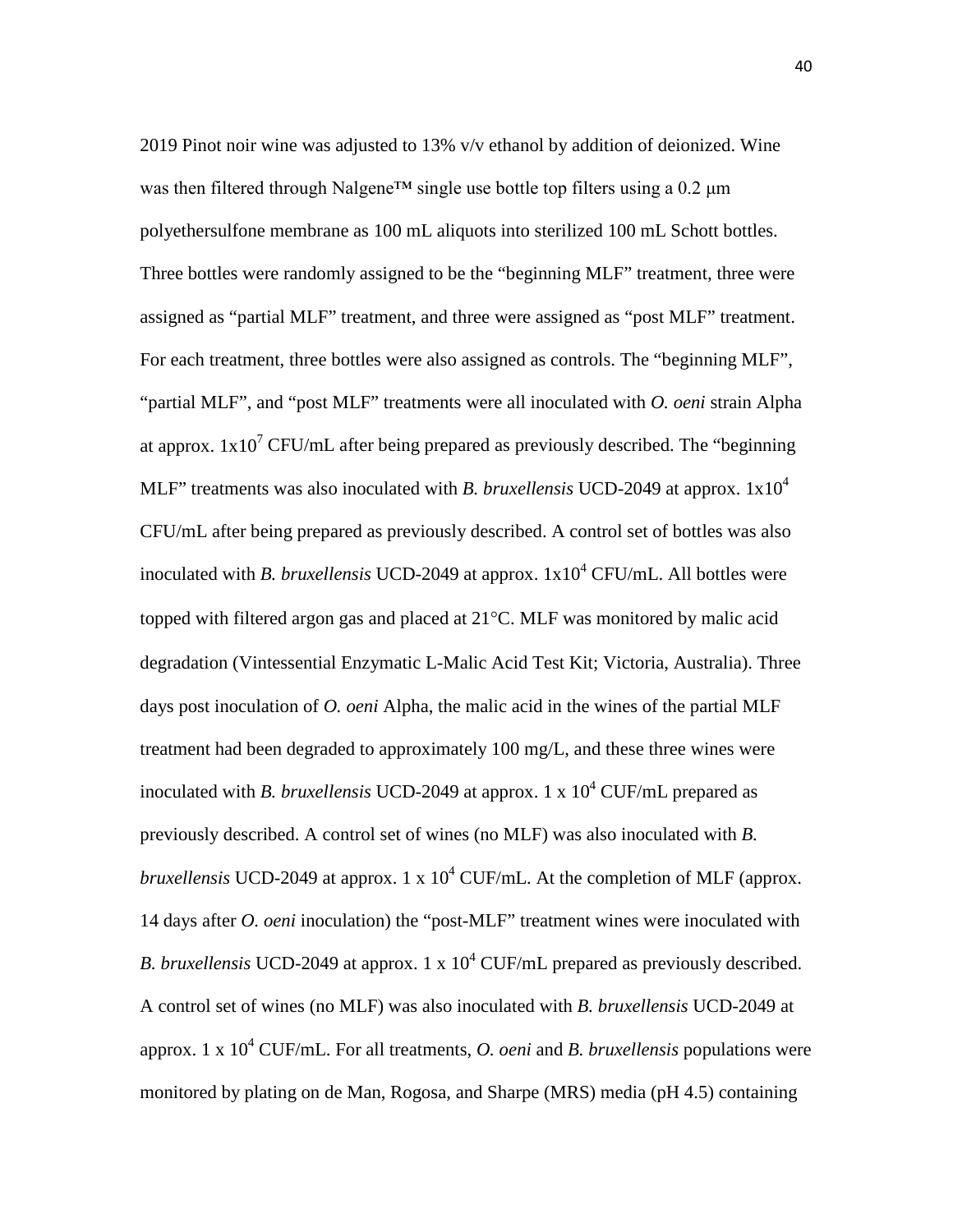2019 Pinot noir wine was adjusted to 13% v/v ethanol by addition of deionized. Wine was then filtered through Nalgene™ single use bottle top filters using a 0.2 μm polyethersulfone membrane as 100 mL aliquots into sterilized 100 mL Schott bottles. Three bottles were randomly assigned to be the "beginning MLF" treatment, three were assigned as "partial MLF" treatment, and three were assigned as "post MLF" treatment. For each treatment, three bottles were also assigned as controls. The "beginning MLF", "partial MLF", and "post MLF" treatments were all inoculated with *O. oeni* strain Alpha at approx.  $1x10^7$  CFU/mL after being prepared as previously described. The "beginning" MLF" treatments was also inoculated with *B. bruxellensis* UCD-2049 at approx. 1x10<sup>4</sup> CFU/mL after being prepared as previously described. A control set of bottles was also inoculated with *B. bruxellensis* UCD-2049 at approx.  $1x10^4$  CFU/mL. All bottles were topped with filtered argon gas and placed at 21°C. MLF was monitored by malic acid degradation (Vintessential Enzymatic L-Malic Acid Test Kit; Victoria, Australia). Three days post inoculation of *O. oeni* Alpha, the malic acid in the wines of the partial MLF treatment had been degraded to approximately 100 mg/L, and these three wines were inoculated with *B. bruxellensis* UCD-2049 at approx. 1 x  $10^4$  CUF/mL prepared as previously described. A control set of wines (no MLF) was also inoculated with *B. bruxellensis* UCD-2049 at approx. 1 x  $10^4$  CUF/mL. At the completion of MLF (approx. 14 days after *O. oeni* inoculation) the "post-MLF" treatment wines were inoculated with *B. bruxellensis* UCD-2049 at approx. 1 x  $10^4$  CUF/mL prepared as previously described. A control set of wines (no MLF) was also inoculated with *B. bruxellensis* UCD-2049 at approx. 1 x  $10^4$  CUF/mL. For all treatments, *O. oeni* and *B. bruxellensis* populations were monitored by plating on de Man, Rogosa, and Sharpe (MRS) media (pH 4.5) containing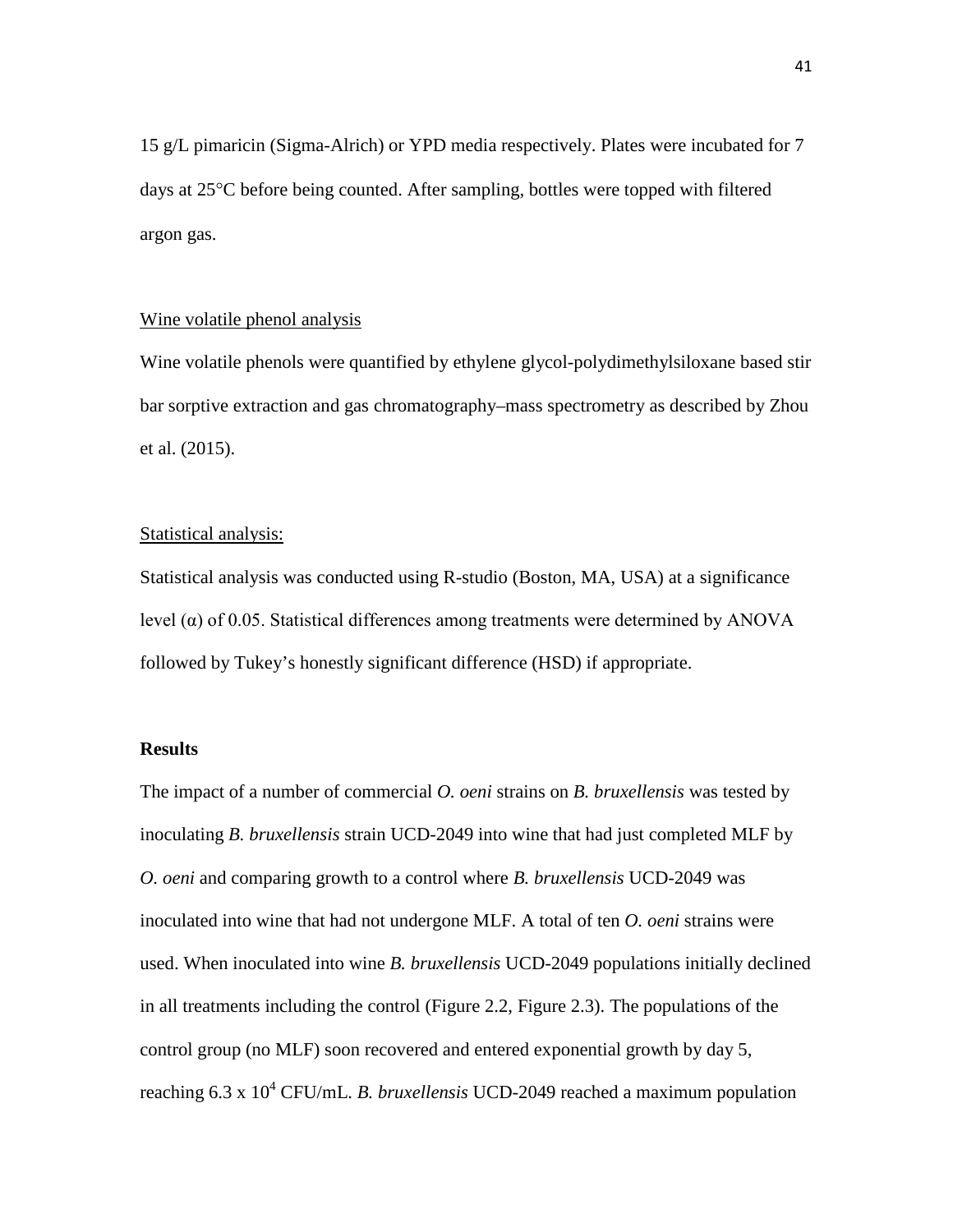15 g/L pimaricin (Sigma-Alrich) or YPD media respectively. Plates were incubated for 7 days at 25°C before being counted. After sampling, bottles were topped with filtered argon gas.

#### Wine volatile phenol analysis

Wine volatile phenols were quantified by ethylene glycol-polydimethylsiloxane based stir bar sorptive extraction and gas chromatography–mass spectrometry as described by Zhou et al. (2015).

#### Statistical analysis:

Statistical analysis was conducted using R-studio (Boston, MA, USA) at a significance level (α) of 0.05. Statistical differences among treatments were determined by ANOVA followed by Tukey's honestly significant difference (HSD) if appropriate.

#### **Results**

The impact of a number of commercial *O. oeni* strains on *B. bruxellensis* was tested by inoculating *B. bruxellensis* strain UCD-2049 into wine that had just completed MLF by *O. oeni* and comparing growth to a control where *B. bruxellensis* UCD-2049 was inoculated into wine that had not undergone MLF. A total of ten *O. oeni* strains were used. When inoculated into wine *B. bruxellensis* UCD-2049 populations initially declined in all treatments including the control (Figure 2.2, Figure 2.3). The populations of the control group (no MLF) soon recovered and entered exponential growth by day 5, reaching 6.3 x 10<sup>4</sup> CFU/mL. *B. bruxellensis* UCD-2049 reached a maximum population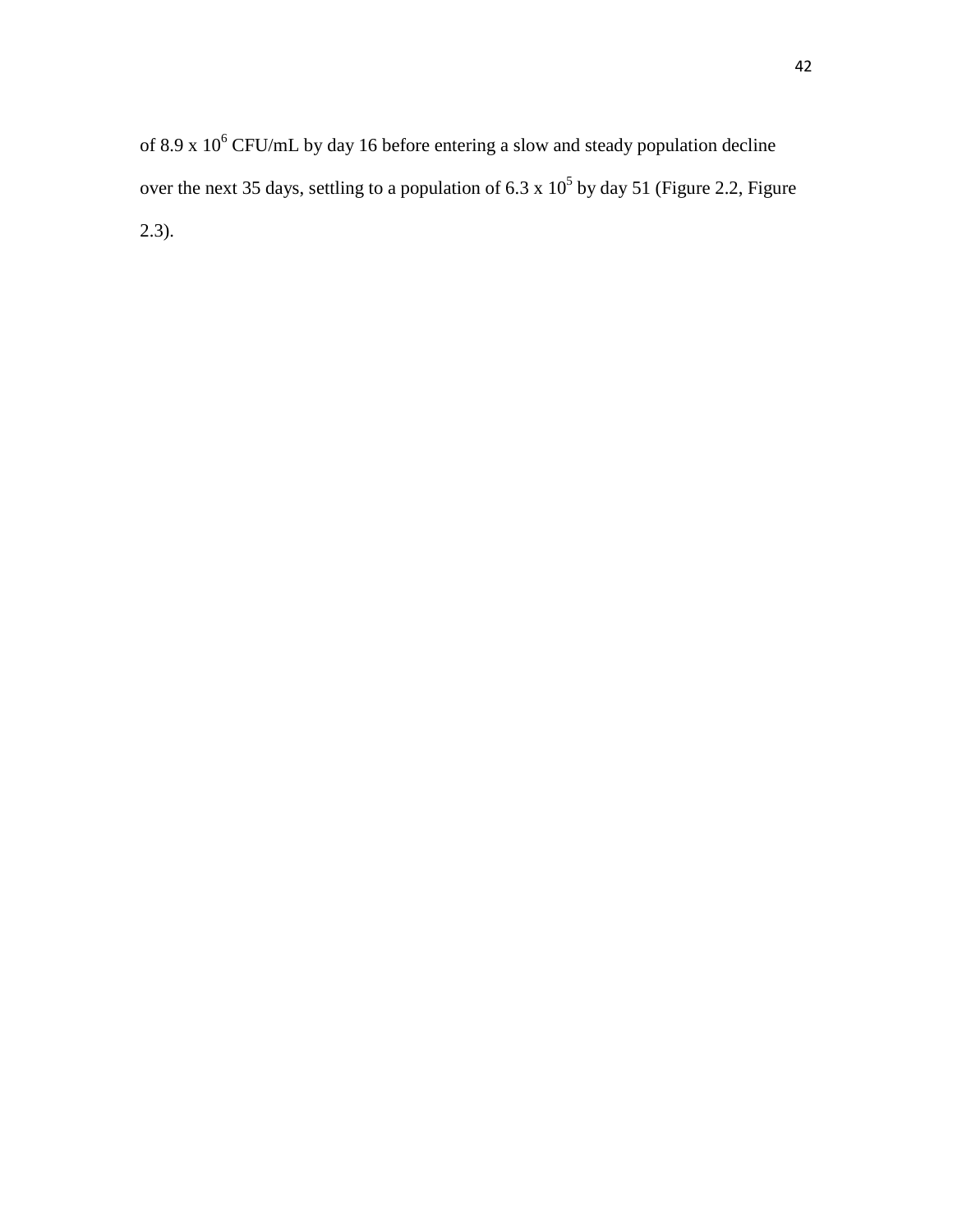of 8.9 x  $10^6$  CFU/mL by day 16 before entering a slow and steady population decline over the next 35 days, settling to a population of 6.3 x  $10^5$  by day 51 (Figure 2.2, Figure 2.3).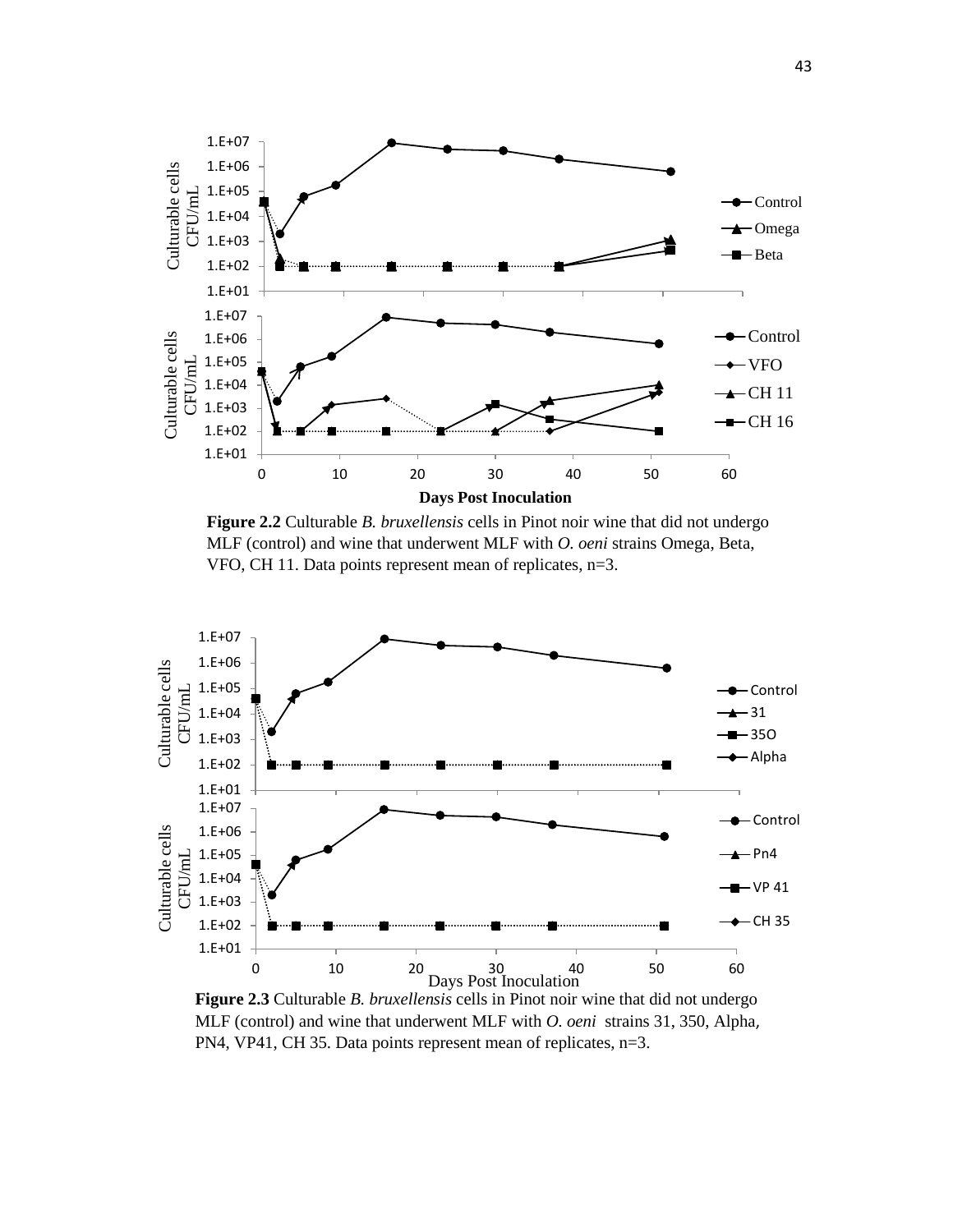

**Figure 2.2** Culturable *B. bruxellensis* cells in Pinot noir wine that did not undergo MLF (control) and wine that underwent MLF with *O. oeni* strains Omega, Beta, VFO, CH 11. Data points represent mean of replicates, n=3.



**Figure 2.3** Culturable *B. bruxellensis* cells in Pinot noir wine that did not undergo MLF (control) and wine that underwent MLF with *O. oeni* strains 31, 350, Alpha, PN4, VP41, CH 35. Data points represent mean of replicates, n=3.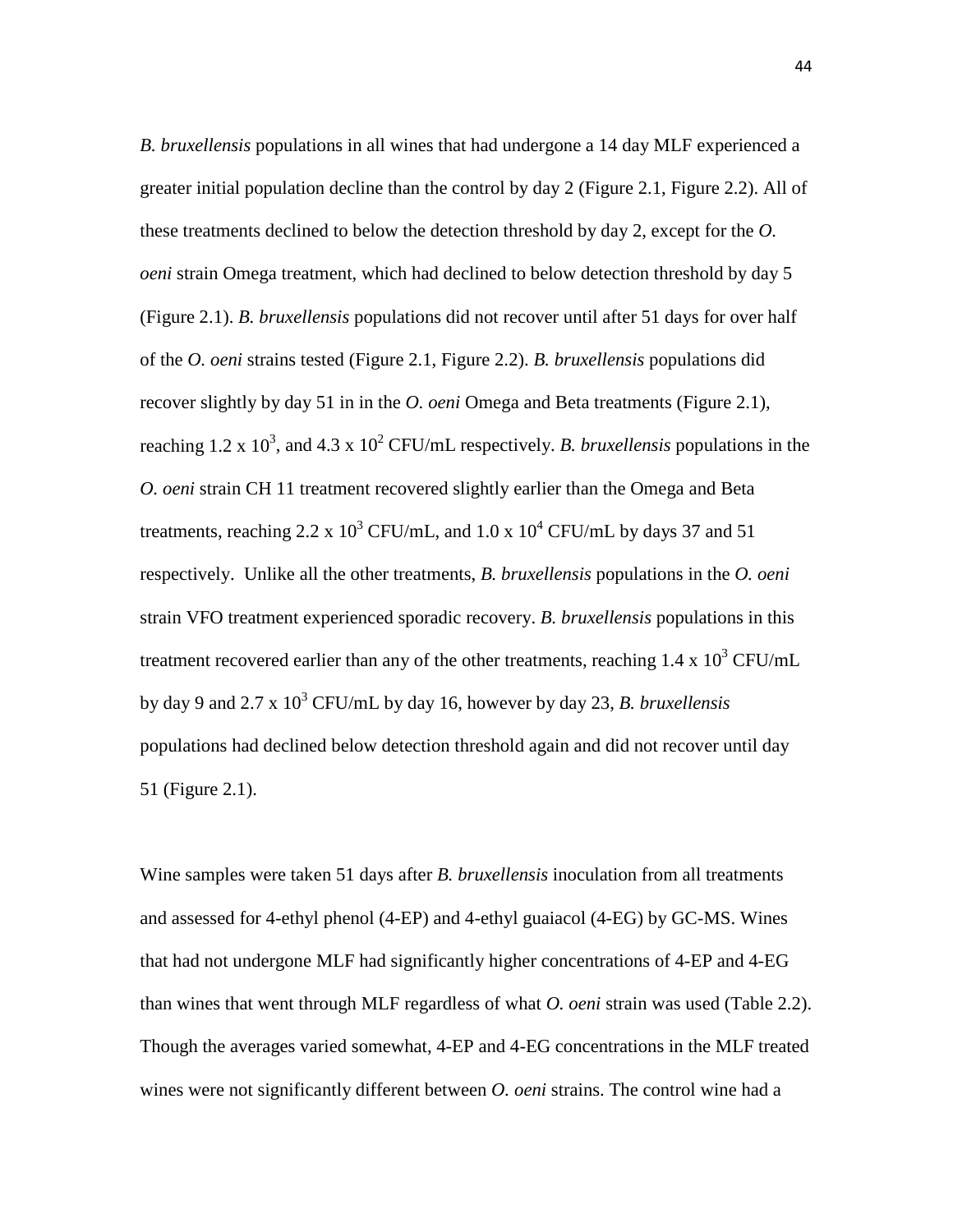*B. bruxellensis* populations in all wines that had undergone a 14 day MLF experienced a greater initial population decline than the control by day 2 (Figure 2.1, Figure 2.2). All of these treatments declined to below the detection threshold by day 2, except for the *O. oeni* strain Omega treatment, which had declined to below detection threshold by day 5 (Figure 2.1). *B. bruxellensis* populations did not recover until after 51 days for over half of the *O. oeni* strains tested (Figure 2.1, Figure 2.2). *B. bruxellensis* populations did recover slightly by day 51 in in the *O. oeni* Omega and Beta treatments (Figure 2.1), reaching 1.2 x 10<sup>3</sup>, and 4.3 x 10<sup>2</sup> CFU/mL respectively. *B. bruxellensis* populations in the *O. oeni* strain CH 11 treatment recovered slightly earlier than the Omega and Beta treatments, reaching 2.2 x  $10^3$  CFU/mL, and 1.0 x  $10^4$  CFU/mL by days 37 and 51 respectively. Unlike all the other treatments, *B. bruxellensis* populations in the *O. oeni*  strain VFO treatment experienced sporadic recovery. *B. bruxellensis* populations in this treatment recovered earlier than any of the other treatments, reaching  $1.4 \times 10^3$  CFU/mL by day 9 and 2.7 x  $10^3$  CFU/mL by day 16, however by day 23, *B. bruxellensis* populations had declined below detection threshold again and did not recover until day 51 (Figure 2.1).

Wine samples were taken 51 days after *B. bruxellensis* inoculation from all treatments and assessed for 4-ethyl phenol (4-EP) and 4-ethyl guaiacol (4-EG) by GC-MS. Wines that had not undergone MLF had significantly higher concentrations of 4-EP and 4-EG than wines that went through MLF regardless of what *O. oeni* strain was used (Table 2.2). Though the averages varied somewhat, 4-EP and 4-EG concentrations in the MLF treated wines were not significantly different between *O. oeni* strains. The control wine had a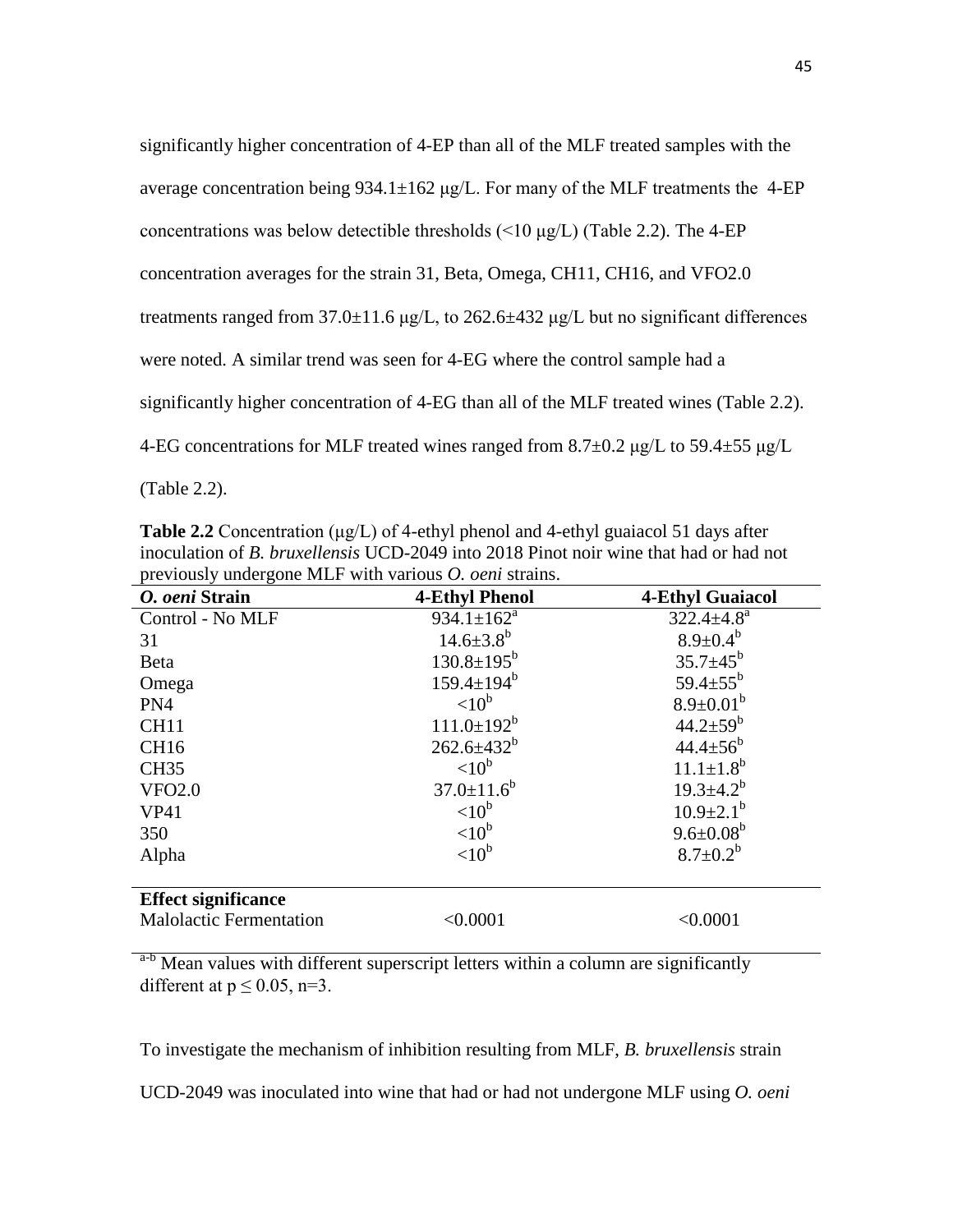| significantly higher concentration of 4-EP than all of the MLF treated samples with the             |
|-----------------------------------------------------------------------------------------------------|
| average concentration being 934.1 $\pm$ 162 µg/L. For many of the MLF treatments the 4-EP           |
| concentrations was below detectible thresholds $(\leq 10 \text{ µg/L})$ (Table 2.2). The 4-EP       |
| concentration averages for the strain 31, Beta, Omega, CH11, CH16, and VFO2.0                       |
| treatments ranged from $37.0 \pm 11.6$ µg/L, to $262.6 \pm 432$ µg/L but no significant differences |
| were noted. A similar trend was seen for 4-EG where the control sample had a                        |
| significantly higher concentration of 4-EG than all of the MLF treated wines (Table 2.2).           |
| 4-EG concentrations for MLF treated wines ranged from $8.7\pm0.2$ µg/L to $59.4\pm55$ µg/L          |
|                                                                                                     |

(Table 2.2).

**Table 2.2** Concentration (μg/L) of 4-ethyl phenol and 4-ethyl guaiacol 51 days after inoculation of *B. bruxellensis* UCD-2049 into 2018 Pinot noir wine that had or had not previously undergone MLF with various *O. oeni* strains.

| O. oeni Strain                 | <b>4-Ethyl Phenol</b>        | <b>4-Ethyl Guaiacol</b>    |
|--------------------------------|------------------------------|----------------------------|
| Control - No MLF               | $934.1 \pm 162^a$            | $322.4 \pm 4.8^a$          |
| 31                             | $14.6 \pm 3.8^b$             | $8.9 \pm 0.4^b$            |
| <b>Beta</b>                    | $130.8 \pm 195^b$            | $35.7 \pm 45^b$            |
| Omega                          | $159.4 \pm 194$ <sup>b</sup> | 59.4 $\pm$ 55 <sup>b</sup> |
| PN4                            | $< 10^{\rm b}$               | $8.9 \pm 0.01^b$           |
| CH <sub>11</sub>               | $111.0 \pm 192^b$            | $44.2 \pm 59^b$            |
| CH <sub>16</sub>               | $262.6 \pm 432^b$            | $44.4 \pm 56^{b}$          |
| <b>CH35</b>                    | $< 10^{\rm b}$               | $11.1 \pm 1.8^b$           |
| <b>VFO2.0</b>                  | $37.0 \pm 11.6^b$            | $19.3 \pm 4.2^b$           |
| <b>VP41</b>                    | $< 10^{\rm b}$               | $10.9 \pm 2.1^b$           |
| 350                            | < 10 <sup>b</sup>            | $9.6 \pm 0.08^b$           |
| Alpha                          | $<$ 10 <sup>b</sup>          | $8.7 \pm 0.2^b$            |
| <b>Effect significance</b>     |                              |                            |
| <b>Malolactic Fermentation</b> | < 0.0001                     | < 0.0001                   |

<sup>a-b</sup> Mean values with different superscript letters within a column are significantly different at  $p \le 0.05$ , n=3.

To investigate the mechanism of inhibition resulting from MLF, *B. bruxellensis* strain

UCD-2049 was inoculated into wine that had or had not undergone MLF using *O. oeni*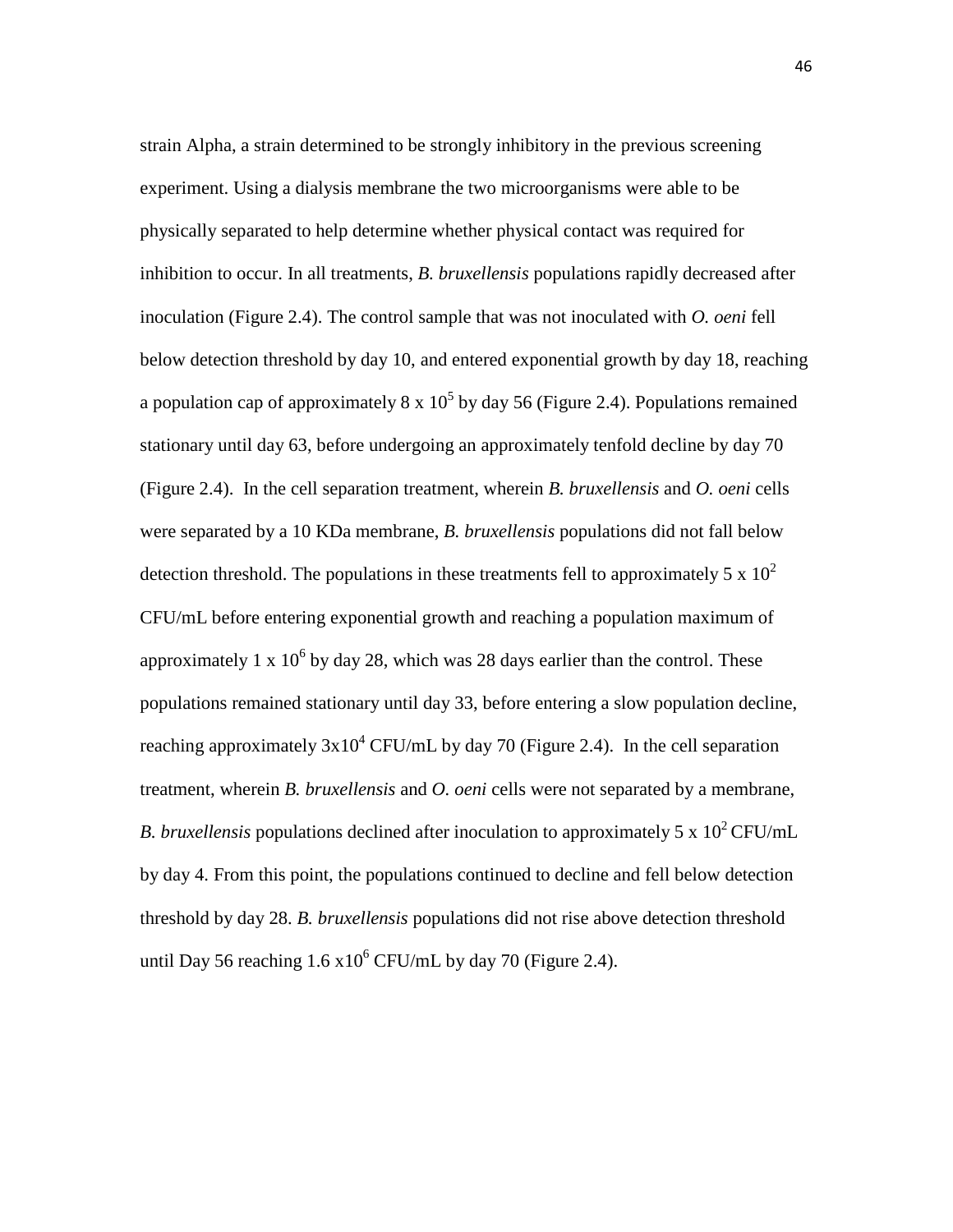strain Alpha, a strain determined to be strongly inhibitory in the previous screening experiment. Using a dialysis membrane the two microorganisms were able to be physically separated to help determine whether physical contact was required for inhibition to occur. In all treatments, *B. bruxellensis* populations rapidly decreased after inoculation (Figure 2.4). The control sample that was not inoculated with *O. oeni* fell below detection threshold by day 10, and entered exponential growth by day 18, reaching a population cap of approximately  $8 \times 10^5$  by day 56 (Figure 2.4). Populations remained stationary until day 63, before undergoing an approximately tenfold decline by day 70 (Figure 2.4). In the cell separation treatment, wherein *B. bruxellensis* and *O. oeni* cells were separated by a 10 KDa membrane, *B. bruxellensis* populations did not fall below detection threshold. The populations in these treatments fell to approximately 5 x  $10^2$ CFU/mL before entering exponential growth and reaching a population maximum of approximately 1 x  $10^6$  by day 28, which was 28 days earlier than the control. These populations remained stationary until day 33, before entering a slow population decline, reaching approximately  $3x10^4$  CFU/mL by day 70 (Figure 2.4). In the cell separation treatment, wherein *B. bruxellensis* and *O. oeni* cells were not separated by a membrane, *B. bruxellensis* populations declined after inoculation to approximately 5 x  $10^2$  CFU/mL by day 4. From this point, the populations continued to decline and fell below detection threshold by day 28. *B. bruxellensis* populations did not rise above detection threshold until Day 56 reaching  $1.6 \times 10^6$  CFU/mL by day 70 (Figure 2.4).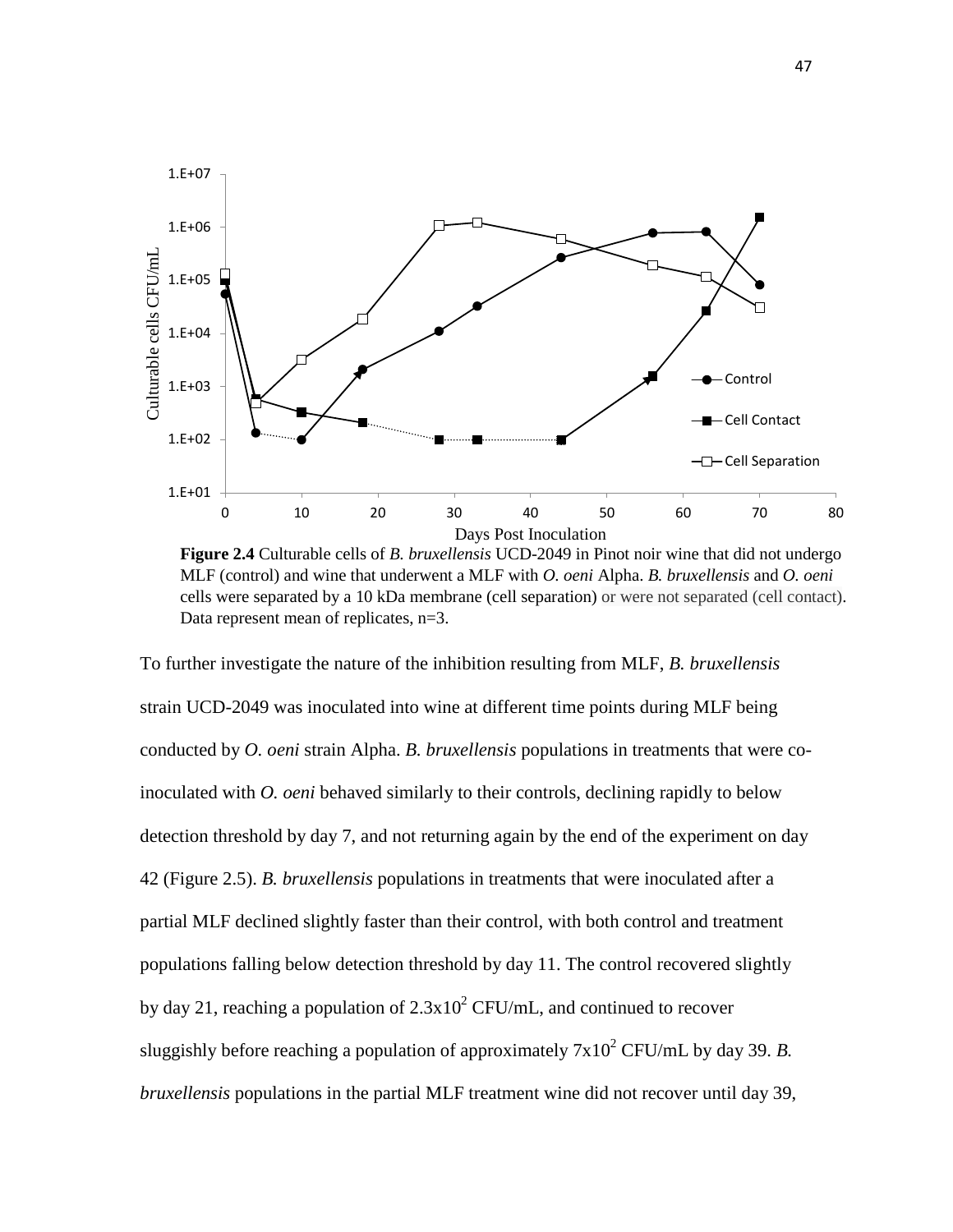

**Figure 2.4** Culturable cells of *B. bruxellensis* UCD-2049 in Pinot noir wine that did not undergo MLF (control) and wine that underwent a MLF with *O. oeni* Alpha. *B. bruxellensis* and *O. oeni* cells were separated by a 10 kDa membrane (cell separation) or were not separated (cell contact). Data represent mean of replicates,  $n=3$ .

To further investigate the nature of the inhibition resulting from MLF, *B. bruxellensis*  strain UCD-2049 was inoculated into wine at different time points during MLF being conducted by *O. oeni* strain Alpha. *B. bruxellensis* populations in treatments that were coinoculated with *O. oeni* behaved similarly to their controls, declining rapidly to below detection threshold by day 7, and not returning again by the end of the experiment on day 42 (Figure 2.5). *B. bruxellensis* populations in treatments that were inoculated after a partial MLF declined slightly faster than their control, with both control and treatment populations falling below detection threshold by day 11. The control recovered slightly by day 21, reaching a population of  $2.3x10^2$  CFU/mL, and continued to recover sluggishly before reaching a population of approximately  $7x10^2$  CFU/mL by day 39. *B*. *bruxellensis* populations in the partial MLF treatment wine did not recover until day 39,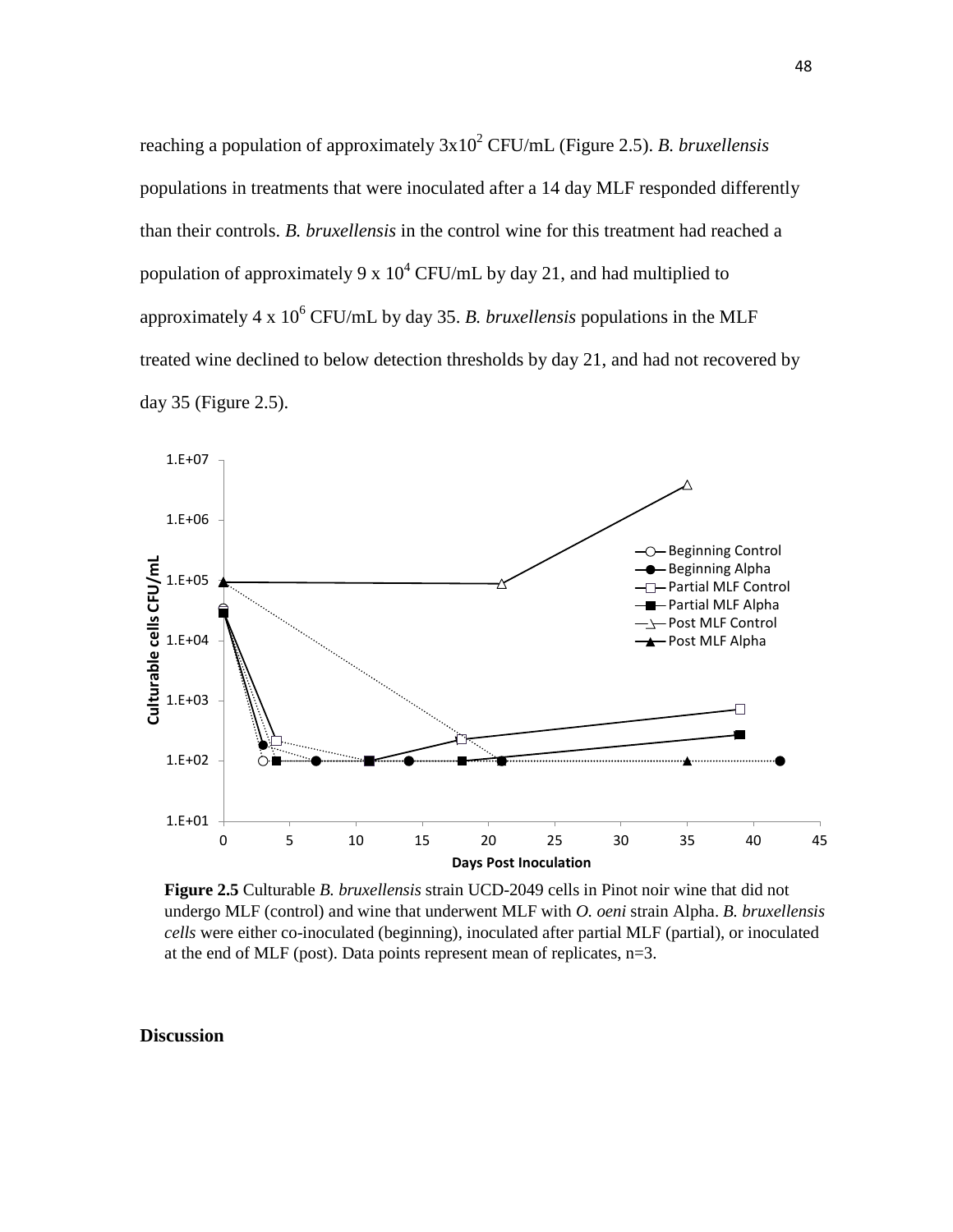reaching a population of approximately 3x102 CFU/mL (Figure 2.5). *B. bruxellensis*  populations in treatments that were inoculated after a 14 day MLF responded differently than their controls. *B. bruxellensis* in the control wine for this treatment had reached a population of approximately 9 x  $10^4$  CFU/mL by day 21, and had multiplied to approximately  $4 \times 10^6$  CFU/mL by day 35. *B. bruxellensis* populations in the MLF treated wine declined to below detection thresholds by day 21, and had not recovered by day 35 (Figure 2.5).



**Figure 2.5** Culturable *B. bruxellensis* strain UCD-2049 cells in Pinot noir wine that did not undergo MLF (control) and wine that underwent MLF with *O. oeni* strain Alpha. *B. bruxellensis cells* were either co-inoculated (beginning), inoculated after partial MLF (partial), or inoculated at the end of MLF (post). Data points represent mean of replicates,  $n=3$ .

### **Discussion**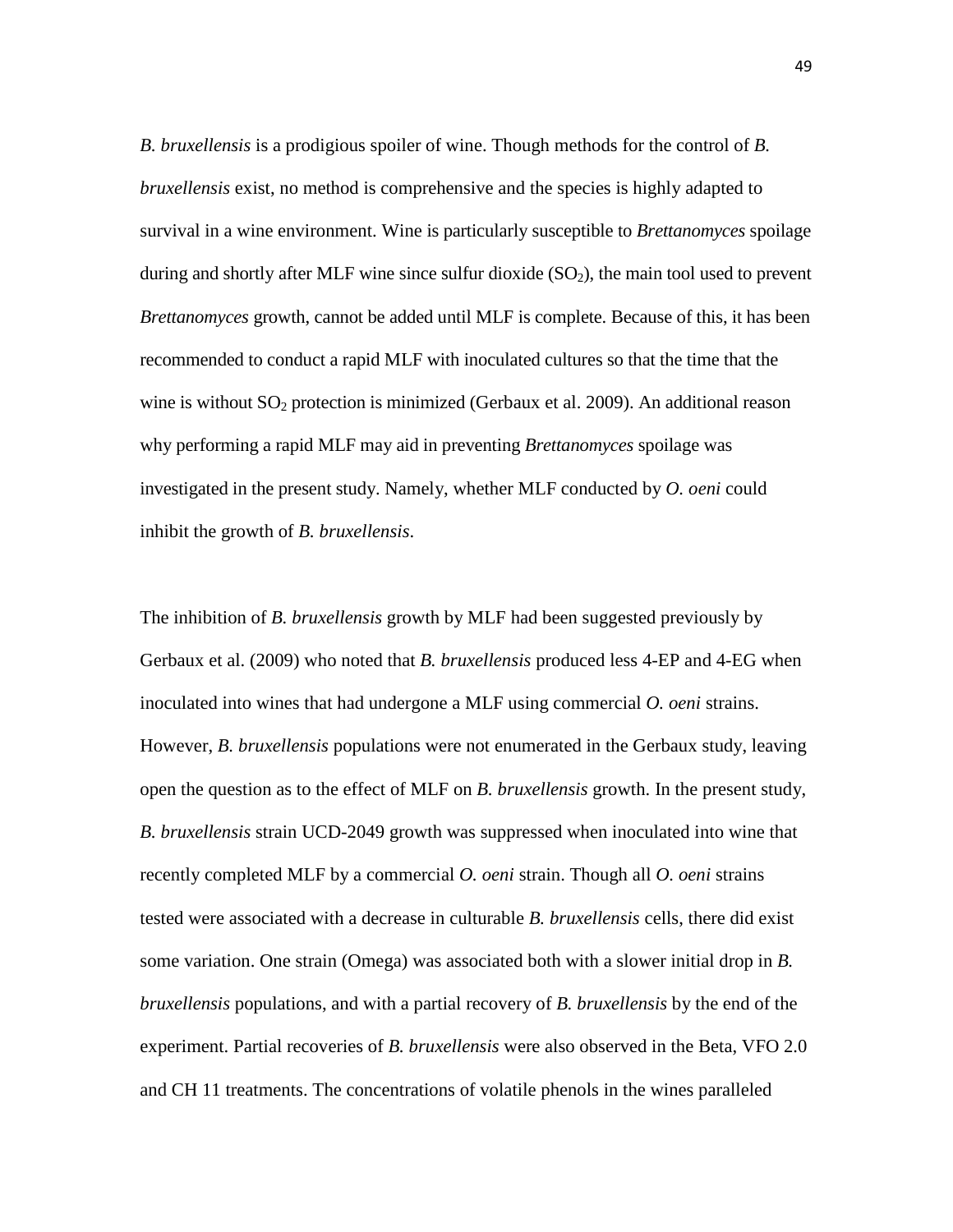*B. bruxellensis* is a prodigious spoiler of wine. Though methods for the control of *B. bruxellensis* exist, no method is comprehensive and the species is highly adapted to survival in a wine environment. Wine is particularly susceptible to *Brettanomyces* spoilage during and shortly after MLF wine since sulfur dioxide  $(SO<sub>2</sub>)$ , the main tool used to prevent *Brettanomyces* growth, cannot be added until MLF is complete. Because of this, it has been recommended to conduct a rapid MLF with inoculated cultures so that the time that the wine is without  $SO_2$  protection is minimized (Gerbaux et al. 2009). An additional reason why performing a rapid MLF may aid in preventing *Brettanomyces* spoilage was investigated in the present study. Namely, whether MLF conducted by *O. oeni* could inhibit the growth of *B. bruxellensis*.

The inhibition of *B. bruxellensis* growth by MLF had been suggested previously by Gerbaux et al. (2009) who noted that *B. bruxellensis* produced less 4-EP and 4-EG when inoculated into wines that had undergone a MLF using commercial *O. oeni* strains. However, *B. bruxellensis* populations were not enumerated in the Gerbaux study, leaving open the question as to the effect of MLF on *B. bruxellensis* growth. In the present study, *B. bruxellensis* strain UCD-2049 growth was suppressed when inoculated into wine that recently completed MLF by a commercial *O. oeni* strain. Though all *O. oeni* strains tested were associated with a decrease in culturable *B. bruxellensis* cells, there did exist some variation. One strain (Omega) was associated both with a slower initial drop in *B. bruxellensis* populations, and with a partial recovery of *B. bruxellensis* by the end of the experiment. Partial recoveries of *B. bruxellensis* were also observed in the Beta, VFO 2.0 and CH 11 treatments. The concentrations of volatile phenols in the wines paralleled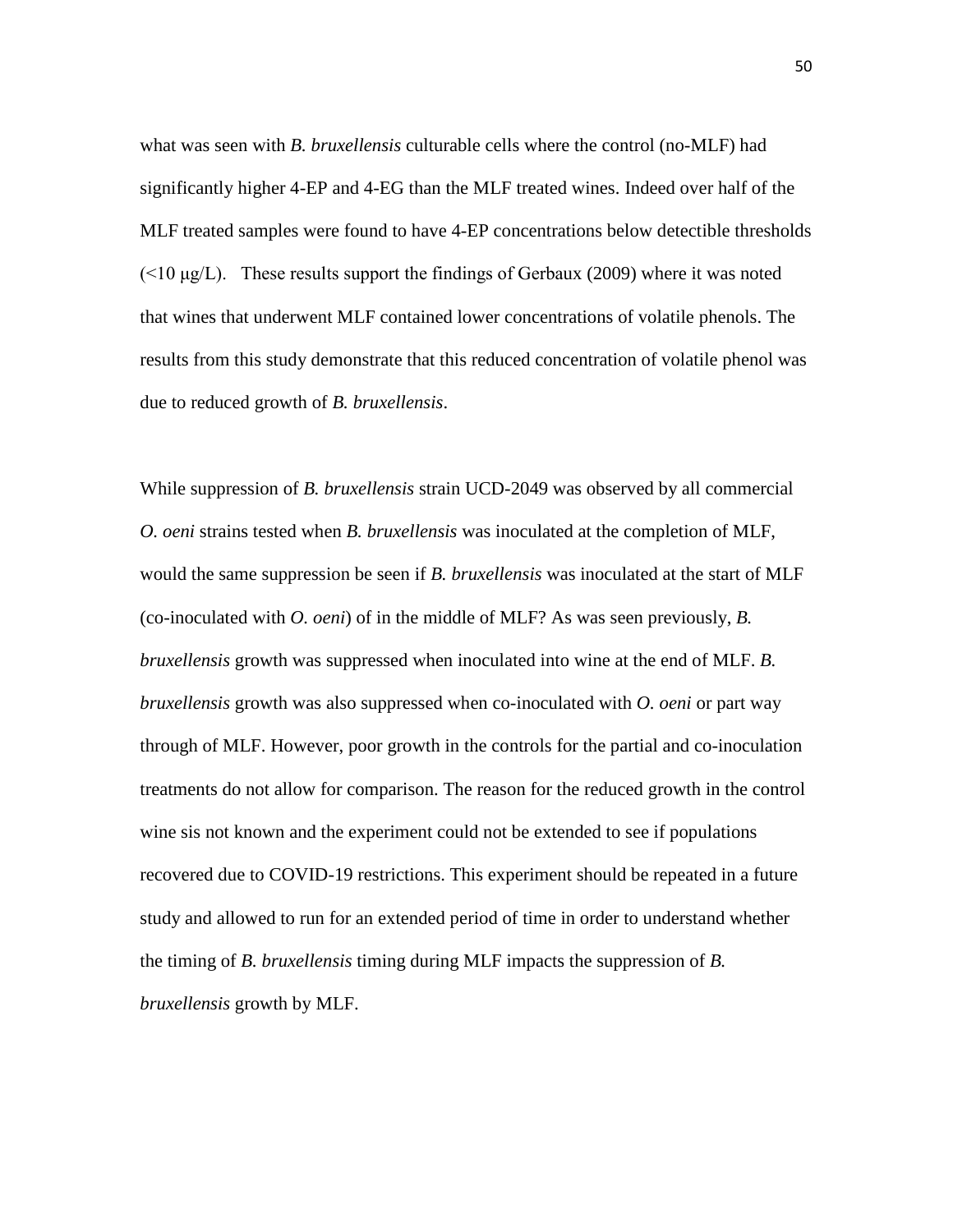what was seen with *B. bruxellensis* culturable cells where the control (no-MLF) had significantly higher 4-EP and 4-EG than the MLF treated wines. Indeed over half of the MLF treated samples were found to have 4-EP concentrations below detectible thresholds  $(\leq 10 \,\mu\text{g/L})$ . These results support the findings of Gerbaux (2009) where it was noted that wines that underwent MLF contained lower concentrations of volatile phenols. The results from this study demonstrate that this reduced concentration of volatile phenol was due to reduced growth of *B. bruxellensis*.

While suppression of *B. bruxellensis* strain UCD-2049 was observed by all commercial *O. oeni* strains tested when *B. bruxellensis* was inoculated at the completion of MLF, would the same suppression be seen if *B. bruxellensis* was inoculated at the start of MLF (co-inoculated with *O. oeni*) of in the middle of MLF? As was seen previously, *B. bruxellensis* growth was suppressed when inoculated into wine at the end of MLF. *B. bruxellensis* growth was also suppressed when co-inoculated with *O. oeni* or part way through of MLF. However, poor growth in the controls for the partial and co-inoculation treatments do not allow for comparison. The reason for the reduced growth in the control wine sis not known and the experiment could not be extended to see if populations recovered due to COVID-19 restrictions. This experiment should be repeated in a future study and allowed to run for an extended period of time in order to understand whether the timing of *B. bruxellensis* timing during MLF impacts the suppression of *B. bruxellensis* growth by MLF.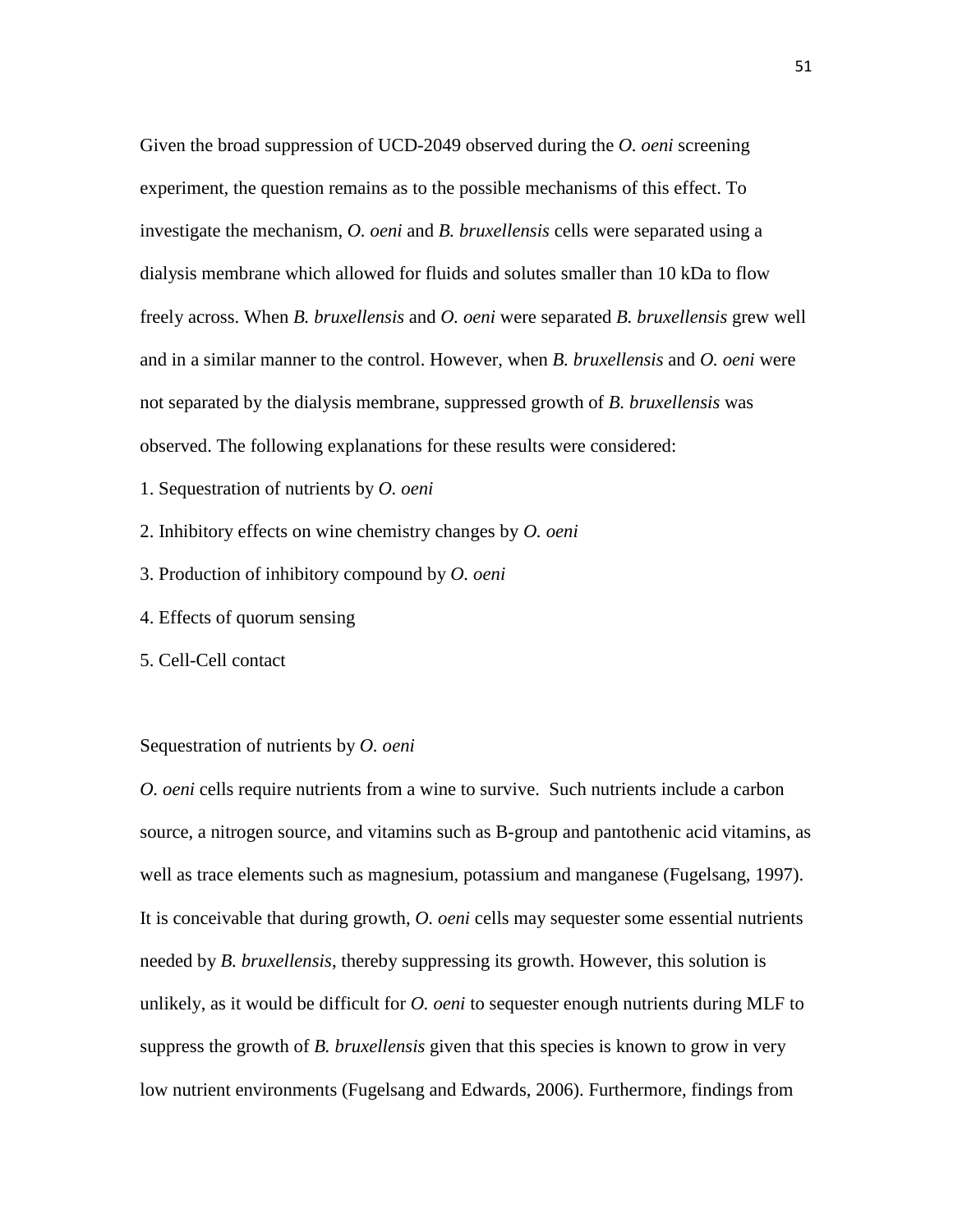Given the broad suppression of UCD-2049 observed during the *O. oeni* screening experiment, the question remains as to the possible mechanisms of this effect. To investigate the mechanism, *O. oeni* and *B. bruxellensis* cells were separated using a dialysis membrane which allowed for fluids and solutes smaller than 10 kDa to flow freely across. When *B. bruxellensis* and *O. oeni* were separated *B. bruxellensis* grew well and in a similar manner to the control. However, when *B. bruxellensis* and *O. oeni* were not separated by the dialysis membrane, suppressed growth of *B. bruxellensis* was observed. The following explanations for these results were considered:

- 1. Sequestration of nutrients by *O. oeni*
- 2. Inhibitory effects on wine chemistry changes by *O. oeni*
- 3. Production of inhibitory compound by *O. oeni*
- 4. Effects of quorum sensing
- 5. Cell-Cell contact

#### Sequestration of nutrients by *O. oeni*

*O. oeni* cells require nutrients from a wine to survive. Such nutrients include a carbon source, a nitrogen source, and vitamins such as B-group and pantothenic acid vitamins, as well as trace elements such as magnesium, potassium and manganese (Fugelsang, 1997). It is conceivable that during growth, *O. oeni* cells may sequester some essential nutrients needed by *B. bruxellensis*, thereby suppressing its growth. However, this solution is unlikely, as it would be difficult for *O. oeni* to sequester enough nutrients during MLF to suppress the growth of *B. bruxellensis* given that this species is known to grow in very low nutrient environments (Fugelsang and Edwards, 2006). Furthermore, findings from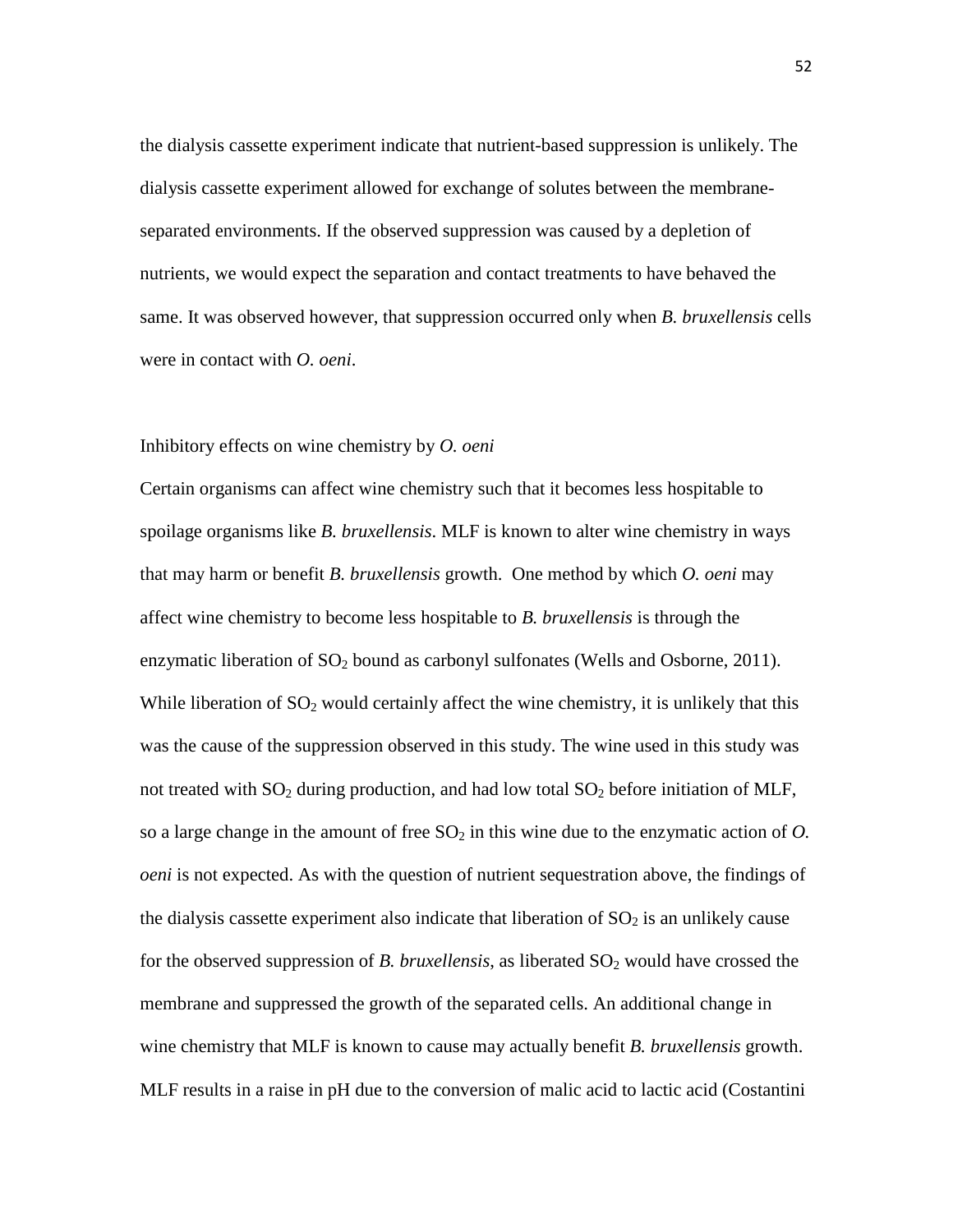the dialysis cassette experiment indicate that nutrient-based suppression is unlikely. The dialysis cassette experiment allowed for exchange of solutes between the membraneseparated environments. If the observed suppression was caused by a depletion of nutrients, we would expect the separation and contact treatments to have behaved the same. It was observed however, that suppression occurred only when *B. bruxellensis* cells were in contact with *O. oeni*.

#### Inhibitory effects on wine chemistry by *O. oeni*

Certain organisms can affect wine chemistry such that it becomes less hospitable to spoilage organisms like *B. bruxellensis*. MLF is known to alter wine chemistry in ways that may harm or benefit *B. bruxellensis* growth. One method by which *O. oeni* may affect wine chemistry to become less hospitable to *B. bruxellensis* is through the enzymatic liberation of  $SO_2$  bound as carbonyl sulfonates (Wells and Osborne, 2011). While liberation of  $SO_2$  would certainly affect the wine chemistry, it is unlikely that this was the cause of the suppression observed in this study. The wine used in this study was not treated with  $SO_2$  during production, and had low total  $SO_2$  before initiation of MLF, so a large change in the amount of free  $SO<sub>2</sub>$  in this wine due to the enzymatic action of  $O$ . *oeni* is not expected. As with the question of nutrient sequestration above, the findings of the dialysis cassette experiment also indicate that liberation of  $SO<sub>2</sub>$  is an unlikely cause for the observed suppression of *B. bruxellensis*, as liberated  $SO<sub>2</sub>$  would have crossed the membrane and suppressed the growth of the separated cells. An additional change in wine chemistry that MLF is known to cause may actually benefit *B. bruxellensis* growth. MLF results in a raise in pH due to the conversion of malic acid to lactic acid (Costantini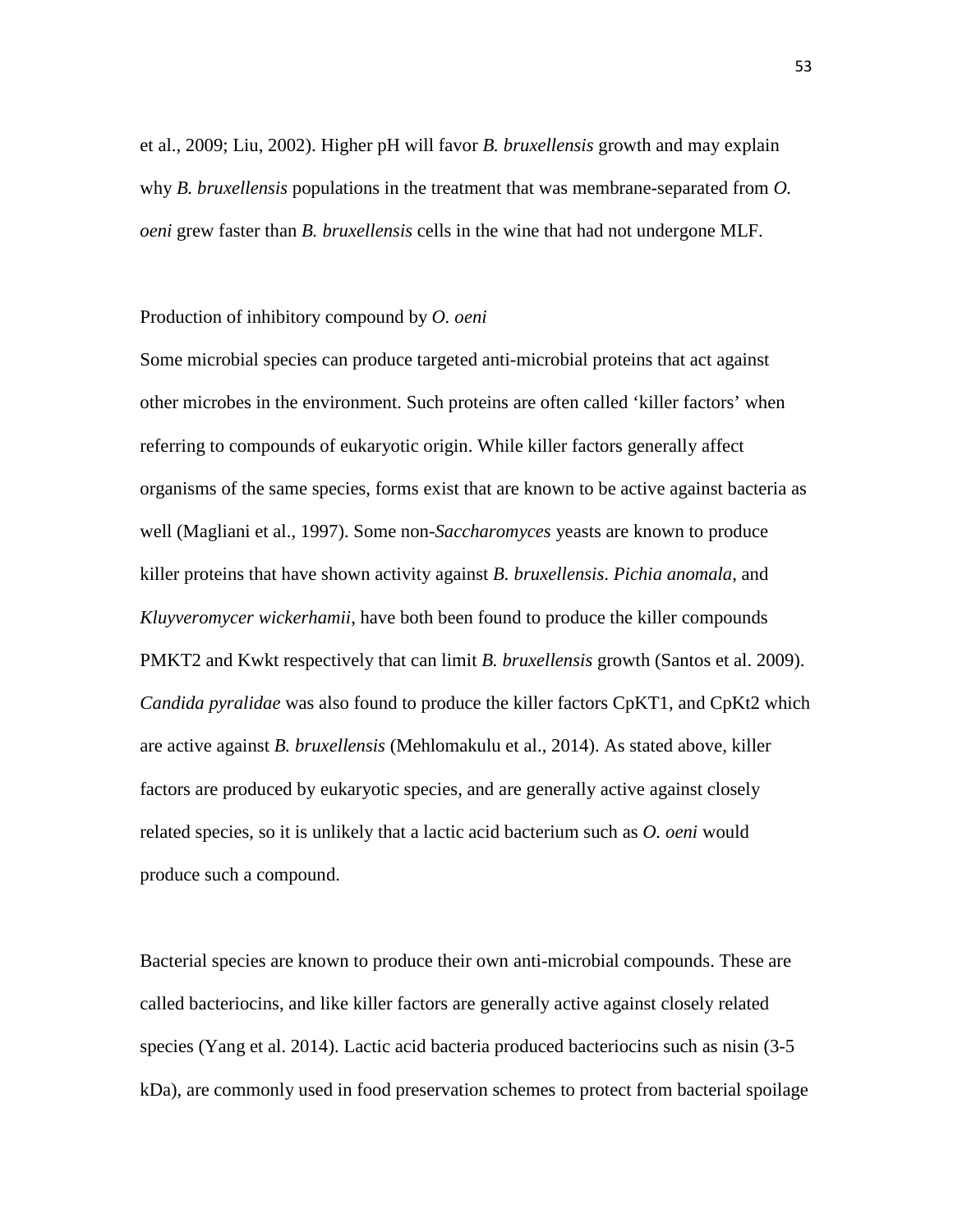et al., 2009; Liu, 2002). Higher pH will favor *B. bruxellensis* growth and may explain why *B. bruxellensis* populations in the treatment that was membrane-separated from *O. oeni* grew faster than *B. bruxellensis* cells in the wine that had not undergone MLF.

#### Production of inhibitory compound by *O. oeni*

Some microbial species can produce targeted anti-microbial proteins that act against other microbes in the environment. Such proteins are often called 'killer factors' when referring to compounds of eukaryotic origin. While killer factors generally affect organisms of the same species, forms exist that are known to be active against bacteria as well (Magliani et al., 1997). Some non-*Saccharomyces* yeasts are known to produce killer proteins that have shown activity against *B. bruxellensis*. *Pichia anomala*, and *Kluyveromycer wickerhamii*, have both been found to produce the killer compounds PMKT2 and Kwkt respectively that can limit *B. bruxellensis* growth (Santos et al. 2009). *Candida pyralidae* was also found to produce the killer factors CpKT1, and CpKt2 which are active against *B. bruxellensis* (Mehlomakulu et al., 2014). As stated above, killer factors are produced by eukaryotic species, and are generally active against closely related species, so it is unlikely that a lactic acid bacterium such as *O. oeni* would produce such a compound.

Bacterial species are known to produce their own anti-microbial compounds. These are called bacteriocins, and like killer factors are generally active against closely related species (Yang et al. 2014). Lactic acid bacteria produced bacteriocins such as nisin (3-5 kDa), are commonly used in food preservation schemes to protect from bacterial spoilage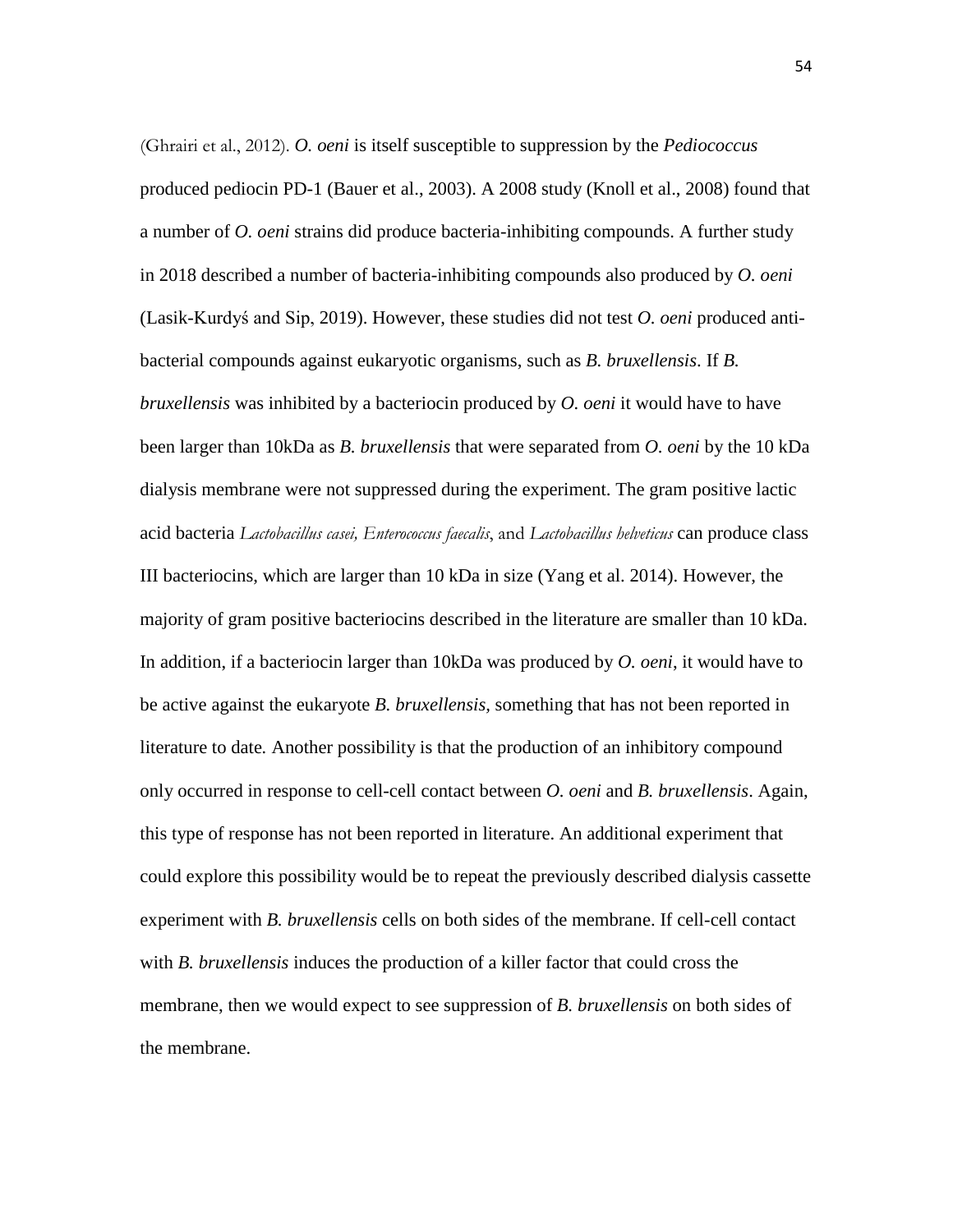(Ghrairi et al., 2012). *O. oeni* is itself susceptible to suppression by the *Pediococcus*  produced pediocin PD-1 (Bauer et al., 2003). A 2008 study (Knoll et al., 2008) found that a number of *O. oeni* strains did produce bacteria-inhibiting compounds. A further study in 2018 described a number of bacteria-inhibiting compounds also produced by *O. oeni* (Lasik-Kurdyś and Sip, 2019). However, these studies did not test *O. oeni* produced antibacterial compounds against eukaryotic organisms, such as *B. bruxellensis*. If *B. bruxellensis* was inhibited by a bacteriocin produced by *O. oeni* it would have to have been larger than 10kDa as *B. bruxellensis* that were separated from *O. oeni* by the 10 kDa dialysis membrane were not suppressed during the experiment. The gram positive lactic acid bacteria *Lactobacillus casei, Enterococcus faecalis*, and *Lactobacillus helveticus* can produce class III bacteriocins, which are larger than 10 kDa in size (Yang et al. 2014). However, the majority of gram positive bacteriocins described in the literature are smaller than 10 kDa. In addition, if a bacteriocin larger than 10kDa was produced by *O. oeni*, it would have to be active against the eukaryote *B. bruxellensis,* something that has not been reported in literature to date*.* Another possibility is that the production of an inhibitory compound only occurred in response to cell-cell contact between *O. oeni* and *B. bruxellensis*. Again, this type of response has not been reported in literature. An additional experiment that could explore this possibility would be to repeat the previously described dialysis cassette experiment with *B. bruxellensis* cells on both sides of the membrane. If cell-cell contact with *B. bruxellensis* induces the production of a killer factor that could cross the membrane, then we would expect to see suppression of *B. bruxellensis* on both sides of the membrane.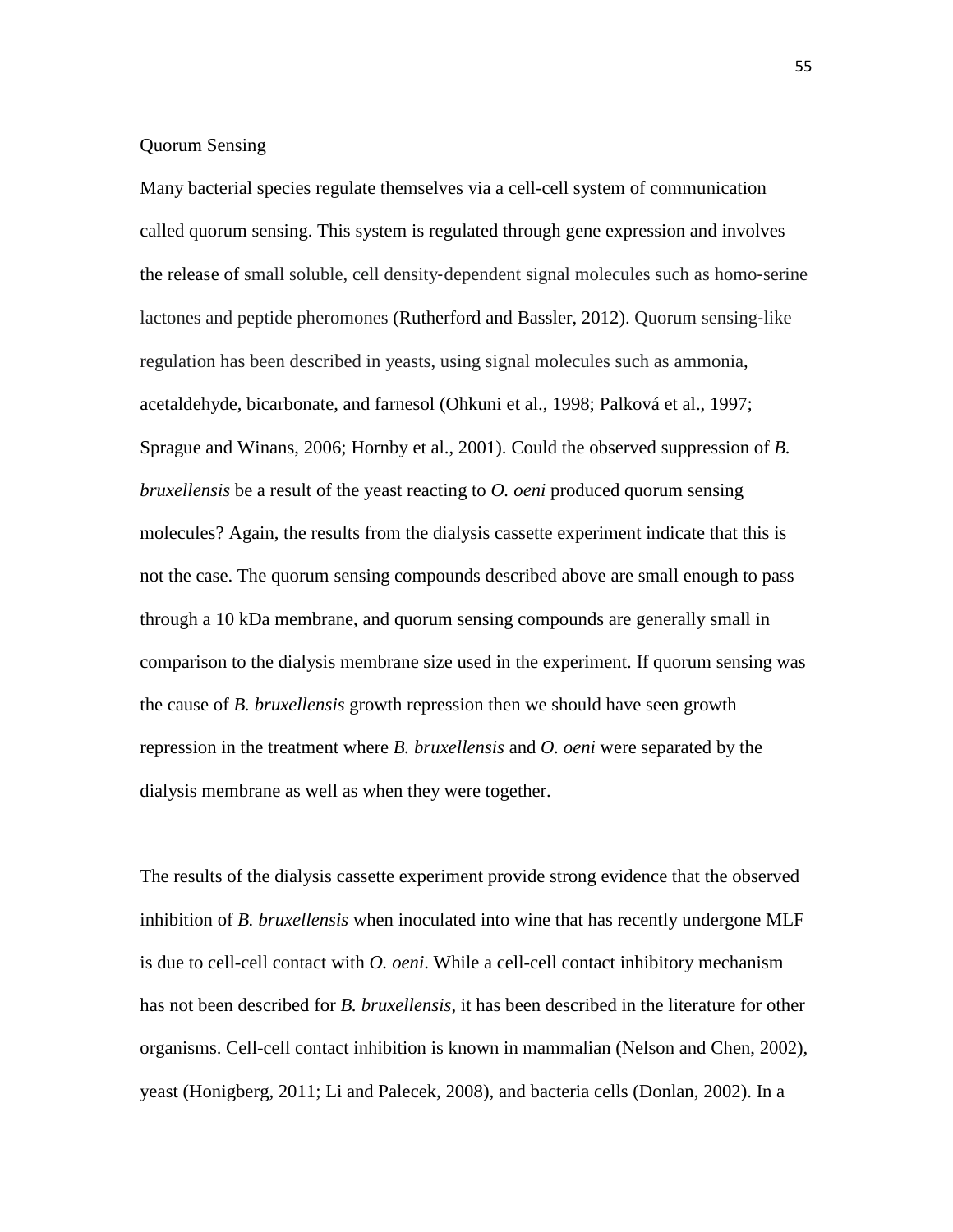### Quorum Sensing

Many bacterial species regulate themselves via a cell-cell system of communication called quorum sensing. This system is regulated through gene expression and involves the release of small soluble, cell density‐dependent signal molecules such as homo‐serine lactones and peptide pheromones (Rutherford and Bassler, 2012). Quorum sensing‐like regulation has been described in yeasts, using signal molecules such as ammonia, acetaldehyde, bicarbonate, and farnesol (Ohkuni et al., 1998; Palková et al., 1997; Sprague and Winans, 2006; Hornby et al., 2001). Could the observed suppression of *B. bruxellensis* be a result of the yeast reacting to *O. oeni* produced quorum sensing molecules? Again, the results from the dialysis cassette experiment indicate that this is not the case. The quorum sensing compounds described above are small enough to pass through a 10 kDa membrane, and quorum sensing compounds are generally small in comparison to the dialysis membrane size used in the experiment. If quorum sensing was the cause of *B. bruxellensis* growth repression then we should have seen growth repression in the treatment where *B. bruxellensis* and *O. oeni* were separated by the dialysis membrane as well as when they were together.

The results of the dialysis cassette experiment provide strong evidence that the observed inhibition of *B. bruxellensis* when inoculated into wine that has recently undergone MLF is due to cell-cell contact with *O. oeni*. While a cell-cell contact inhibitory mechanism has not been described for *B. bruxellensis*, it has been described in the literature for other organisms. Cell-cell contact inhibition is known in mammalian (Nelson and Chen, 2002), yeast (Honigberg, 2011; Li and Palecek, 2008), and bacteria cells (Donlan, 2002). In a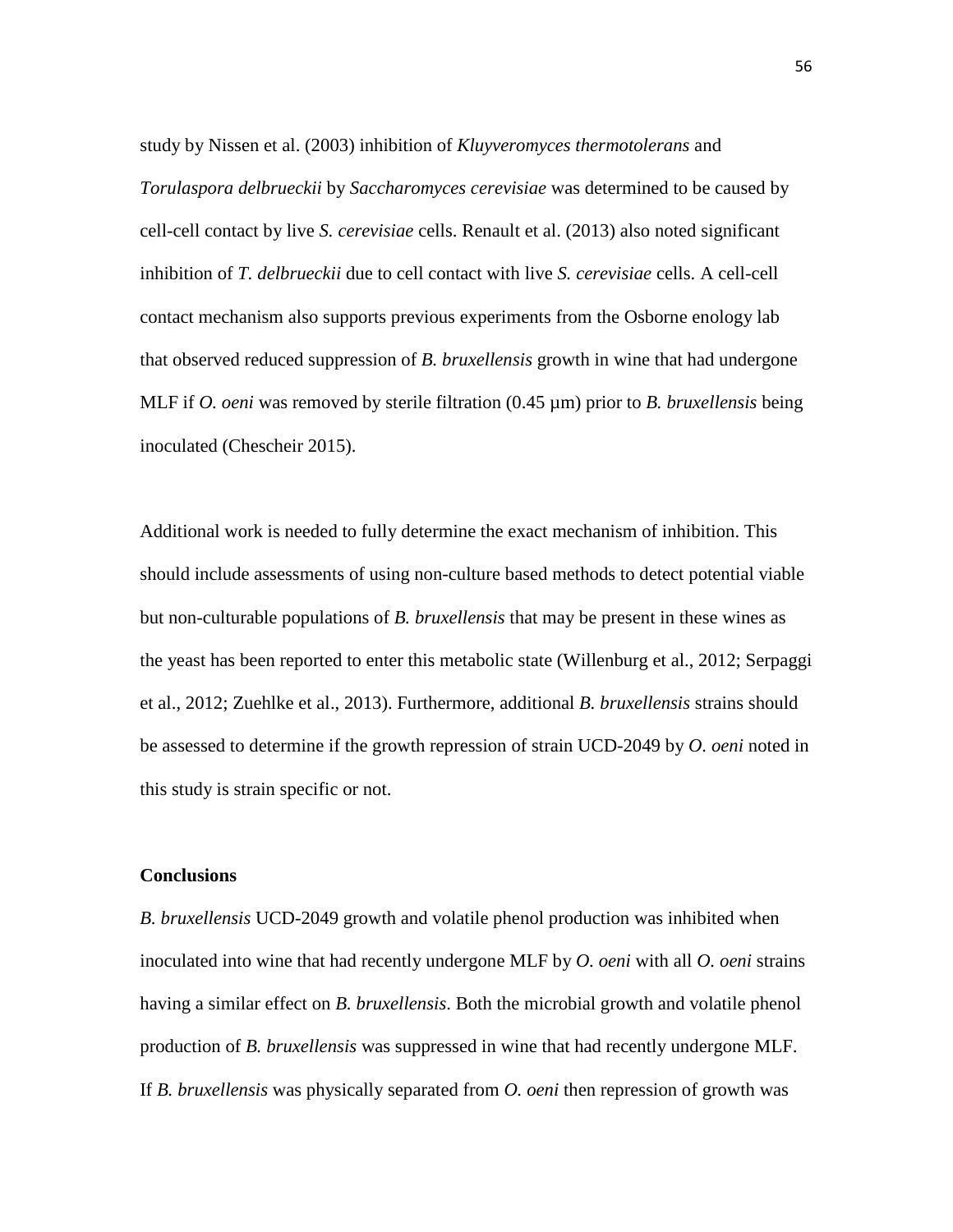study by Nissen et al. (2003) inhibition of *Kluyveromyces thermotolerans* and *Torulaspora delbrueckii* by *Saccharomyces cerevisiae* was determined to be caused by cell-cell contact by live *S. cerevisiae* cells. Renault et al. (2013) also noted significant inhibition of *T. delbrueckii* due to cell contact with live *S. cerevisiae* cells. A cell-cell contact mechanism also supports previous experiments from the Osborne enology lab that observed reduced suppression of *B. bruxellensis* growth in wine that had undergone MLF if *O. oeni* was removed by sterile filtration (0.45 µm) prior to *B. bruxellensis* being inoculated (Chescheir 2015).

Additional work is needed to fully determine the exact mechanism of inhibition. This should include assessments of using non-culture based methods to detect potential viable but non-culturable populations of *B. bruxellensis* that may be present in these wines as the yeast has been reported to enter this metabolic state (Willenburg et al., 2012; Serpaggi et al., 2012; Zuehlke et al., 2013). Furthermore, additional *B. bruxellensis* strains should be assessed to determine if the growth repression of strain UCD-2049 by *O. oeni* noted in this study is strain specific or not.

#### **Conclusions**

*B. bruxellensis* UCD-2049 growth and volatile phenol production was inhibited when inoculated into wine that had recently undergone MLF by *O. oeni* with all *O. oeni* strains having a similar effect on *B. bruxellensis*. Both the microbial growth and volatile phenol production of *B. bruxellensis* was suppressed in wine that had recently undergone MLF. If *B. bruxellensis* was physically separated from *O. oeni* then repression of growth was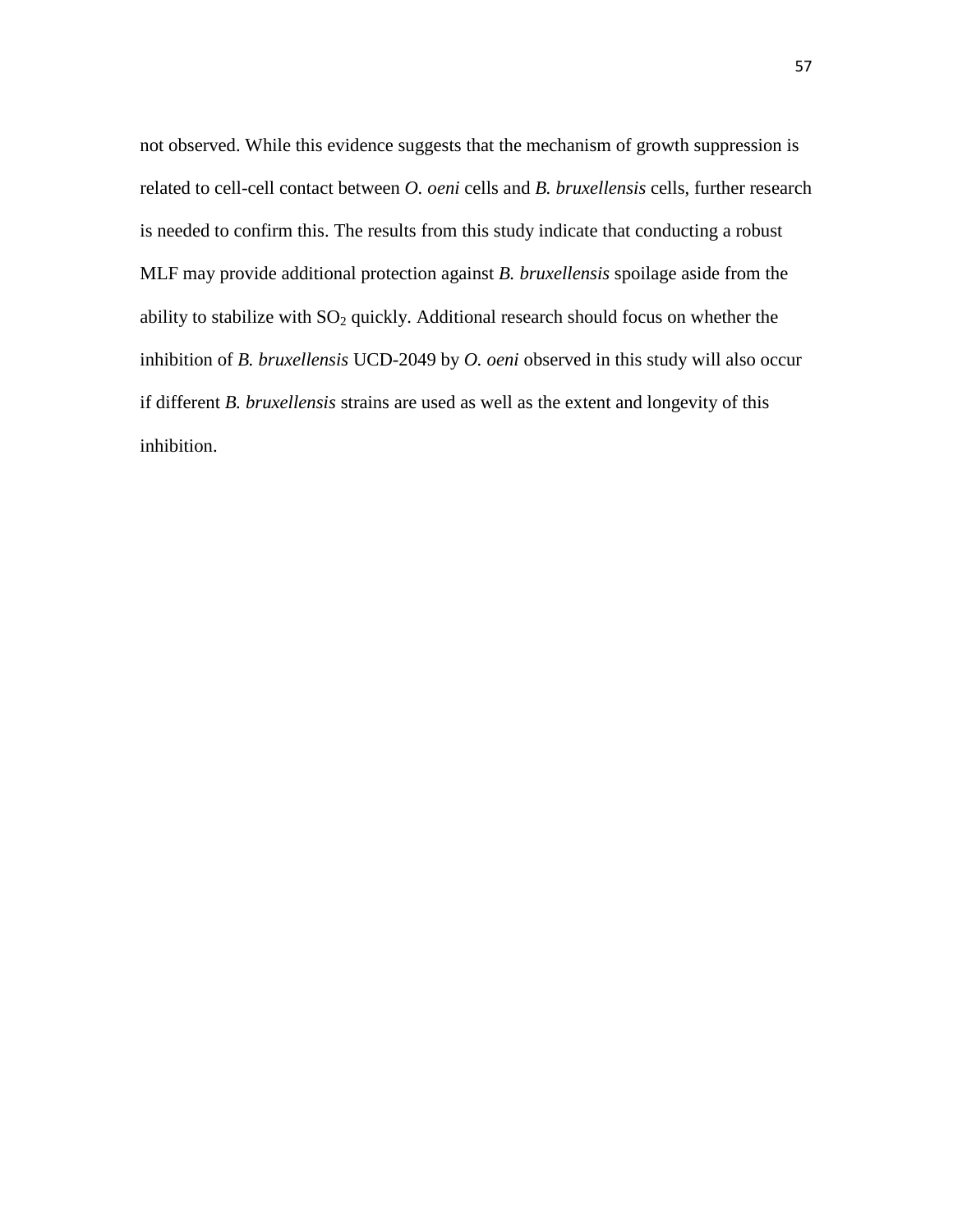not observed. While this evidence suggests that the mechanism of growth suppression is related to cell-cell contact between *O. oeni* cells and *B. bruxellensis* cells, further research is needed to confirm this. The results from this study indicate that conducting a robust MLF may provide additional protection against *B. bruxellensis* spoilage aside from the ability to stabilize with  $SO_2$  quickly. Additional research should focus on whether the inhibition of *B. bruxellensis* UCD-2049 by *O. oeni* observed in this study will also occur if different *B. bruxellensis* strains are used as well as the extent and longevity of this inhibition.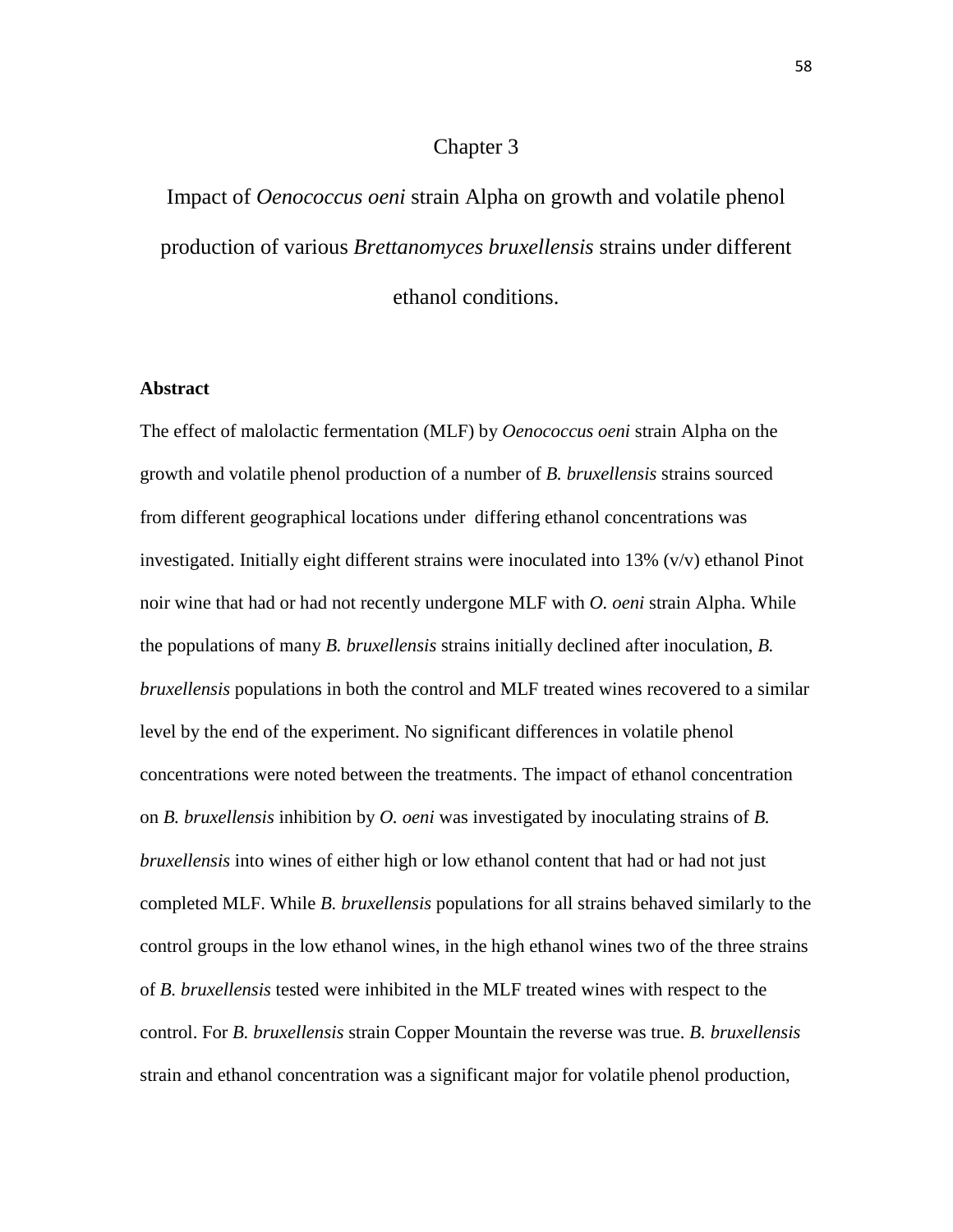# Chapter 3

Impact of *Oenococcus oeni* strain Alpha on growth and volatile phenol production of various *Brettanomyces bruxellensis* strains under different ethanol conditions.

#### **Abstract**

The effect of malolactic fermentation (MLF) by *Oenococcus oeni* strain Alpha on the growth and volatile phenol production of a number of *B. bruxellensis* strains sourced from different geographical locations under differing ethanol concentrations was investigated. Initially eight different strains were inoculated into 13% (v/v) ethanol Pinot noir wine that had or had not recently undergone MLF with *O. oeni* strain Alpha. While the populations of many *B. bruxellensis* strains initially declined after inoculation, *B. bruxellensis* populations in both the control and MLF treated wines recovered to a similar level by the end of the experiment. No significant differences in volatile phenol concentrations were noted between the treatments. The impact of ethanol concentration on *B. bruxellensis* inhibition by *O. oeni* was investigated by inoculating strains of *B. bruxellensis* into wines of either high or low ethanol content that had or had not just completed MLF. While *B. bruxellensis* populations for all strains behaved similarly to the control groups in the low ethanol wines, in the high ethanol wines two of the three strains of *B. bruxellensis* tested were inhibited in the MLF treated wines with respect to the control. For *B. bruxellensis* strain Copper Mountain the reverse was true. *B. bruxellensis*  strain and ethanol concentration was a significant major for volatile phenol production,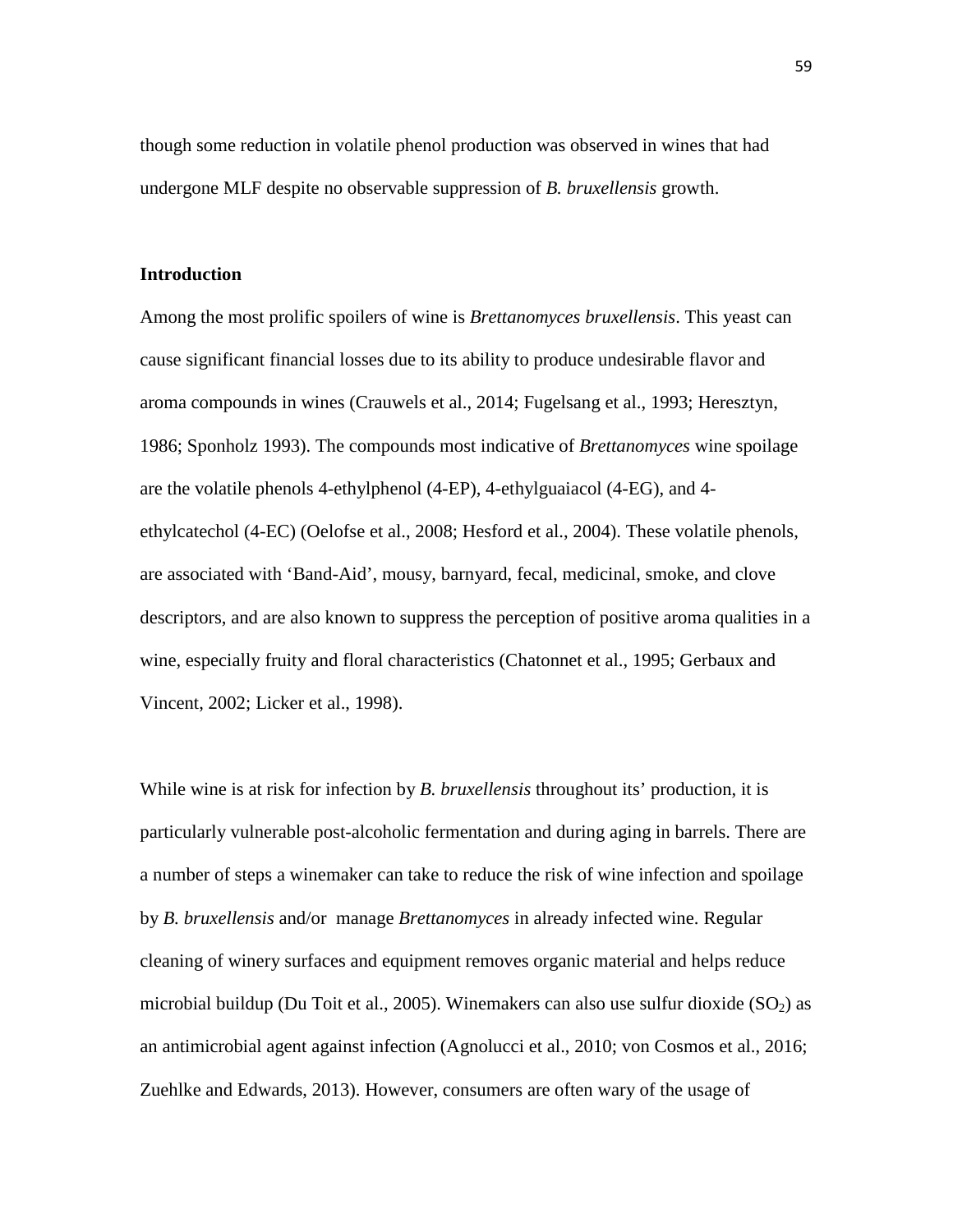though some reduction in volatile phenol production was observed in wines that had undergone MLF despite no observable suppression of *B. bruxellensis* growth.

#### **Introduction**

Among the most prolific spoilers of wine is *Brettanomyces bruxellensis*. This yeast can cause significant financial losses due to its ability to produce undesirable flavor and aroma compounds in wines (Crauwels et al., 2014; Fugelsang et al., 1993; Heresztyn, 1986; Sponholz 1993). The compounds most indicative of *Brettanomyces* wine spoilage are the volatile phenols 4-ethylphenol (4-EP), 4-ethylguaiacol (4-EG), and 4 ethylcatechol (4-EC) (Oelofse et al., 2008; Hesford et al., 2004). These volatile phenols, are associated with 'Band-Aid', mousy, barnyard, fecal, medicinal, smoke, and clove descriptors, and are also known to suppress the perception of positive aroma qualities in a wine, especially fruity and floral characteristics (Chatonnet et al., 1995; Gerbaux and Vincent, 2002; Licker et al., 1998).

While wine is at risk for infection by *B. bruxellensis* throughout its' production, it is particularly vulnerable post-alcoholic fermentation and during aging in barrels. There are a number of steps a winemaker can take to reduce the risk of wine infection and spoilage by *B. bruxellensis* and/or manage *Brettanomyces* in already infected wine. Regular cleaning of winery surfaces and equipment removes organic material and helps reduce microbial buildup (Du Toit et al., 2005). Winemakers can also use sulfur dioxide ( $SO<sub>2</sub>$ ) as an antimicrobial agent against infection (Agnolucci et al., 2010; von Cosmos et al., 2016; Zuehlke and Edwards, 2013). However, consumers are often wary of the usage of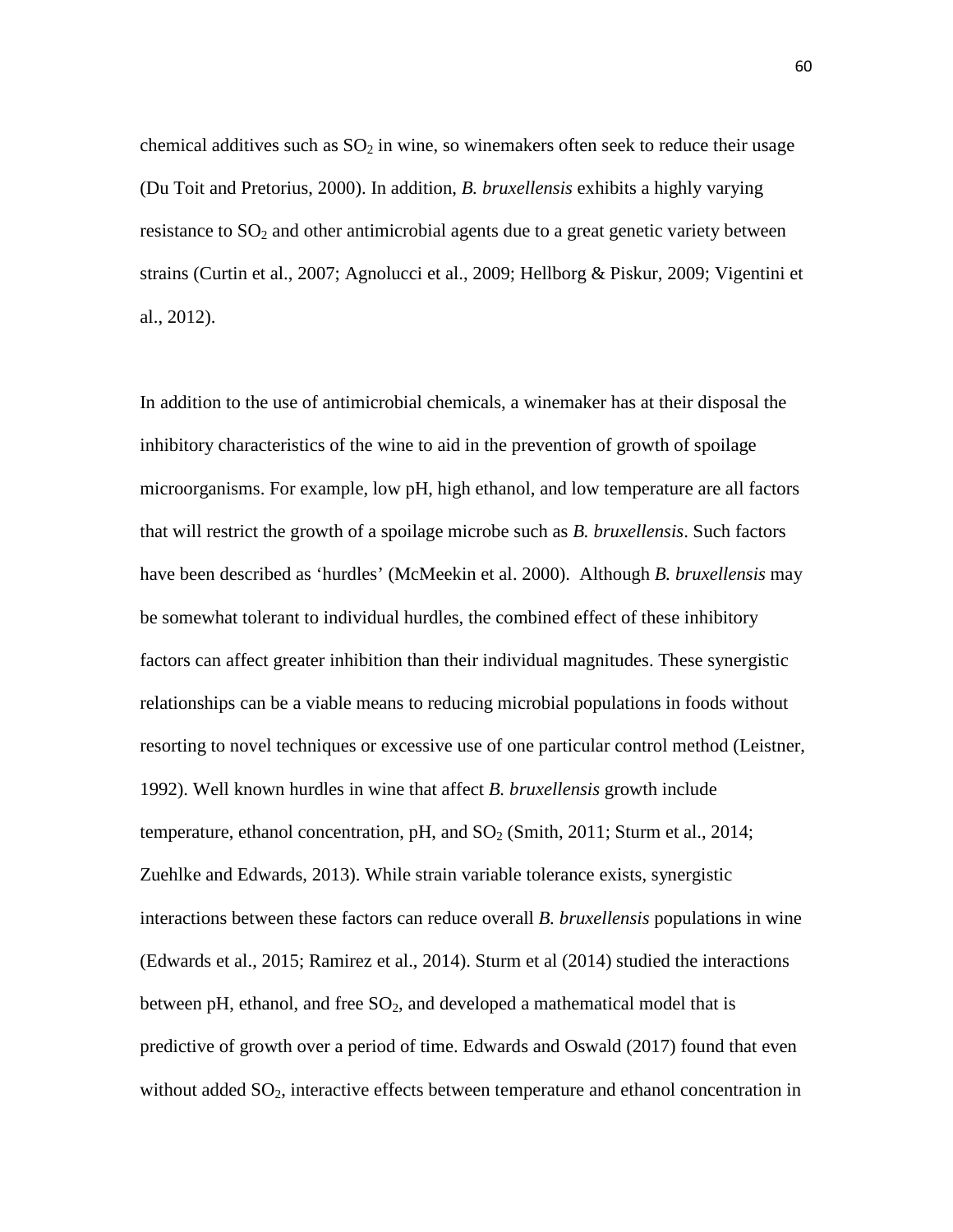chemical additives such as  $SO_2$  in wine, so winemakers often seek to reduce their usage (Du Toit and Pretorius, 2000). In addition, *B. bruxellensis* exhibits a highly varying resistance to  $SO<sub>2</sub>$  and other antimicrobial agents due to a great genetic variety between strains (Curtin et al., 2007; Agnolucci et al., 2009; Hellborg & Piskur, 2009; Vigentini et al., 2012).

In addition to the use of antimicrobial chemicals, a winemaker has at their disposal the inhibitory characteristics of the wine to aid in the prevention of growth of spoilage microorganisms. For example, low pH, high ethanol, and low temperature are all factors that will restrict the growth of a spoilage microbe such as *B. bruxellensis*. Such factors have been described as 'hurdles' (McMeekin et al. 2000). Although *B. bruxellensis* may be somewhat tolerant to individual hurdles, the combined effect of these inhibitory factors can affect greater inhibition than their individual magnitudes. These synergistic relationships can be a viable means to reducing microbial populations in foods without resorting to novel techniques or excessive use of one particular control method (Leistner, 1992). Well known hurdles in wine that affect *B. bruxellensis* growth include temperature, ethanol concentration, pH, and  $SO<sub>2</sub>$  (Smith, 2011; Sturm et al., 2014; Zuehlke and Edwards, 2013). While strain variable tolerance exists, synergistic interactions between these factors can reduce overall *B. bruxellensis* populations in wine (Edwards et al., 2015; Ramirez et al., 2014). Sturm et al (2014) studied the interactions between pH, ethanol, and free  $SO<sub>2</sub>$ , and developed a mathematical model that is predictive of growth over a period of time. Edwards and Oswald (2017) found that even without added  $SO_2$ , interactive effects between temperature and ethanol concentration in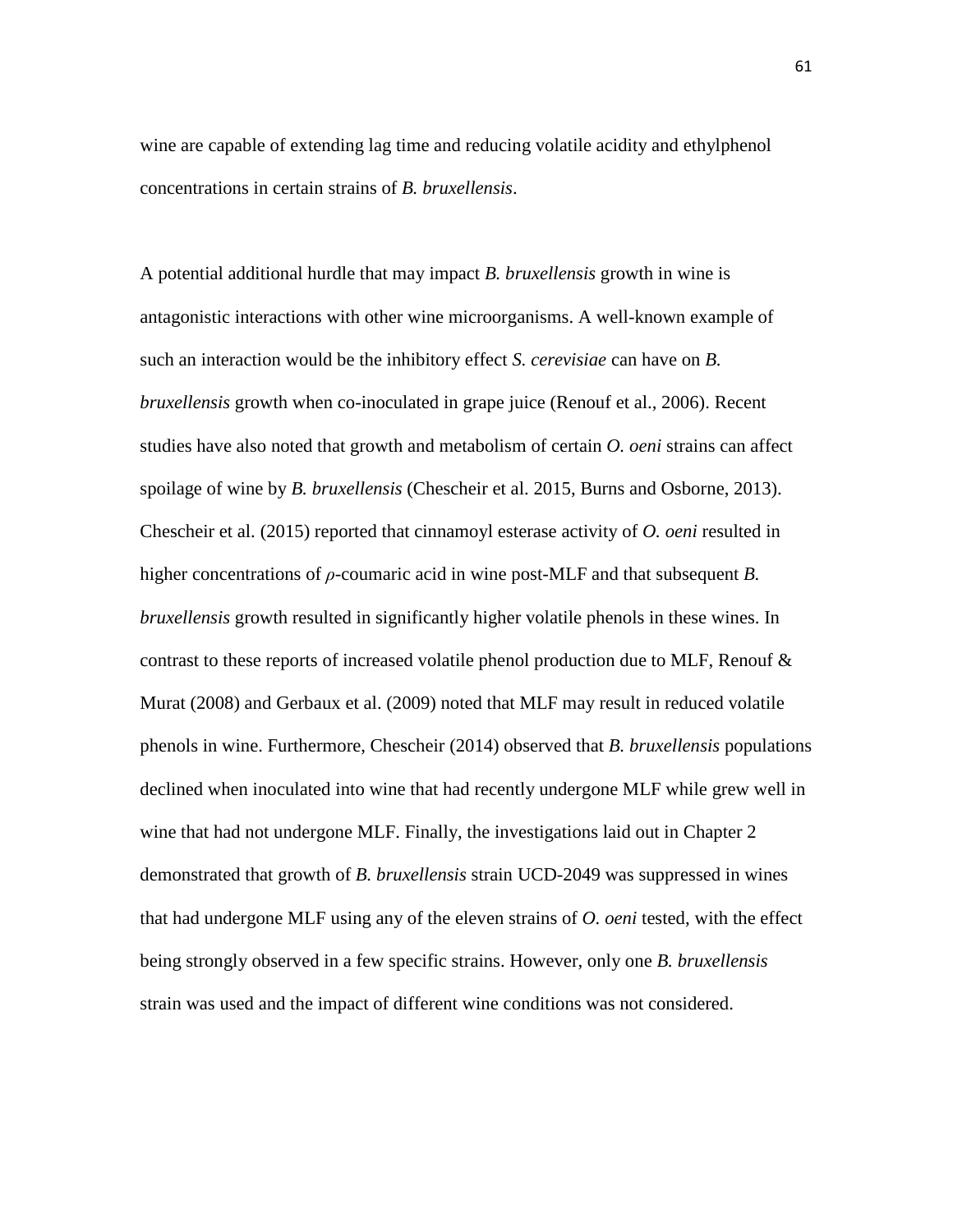wine are capable of extending lag time and reducing volatile acidity and ethylphenol concentrations in certain strains of *B. bruxellensis*.

A potential additional hurdle that may impact *B. bruxellensis* growth in wine is antagonistic interactions with other wine microorganisms. A well-known example of such an interaction would be the inhibitory effect *S. cerevisiae* can have on *B. bruxellensis* growth when co-inoculated in grape juice (Renouf et al., 2006). Recent studies have also noted that growth and metabolism of certain *O. oeni* strains can affect spoilage of wine by *B. bruxellensis* (Chescheir et al. 2015, Burns and Osborne, 2013). Chescheir et al. (2015) reported that cinnamoyl esterase activity of *O. oeni* resulted in higher concentrations of *ρ-*coumaric acid in wine post-MLF and that subsequent *B. bruxellensis* growth resulted in significantly higher volatile phenols in these wines. In contrast to these reports of increased volatile phenol production due to MLF, Renouf  $\&$ Murat (2008) and Gerbaux et al. (2009) noted that MLF may result in reduced volatile phenols in wine. Furthermore, Chescheir (2014) observed that *B. bruxellensis* populations declined when inoculated into wine that had recently undergone MLF while grew well in wine that had not undergone MLF. Finally, the investigations laid out in Chapter 2 demonstrated that growth of *B. bruxellensis* strain UCD-2049 was suppressed in wines that had undergone MLF using any of the eleven strains of *O. oeni* tested, with the effect being strongly observed in a few specific strains. However, only one *B. bruxellensis* strain was used and the impact of different wine conditions was not considered.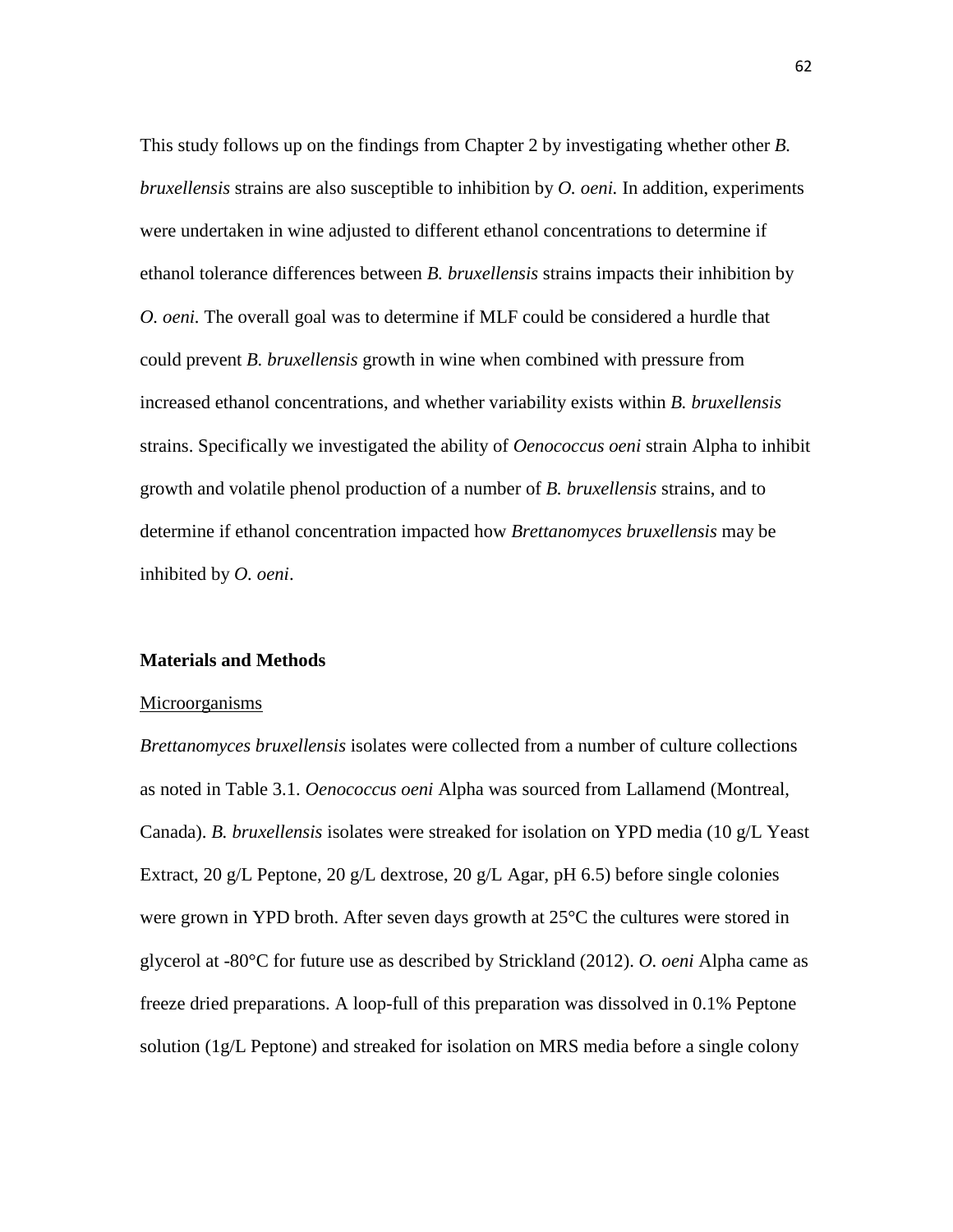This study follows up on the findings from Chapter 2 by investigating whether other *B. bruxellensis* strains are also susceptible to inhibition by *O. oeni.* In addition, experiments were undertaken in wine adjusted to different ethanol concentrations to determine if ethanol tolerance differences between *B. bruxellensis* strains impacts their inhibition by *O. oeni.* The overall goal was to determine if MLF could be considered a hurdle that could prevent *B. bruxellensis* growth in wine when combined with pressure from increased ethanol concentrations, and whether variability exists within *B. bruxellensis* strains. Specifically we investigated the ability of *Oenococcus oeni* strain Alpha to inhibit growth and volatile phenol production of a number of *B. bruxellensis* strains, and to determine if ethanol concentration impacted how *Brettanomyces bruxellensis* may be inhibited by *O. oeni*.

#### **Materials and Methods**

#### Microorganisms

*Brettanomyces bruxellensis* isolates were collected from a number of culture collections as noted in Table 3.1. *Oenococcus oeni* Alpha was sourced from Lallamend (Montreal, Canada). *B. bruxellensis* isolates were streaked for isolation on YPD media (10 g/L Yeast Extract, 20 g/L Peptone, 20 g/L dextrose, 20 g/L Agar, pH 6.5) before single colonies were grown in YPD broth. After seven days growth at 25°C the cultures were stored in glycerol at -80°C for future use as described by Strickland (2012). *O. oeni* Alpha came as freeze dried preparations. A loop-full of this preparation was dissolved in 0.1% Peptone solution (1g/L Peptone) and streaked for isolation on MRS media before a single colony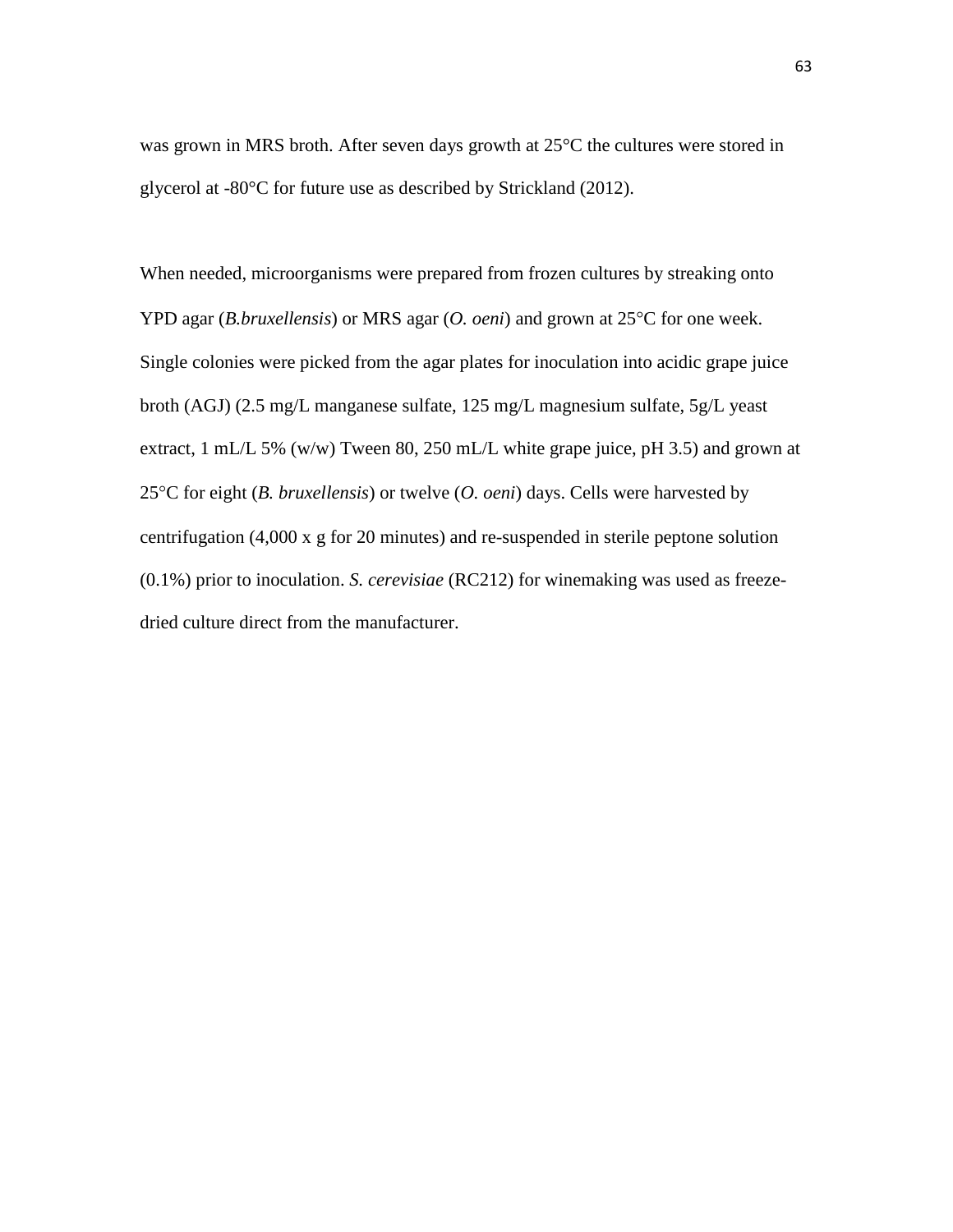was grown in MRS broth. After seven days growth at 25°C the cultures were stored in glycerol at -80°C for future use as described by Strickland (2012).

When needed, microorganisms were prepared from frozen cultures by streaking onto YPD agar (*B.bruxellensis*) or MRS agar (*O. oeni*) and grown at 25°C for one week. Single colonies were picked from the agar plates for inoculation into acidic grape juice broth (AGJ) (2.5 mg/L manganese sulfate, 125 mg/L magnesium sulfate, 5g/L yeast extract, 1 mL/L 5% (w/w) Tween 80, 250 mL/L white grape juice, pH 3.5) and grown at 25°C for eight (*B. bruxellensis*) or twelve (*O. oeni*) days. Cells were harvested by centrifugation (4,000 x g for 20 minutes) and re-suspended in sterile peptone solution (0.1%) prior to inoculation. *S. cerevisiae* (RC212) for winemaking was used as freezedried culture direct from the manufacturer.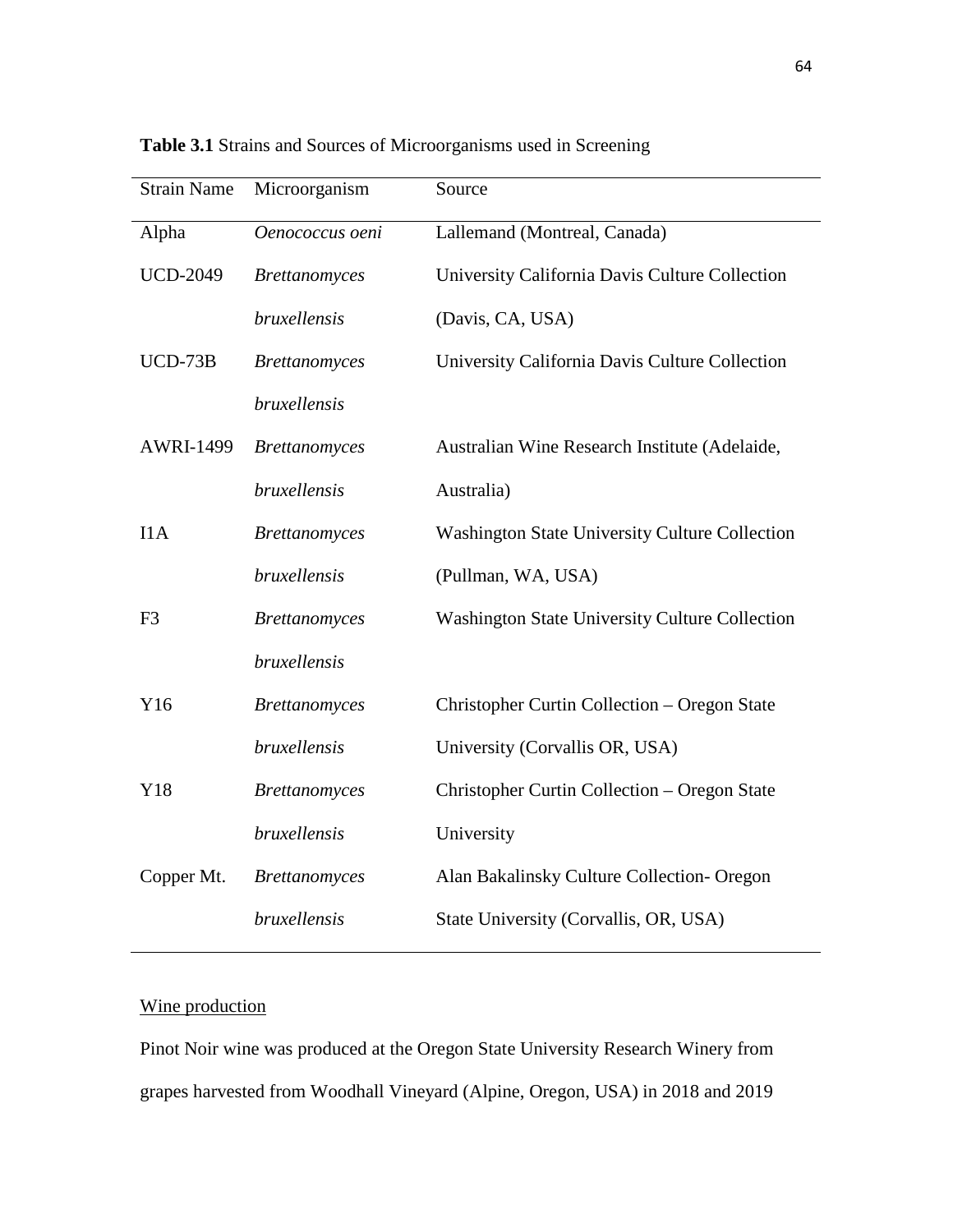| <b>Strain Name</b> | Microorganism        | Source                                                |
|--------------------|----------------------|-------------------------------------------------------|
| Alpha              | Oenococcus oeni      | Lallemand (Montreal, Canada)                          |
| <b>UCD-2049</b>    | <b>Brettanomyces</b> | University California Davis Culture Collection        |
|                    | bruxellensis         | (Davis, CA, USA)                                      |
| $UCD-73B$          | <b>Brettanomyces</b> | University California Davis Culture Collection        |
|                    | bruxellensis         |                                                       |
| <b>AWRI-1499</b>   | <b>Brettanomyces</b> | Australian Wine Research Institute (Adelaide,         |
|                    | <i>bruxellensis</i>  | Australia)                                            |
| IIA                | <b>Brettanomyces</b> | <b>Washington State University Culture Collection</b> |
|                    | bruxellensis         | (Pullman, WA, USA)                                    |
| F <sub>3</sub>     | <b>Brettanomyces</b> | <b>Washington State University Culture Collection</b> |
|                    | bruxellensis         |                                                       |
| Y16                | <b>Brettanomyces</b> | Christopher Curtin Collection – Oregon State          |
|                    | bruxellensis         | University (Corvallis OR, USA)                        |
| Y18                | <b>Brettanomyces</b> | Christopher Curtin Collection - Oregon State          |
|                    | bruxellensis         | University                                            |
| Copper Mt.         | <b>Brettanomyces</b> | Alan Bakalinsky Culture Collection- Oregon            |
|                    | bruxellensis         | State University (Corvallis, OR, USA)                 |
|                    |                      |                                                       |

**Table 3.1** Strains and Sources of Microorganisms used in Screening

# Wine production

Pinot Noir wine was produced at the Oregon State University Research Winery from grapes harvested from Woodhall Vineyard (Alpine, Oregon, USA) in 2018 and 2019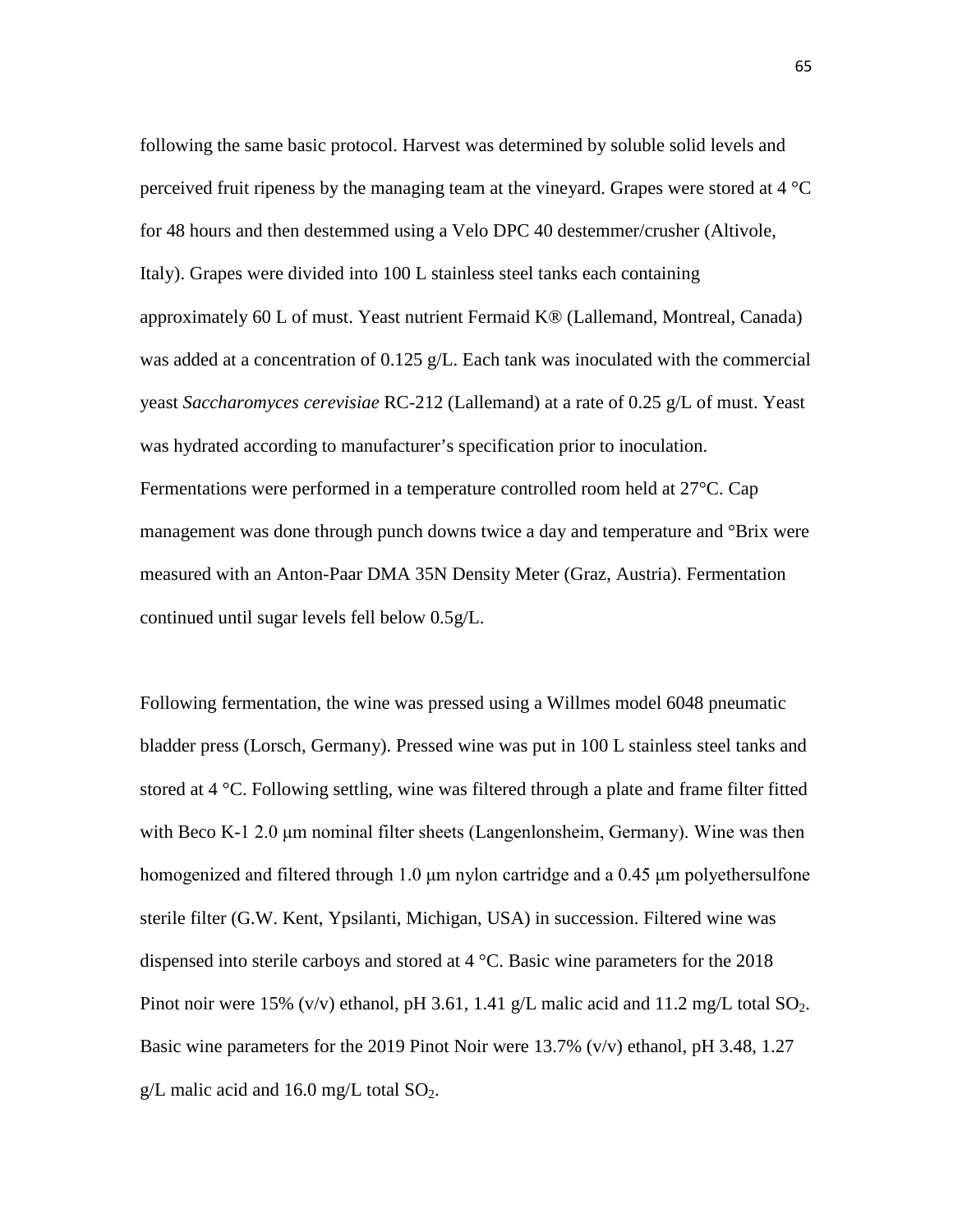following the same basic protocol. Harvest was determined by soluble solid levels and perceived fruit ripeness by the managing team at the vineyard. Grapes were stored at 4 °C for 48 hours and then destemmed using a Velo DPC 40 destemmer/crusher (Altivole, Italy). Grapes were divided into 100 L stainless steel tanks each containing approximately 60 L of must. Yeast nutrient Fermaid K® (Lallemand, Montreal, Canada) was added at a concentration of 0.125 g/L. Each tank was inoculated with the commercial yeast *Saccharomyces cerevisiae* RC-212 (Lallemand) at a rate of 0.25 g/L of must. Yeast was hydrated according to manufacturer's specification prior to inoculation. Fermentations were performed in a temperature controlled room held at 27°C. Cap management was done through punch downs twice a day and temperature and °Brix were measured with an Anton-Paar DMA 35N Density Meter (Graz, Austria). Fermentation continued until sugar levels fell below 0.5g/L.

Following fermentation, the wine was pressed using a Willmes model 6048 pneumatic bladder press (Lorsch, Germany). Pressed wine was put in 100 L stainless steel tanks and stored at 4 °C. Following settling, wine was filtered through a plate and frame filter fitted with Beco K-1 2.0 μm nominal filter sheets (Langenlonsheim, Germany). Wine was then homogenized and filtered through 1.0 μm nylon cartridge and a 0.45 μm polyethersulfone sterile filter (G.W. Kent, Ypsilanti, Michigan, USA) in succession. Filtered wine was dispensed into sterile carboys and stored at  $4 \degree C$ . Basic wine parameters for the 2018 Pinot noir were 15% (v/v) ethanol, pH 3.61, 1.41 g/L malic acid and 11.2 mg/L total  $SO_2$ . Basic wine parameters for the 2019 Pinot Noir were 13.7% (v/v) ethanol, pH 3.48, 1.27 g/L malic acid and 16.0 mg/L total  $SO_2$ .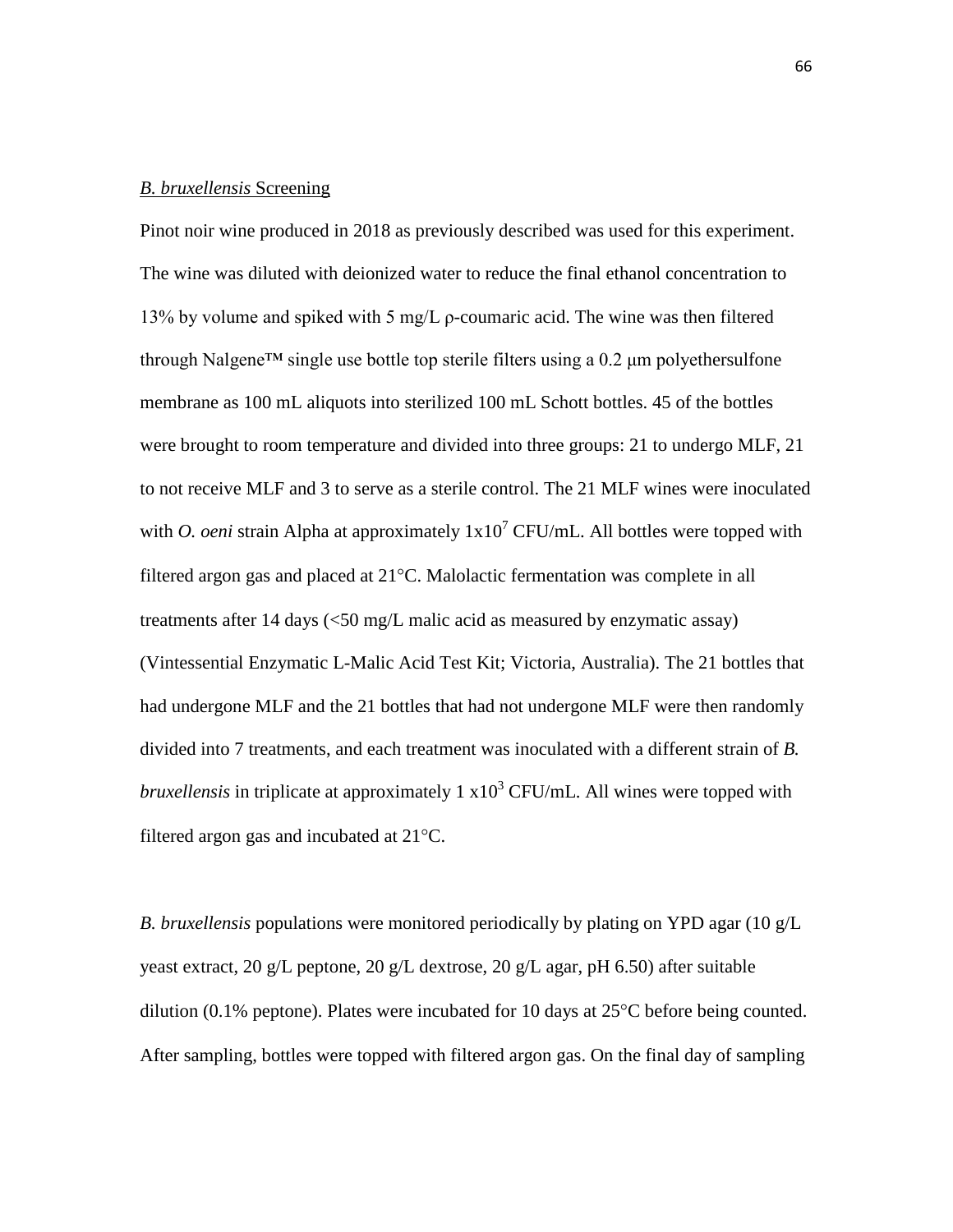#### *B. bruxellensis* Screening

Pinot noir wine produced in 2018 as previously described was used for this experiment. The wine was diluted with deionized water to reduce the final ethanol concentration to 13% by volume and spiked with 5 mg/L  $\rho$ -coumaric acid. The wine was then filtered through Nalgene<sup>TM</sup> single use bottle top sterile filters using a  $0.2 \mu m$  polyethersulfone membrane as 100 mL aliquots into sterilized 100 mL Schott bottles. 45 of the bottles were brought to room temperature and divided into three groups: 21 to undergo MLF, 21 to not receive MLF and 3 to serve as a sterile control. The 21 MLF wines were inoculated with *O. oeni* strain Alpha at approximately  $1x10^7$  CFU/mL. All bottles were topped with filtered argon gas and placed at 21°C. Malolactic fermentation was complete in all treatments after 14 days (<50 mg/L malic acid as measured by enzymatic assay) (Vintessential Enzymatic L-Malic Acid Test Kit; Victoria, Australia). The 21 bottles that had undergone MLF and the 21 bottles that had not undergone MLF were then randomly divided into 7 treatments, and each treatment was inoculated with a different strain of *B. bruxellensis* in triplicate at approximately  $1 \times 10^3$  CFU/mL. All wines were topped with filtered argon gas and incubated at 21°C.

*B. bruxellensis* populations were monitored periodically by plating on YPD agar (10 g/L yeast extract, 20 g/L peptone, 20 g/L dextrose, 20 g/L agar, pH 6.50) after suitable dilution (0.1% peptone). Plates were incubated for 10 days at 25°C before being counted. After sampling, bottles were topped with filtered argon gas. On the final day of sampling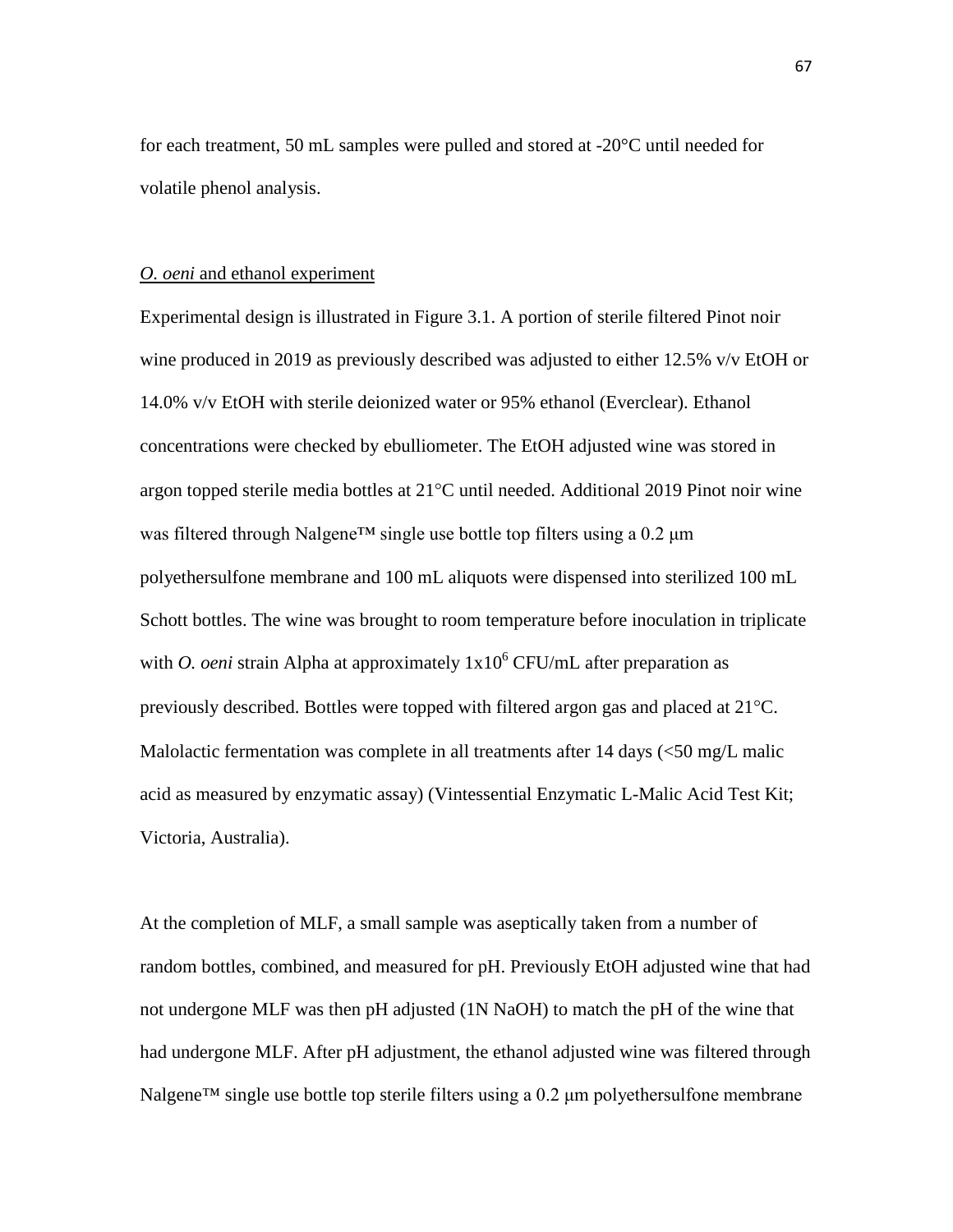for each treatment, 50 mL samples were pulled and stored at -20°C until needed for volatile phenol analysis.

### *O. oeni* and ethanol experiment

Experimental design is illustrated in Figure 3.1. A portion of sterile filtered Pinot noir wine produced in 2019 as previously described was adjusted to either 12.5% v/v EtOH or 14.0% v/v EtOH with sterile deionized water or 95% ethanol (Everclear). Ethanol concentrations were checked by ebulliometer. The EtOH adjusted wine was stored in argon topped sterile media bottles at 21°C until needed. Additional 2019 Pinot noir wine was filtered through Nalgene™ single use bottle top filters using a 0.2 μm polyethersulfone membrane and 100 mL aliquots were dispensed into sterilized 100 mL Schott bottles. The wine was brought to room temperature before inoculation in triplicate with *O. oeni* strain Alpha at approximately  $1x10^6$  CFU/mL after preparation as previously described. Bottles were topped with filtered argon gas and placed at 21°C. Malolactic fermentation was complete in all treatments after 14 days  $(<50 \text{ mg/L m}$ acid as measured by enzymatic assay) (Vintessential Enzymatic L-Malic Acid Test Kit; Victoria, Australia).

At the completion of MLF, a small sample was aseptically taken from a number of random bottles, combined, and measured for pH. Previously EtOH adjusted wine that had not undergone MLF was then pH adjusted (1N NaOH) to match the pH of the wine that had undergone MLF. After pH adjustment, the ethanol adjusted wine was filtered through Nalgene<sup>TM</sup> single use bottle top sterile filters using a  $0.2 \mu$ m polyethersulfone membrane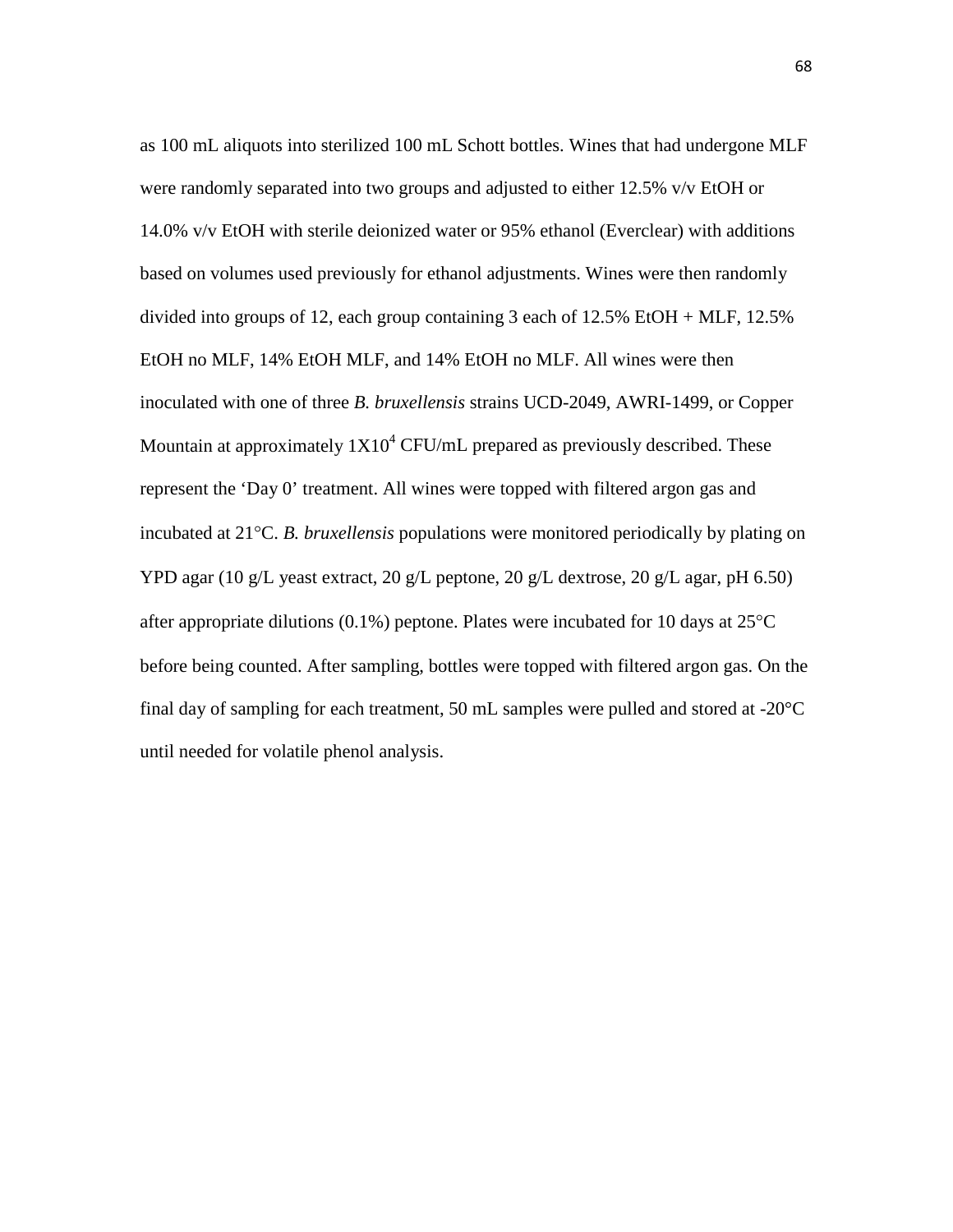as 100 mL aliquots into sterilized 100 mL Schott bottles. Wines that had undergone MLF were randomly separated into two groups and adjusted to either 12.5% v/v EtOH or 14.0% v/v EtOH with sterile deionized water or 95% ethanol (Everclear) with additions based on volumes used previously for ethanol adjustments. Wines were then randomly divided into groups of 12, each group containing 3 each of 12.5% EtOH + MLF, 12.5% EtOH no MLF, 14% EtOH MLF, and 14% EtOH no MLF. All wines were then inoculated with one of three *B. bruxellensis* strains UCD-2049, AWRI-1499, or Copper Mountain at approximately  $1X10^4$  CFU/mL prepared as previously described. These represent the 'Day 0' treatment. All wines were topped with filtered argon gas and incubated at 21°C. *B. bruxellensis* populations were monitored periodically by plating on YPD agar (10 g/L yeast extract, 20 g/L peptone, 20 g/L dextrose, 20 g/L agar, pH 6.50) after appropriate dilutions (0.1%) peptone. Plates were incubated for 10 days at 25°C before being counted. After sampling, bottles were topped with filtered argon gas. On the final day of sampling for each treatment, 50 mL samples were pulled and stored at -20°C until needed for volatile phenol analysis.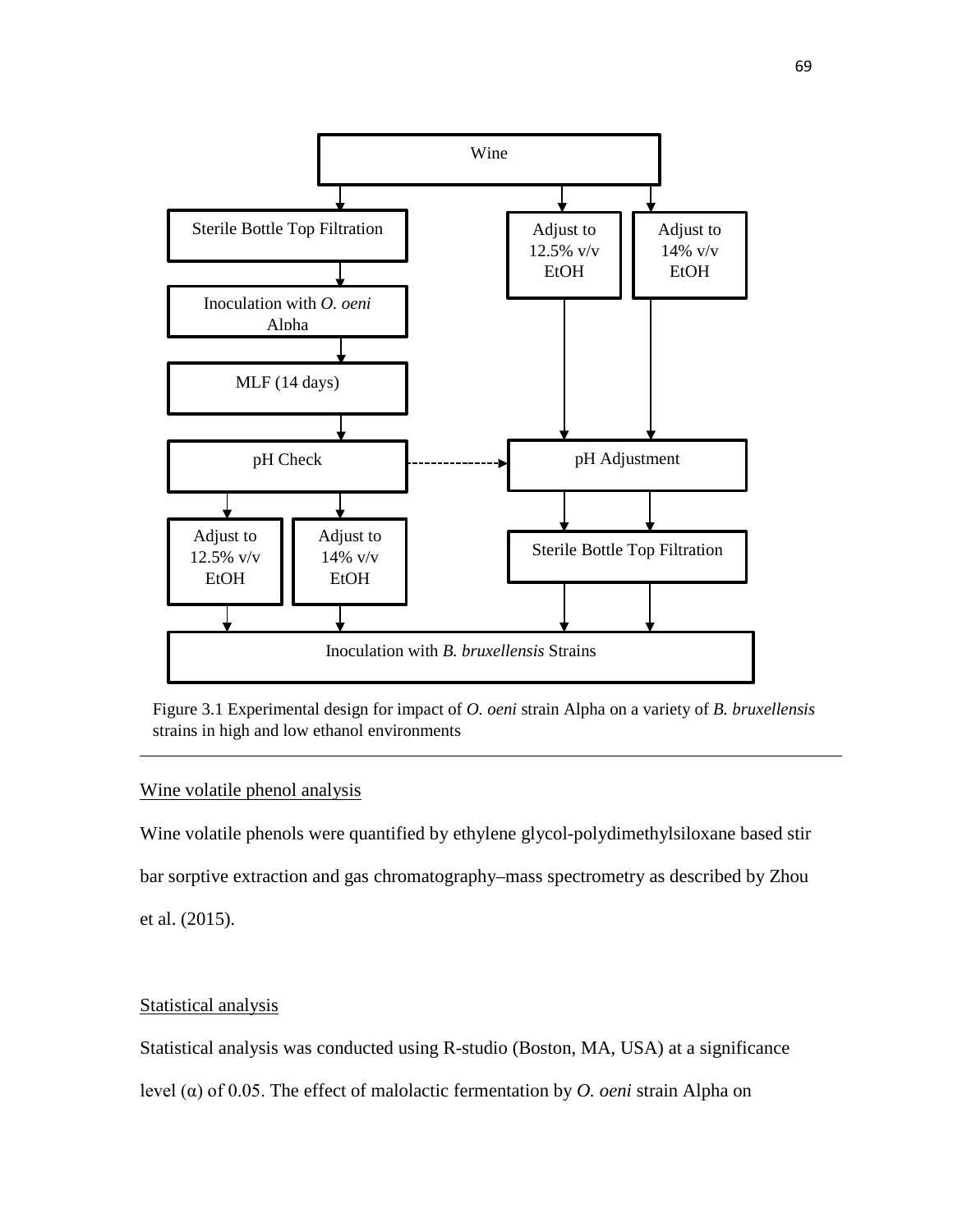



## Wine volatile phenol analysis

Wine volatile phenols were quantified by ethylene glycol-polydimethylsiloxane based stir bar sorptive extraction and gas chromatography–mass spectrometry as described by Zhou et al. (2015).

## Statistical analysis

Statistical analysis was conducted using R-studio (Boston, MA, USA) at a significance

level (α) of 0.05. The effect of malolactic fermentation by *O. oeni* strain Alpha on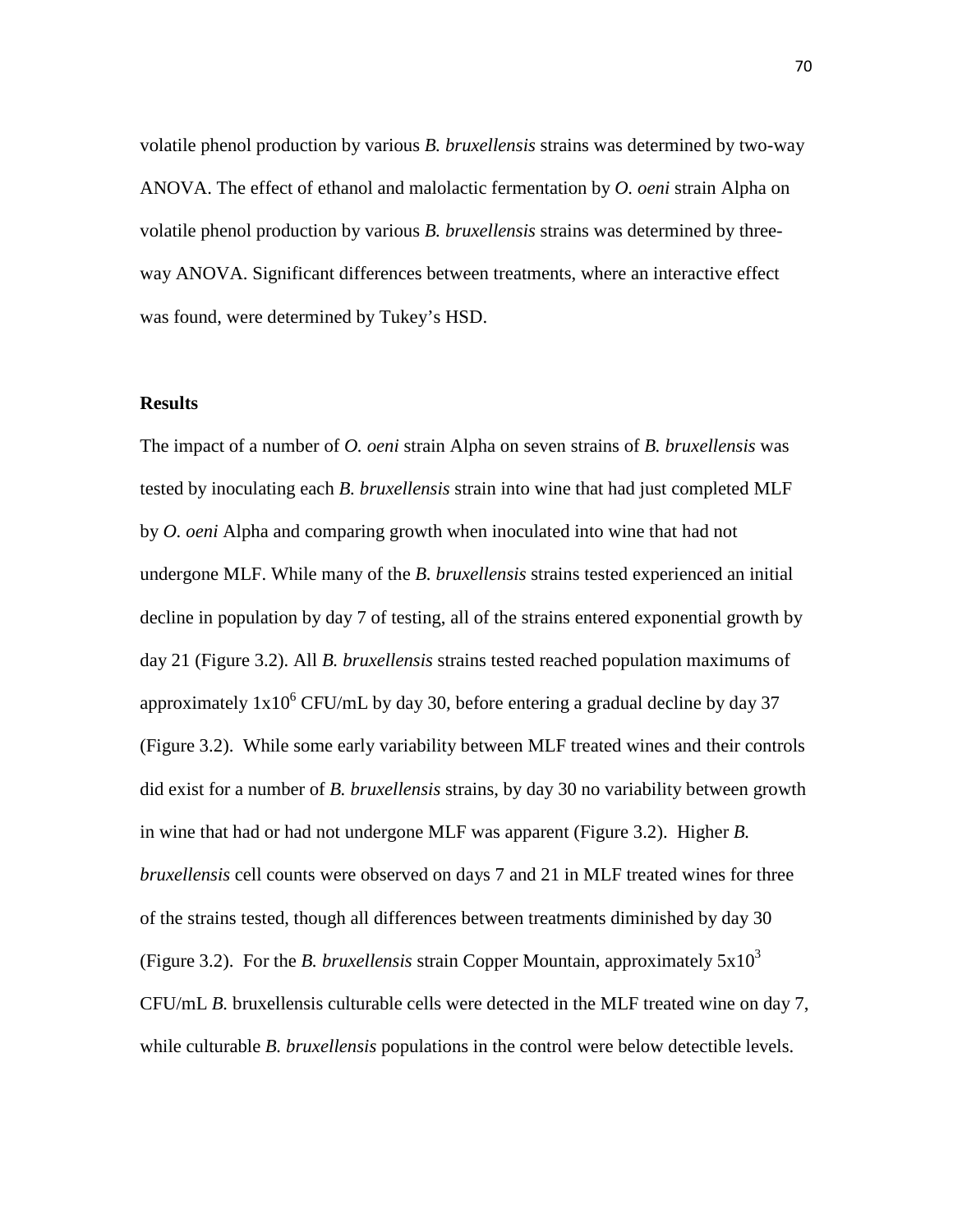volatile phenol production by various *B. bruxellensis* strains was determined by two-way ANOVA. The effect of ethanol and malolactic fermentation by *O. oeni* strain Alpha on volatile phenol production by various *B. bruxellensis* strains was determined by threeway ANOVA. Significant differences between treatments, where an interactive effect was found, were determined by Tukey's HSD.

### **Results**

The impact of a number of *O. oeni* strain Alpha on seven strains of *B. bruxellensis* was tested by inoculating each *B. bruxellensis* strain into wine that had just completed MLF by *O. oeni* Alpha and comparing growth when inoculated into wine that had not undergone MLF. While many of the *B. bruxellensis* strains tested experienced an initial decline in population by day 7 of testing, all of the strains entered exponential growth by day 21 (Figure 3.2). All *B. bruxellensis* strains tested reached population maximums of approximately  $1x10^6$  CFU/mL by day 30, before entering a gradual decline by day 37 (Figure 3.2). While some early variability between MLF treated wines and their controls did exist for a number of *B. bruxellensis* strains, by day 30 no variability between growth in wine that had or had not undergone MLF was apparent (Figure 3.2). Higher *B. bruxellensis* cell counts were observed on days 7 and 21 in MLF treated wines for three of the strains tested, though all differences between treatments diminished by day 30 (Figure 3.2). For the *B. bruxellensis* strain Copper Mountain, approximately  $5x10^3$ CFU/mL *B.* bruxellensis culturable cells were detected in the MLF treated wine on day 7, while culturable *B. bruxellensis* populations in the control were below detectible levels.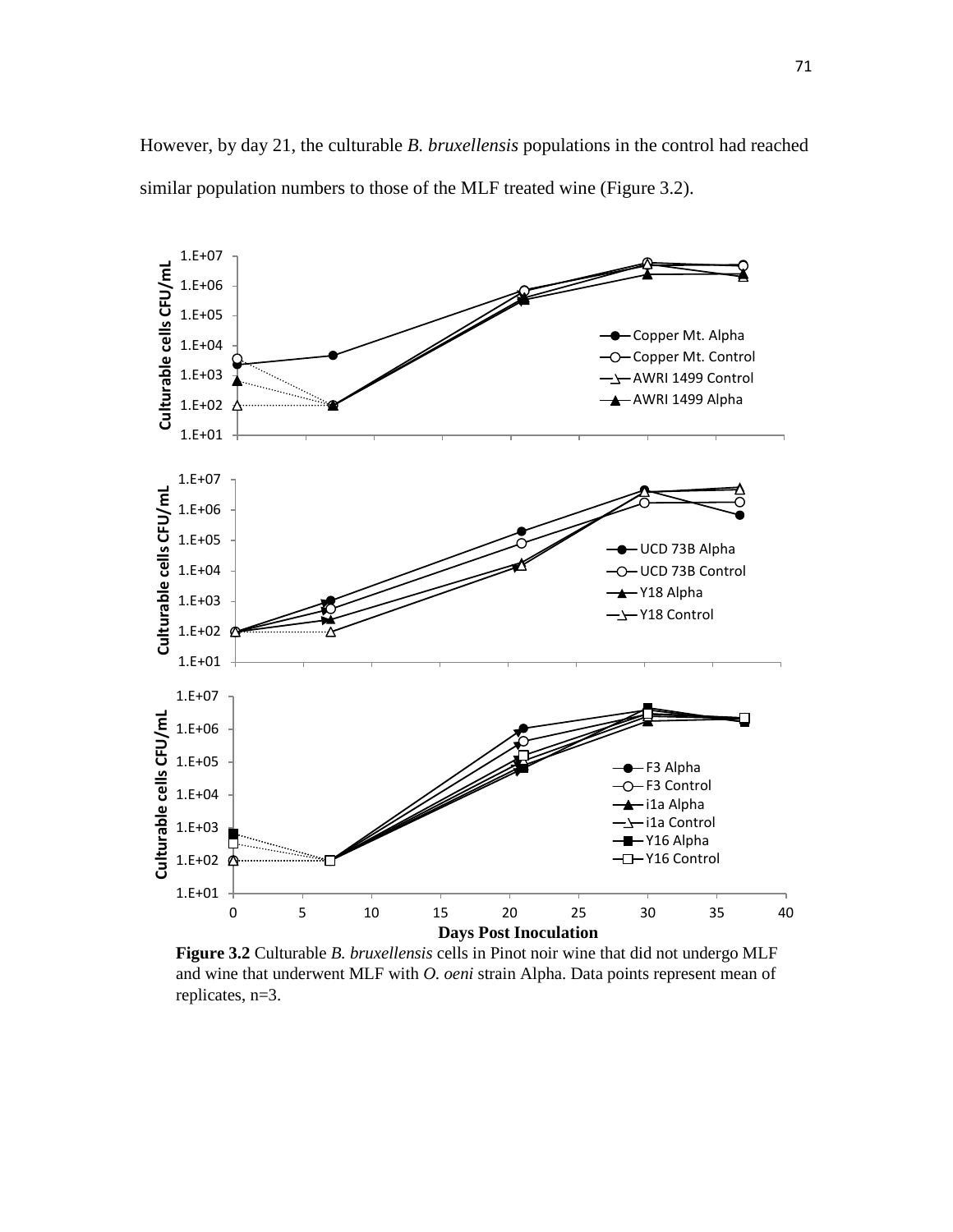However, by day 21, the culturable *B. bruxellensis* populations in the control had reached similar population numbers to those of the MLF treated wine (Figure 3.2).



**Figure 3.2** Culturable *B. bruxellensis* cells in Pinot noir wine that did not undergo MLF and wine that underwent MLF with *O. oeni* strain Alpha. Data points represent mean of replicates, n=3.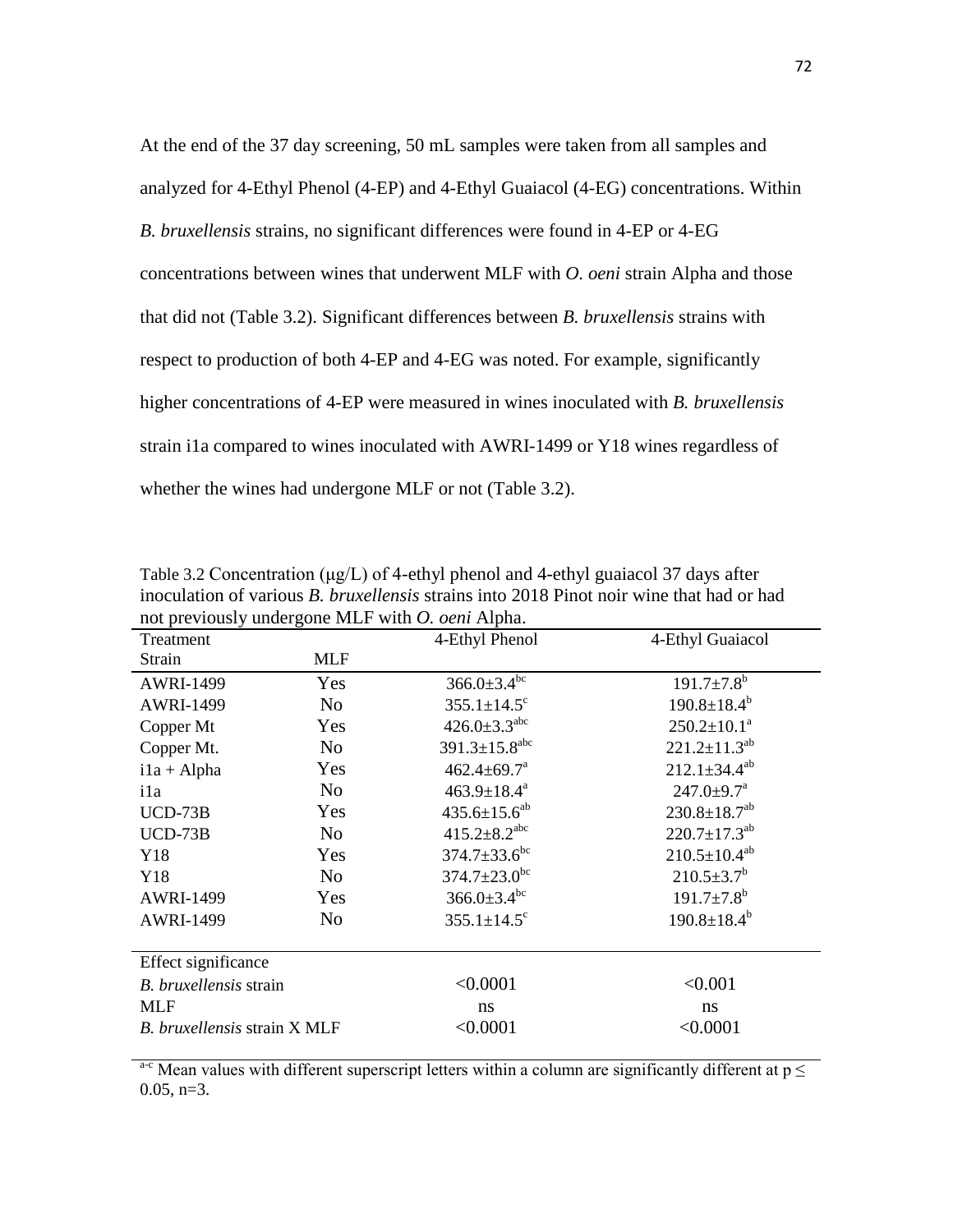At the end of the 37 day screening, 50 mL samples were taken from all samples and analyzed for 4-Ethyl Phenol (4-EP) and 4-Ethyl Guaiacol (4-EG) concentrations. Within *B. bruxellensis* strains, no significant differences were found in 4-EP or 4-EG concentrations between wines that underwent MLF with *O. oeni* strain Alpha and those that did not (Table 3.2). Significant differences between *B. bruxellensis* strains with respect to production of both 4-EP and 4-EG was noted. For example, significantly higher concentrations of 4-EP were measured in wines inoculated with *B. bruxellensis*  strain i1a compared to wines inoculated with AWRI-1499 or Y18 wines regardless of whether the wines had undergone MLF or not (Table 3.2).

| Treatment                    |                | 4-Ethyl Phenol                  | 4-Ethyl Guaiacol               |  |  |  |
|------------------------------|----------------|---------------------------------|--------------------------------|--|--|--|
| Strain                       | <b>MLF</b>     |                                 |                                |  |  |  |
| <b>AWRI-1499</b>             | Yes            | $366.0 \pm 3.4$ <sup>bc</sup>   | $191.7 \pm 7.8^b$              |  |  |  |
| <b>AWRI-1499</b>             | No             | $355.1 \pm 14.5$ <sup>c</sup>   | $190.8 \pm 18.4^b$             |  |  |  |
| Yes<br>Copper Mt             |                | $426.0 \pm 3.3$ <sup>abc</sup>  | $250.2 \pm 10.1^a$             |  |  |  |
| Copper Mt.                   | N <sub>o</sub> | $391.3 \pm 15.8$ <sup>abc</sup> | $221.2 \pm 11.3^{ab}$          |  |  |  |
| $i1a + Alpha$<br>Yes         |                | $462.4 \pm 69.7$ <sup>a</sup>   | $212.1 \pm 34.4^{ab}$          |  |  |  |
| ila                          | No             | $463.9 \pm 18.4^a$              | $247.0 \pm 9.7^{\mathrm{a}}$   |  |  |  |
| $UCD-73B$                    | Yes            | $435.6 \pm 15.6^{ab}$           | $230.8 \pm 18.7$ <sup>ab</sup> |  |  |  |
| $UCD-73B$                    | N <sub>o</sub> | $415.2 \pm 8.2$ <sup>abc</sup>  | $220.7 \pm 17.3$ <sup>ab</sup> |  |  |  |
| Y18                          | Yes            | $374.7 \pm 33.6^{\rm bc}$       | $210.5 \pm 10.4^{ab}$          |  |  |  |
| Y18                          | N <sub>0</sub> | $374.7 \pm 23.0$ <sup>bc</sup>  | $210.5 \pm 3.7^b$              |  |  |  |
| Yes<br><b>AWRI-1499</b>      |                | $366.0 \pm 3.4$ <sup>bc</sup>   | $191.7 \pm 7.8^b$              |  |  |  |
| <b>AWRI-1499</b>             | N <sub>0</sub> | $355.1 \pm 14.5$ <sup>c</sup>   | $190.8 \pm 18.4^b$             |  |  |  |
| Effect significance          |                |                                 |                                |  |  |  |
| B. bruxellensis strain       |                | < 0.0001                        | < 0.001                        |  |  |  |
| <b>MLF</b>                   |                | ns                              | ns                             |  |  |  |
| B. bruxellensis strain X MLF |                | < 0.0001                        | < 0.0001                       |  |  |  |

Table 3.2 Concentration ( $\mu$ g/L) of 4-ethyl phenol and 4-ethyl guaiacol 37 days after inoculation of various *B. bruxellensis* strains into 2018 Pinot noir wine that had or had not previously undergone MLF with *O. oeni* Alpha.

<sup>a-c</sup> Mean values with different superscript letters within a column are significantly different at  $p \leq$  $0.05, n=3.$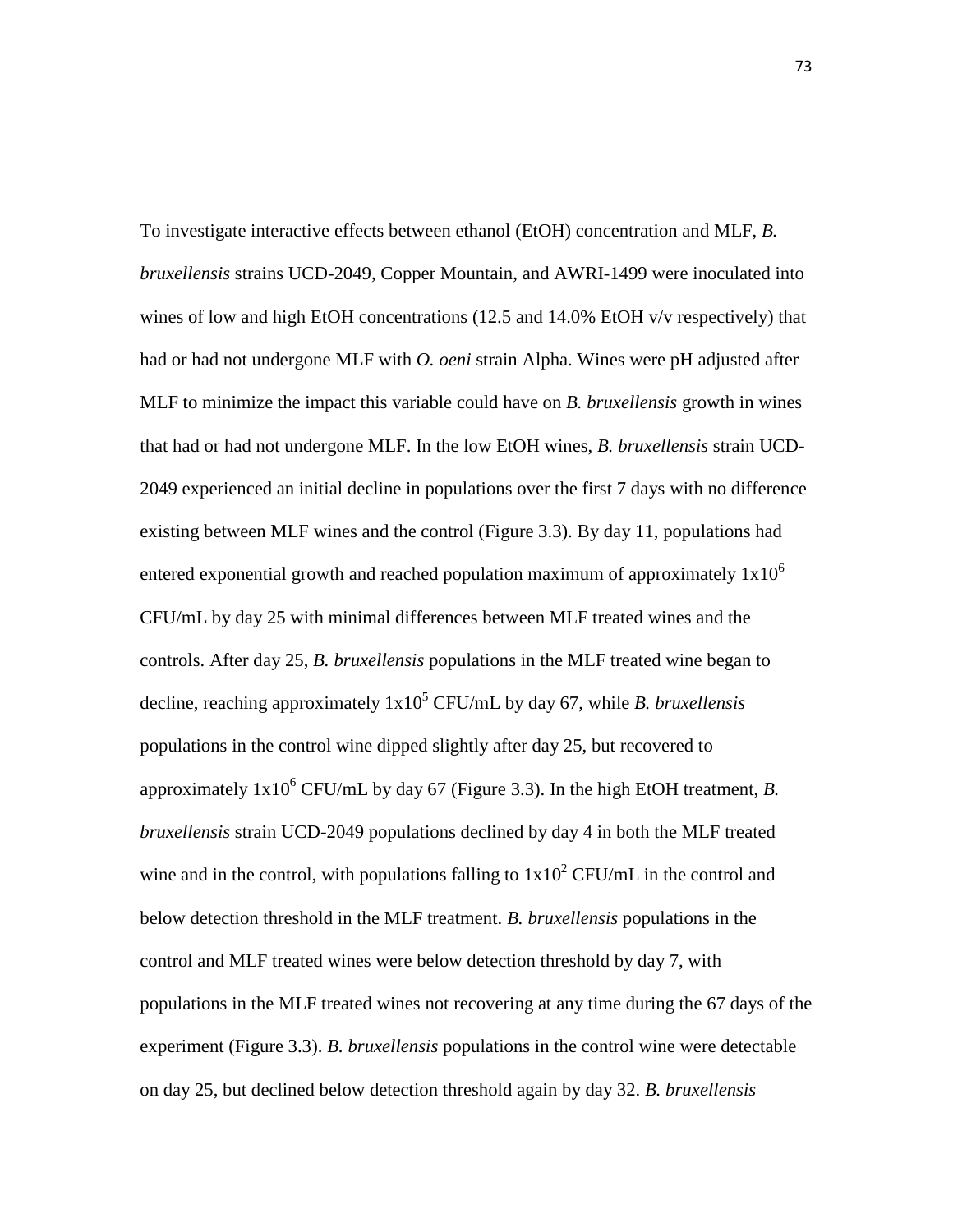To investigate interactive effects between ethanol (EtOH) concentration and MLF, *B. bruxellensis* strains UCD-2049, Copper Mountain, and AWRI-1499 were inoculated into wines of low and high EtOH concentrations (12.5 and 14.0% EtOH v/v respectively) that had or had not undergone MLF with *O. oeni* strain Alpha. Wines were pH adjusted after MLF to minimize the impact this variable could have on *B. bruxellensis* growth in wines that had or had not undergone MLF. In the low EtOH wines, *B. bruxellensis* strain UCD-2049 experienced an initial decline in populations over the first 7 days with no difference existing between MLF wines and the control (Figure 3.3). By day 11, populations had entered exponential growth and reached population maximum of approximately  $1x10^6$ CFU/mL by day 25 with minimal differences between MLF treated wines and the controls. After day 25, *B. bruxellensis* populations in the MLF treated wine began to decline, reaching approximately  $1x10^5$  CFU/mL by day 67, while *B. bruxellensis* populations in the control wine dipped slightly after day 25, but recovered to approximately  $1x10^6$  CFU/mL by day 67 (Figure 3.3). In the high EtOH treatment, *B*. *bruxellensis* strain UCD-2049 populations declined by day 4 in both the MLF treated wine and in the control, with populations falling to  $1x10^2$  CFU/mL in the control and below detection threshold in the MLF treatment. *B. bruxellensis* populations in the control and MLF treated wines were below detection threshold by day 7, with populations in the MLF treated wines not recovering at any time during the 67 days of the experiment (Figure 3.3). *B. bruxellensis* populations in the control wine were detectable on day 25, but declined below detection threshold again by day 32. *B. bruxellensis*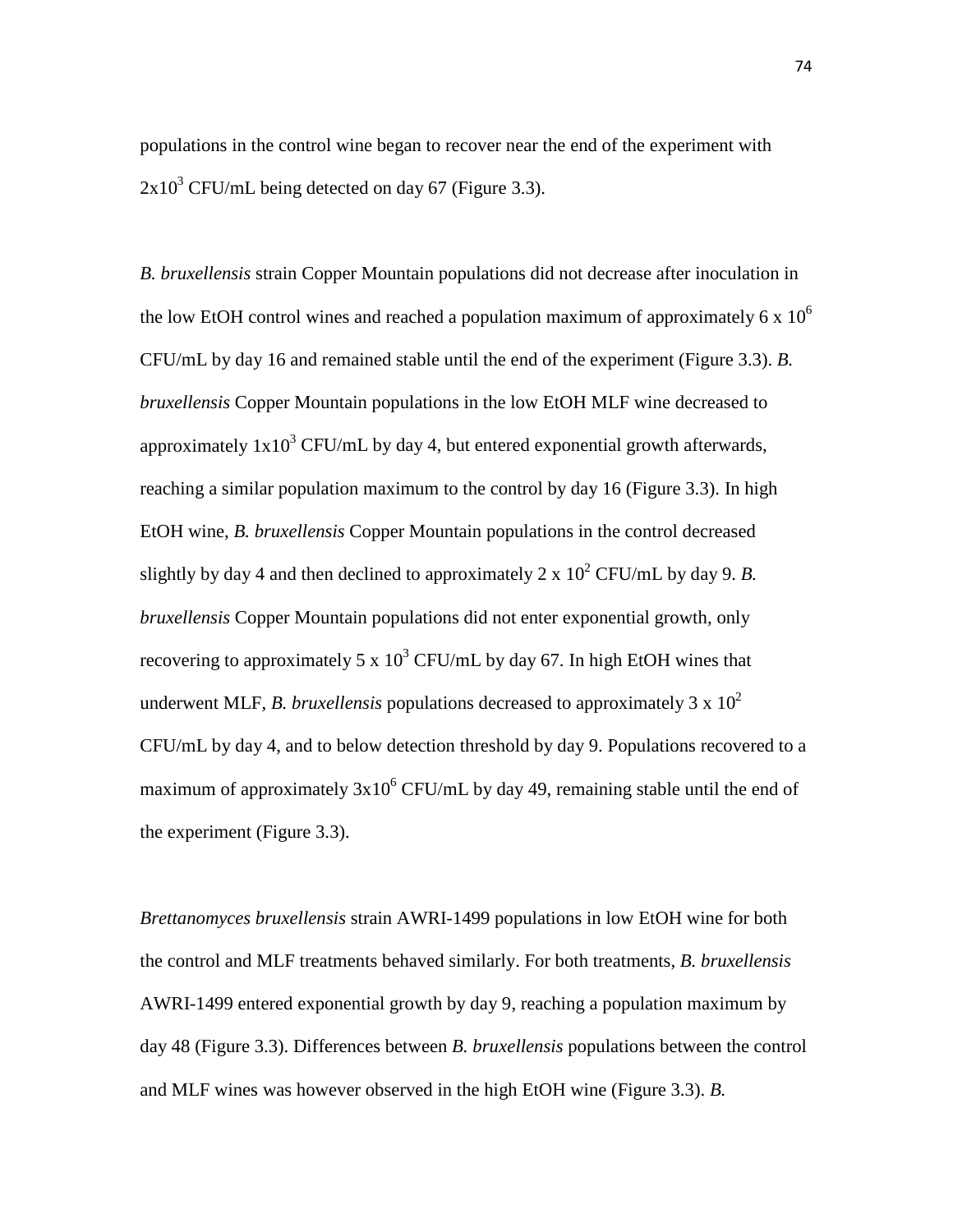populations in the control wine began to recover near the end of the experiment with  $2x10^3$  CFU/mL being detected on day 67 (Figure 3.3).

*B. bruxellensis* strain Copper Mountain populations did not decrease after inoculation in the low EtOH control wines and reached a population maximum of approximately 6 x  $10<sup>6</sup>$ CFU/mL by day 16 and remained stable until the end of the experiment (Figure 3.3). *B. bruxellensis* Copper Mountain populations in the low EtOH MLF wine decreased to approximately  $1x10^3$  CFU/mL by day 4, but entered exponential growth afterwards, reaching a similar population maximum to the control by day 16 (Figure 3.3). In high EtOH wine, *B. bruxellensis* Copper Mountain populations in the control decreased slightly by day 4 and then declined to approximately 2 x  $10^2$  CFU/mL by day 9. *B*. *bruxellensis* Copper Mountain populations did not enter exponential growth, only recovering to approximately 5 x  $10^3$  CFU/mL by day 67. In high EtOH wines that underwent MLF, *B. bruxellensis* populations decreased to approximately  $3 \times 10^2$ CFU/mL by day 4, and to below detection threshold by day 9. Populations recovered to a maximum of approximately  $3x10^6$  CFU/mL by day 49, remaining stable until the end of the experiment (Figure 3.3).

*Brettanomyces bruxellensis* strain AWRI-1499 populations in low EtOH wine for both the control and MLF treatments behaved similarly. For both treatments, *B. bruxellensis* AWRI-1499 entered exponential growth by day 9, reaching a population maximum by day 48 (Figure 3.3). Differences between *B. bruxellensis* populations between the control and MLF wines was however observed in the high EtOH wine (Figure 3.3). *B.*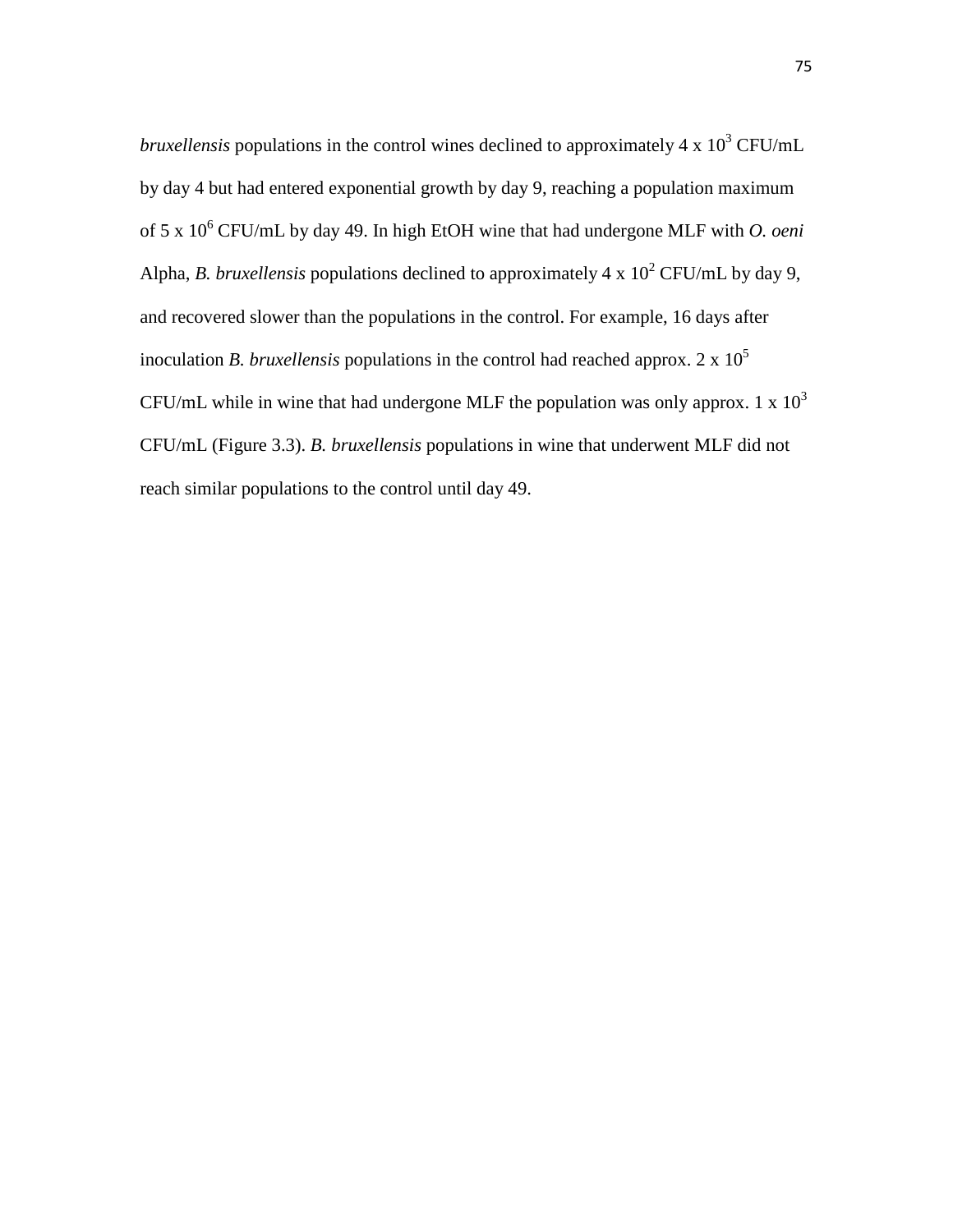*bruxellensis* populations in the control wines declined to approximately 4 x 10<sup>3</sup> CFU/mL by day 4 but had entered exponential growth by day 9, reaching a population maximum of 5 x 10<sup>6</sup> CFU/mL by day 49. In high EtOH wine that had undergone MLF with *O. oeni*  Alpha, *B. bruxellensis* populations declined to approximately  $4 \times 10^2$  CFU/mL by day 9, and recovered slower than the populations in the control. For example, 16 days after inoculation *B. bruxellensis* populations in the control had reached approx. 2 x  $10^5$ CFU/mL while in wine that had undergone MLF the population was only approx. 1 x  $10<sup>3</sup>$ CFU/mL (Figure 3.3). *B. bruxellensis* populations in wine that underwent MLF did not reach similar populations to the control until day 49.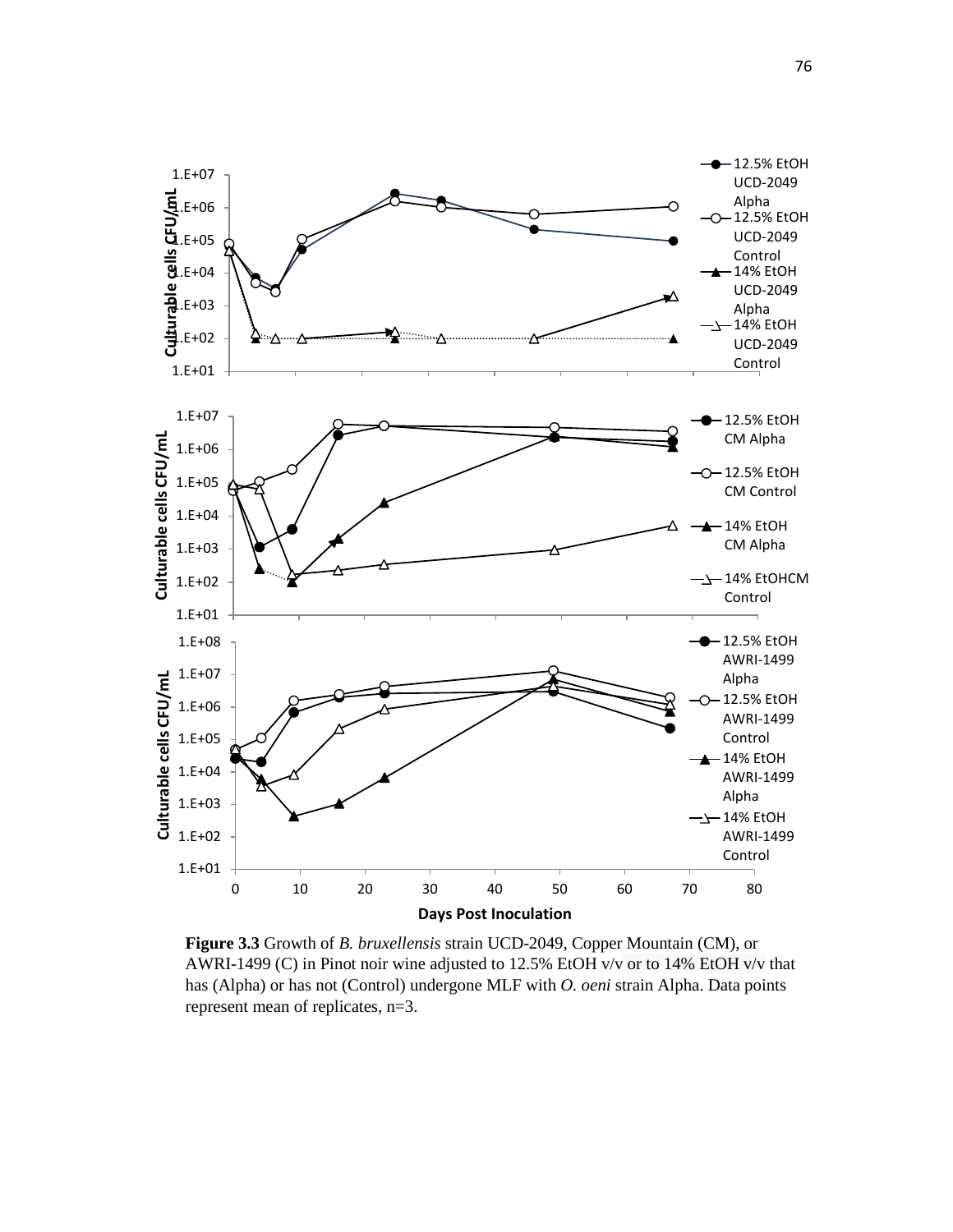

**Figure 3.3** Growth of *B. bruxellensis* strain UCD-2049, Copper Mountain (CM), or AWRI-1499 (C) in Pinot noir wine adjusted to 12.5% EtOH v/v or to 14% EtOH v/v that has (Alpha) or has not (Control) undergone MLF with *O. oeni* strain Alpha. Data points represent mean of replicates, n=3.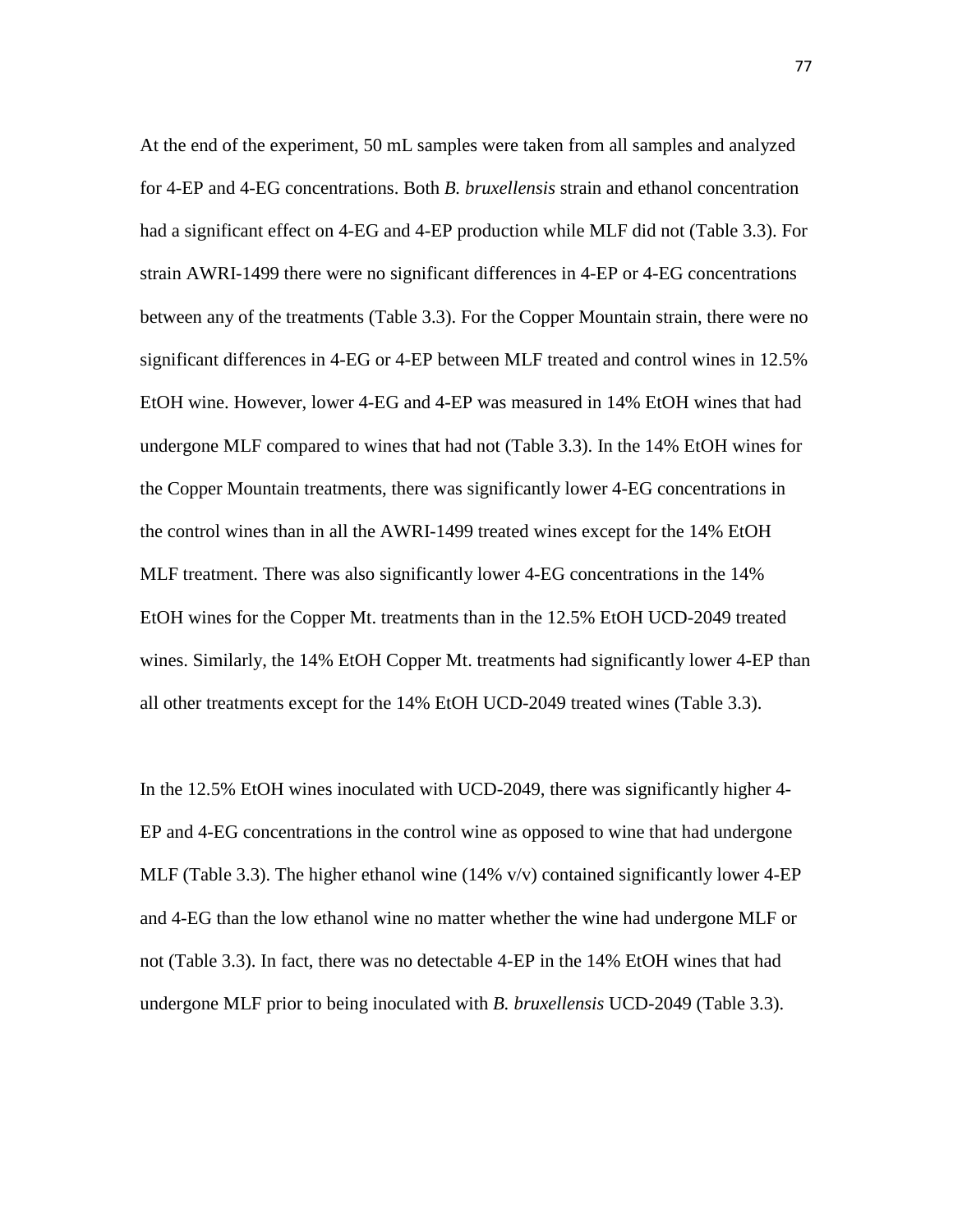At the end of the experiment, 50 mL samples were taken from all samples and analyzed for 4-EP and 4-EG concentrations. Both *B. bruxellensis* strain and ethanol concentration had a significant effect on 4-EG and 4-EP production while MLF did not (Table 3.3). For strain AWRI-1499 there were no significant differences in 4-EP or 4-EG concentrations between any of the treatments (Table 3.3). For the Copper Mountain strain, there were no significant differences in 4-EG or 4-EP between MLF treated and control wines in 12.5% EtOH wine. However, lower 4-EG and 4-EP was measured in 14% EtOH wines that had undergone MLF compared to wines that had not (Table 3.3). In the 14% EtOH wines for the Copper Mountain treatments, there was significantly lower 4-EG concentrations in the control wines than in all the AWRI-1499 treated wines except for the 14% EtOH MLF treatment. There was also significantly lower 4-EG concentrations in the 14% EtOH wines for the Copper Mt. treatments than in the 12.5% EtOH UCD-2049 treated wines. Similarly, the 14% EtOH Copper Mt. treatments had significantly lower 4-EP than all other treatments except for the 14% EtOH UCD-2049 treated wines (Table 3.3).

In the 12.5% EtOH wines inoculated with UCD-2049, there was significantly higher 4- EP and 4-EG concentrations in the control wine as opposed to wine that had undergone MLF (Table 3.3). The higher ethanol wine  $(14\% \text{ v/v})$  contained significantly lower 4-EP and 4-EG than the low ethanol wine no matter whether the wine had undergone MLF or not (Table 3.3). In fact, there was no detectable 4-EP in the 14% EtOH wines that had undergone MLF prior to being inoculated with *B. bruxellensis* UCD-2049 (Table 3.3).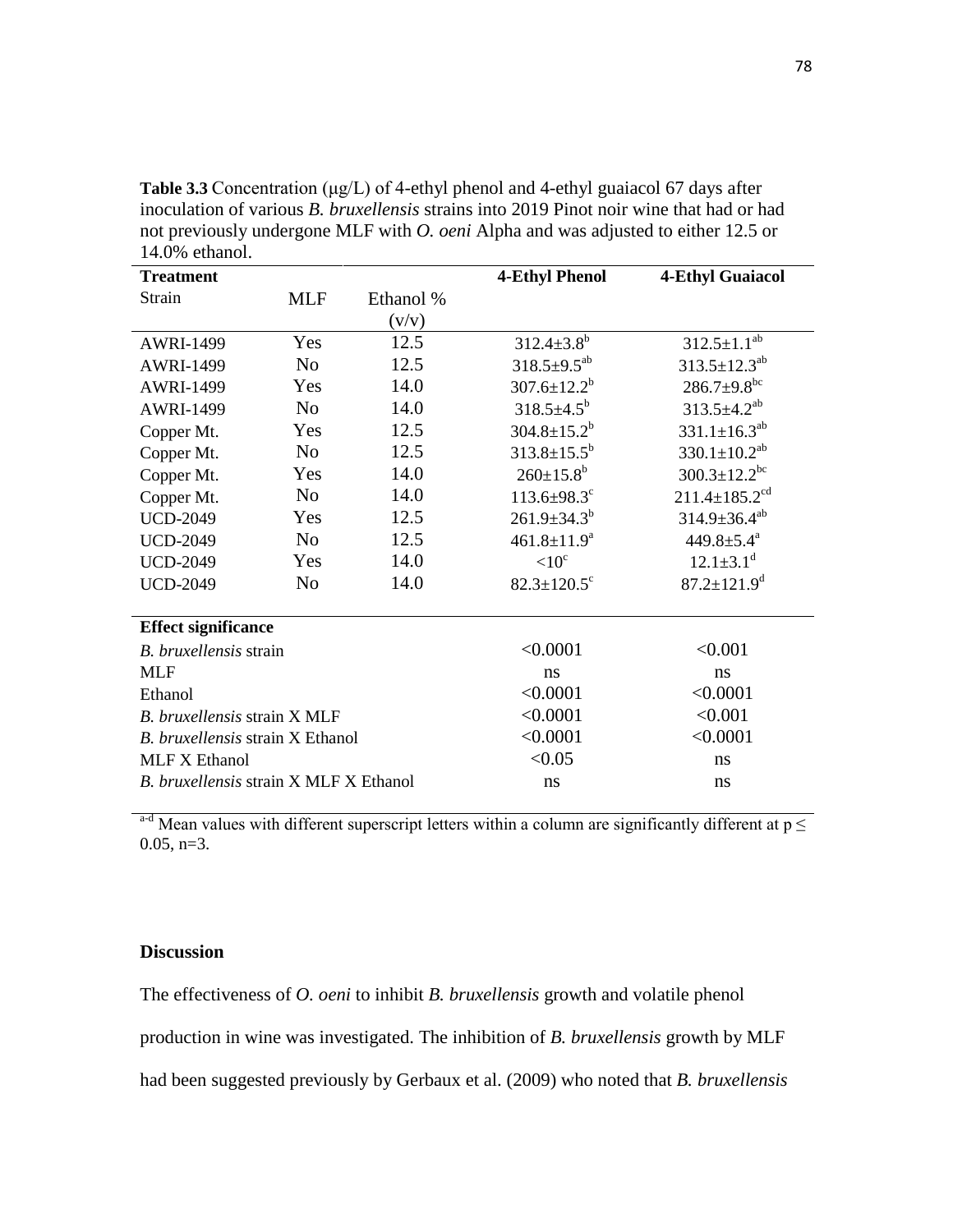| 14.070 CUIAIIOI.                        |                |           |                               |                                 |  |  |  |
|-----------------------------------------|----------------|-----------|-------------------------------|---------------------------------|--|--|--|
| <b>Treatment</b>                        |                |           | <b>4-Ethyl Phenol</b>         | <b>4-Ethyl Guaiacol</b>         |  |  |  |
| Strain                                  | <b>MLF</b>     | Ethanol % |                               |                                 |  |  |  |
|                                         |                | (v/v)     |                               |                                 |  |  |  |
| <b>AWRI-1499</b>                        | Yes            | 12.5      | $312.4 \pm 3.8^b$             | $312.5 \pm 1.1^{ab}$            |  |  |  |
| <b>AWRI-1499</b>                        | N <sub>o</sub> | 12.5      | $318.5 \pm 9.5^{ab}$          | $313.5 \pm 12.3^{ab}$           |  |  |  |
| <b>AWRI-1499</b>                        | Yes            | 14.0      | $307.6 \pm 12.2^b$            | $286.7 \pm 9.8$ <sup>bc</sup>   |  |  |  |
| <b>AWRI-1499</b>                        | No             | 14.0      | $318.5 \pm 4.5^{\rm b}$       | $313.5 \pm 4.2^{ab}$            |  |  |  |
| Copper Mt.                              | Yes            | 12.5      | $304.8 \pm 15.2^b$            | $331.1 \pm 16.3^{ab}$           |  |  |  |
| Copper Mt.                              | N <sub>o</sub> | 12.5      | $313.8 \pm 15.5^b$            | $330.1 \pm 10.2^{ab}$           |  |  |  |
| Copper Mt.                              | Yes            | 14.0      | $260 \pm 15.8^b$              | $300.3 \pm 12.2$ <sup>bc</sup>  |  |  |  |
| Copper Mt.                              | N <sub>0</sub> | 14.0      | $113.6 \pm 98.3$ <sup>c</sup> | $211.4 \pm 185.2$ <sup>cd</sup> |  |  |  |
| <b>UCD-2049</b>                         | Yes            | 12.5      | $261.9 \pm 34.3^b$            | $314.9 \pm 36.4^{ab}$           |  |  |  |
| <b>UCD-2049</b>                         | N <sub>0</sub> | 12.5      | $461.8 \pm 11.9^a$            | 449.8 $\pm$ 5.4 $\mathrm{a}$    |  |  |  |
| <b>UCD-2049</b>                         | Yes            | 14.0      | < 10 <sup>c</sup>             | $12.1 \pm 3.1$ <sup>d</sup>     |  |  |  |
| <b>UCD-2049</b>                         | N <sub>o</sub> | 14.0      | $82.3 \pm 120.5$ <sup>c</sup> | $87.2 \pm 121.9^d$              |  |  |  |
|                                         |                |           |                               |                                 |  |  |  |
| <b>Effect significance</b>              |                |           |                               |                                 |  |  |  |
| <i>B. bruxellensis</i> strain           |                |           | < 0.0001                      | < 0.001                         |  |  |  |
| <b>MLF</b>                              |                |           | ns                            | ns                              |  |  |  |
| Ethanol                                 |                |           | < 0.0001                      | < 0.0001                        |  |  |  |
| B. bruxellensis strain X MLF            |                |           | < 0.0001                      | < 0.001                         |  |  |  |
| <i>B. bruxellensis</i> strain X Ethanol |                |           | < 0.0001                      | < 0.0001                        |  |  |  |
| <b>MLF X Ethanol</b>                    |                |           | < 0.05                        | ns                              |  |  |  |
| B. bruxellensis strain X MLF X Ethanol  |                |           | ns                            | ns                              |  |  |  |

**Table 3.3** Concentration (μg/L) of 4-ethyl phenol and 4-ethyl guaiacol 67 days after inoculation of various *B. bruxellensis* strains into 2019 Pinot noir wine that had or had not previously undergone MLF with *O. oeni* Alpha and was adjusted to either 12.5 or  $14.0\%$  ethanol

 $\frac{1}{\text{d}}$  Mean values with different superscript letters within a column are significantly different at  $p \leq$  $0.05$ , n=3.

# **Discussion**

The effectiveness of *O. oeni* to inhibit *B. bruxellensis* growth and volatile phenol

production in wine was investigated. The inhibition of *B. bruxellensis* growth by MLF

had been suggested previously by Gerbaux et al. (2009) who noted that *B. bruxellensis*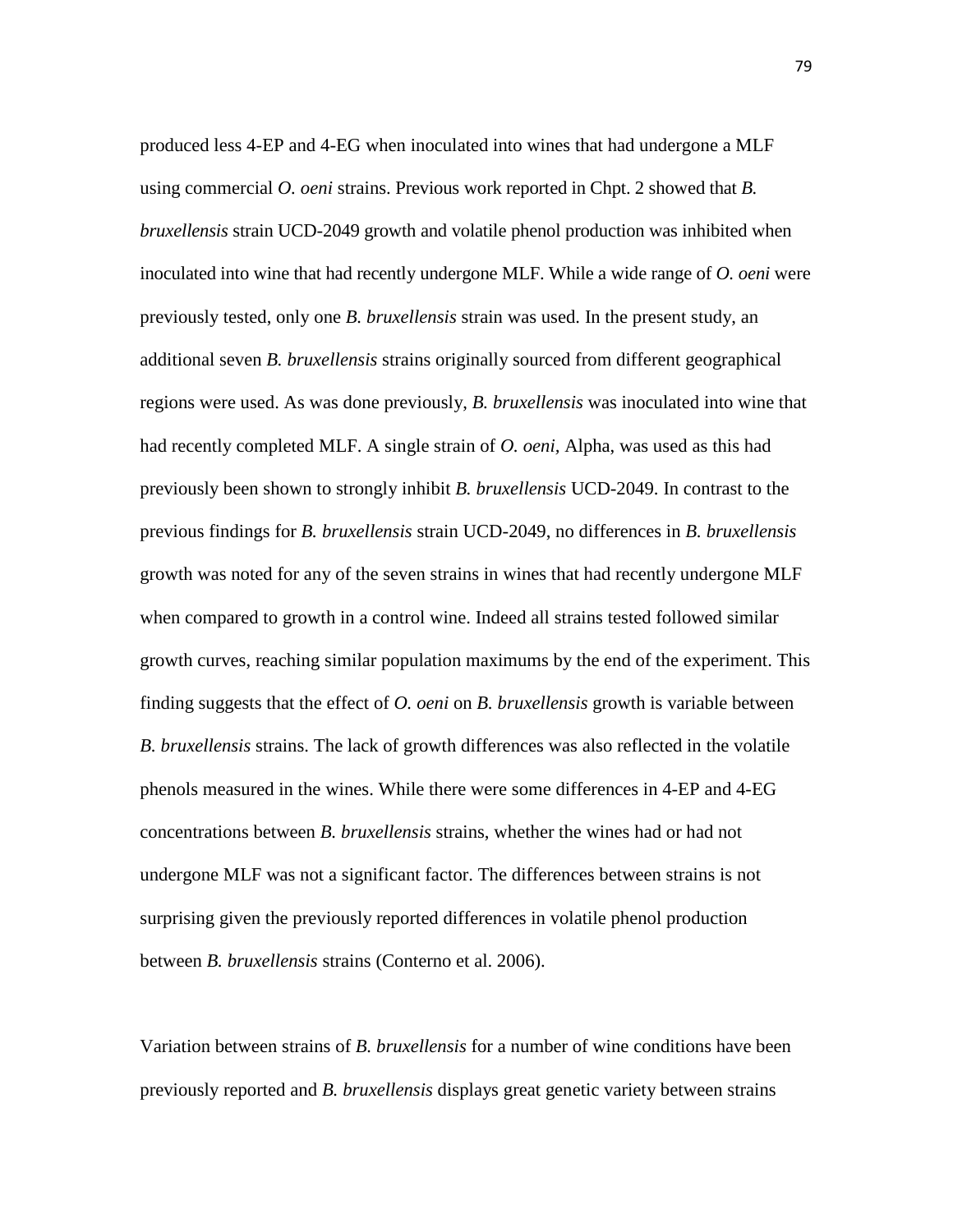produced less 4-EP and 4-EG when inoculated into wines that had undergone a MLF using commercial *O. oeni* strains. Previous work reported in Chpt. 2 showed that *B. bruxellensis* strain UCD-2049 growth and volatile phenol production was inhibited when inoculated into wine that had recently undergone MLF. While a wide range of *O. oeni* were previously tested, only one *B. bruxellensis* strain was used. In the present study, an additional seven *B. bruxellensis* strains originally sourced from different geographical regions were used. As was done previously, *B. bruxellensis* was inoculated into wine that had recently completed MLF. A single strain of *O. oeni,* Alpha, was used as this had previously been shown to strongly inhibit *B. bruxellensis* UCD-2049. In contrast to the previous findings for *B. bruxellensis* strain UCD-2049, no differences in *B. bruxellensis*  growth was noted for any of the seven strains in wines that had recently undergone MLF when compared to growth in a control wine. Indeed all strains tested followed similar growth curves, reaching similar population maximums by the end of the experiment. This finding suggests that the effect of *O. oeni* on *B. bruxellensis* growth is variable between *B. bruxellensis* strains. The lack of growth differences was also reflected in the volatile phenols measured in the wines. While there were some differences in 4-EP and 4-EG concentrations between *B. bruxellensis* strains, whether the wines had or had not undergone MLF was not a significant factor. The differences between strains is not surprising given the previously reported differences in volatile phenol production between *B. bruxellensis* strains (Conterno et al. 2006).

Variation between strains of *B. bruxellensis* for a number of wine conditions have been previously reported and *B. bruxellensis* displays great genetic variety between strains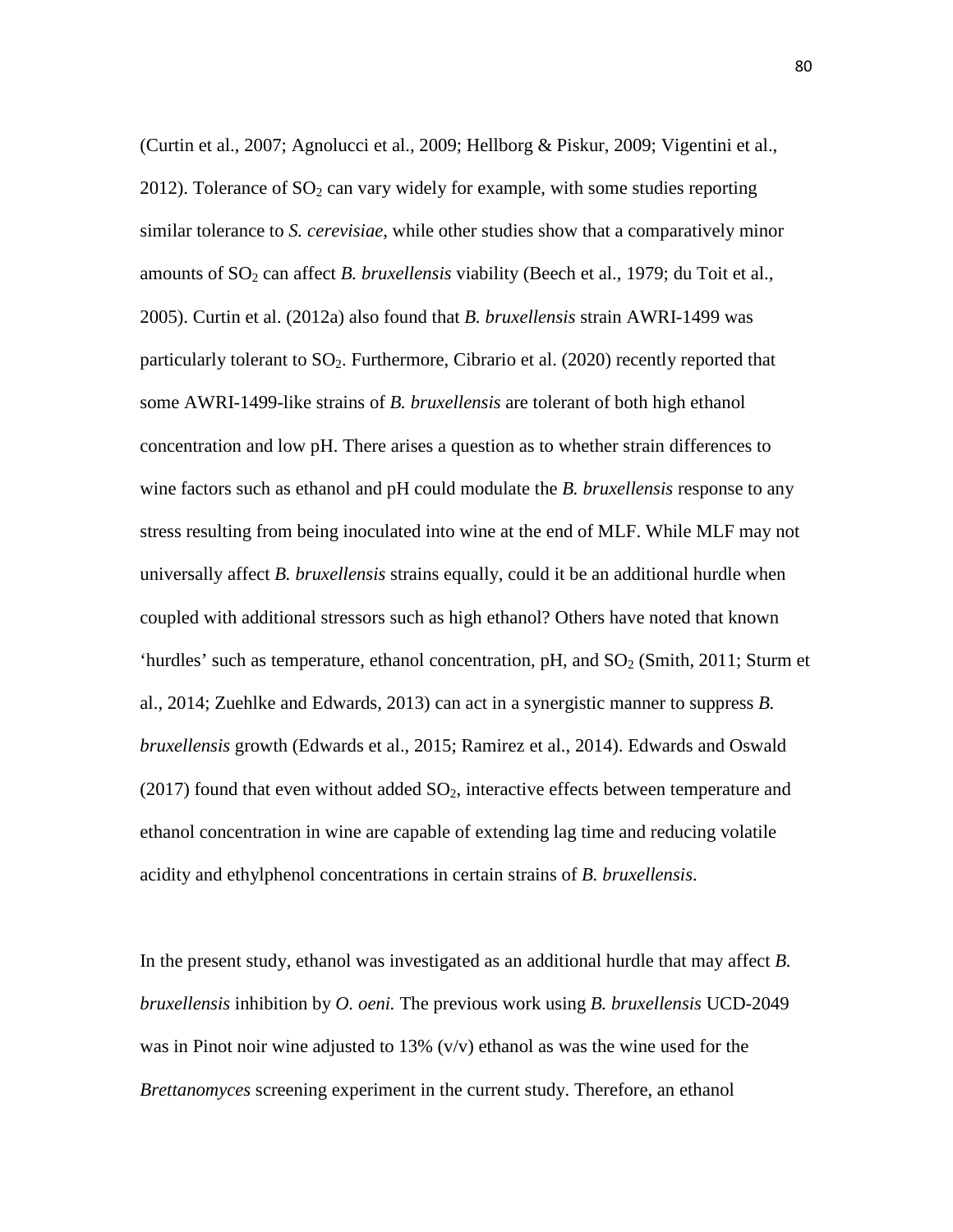(Curtin et al., 2007; Agnolucci et al., 2009; Hellborg & Piskur, 2009; Vigentini et al., 2012). Tolerance of  $SO_2$  can vary widely for example, with some studies reporting similar tolerance to *S. cerevisiae*, while other studies show that a comparatively minor amounts of SO<sub>2</sub> can affect *B. bruxellensis* viability (Beech et al., 1979; du Toit et al., 2005). Curtin et al. (2012a) also found that *B. bruxellensis* strain AWRI-1499 was particularly tolerant to  $SO_2$ . Furthermore, Cibrario et al. (2020) recently reported that some AWRI-1499-like strains of *B. bruxellensis* are tolerant of both high ethanol concentration and low pH. There arises a question as to whether strain differences to wine factors such as ethanol and pH could modulate the *B. bruxellensis* response to any stress resulting from being inoculated into wine at the end of MLF. While MLF may not universally affect *B. bruxellensis* strains equally, could it be an additional hurdle when coupled with additional stressors such as high ethanol? Others have noted that known 'hurdles' such as temperature, ethanol concentration, pH, and  $SO<sub>2</sub>$  (Smith, 2011; Sturm et al., 2014; Zuehlke and Edwards, 2013) can act in a synergistic manner to suppress *B. bruxellensis* growth (Edwards et al., 2015; Ramirez et al., 2014). Edwards and Oswald  $(2017)$  found that even without added  $SO<sub>2</sub>$ , interactive effects between temperature and ethanol concentration in wine are capable of extending lag time and reducing volatile acidity and ethylphenol concentrations in certain strains of *B. bruxellensis*.

In the present study, ethanol was investigated as an additional hurdle that may affect *B. bruxellensis* inhibition by *O. oeni.* The previous work using *B. bruxellensis* UCD-2049 was in Pinot noir wine adjusted to 13% (v/v) ethanol as was the wine used for the *Brettanomyces* screening experiment in the current study. Therefore, an ethanol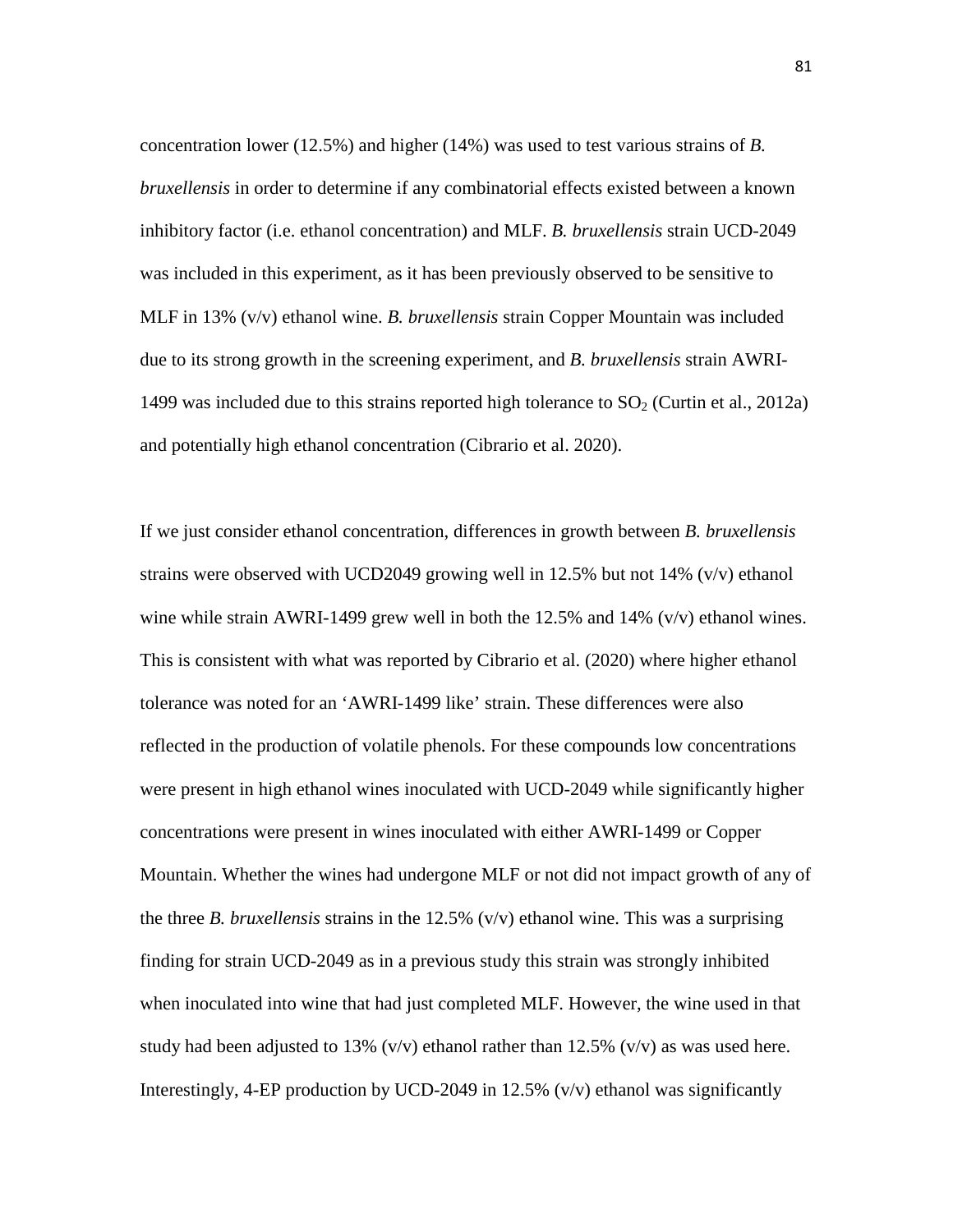concentration lower (12.5%) and higher (14%) was used to test various strains of *B. bruxellensis* in order to determine if any combinatorial effects existed between a known inhibitory factor (i.e. ethanol concentration) and MLF. *B. bruxellensis* strain UCD-2049 was included in this experiment, as it has been previously observed to be sensitive to MLF in 13% (v/v) ethanol wine. *B. bruxellensis* strain Copper Mountain was included due to its strong growth in the screening experiment, and *B. bruxellensis* strain AWRI-1499 was included due to this strains reported high tolerance to  $SO<sub>2</sub>$  (Curtin et al., 2012a) and potentially high ethanol concentration (Cibrario et al. 2020).

If we just consider ethanol concentration, differences in growth between *B. bruxellensis*  strains were observed with UCD2049 growing well in 12.5% but not 14% (v/v) ethanol wine while strain AWRI-1499 grew well in both the 12.5% and 14% (v/v) ethanol wines. This is consistent with what was reported by Cibrario et al. (2020) where higher ethanol tolerance was noted for an 'AWRI-1499 like' strain. These differences were also reflected in the production of volatile phenols. For these compounds low concentrations were present in high ethanol wines inoculated with UCD-2049 while significantly higher concentrations were present in wines inoculated with either AWRI-1499 or Copper Mountain. Whether the wines had undergone MLF or not did not impact growth of any of the three *B. bruxellensis* strains in the 12.5% (v/v) ethanol wine. This was a surprising finding for strain UCD-2049 as in a previous study this strain was strongly inhibited when inoculated into wine that had just completed MLF. However, the wine used in that study had been adjusted to 13%  $(v/v)$  ethanol rather than 12.5%  $(v/v)$  as was used here. Interestingly, 4-EP production by UCD-2049 in 12.5% (v/v) ethanol was significantly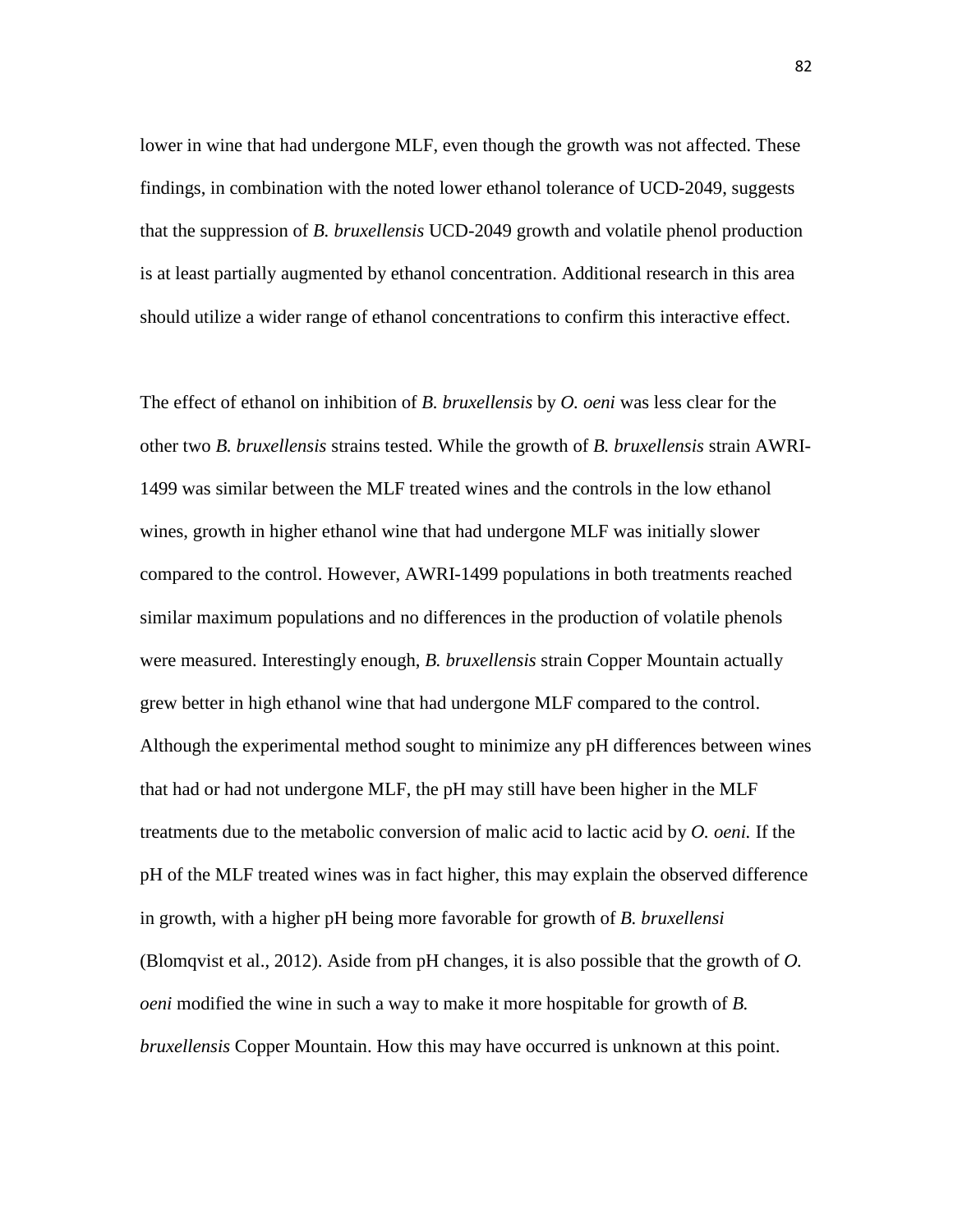lower in wine that had undergone MLF, even though the growth was not affected. These findings, in combination with the noted lower ethanol tolerance of UCD-2049, suggests that the suppression of *B. bruxellensis* UCD-2049 growth and volatile phenol production is at least partially augmented by ethanol concentration. Additional research in this area should utilize a wider range of ethanol concentrations to confirm this interactive effect.

The effect of ethanol on inhibition of *B. bruxellensis* by *O. oeni* was less clear for the other two *B. bruxellensis* strains tested. While the growth of *B. bruxellensis* strain AWRI-1499 was similar between the MLF treated wines and the controls in the low ethanol wines, growth in higher ethanol wine that had undergone MLF was initially slower compared to the control. However, AWRI-1499 populations in both treatments reached similar maximum populations and no differences in the production of volatile phenols were measured. Interestingly enough, *B. bruxellensis* strain Copper Mountain actually grew better in high ethanol wine that had undergone MLF compared to the control. Although the experimental method sought to minimize any pH differences between wines that had or had not undergone MLF, the pH may still have been higher in the MLF treatments due to the metabolic conversion of malic acid to lactic acid by *O. oeni.* If the pH of the MLF treated wines was in fact higher, this may explain the observed difference in growth, with a higher pH being more favorable for growth of *B. bruxellensi*  (Blomqvist et al., 2012). Aside from pH changes, it is also possible that the growth of *O. oeni* modified the wine in such a way to make it more hospitable for growth of *B. bruxellensis* Copper Mountain. How this may have occurred is unknown at this point.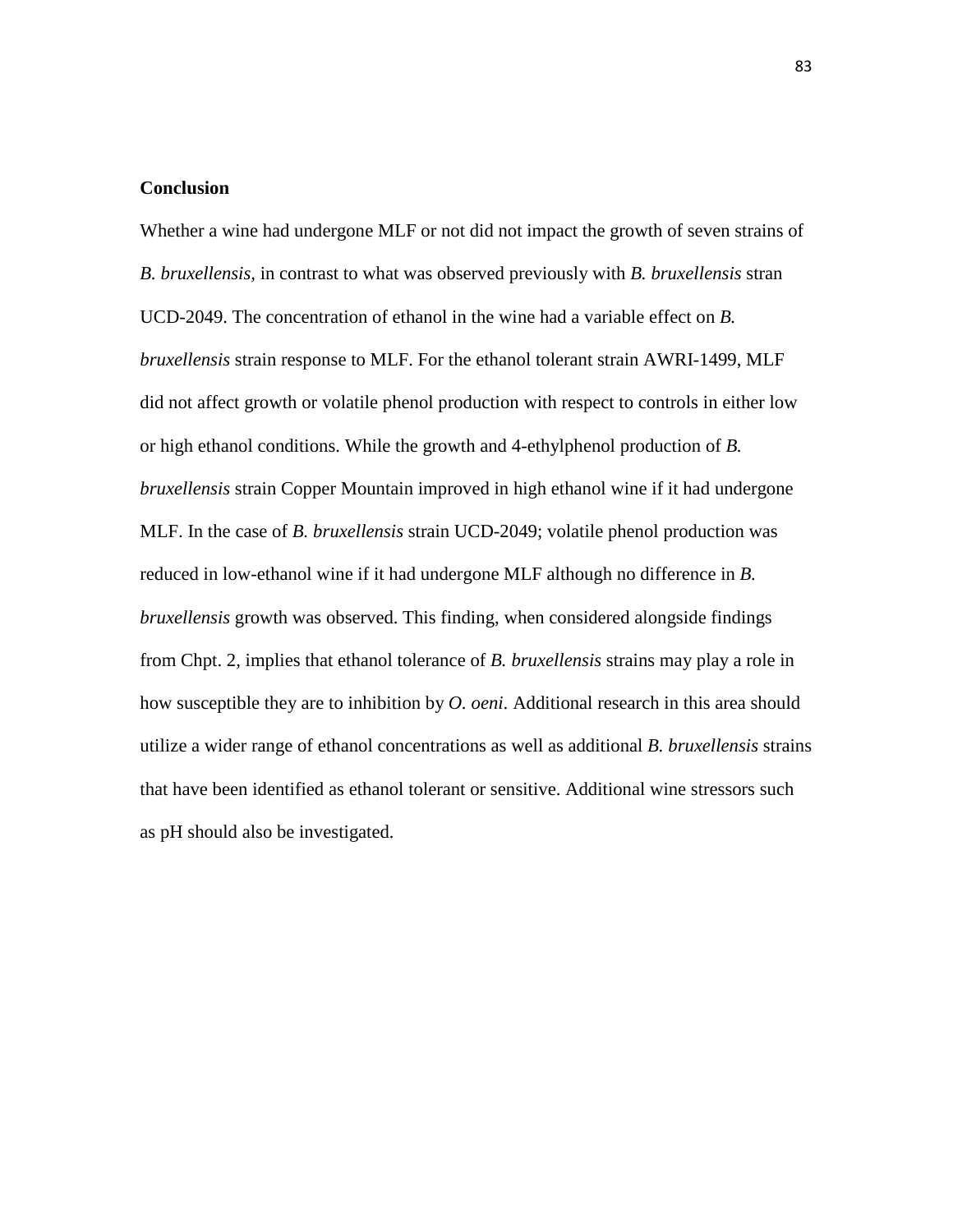### **Conclusion**

Whether a wine had undergone MLF or not did not impact the growth of seven strains of *B. bruxellensis,* in contrast to what was observed previously with *B. bruxellensis* stran UCD-2049. The concentration of ethanol in the wine had a variable effect on *B. bruxellensis* strain response to MLF. For the ethanol tolerant strain AWRI-1499, MLF did not affect growth or volatile phenol production with respect to controls in either low or high ethanol conditions. While the growth and 4-ethylphenol production of *B. bruxellensis* strain Copper Mountain improved in high ethanol wine if it had undergone MLF. In the case of *B. bruxellensis* strain UCD-2049; volatile phenol production was reduced in low-ethanol wine if it had undergone MLF although no difference in *B. bruxellensis* growth was observed. This finding, when considered alongside findings from Chpt. 2, implies that ethanol tolerance of *B. bruxellensis* strains may play a role in how susceptible they are to inhibition by *O. oeni*. Additional research in this area should utilize a wider range of ethanol concentrations as well as additional *B. bruxellensis* strains that have been identified as ethanol tolerant or sensitive. Additional wine stressors such as pH should also be investigated.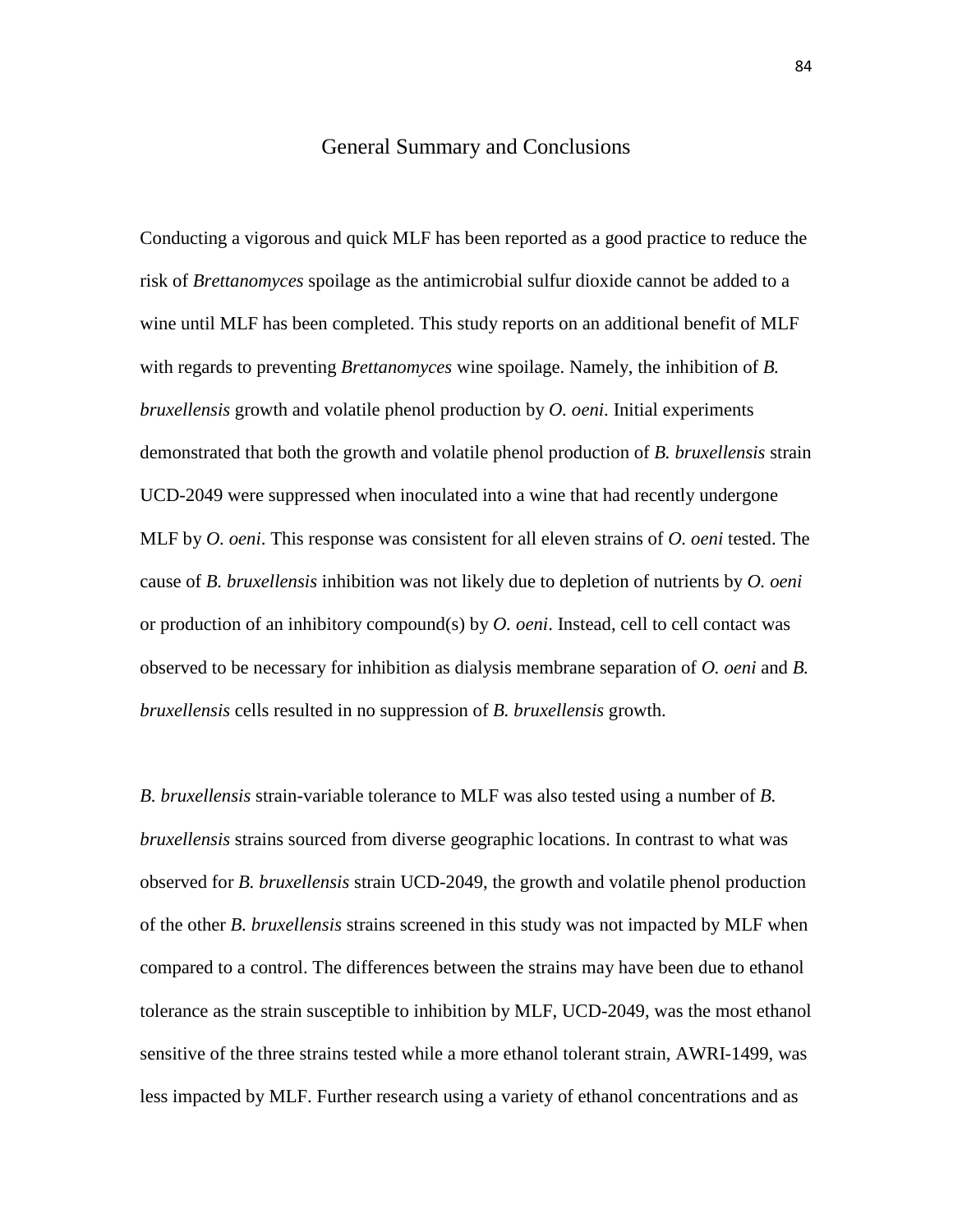### General Summary and Conclusions

Conducting a vigorous and quick MLF has been reported as a good practice to reduce the risk of *Brettanomyces* spoilage as the antimicrobial sulfur dioxide cannot be added to a wine until MLF has been completed. This study reports on an additional benefit of MLF with regards to preventing *Brettanomyces* wine spoilage. Namely, the inhibition of *B. bruxellensis* growth and volatile phenol production by *O. oeni*. Initial experiments demonstrated that both the growth and volatile phenol production of *B. bruxellensis* strain UCD-2049 were suppressed when inoculated into a wine that had recently undergone MLF by *O. oeni*. This response was consistent for all eleven strains of *O. oeni* tested. The cause of *B. bruxellensis* inhibition was not likely due to depletion of nutrients by *O. oeni*  or production of an inhibitory compound(s) by *O. oeni*. Instead, cell to cell contact was observed to be necessary for inhibition as dialysis membrane separation of *O. oeni* and *B. bruxellensis* cells resulted in no suppression of *B. bruxellensis* growth.

*B. bruxellensis* strain-variable tolerance to MLF was also tested using a number of *B. bruxellensis* strains sourced from diverse geographic locations. In contrast to what was observed for *B. bruxellensis* strain UCD-2049, the growth and volatile phenol production of the other *B. bruxellensis* strains screened in this study was not impacted by MLF when compared to a control. The differences between the strains may have been due to ethanol tolerance as the strain susceptible to inhibition by MLF, UCD-2049, was the most ethanol sensitive of the three strains tested while a more ethanol tolerant strain, AWRI-1499, was less impacted by MLF. Further research using a variety of ethanol concentrations and as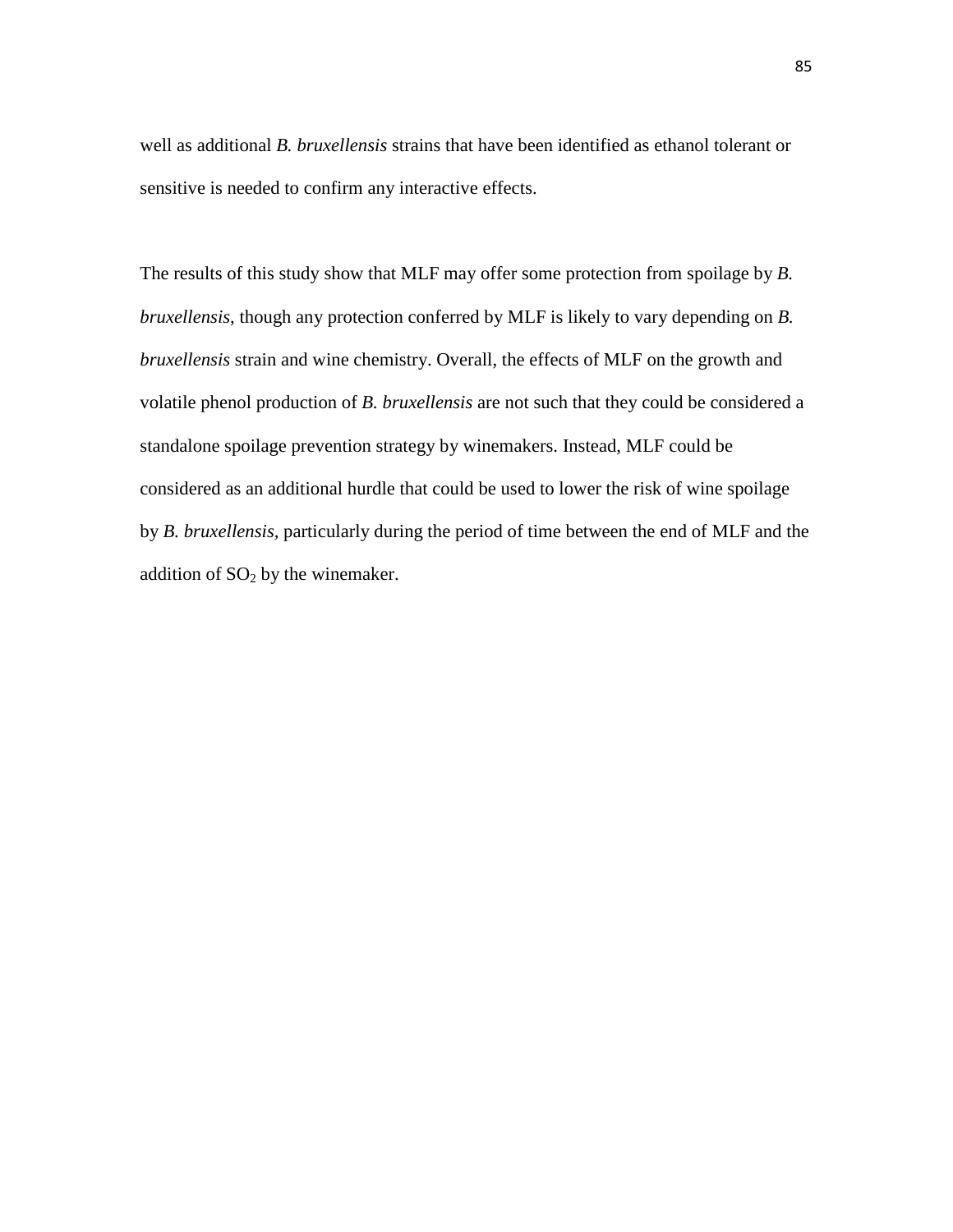well as additional *B. bruxellensis* strains that have been identified as ethanol tolerant or sensitive is needed to confirm any interactive effects.

The results of this study show that MLF may offer some protection from spoilage by *B. bruxellensis*, though any protection conferred by MLF is likely to vary depending on *B. bruxellensis* strain and wine chemistry. Overall, the effects of MLF on the growth and volatile phenol production of *B. bruxellensis* are not such that they could be considered a standalone spoilage prevention strategy by winemakers. Instead, MLF could be considered as an additional hurdle that could be used to lower the risk of wine spoilage by *B. bruxellensis,* particularly during the period of time between the end of MLF and the addition of  $SO<sub>2</sub>$  by the winemaker.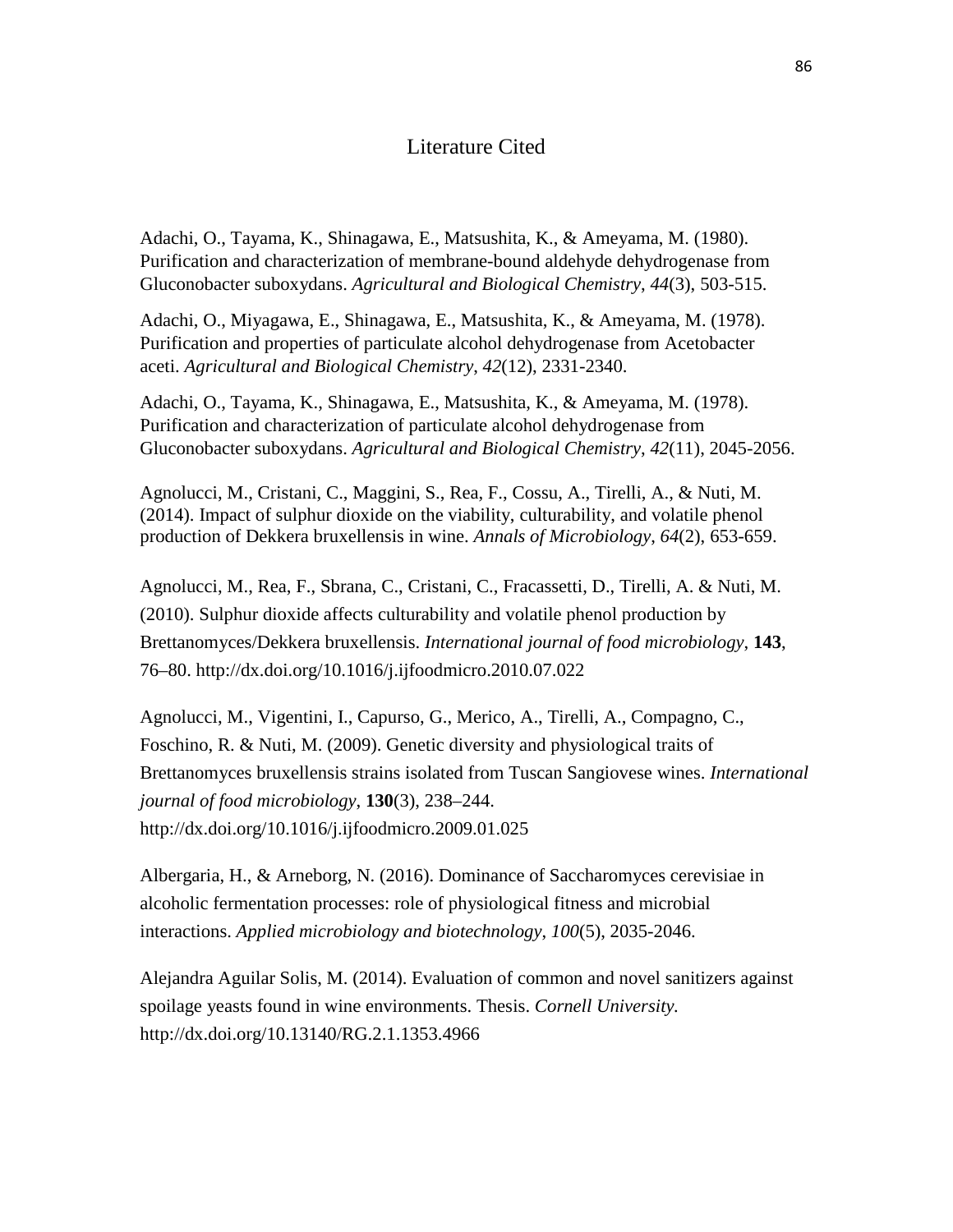# Literature Cited

Adachi, O., Tayama, K., Shinagawa, E., Matsushita, K., & Ameyama, M. (1980). Purification and characterization of membrane-bound aldehyde dehydrogenase from Gluconobacter suboxydans. *Agricultural and Biological Chemistry*, *44*(3), 503-515.

Adachi, O., Miyagawa, E., Shinagawa, E., Matsushita, K., & Ameyama, M. (1978). Purification and properties of particulate alcohol dehydrogenase from Acetobacter aceti. *Agricultural and Biological Chemistry*, *42*(12), 2331-2340.

Adachi, O., Tayama, K., Shinagawa, E., Matsushita, K., & Ameyama, M. (1978). Purification and characterization of particulate alcohol dehydrogenase from Gluconobacter suboxydans. *Agricultural and Biological Chemistry*, *42*(11), 2045-2056.

Agnolucci, M., Cristani, C., Maggini, S., Rea, F., Cossu, A., Tirelli, A., & Nuti, M. (2014). Impact of sulphur dioxide on the viability, culturability, and volatile phenol production of Dekkera bruxellensis in wine. *Annals of Microbiology*, *64*(2), 653-659.

Agnolucci, M., Rea, F., Sbrana, C., Cristani, C., Fracassetti, D., Tirelli, A. & Nuti, M. (2010). Sulphur dioxide affects culturability and volatile phenol production by Brettanomyces/Dekkera bruxellensis. *International journal of food microbiology*, **143**, 76–80. http://dx.doi.org/10.1016/j.ijfoodmicro.2010.07.022

Agnolucci, M., Vigentini, I., Capurso, G., Merico, A., Tirelli, A., Compagno, C., Foschino, R. & Nuti, M. (2009). Genetic diversity and physiological traits of Brettanomyces bruxellensis strains isolated from Tuscan Sangiovese wines. *International journal of food microbiology*, **130**(3), 238–244. http://dx.doi.org/10.1016/j.ijfoodmicro.2009.01.025

Albergaria, H., & Arneborg, N. (2016). Dominance of Saccharomyces cerevisiae in alcoholic fermentation processes: role of physiological fitness and microbial interactions. *Applied microbiology and biotechnology*, *100*(5), 2035-2046.

Alejandra Aguilar Solis, M. (2014). Evaluation of common and novel sanitizers against spoilage yeasts found in wine environments. Thesis. *Cornell University.*  http://dx.doi.org/10.13140/RG.2.1.1353.4966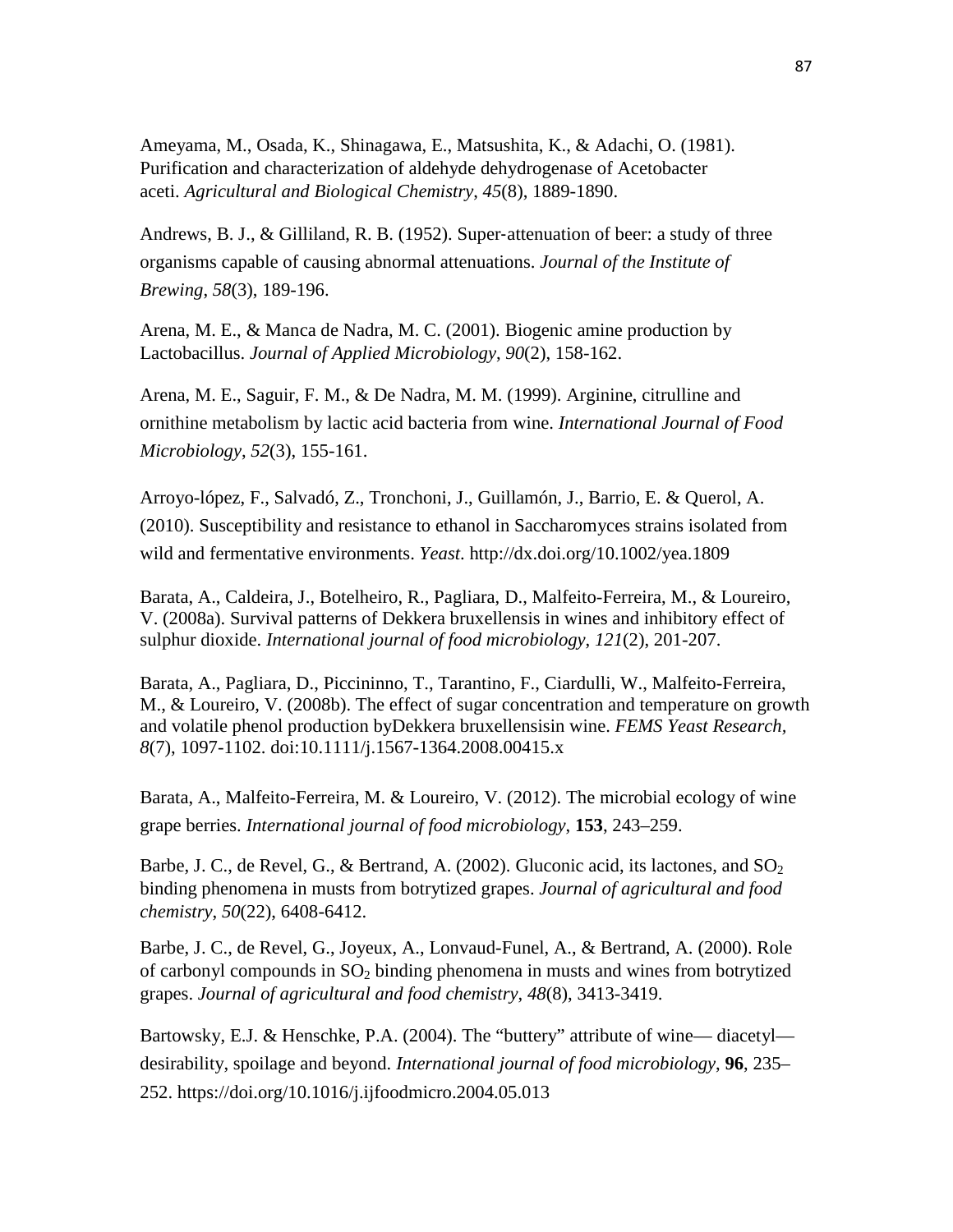Ameyama, M., Osada, K., Shinagawa, E., Matsushita, K., & Adachi, O. (1981). Purification and characterization of aldehyde dehydrogenase of Acetobacter aceti. *Agricultural and Biological Chemistry*, *45*(8), 1889-1890.

Andrews, B. J., & Gilliland, R. B. (1952). Super‐attenuation of beer: a study of three organisms capable of causing abnormal attenuations. *Journal of the Institute of Brewing*, *58*(3), 189-196.

Arena, M. E., & Manca de Nadra, M. C. (2001). Biogenic amine production by Lactobacillus. *Journal of Applied Microbiology*, *90*(2), 158-162.

Arena, M. E., Saguir, F. M., & De Nadra, M. M. (1999). Arginine, citrulline and ornithine metabolism by lactic acid bacteria from wine. *International Journal of Food Microbiology*, *52*(3), 155-161.

Arroyo-lópez, F., Salvadó, Z., Tronchoni, J., Guillamón, J., Barrio, E. & Querol, A. (2010). Susceptibility and resistance to ethanol in Saccharomyces strains isolated from wild and fermentative environments. *Yeast*. http://dx.doi.org/10.1002/yea.1809

Barata, A., Caldeira, J., Botelheiro, R., Pagliara, D., Malfeito-Ferreira, M., & Loureiro, V. (2008a). Survival patterns of Dekkera bruxellensis in wines and inhibitory effect of sulphur dioxide. *International journal of food microbiology*, *121*(2), 201-207.

Barata, A., Pagliara, D., Piccininno, T., Tarantino, F., Ciardulli, W., Malfeito-Ferreira, M., & Loureiro, V. (2008b). The effect of sugar concentration and temperature on growth and volatile phenol production byDekkera bruxellensisin wine. *FEMS Yeast Research, 8*(7), 1097-1102. doi:10.1111/j.1567-1364.2008.00415.x

Barata, A., Malfeito-Ferreira, M. & Loureiro, V. (2012). The microbial ecology of wine grape berries. *International journal of food microbiology*, **153**, 243–259.

Barbe, J. C., de Revel, G., & Bertrand, A. (2002). Gluconic acid, its lactones, and  $SO<sub>2</sub>$ binding phenomena in musts from botrytized grapes. *Journal of agricultural and food chemistry*, *50*(22), 6408-6412.

Barbe, J. C., de Revel, G., Joyeux, A., Lonvaud-Funel, A., & Bertrand, A. (2000). Role of carbonyl compounds in  $SO<sub>2</sub>$  binding phenomena in musts and wines from botrytized grapes. *Journal of agricultural and food chemistry*, *48*(8), 3413-3419.

Bartowsky, E.J. & Henschke, P.A. (2004). The "buttery" attribute of wine— diacetyl desirability, spoilage and beyond. *International journal of food microbiology*, **96**, 235– 252. https://doi.org/10.1016/j.ijfoodmicro.2004.05.013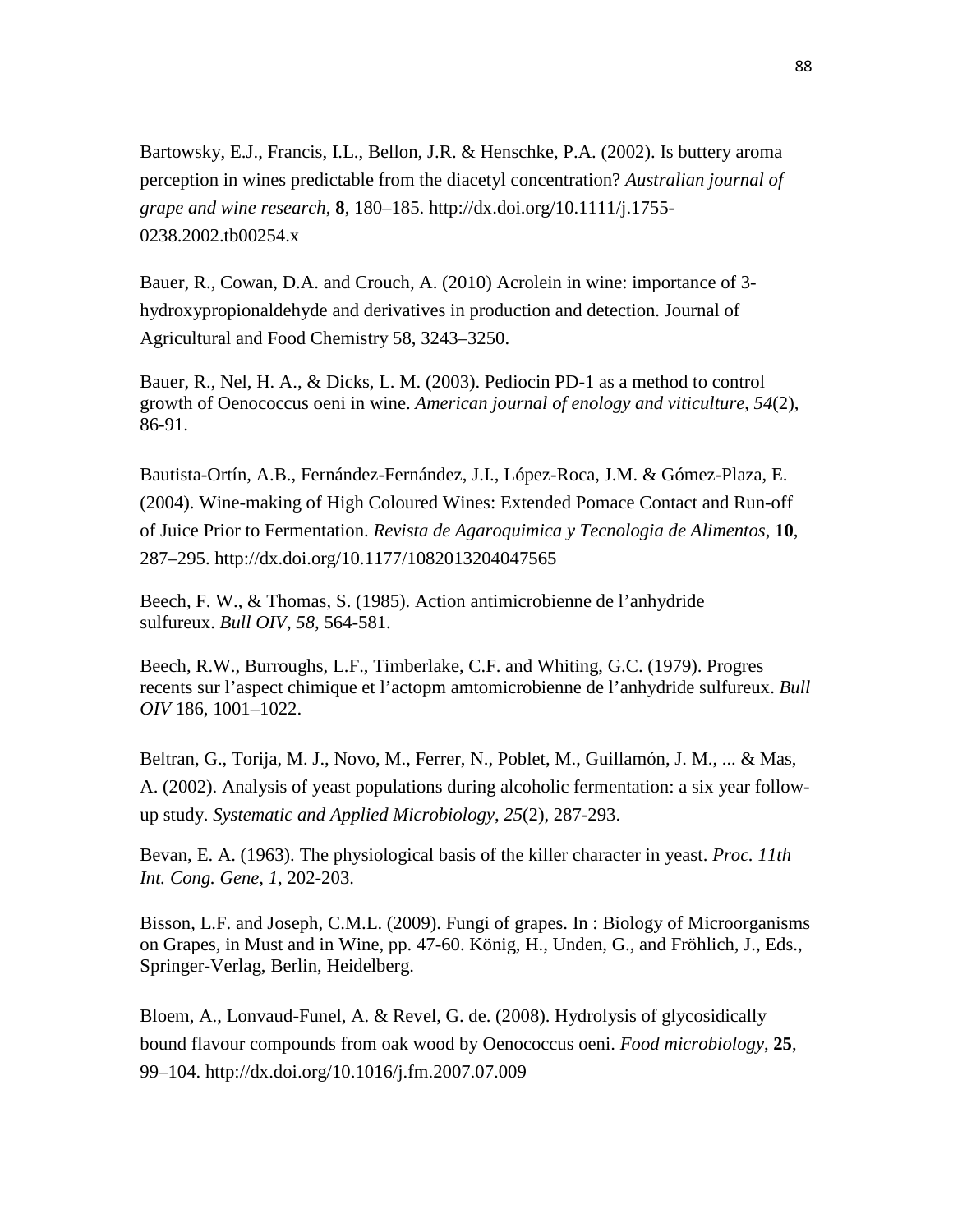Bartowsky, E.J., Francis, I.L., Bellon, J.R. & Henschke, P.A. (2002). Is buttery aroma perception in wines predictable from the diacetyl concentration? *Australian journal of grape and wine research*, **8**, 180–185. http://dx.doi.org/10.1111/j.1755- 0238.2002.tb00254.x

Bauer, R., Cowan, D.A. and Crouch, A. (2010) Acrolein in wine: importance of 3 hydroxypropionaldehyde and derivatives in production and detection. Journal of Agricultural and Food Chemistry 58, 3243–3250.

Bauer, R., Nel, H. A., & Dicks, L. M. (2003). Pediocin PD-1 as a method to control growth of Oenococcus oeni in wine. *American journal of enology and viticulture*, *54*(2), 86-91.

Bautista-Ortín, A.B., Fernández-Fernández, J.I., López-Roca, J.M. & Gómez-Plaza, E. (2004). Wine-making of High Coloured Wines: Extended Pomace Contact and Run-off of Juice Prior to Fermentation. *Revista de Agaroquimica y Tecnologia de Alimentos*, **10**, 287–295. http://dx.doi.org/10.1177/1082013204047565

Beech, F. W., & Thomas, S. (1985). Action antimicrobienne de l'anhydride sulfureux. *Bull OIV*, *58*, 564-581.

Beech, R.W., Burroughs, L.F., Timberlake, C.F. and Whiting, G.C. (1979). Progres recents sur l'aspect chimique et l'actopm amtomicrobienne de l'anhydride sulfureux. *Bull OIV* 186, 1001–1022.

Beltran, G., Torija, M. J., Novo, M., Ferrer, N., Poblet, M., Guillamón, J. M., ... & Mas, A. (2002). Analysis of yeast populations during alcoholic fermentation: a six year followup study. *Systematic and Applied Microbiology*, *25*(2), 287-293.

Bevan, E. A. (1963). The physiological basis of the killer character in yeast. *Proc. 11th Int. Cong. Gene*, *1*, 202-203.

Bisson, L.F. and Joseph, C.M.L. (2009). Fungi of grapes. In : Biology of Microorganisms on Grapes, in Must and in Wine, pp. 47-60. König, H., Unden, G., and Fröhlich, J., Eds., Springer-Verlag, Berlin, Heidelberg.

Bloem, A., Lonvaud-Funel, A. & Revel, G. de. (2008). Hydrolysis of glycosidically bound flavour compounds from oak wood by Oenococcus oeni. *Food microbiology*, **25**, 99–104. http://dx.doi.org/10.1016/j.fm.2007.07.009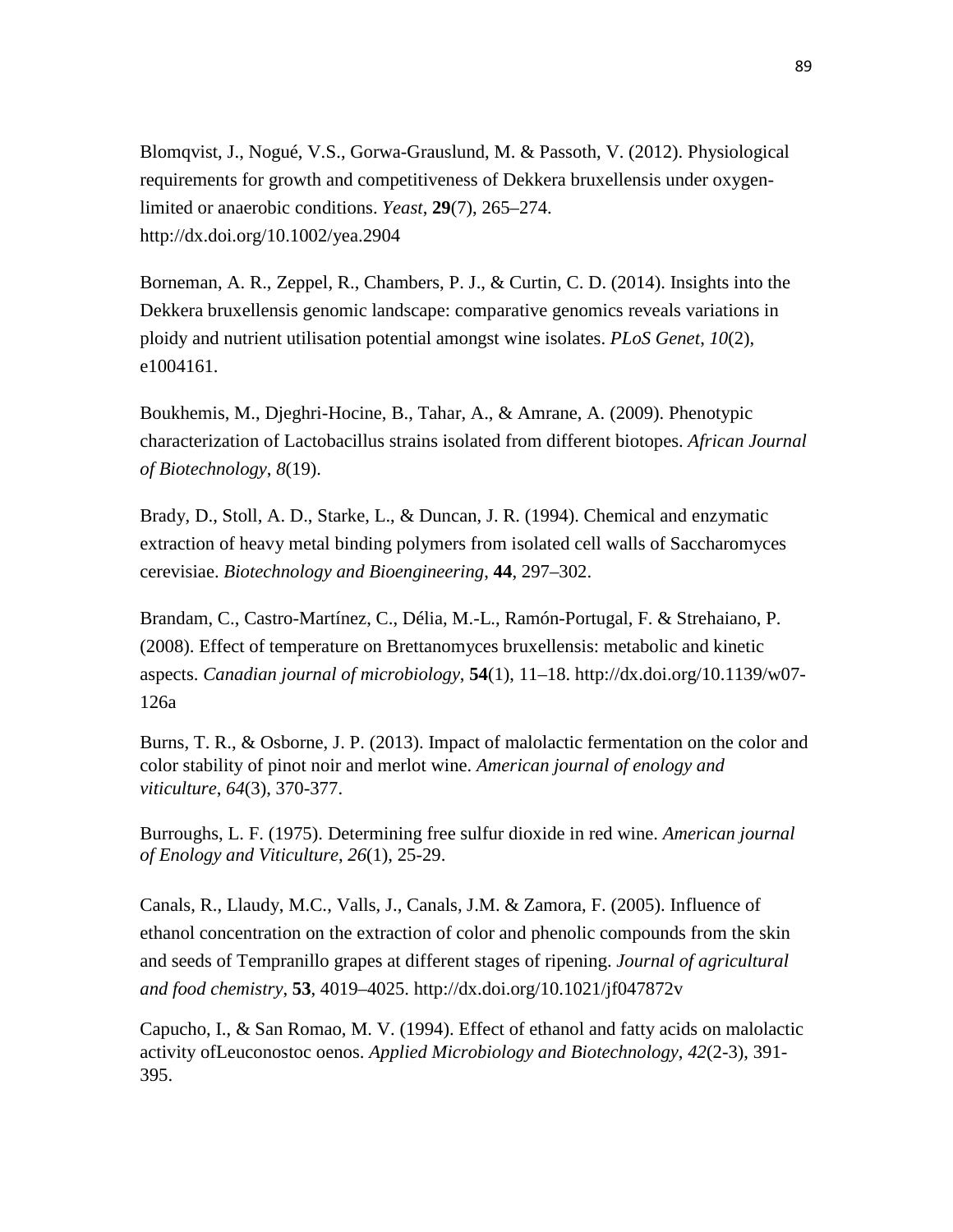Blomqvist, J., Nogué, V.S., Gorwa-Grauslund, M. & Passoth, V. (2012). Physiological requirements for growth and competitiveness of Dekkera bruxellensis under oxygenlimited or anaerobic conditions. *Yeast*, **29**(7), 265–274. http://dx.doi.org/10.1002/yea.2904

Borneman, A. R., Zeppel, R., Chambers, P. J., & Curtin, C. D. (2014). Insights into the Dekkera bruxellensis genomic landscape: comparative genomics reveals variations in ploidy and nutrient utilisation potential amongst wine isolates. *PLoS Genet*, *10*(2), e1004161.

Boukhemis, M., Djeghri-Hocine, B., Tahar, A., & Amrane, A. (2009). Phenotypic characterization of Lactobacillus strains isolated from different biotopes. *African Journal of Biotechnology*, *8*(19).

Brady, D., Stoll, A. D., Starke, L., & Duncan, J. R. (1994). Chemical and enzymatic extraction of heavy metal binding polymers from isolated cell walls of Saccharomyces cerevisiae. *Biotechnology and Bioengineering*, **44**, 297–302.

Brandam, C., Castro-Martínez, C., Délia, M.-L., Ramón-Portugal, F. & Strehaiano, P. (2008). Effect of temperature on Brettanomyces bruxellensis: metabolic and kinetic aspects. *Canadian journal of microbiology*, **54**(1), 11–18. http://dx.doi.org/10.1139/w07- 126a

Burns, T. R., & Osborne, J. P. (2013). Impact of malolactic fermentation on the color and color stability of pinot noir and merlot wine. *American journal of enology and viticulture*, *64*(3), 370-377.

Burroughs, L. F. (1975). Determining free sulfur dioxide in red wine. *American journal of Enology and Viticulture*, *26*(1), 25-29.

Canals, R., Llaudy, M.C., Valls, J., Canals, J.M. & Zamora, F. (2005). Influence of ethanol concentration on the extraction of color and phenolic compounds from the skin and seeds of Tempranillo grapes at different stages of ripening. *Journal of agricultural and food chemistry*, **53**, 4019–4025. http://dx.doi.org/10.1021/jf047872v

Capucho, I., & San Romao, M. V. (1994). Effect of ethanol and fatty acids on malolactic activity ofLeuconostoc oenos. *Applied Microbiology and Biotechnology*, *42*(2-3), 391- 395.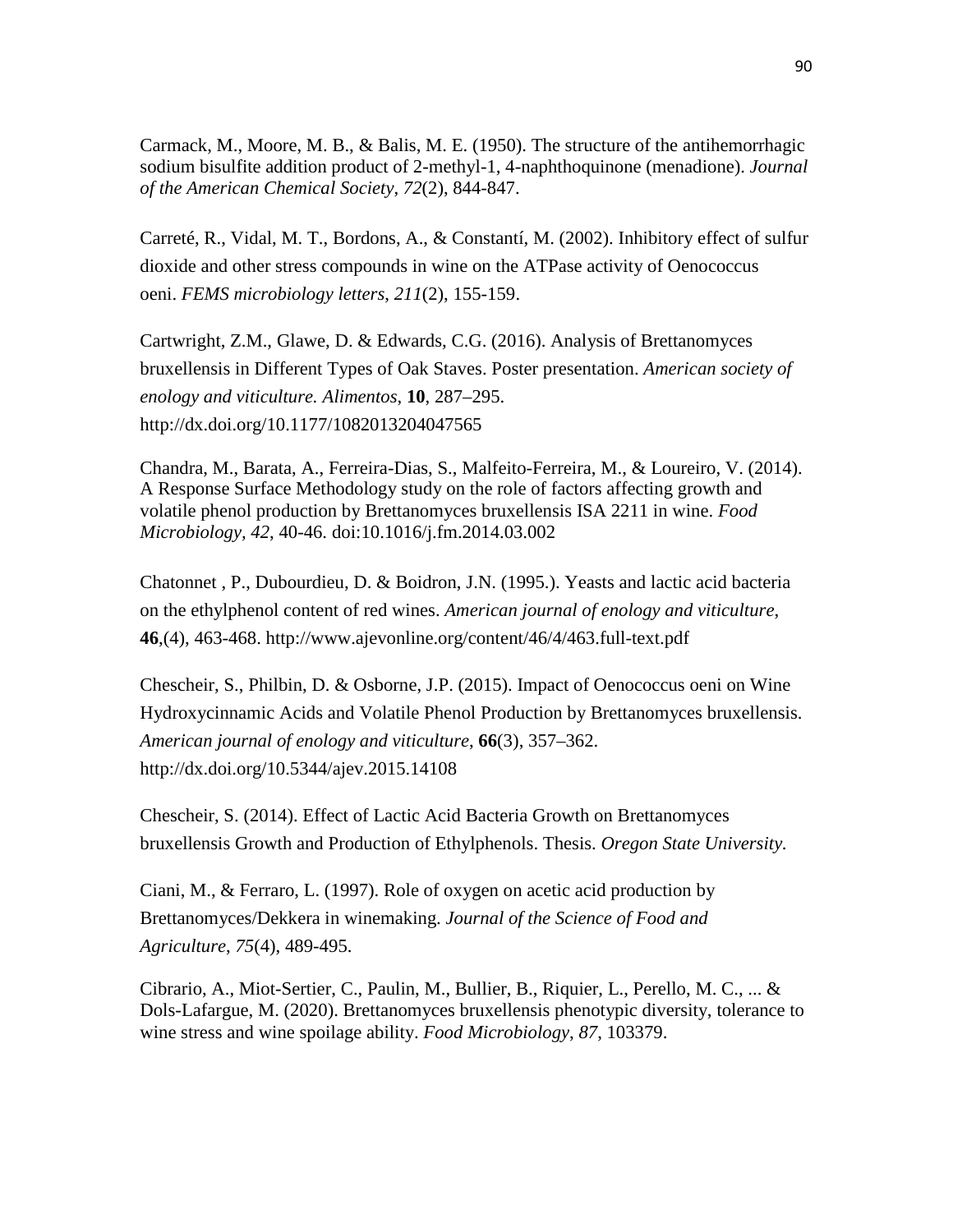Carmack, M., Moore, M. B., & Balis, M. E. (1950). The structure of the antihemorrhagic sodium bisulfite addition product of 2-methyl-1, 4-naphthoquinone (menadione). *Journal of the American Chemical Society*, *72*(2), 844-847.

Carreté, R., Vidal, M. T., Bordons, A., & Constantí, M. (2002). Inhibitory effect of sulfur dioxide and other stress compounds in wine on the ATPase activity of Oenococcus oeni. *FEMS microbiology letters*, *211*(2), 155-159.

Cartwright, Z.M., Glawe, D. & Edwards, C.G. (2016). Analysis of Brettanomyces bruxellensis in Different Types of Oak Staves. Poster presentation. *American society of enology and viticulture. Alimentos*, **10**, 287–295. http://dx.doi.org/10.1177/1082013204047565

Chandra, M., Barata, A., Ferreira-Dias, S., Malfeito-Ferreira, M., & Loureiro, V. (2014). A Response Surface Methodology study on the role of factors affecting growth and volatile phenol production by Brettanomyces bruxellensis ISA 2211 in wine. *Food Microbiology, 42*, 40-46. doi:10.1016/j.fm.2014.03.002

Chatonnet , P., Dubourdieu, D. & Boidron, J.N. (1995.). Yeasts and lactic acid bacteria on the ethylphenol content of red wines. *American journal of enology and viticulture*, **46**,(4), 463-468. http://www.ajevonline.org/content/46/4/463.full-text.pdf

Chescheir, S., Philbin, D. & Osborne, J.P. (2015). Impact of Oenococcus oeni on Wine Hydroxycinnamic Acids and Volatile Phenol Production by Brettanomyces bruxellensis. *American journal of enology and viticulture*, **66**(3), 357–362. http://dx.doi.org/10.5344/ajev.2015.14108

Chescheir, S. (2014). Effect of Lactic Acid Bacteria Growth on Brettanomyces bruxellensis Growth and Production of Ethylphenols. Thesis. *Oregon State University.* 

Ciani, M., & Ferraro, L. (1997). Role of oxygen on acetic acid production by Brettanomyces/Dekkera in winemaking. *Journal of the Science of Food and Agriculture*, *75*(4), 489-495.

Cibrario, A., Miot-Sertier, C., Paulin, M., Bullier, B., Riquier, L., Perello, M. C., ... & Dols-Lafargue, M. (2020). Brettanomyces bruxellensis phenotypic diversity, tolerance to wine stress and wine spoilage ability. *Food Microbiology*, *87*, 103379.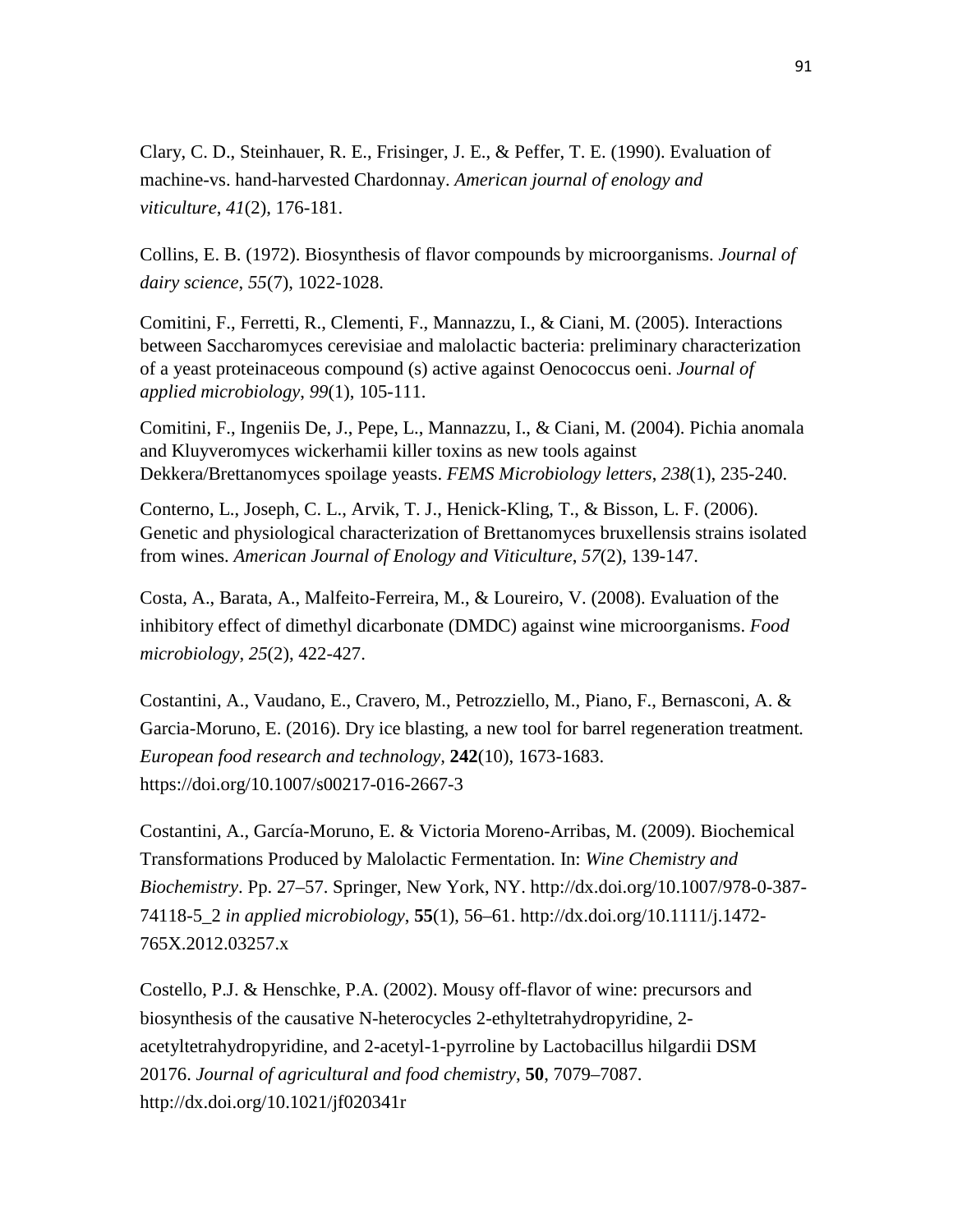Clary, C. D., Steinhauer, R. E., Frisinger, J. E., & Peffer, T. E. (1990). Evaluation of machine-vs. hand-harvested Chardonnay. *American journal of enology and viticulture*, *41*(2), 176-181.

Collins, E. B. (1972). Biosynthesis of flavor compounds by microorganisms. *Journal of dairy science*, *55*(7), 1022-1028.

Comitini, F., Ferretti, R., Clementi, F., Mannazzu, I., & Ciani, M. (2005). Interactions between Saccharomyces cerevisiae and malolactic bacteria: preliminary characterization of a yeast proteinaceous compound (s) active against Oenococcus oeni. *Journal of applied microbiology*, *99*(1), 105-111.

Comitini, F., Ingeniis De, J., Pepe, L., Mannazzu, I., & Ciani, M. (2004). Pichia anomala and Kluyveromyces wickerhamii killer toxins as new tools against Dekkera/Brettanomyces spoilage yeasts. *FEMS Microbiology letters*, *238*(1), 235-240.

Conterno, L., Joseph, C. L., Arvik, T. J., Henick-Kling, T., & Bisson, L. F. (2006). Genetic and physiological characterization of Brettanomyces bruxellensis strains isolated from wines. *American Journal of Enology and Viticulture*, *57*(2), 139-147.

Costa, A., Barata, A., Malfeito-Ferreira, M., & Loureiro, V. (2008). Evaluation of the inhibitory effect of dimethyl dicarbonate (DMDC) against wine microorganisms. *Food microbiology*, *25*(2), 422-427.

Costantini, A., Vaudano, E., Cravero, M., Petrozziello, M., Piano, F., Bernasconi, A. & Garcia-Moruno, E. (2016). Dry ice blasting, a new tool for barrel regeneration treatment*. European food research and technology,* **242**(10), 1673-1683. https://doi.org/10.1007/s00217-016-2667-3

Costantini, A., García-Moruno, E. & Victoria Moreno-Arribas, M. (2009). Biochemical Transformations Produced by Malolactic Fermentation. In: *Wine Chemistry and Biochemistry*. Pp. 27–57. Springer, New York, NY. http://dx.doi.org/10.1007/978-0-387- 74118-5\_2 *in applied microbiology*, **55**(1), 56–61. http://dx.doi.org/10.1111/j.1472- 765X.2012.03257.x

Costello, P.J. & Henschke, P.A. (2002). Mousy off-flavor of wine: precursors and biosynthesis of the causative N-heterocycles 2-ethyltetrahydropyridine, 2 acetyltetrahydropyridine, and 2-acetyl-1-pyrroline by Lactobacillus hilgardii DSM 20176. *Journal of agricultural and food chemistry*, **50**, 7079–7087. http://dx.doi.org/10.1021/jf020341r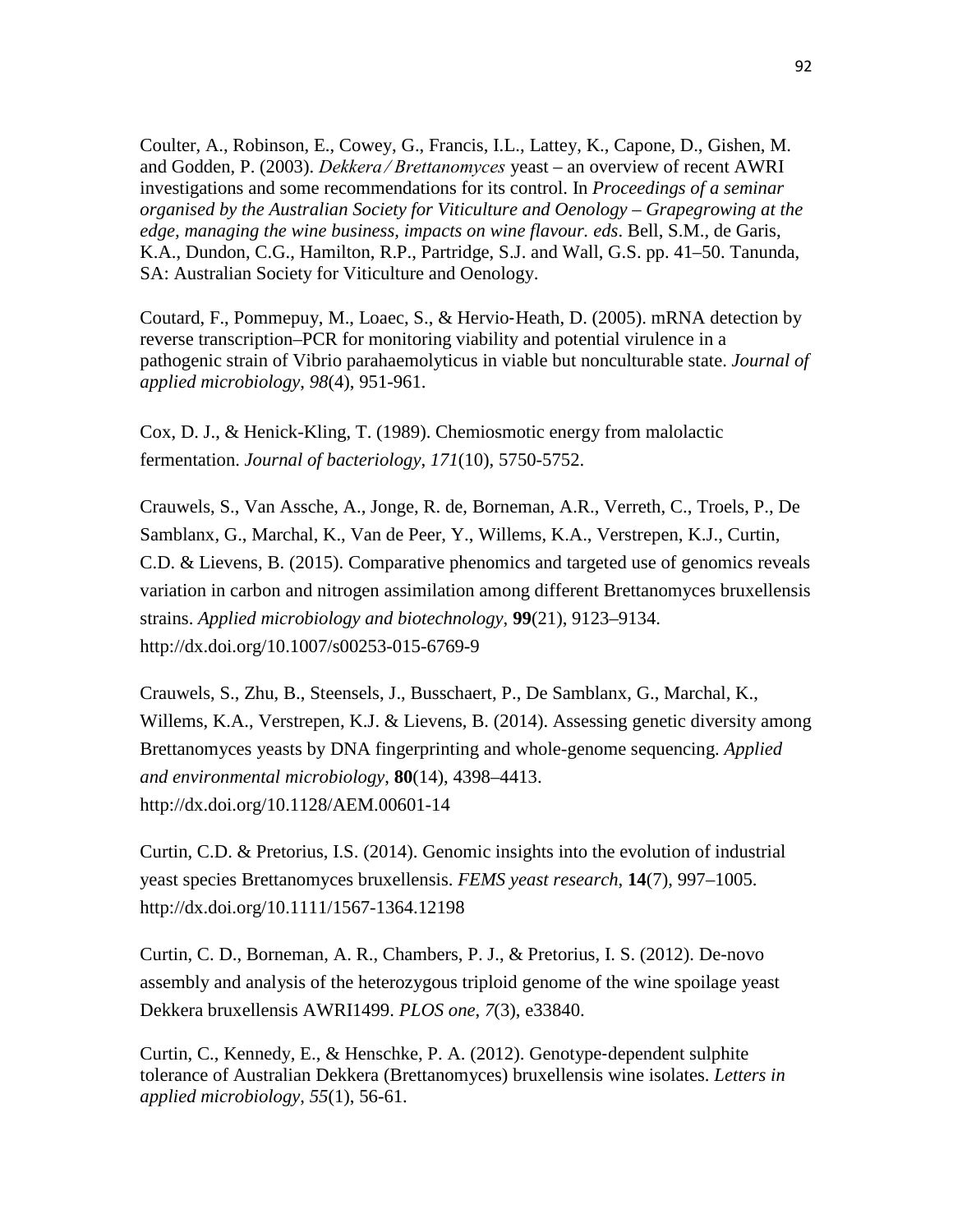Coulter, A., Robinson, E., Cowey, G., Francis, I.L., Lattey, K., Capone, D., Gishen, M. and Godden, P. (2003). *Dekkera ⁄ Brettanomyces* yeast – an overview of recent AWRI investigations and some recommendations for its control. In *Proceedings of a seminar organised by the Australian Society for Viticulture and Oenology – Grapegrowing at the edge, managing the wine business, impacts on wine flavour. eds*. Bell, S.M., de Garis, K.A., Dundon, C.G., Hamilton, R.P., Partridge, S.J. and Wall, G.S. pp. 41–50. Tanunda, SA: Australian Society for Viticulture and Oenology.

Coutard, F., Pommepuy, M., Loaec, S., & Hervio‐Heath, D. (2005). mRNA detection by reverse transcription–PCR for monitoring viability and potential virulence in a pathogenic strain of Vibrio parahaemolyticus in viable but nonculturable state. *Journal of applied microbiology*, *98*(4), 951-961.

Cox, D. J., & Henick-Kling, T. (1989). Chemiosmotic energy from malolactic fermentation. *Journal of bacteriology*, *171*(10), 5750-5752.

Crauwels, S., Van Assche, A., Jonge, R. de, Borneman, A.R., Verreth, C., Troels, P., De Samblanx, G., Marchal, K., Van de Peer, Y., Willems, K.A., Verstrepen, K.J., Curtin, C.D. & Lievens, B. (2015). Comparative phenomics and targeted use of genomics reveals variation in carbon and nitrogen assimilation among different Brettanomyces bruxellensis strains. *Applied microbiology and biotechnology*, **99**(21), 9123–9134. http://dx.doi.org/10.1007/s00253-015-6769-9

Crauwels, S., Zhu, B., Steensels, J., Busschaert, P., De Samblanx, G., Marchal, K., Willems, K.A., Verstrepen, K.J. & Lievens, B. (2014). Assessing genetic diversity among Brettanomyces yeasts by DNA fingerprinting and whole-genome sequencing. *Applied and environmental microbiology*, **80**(14), 4398–4413. http://dx.doi.org/10.1128/AEM.00601-14

Curtin, C.D. & Pretorius, I.S. (2014). Genomic insights into the evolution of industrial yeast species Brettanomyces bruxellensis. *FEMS yeast research*, **14**(7), 997–1005. http://dx.doi.org/10.1111/1567-1364.12198

Curtin, C. D., Borneman, A. R., Chambers, P. J., & Pretorius, I. S. (2012). De-novo assembly and analysis of the heterozygous triploid genome of the wine spoilage yeast Dekkera bruxellensis AWRI1499. *PLOS one*, *7*(3), e33840.

Curtin, C., Kennedy, E., & Henschke, P. A. (2012). Genotype‐dependent sulphite tolerance of Australian Dekkera (Brettanomyces) bruxellensis wine isolates. *Letters in applied microbiology*, *55*(1), 56-61.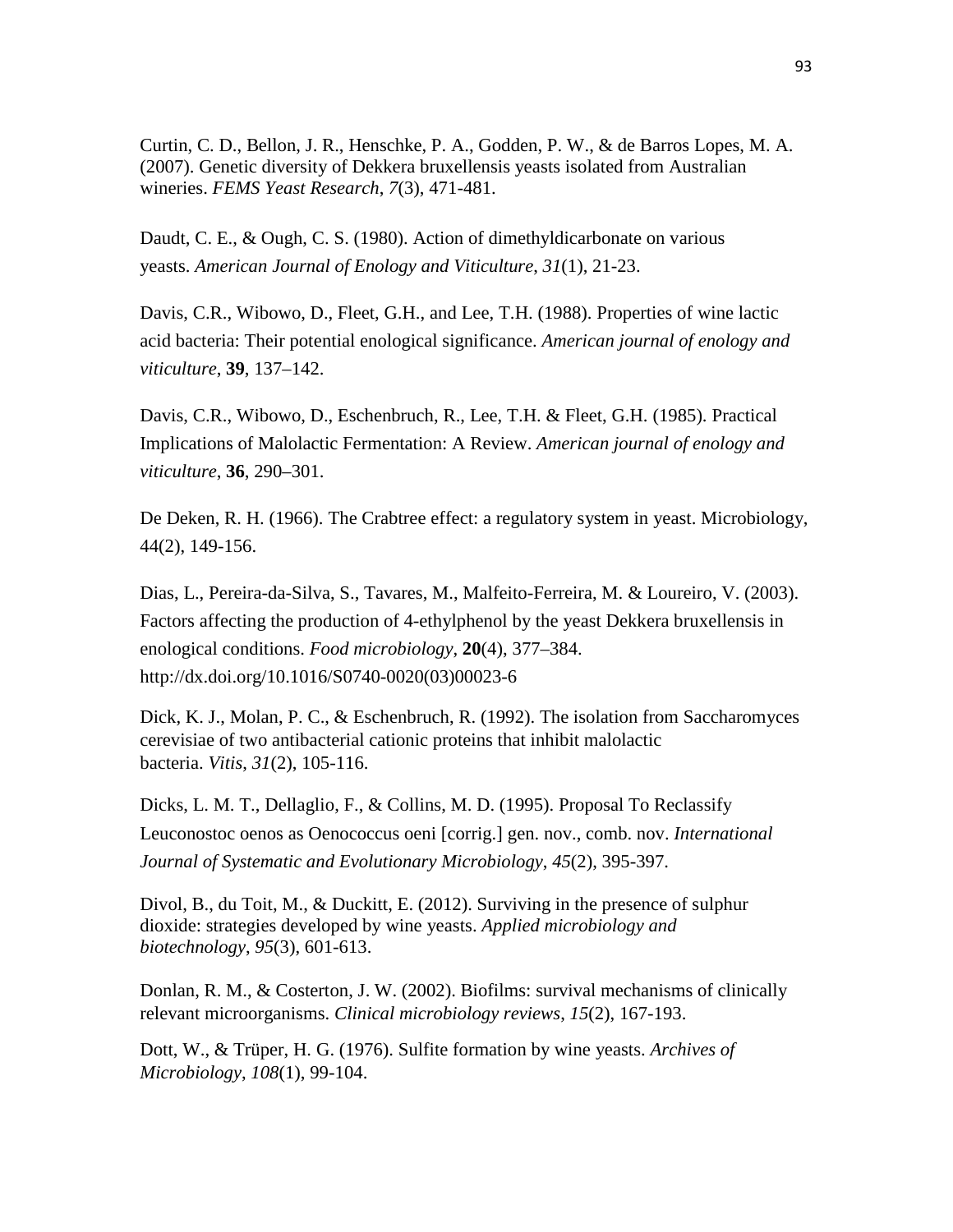Curtin, C. D., Bellon, J. R., Henschke, P. A., Godden, P. W., & de Barros Lopes, M. A. (2007). Genetic diversity of Dekkera bruxellensis yeasts isolated from Australian wineries. *FEMS Yeast Research*, *7*(3), 471-481.

Daudt, C. E., & Ough, C. S. (1980). Action of dimethyldicarbonate on various yeasts. *American Journal of Enology and Viticulture*, *31*(1), 21-23.

Davis, C.R., Wibowo, D., Fleet, G.H., and Lee, T.H. (1988). Properties of wine lactic acid bacteria: Their potential enological significance. *American journal of enology and viticulture*, **39**, 137–142.

Davis, C.R., Wibowo, D., Eschenbruch, R., Lee, T.H. & Fleet, G.H. (1985). Practical Implications of Malolactic Fermentation: A Review. *American journal of enology and viticulture*, **36**, 290–301.

De Deken, R. H. (1966). The Crabtree effect: a regulatory system in yeast. Microbiology, 44(2), 149-156.

Dias, L., Pereira-da-Silva, S., Tavares, M., Malfeito-Ferreira, M. & Loureiro, V. (2003). Factors affecting the production of 4-ethylphenol by the yeast Dekkera bruxellensis in enological conditions. *Food microbiology*, **20**(4), 377–384. http://dx.doi.org/10.1016/S0740-0020(03)00023-6

Dick, K. J., Molan, P. C., & Eschenbruch, R. (1992). The isolation from Saccharomyces cerevisiae of two antibacterial cationic proteins that inhibit malolactic bacteria. *Vitis*, *31*(2), 105-116.

Dicks, L. M. T., Dellaglio, F., & Collins, M. D. (1995). Proposal To Reclassify Leuconostoc oenos as Oenococcus oeni [corrig.] gen. nov., comb. nov. *International Journal of Systematic and Evolutionary Microbiology*, *45*(2), 395-397.

Divol, B., du Toit, M., & Duckitt, E. (2012). Surviving in the presence of sulphur dioxide: strategies developed by wine yeasts. *Applied microbiology and biotechnology*, *95*(3), 601-613.

Donlan, R. M., & Costerton, J. W. (2002). Biofilms: survival mechanisms of clinically relevant microorganisms. *Clinical microbiology reviews*, *15*(2), 167-193.

Dott, W., & Trüper, H. G. (1976). Sulfite formation by wine yeasts. *Archives of Microbiology*, *108*(1), 99-104.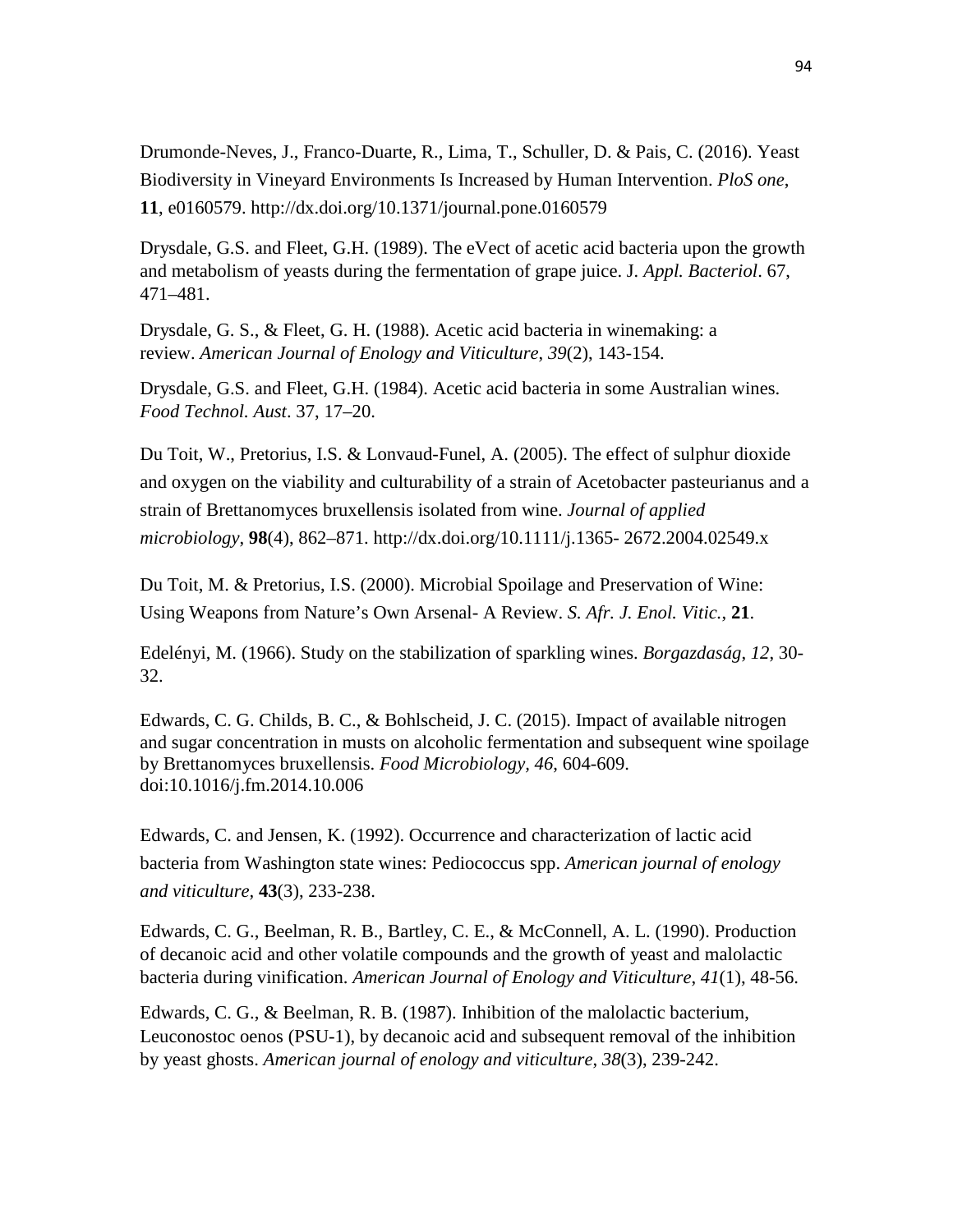Drumonde-Neves, J., Franco-Duarte, R., Lima, T., Schuller, D. & Pais, C. (2016). Yeast Biodiversity in Vineyard Environments Is Increased by Human Intervention. *PloS one*, **11**, e0160579. http://dx.doi.org/10.1371/journal.pone.0160579

Drysdale, G.S. and Fleet, G.H. (1989). The eVect of acetic acid bacteria upon the growth and metabolism of yeasts during the fermentation of grape juice. J*. Appl. Bacteriol*. 67, 471–481.

Drysdale, G. S., & Fleet, G. H. (1988). Acetic acid bacteria in winemaking: a review. *American Journal of Enology and Viticulture*, *39*(2), 143-154.

Drysdale, G.S. and Fleet, G.H. (1984). Acetic acid bacteria in some Australian wines. *Food Technol. Aust*. 37, 17–20.

Du Toit, W., Pretorius, I.S. & Lonvaud-Funel, A. (2005). The effect of sulphur dioxide and oxygen on the viability and culturability of a strain of Acetobacter pasteurianus and a strain of Brettanomyces bruxellensis isolated from wine. *Journal of applied microbiology*, **98**(4), 862–871. http://dx.doi.org/10.1111/j.1365- 2672.2004.02549.x

Du Toit, M. & Pretorius, I.S. (2000). Microbial Spoilage and Preservation of Wine: Using Weapons from Nature's Own Arsenal- A Review. *S. Afr. J. Enol. Vitic.*, **21**.

Edelényi, M. (1966). Study on the stabilization of sparkling wines. *Borgazdaság*, *12*, 30- 32.

Edwards, C. G. Childs, B. C., & Bohlscheid, J. C. (2015). Impact of available nitrogen and sugar concentration in musts on alcoholic fermentation and subsequent wine spoilage by Brettanomyces bruxellensis. *Food Microbiology, 46*, 604-609. doi:10.1016/j.fm.2014.10.006

Edwards, C. and Jensen, K. (1992). Occurrence and characterization of lactic acid bacteria from Washington state wines: Pediococcus spp. *American journal of enology and viticulture,* **43**(3), 233-238.

Edwards, C. G., Beelman, R. B., Bartley, C. E., & McConnell, A. L. (1990). Production of decanoic acid and other volatile compounds and the growth of yeast and malolactic bacteria during vinification. *American Journal of Enology and Viticulture*, *41*(1), 48-56.

Edwards, C. G., & Beelman, R. B. (1987). Inhibition of the malolactic bacterium, Leuconostoc oenos (PSU-1), by decanoic acid and subsequent removal of the inhibition by yeast ghosts. *American journal of enology and viticulture*, *38*(3), 239-242.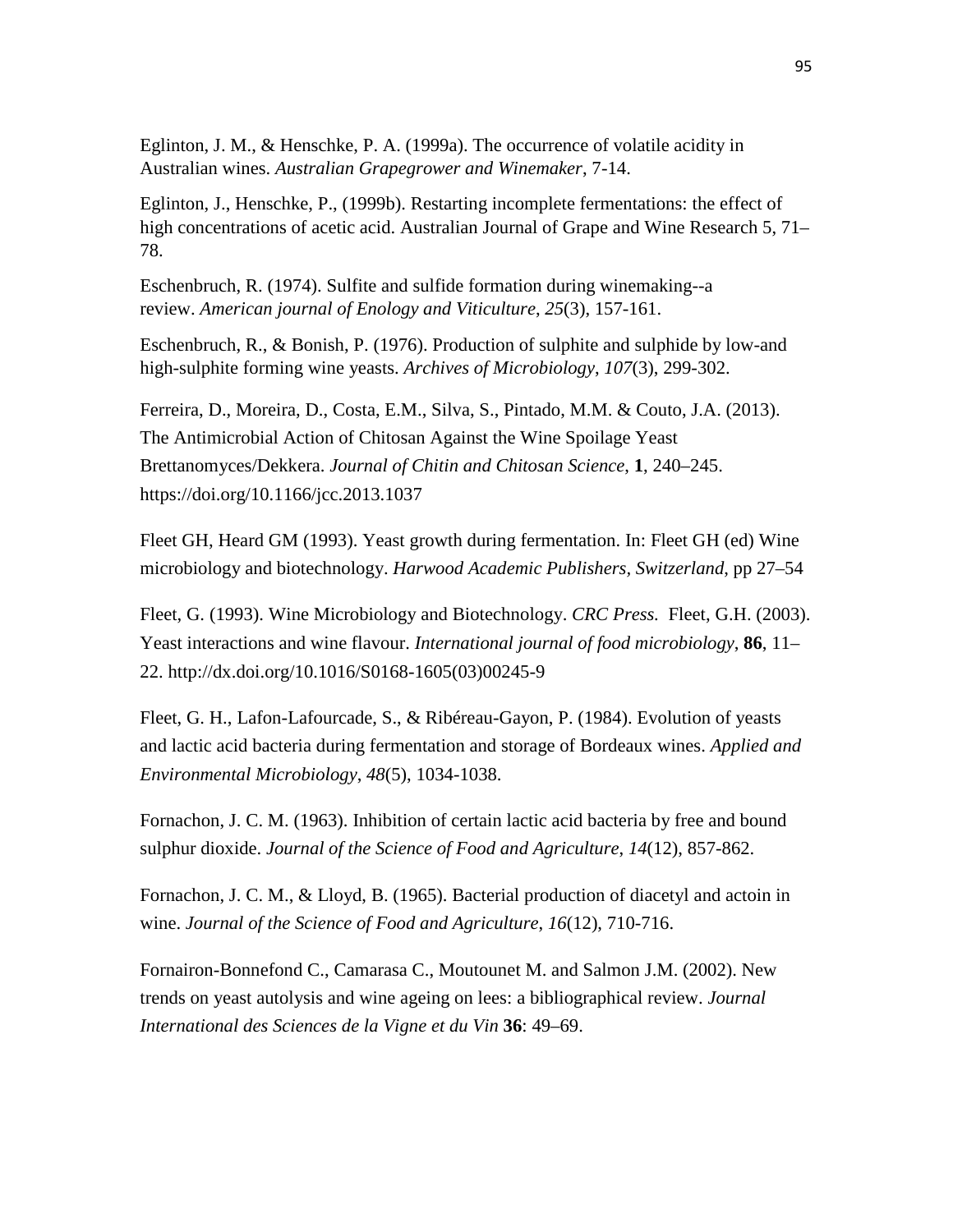Eglinton, J. M., & Henschke, P. A. (1999a). The occurrence of volatile acidity in Australian wines. *Australian Grapegrower and Winemaker*, 7-14.

Eglinton, J., Henschke, P., (1999b). Restarting incomplete fermentations: the effect of high concentrations of acetic acid. Australian Journal of Grape and Wine Research 5, 71– 78.

Eschenbruch, R. (1974). Sulfite and sulfide formation during winemaking--a review. *American journal of Enology and Viticulture*, *25*(3), 157-161.

Eschenbruch, R., & Bonish, P. (1976). Production of sulphite and sulphide by low-and high-sulphite forming wine yeasts. *Archives of Microbiology*, *107*(3), 299-302.

Ferreira, D., Moreira, D., Costa, E.M., Silva, S., Pintado, M.M. & Couto, J.A. (2013). The Antimicrobial Action of Chitosan Against the Wine Spoilage Yeast Brettanomyces/Dekkera. *Journal of Chitin and Chitosan Science*, **1**, 240–245. https://doi.org/10.1166/jcc.2013.1037

Fleet GH, Heard GM (1993). Yeast growth during fermentation. In: Fleet GH (ed) Wine microbiology and biotechnology. *Harwood Academic Publishers, Switzerland*, pp 27–54

Fleet, G. (1993). Wine Microbiology and Biotechnology. *CRC Press.* Fleet, G.H. (2003). Yeast interactions and wine flavour. *International journal of food microbiology*, **86**, 11– 22. http://dx.doi.org/10.1016/S0168-1605(03)00245-9

Fleet, G. H., Lafon-Lafourcade, S., & Ribéreau-Gayon, P. (1984). Evolution of yeasts and lactic acid bacteria during fermentation and storage of Bordeaux wines. *Applied and Environmental Microbiology*, *48*(5), 1034-1038.

Fornachon, J. C. M. (1963). Inhibition of certain lactic acid bacteria by free and bound sulphur dioxide. *Journal of the Science of Food and Agriculture*, *14*(12), 857-862.

Fornachon, J. C. M., & Lloyd, B. (1965). Bacterial production of diacetyl and actoin in wine. *Journal of the Science of Food and Agriculture*, *16*(12), 710-716.

Fornairon-Bonnefond C., Camarasa C., Moutounet M. and Salmon J.M. (2002). New trends on yeast autolysis and wine ageing on lees: a bibliographical review. *Journal International des Sciences de la Vigne et du Vin* **36**: 49–69.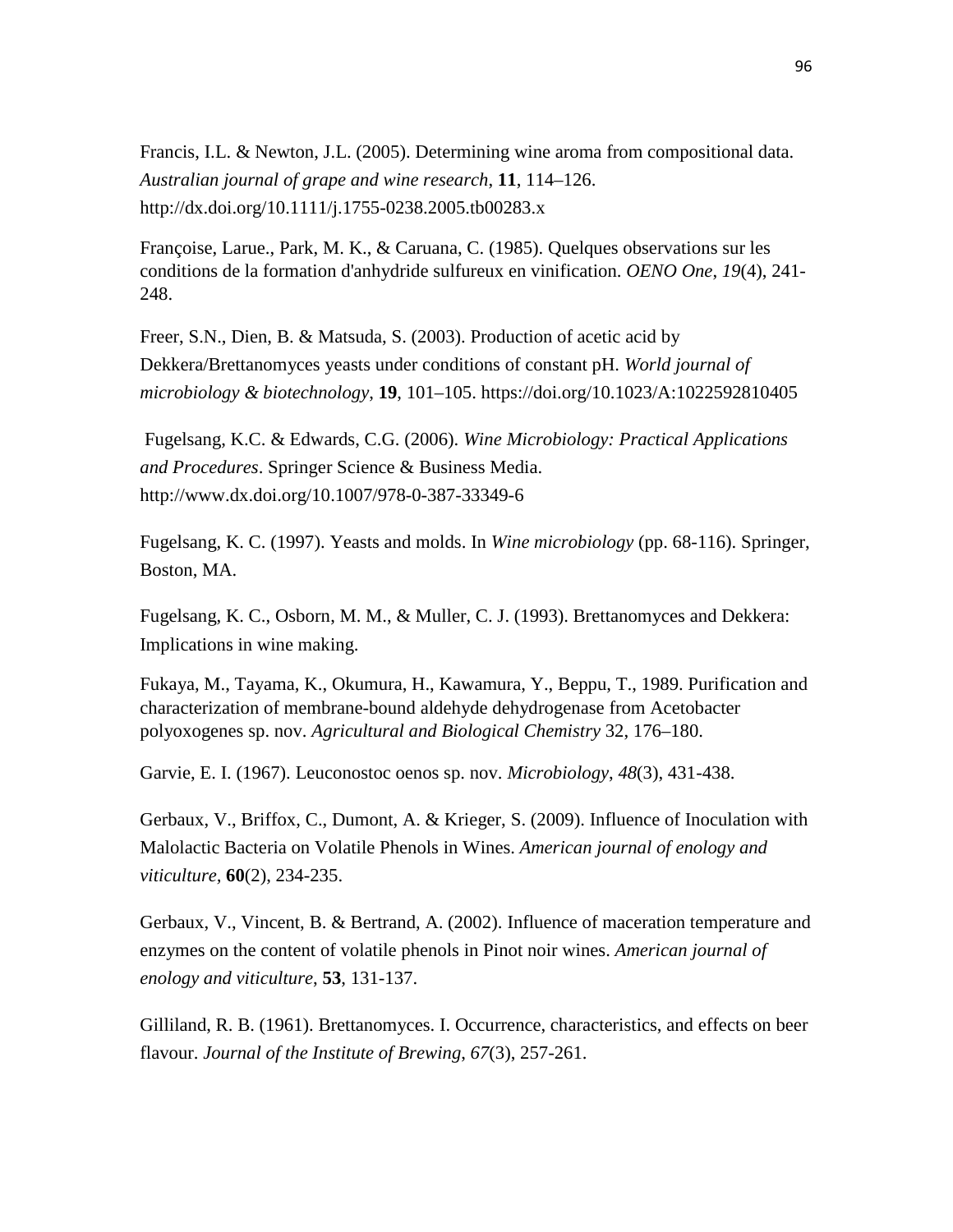Francis, I.L. & Newton, J.L. (2005). Determining wine aroma from compositional data. *Australian journal of grape and wine research*, **11**, 114–126. http://dx.doi.org/10.1111/j.1755-0238.2005.tb00283.x

Françoise, Larue., Park, M. K., & Caruana, C. (1985). Quelques observations sur les conditions de la formation d'anhydride sulfureux en vinification. *OENO One*, *19*(4), 241- 248.

Freer, S.N., Dien, B. & Matsuda, S. (2003). Production of acetic acid by Dekkera/Brettanomyces yeasts under conditions of constant pH. *World journal of microbiology & biotechnology*, **19**, 101–105. https://doi.org/10.1023/A:1022592810405

Fugelsang, K.C. & Edwards, C.G. (2006). *Wine Microbiology: Practical Applications and Procedures*. Springer Science & Business Media. http://www.dx.doi.org/10.1007/978-0-387-33349-6

Fugelsang, K. C. (1997). Yeasts and molds. In *Wine microbiology* (pp. 68-116). Springer, Boston, MA.

Fugelsang, K. C., Osborn, M. M., & Muller, C. J. (1993). Brettanomyces and Dekkera: Implications in wine making.

Fukaya, M., Tayama, K., Okumura, H., Kawamura, Y., Beppu, T., 1989. Purification and characterization of membrane-bound aldehyde dehydrogenase from Acetobacter polyoxogenes sp. nov. *Agricultural and Biological Chemistry* 32, 176–180.

Garvie, E. I. (1967). Leuconostoc oenos sp. nov. *Microbiology*, *48*(3), 431-438.

Gerbaux, V., Briffox, C., Dumont, A. & Krieger, S. (2009). Influence of Inoculation with Malolactic Bacteria on Volatile Phenols in Wines. *American journal of enology and viticulture,* **60**(2), 234-235.

Gerbaux, V., Vincent, B. & Bertrand, A. (2002). Influence of maceration temperature and enzymes on the content of volatile phenols in Pinot noir wines. *American journal of enology and viticulture*, **53**, 131-137.

Gilliland, R. B. (1961). Brettanomyces. I. Occurrence, characteristics, and effects on beer flavour. *Journal of the Institute of Brewing*, *67*(3), 257-261.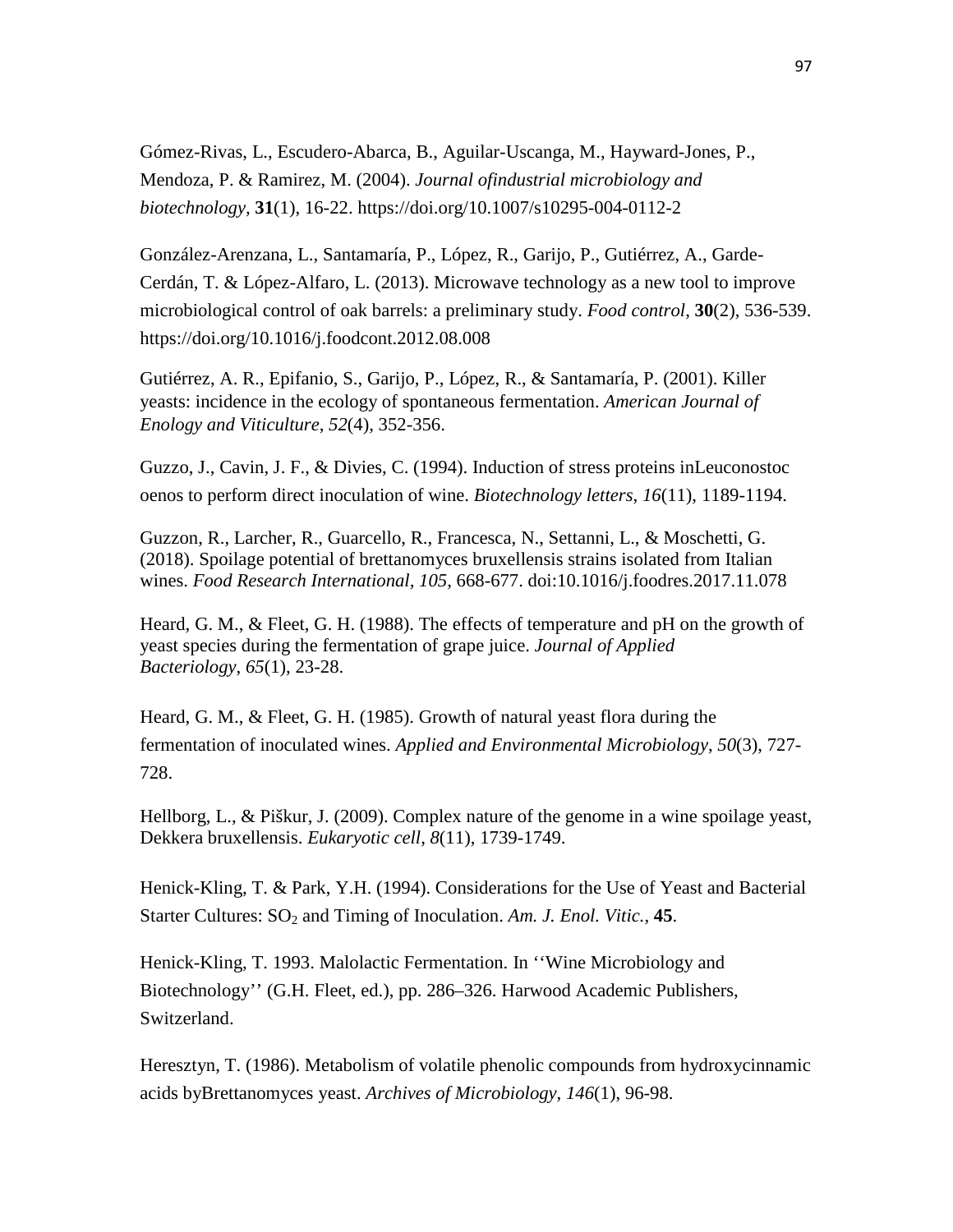Gómez-Rivas, L., Escudero-Abarca, B., Aguilar-Uscanga, M., Hayward-Jones, P., Mendoza, P. & Ramirez, M. (2004). *Journal ofindustrial microbiology and biotechnology,* **31**(1), 16-22. https://doi.org/10.1007/s10295-004-0112-2

González-Arenzana, L., Santamaría, P., López, R., Garijo, P., Gutiérrez, A., Garde-Cerdán, T. & López-Alfaro, L. (2013). Microwave technology as a new tool to improve microbiological control of oak barrels: a preliminary study. *Food control*, **30**(2), 536-539. https://doi.org/10.1016/j.foodcont.2012.08.008

Gutiérrez, A. R., Epifanio, S., Garijo, P., López, R., & Santamaría, P. (2001). Killer yeasts: incidence in the ecology of spontaneous fermentation. *American Journal of Enology and Viticulture*, *52*(4), 352-356.

Guzzo, J., Cavin, J. F., & Divies, C. (1994). Induction of stress proteins inLeuconostoc oenos to perform direct inoculation of wine. *Biotechnology letters*, *16*(11), 1189-1194.

Guzzon, R., Larcher, R., Guarcello, R., Francesca, N., Settanni, L., & Moschetti, G. (2018). Spoilage potential of brettanomyces bruxellensis strains isolated from Italian wines. *Food Research International, 105*, 668-677. doi:10.1016/j.foodres.2017.11.078

Heard, G. M., & Fleet, G. H. (1988). The effects of temperature and pH on the growth of yeast species during the fermentation of grape juice. *Journal of Applied Bacteriology*, *65*(1), 23-28.

Heard, G. M., & Fleet, G. H. (1985). Growth of natural yeast flora during the fermentation of inoculated wines. *Applied and Environmental Microbiology*, *50*(3), 727- 728.

Hellborg, L., & Piškur, J. (2009). Complex nature of the genome in a wine spoilage yeast, Dekkera bruxellensis. *Eukaryotic cell*, *8*(11), 1739-1749.

Henick-Kling, T. & Park, Y.H. (1994). Considerations for the Use of Yeast and Bacterial Starter Cultures: SO<sub>2</sub> and Timing of Inoculation. *Am. J. Enol. Vitic.*, **45**.

Henick-Kling, T. 1993. Malolactic Fermentation. In ''Wine Microbiology and Biotechnology'' (G.H. Fleet, ed.), pp. 286–326. Harwood Academic Publishers, Switzerland.

Heresztyn, T. (1986). Metabolism of volatile phenolic compounds from hydroxycinnamic acids byBrettanomyces yeast. *Archives of Microbiology*, *146*(1), 96-98.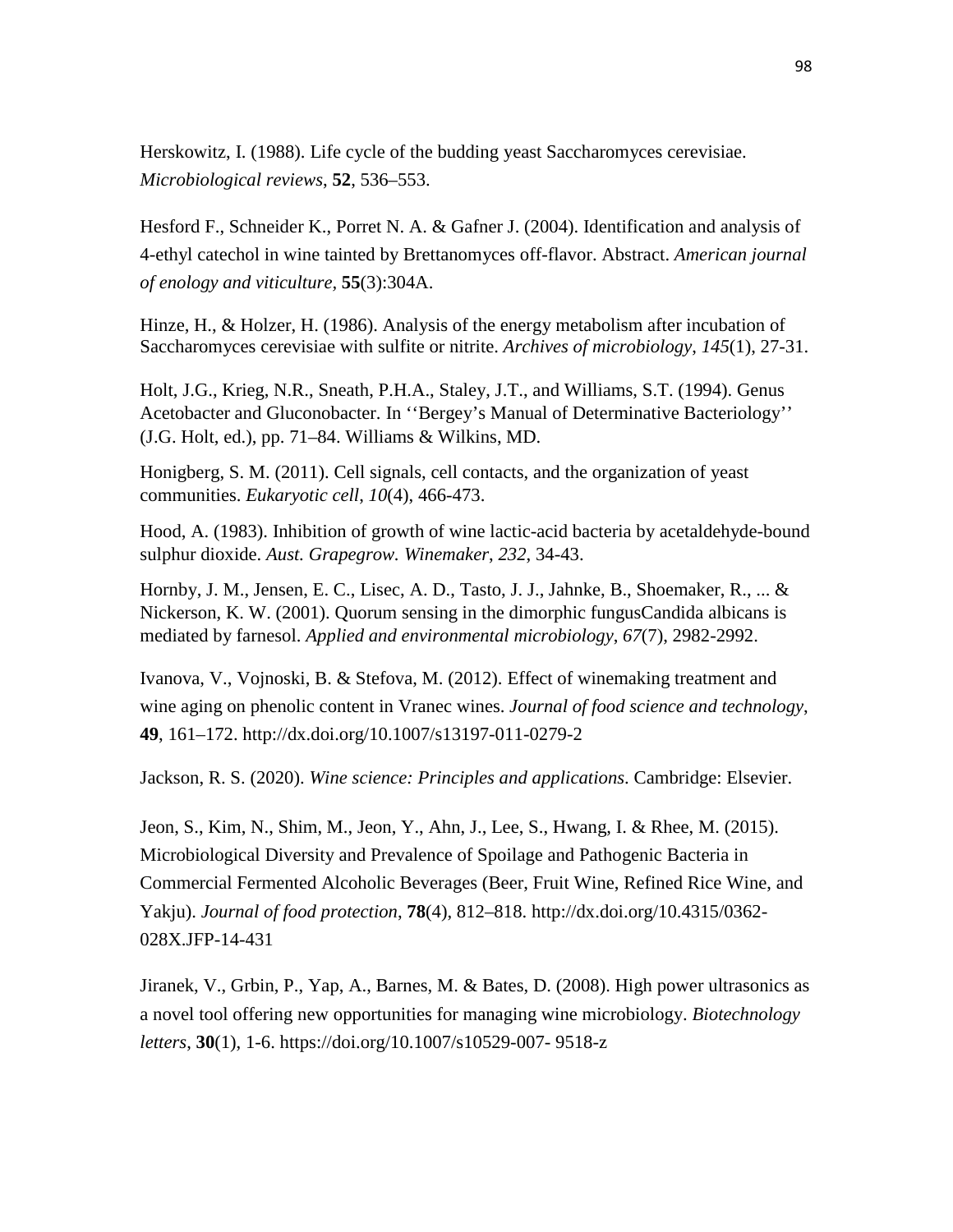Herskowitz, I. (1988). Life cycle of the budding yeast Saccharomyces cerevisiae. *Microbiological reviews*, **52**, 536–553.

Hesford F., Schneider K., Porret N. A. & Gafner J. (2004). Identification and analysis of 4-ethyl catechol in wine tainted by Brettanomyces off-flavor. Abstract. *American journal of enology and viticulture,* **55**(3):304A.

Hinze, H., & Holzer, H. (1986). Analysis of the energy metabolism after incubation of Saccharomyces cerevisiae with sulfite or nitrite. *Archives of microbiology*, *145*(1), 27-31.

Holt, J.G., Krieg, N.R., Sneath, P.H.A., Staley, J.T., and Williams, S.T. (1994). Genus Acetobacter and Gluconobacter. In ''Bergey's Manual of Determinative Bacteriology'' (J.G. Holt, ed.), pp. 71–84. Williams & Wilkins, MD.

Honigberg, S. M. (2011). Cell signals, cell contacts, and the organization of yeast communities. *Eukaryotic cell*, *10*(4), 466-473.

Hood, A. (1983). Inhibition of growth of wine lactic-acid bacteria by acetaldehyde-bound sulphur dioxide. *Aust. Grapegrow. Winemaker*, *232*, 34-43.

Hornby, J. M., Jensen, E. C., Lisec, A. D., Tasto, J. J., Jahnke, B., Shoemaker, R., ... & Nickerson, K. W. (2001). Quorum sensing in the dimorphic fungusCandida albicans is mediated by farnesol. *Applied and environmental microbiology*, *67*(7), 2982-2992.

Ivanova, V., Vojnoski, B. & Stefova, M. (2012). Effect of winemaking treatment and wine aging on phenolic content in Vranec wines. *Journal of food science and technology*, **49**, 161–172. http://dx.doi.org/10.1007/s13197-011-0279-2

Jackson, R. S. (2020). *Wine science: Principles and applications*. Cambridge: Elsevier.

Jeon, S., Kim, N., Shim, M., Jeon, Y., Ahn, J., Lee, S., Hwang, I. & Rhee, M. (2015). Microbiological Diversity and Prevalence of Spoilage and Pathogenic Bacteria in Commercial Fermented Alcoholic Beverages (Beer, Fruit Wine, Refined Rice Wine, and Yakju). *Journal of food protection*, **78**(4), 812–818. http://dx.doi.org/10.4315/0362- 028X.JFP-14-431

Jiranek, V., Grbin, P., Yap, A., Barnes, M. & Bates, D. (2008). High power ultrasonics as a novel tool offering new opportunities for managing wine microbiology. *Biotechnology letters*, **30**(1), 1-6. https://doi.org/10.1007/s10529-007- 9518-z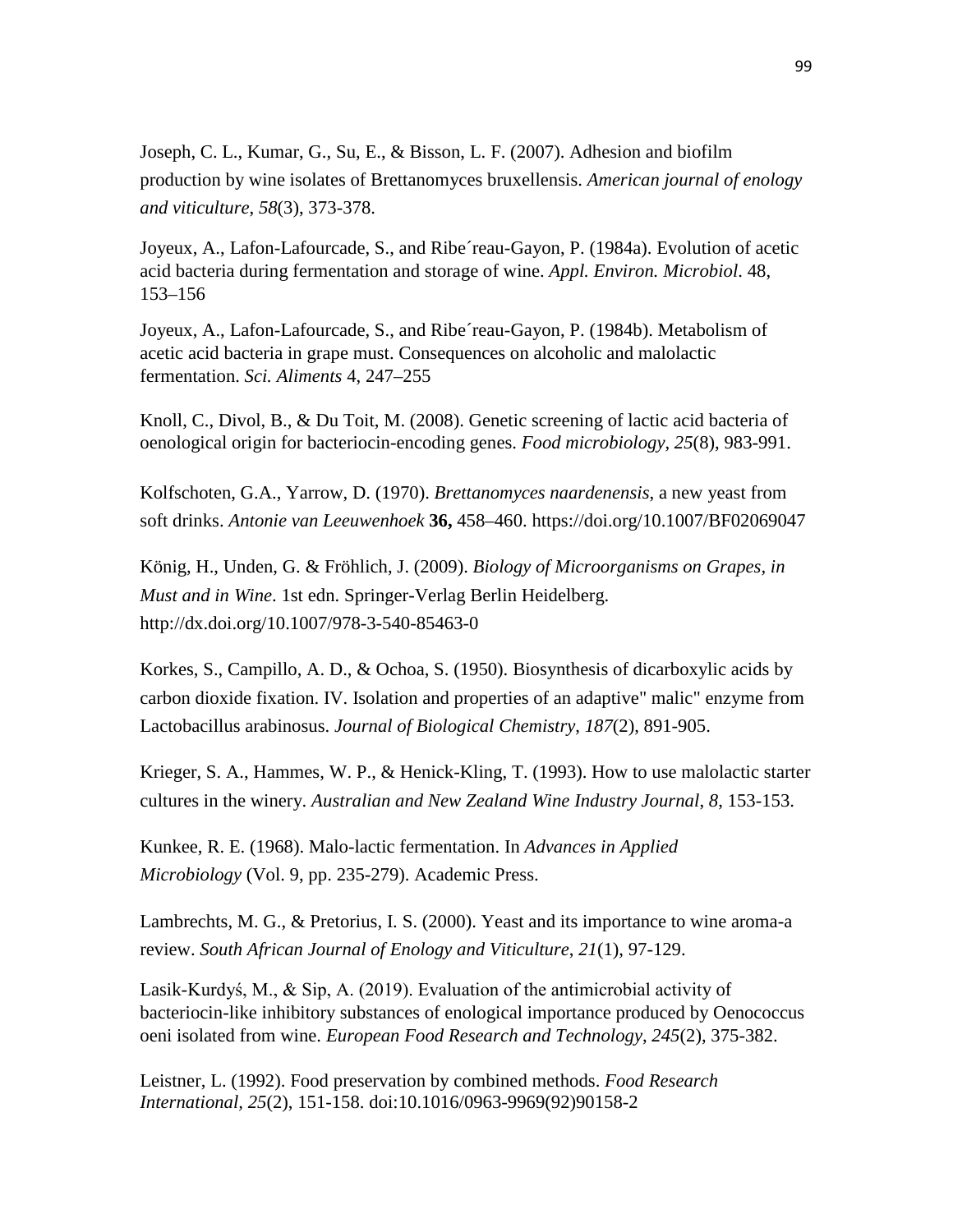Joseph, C. L., Kumar, G., Su, E., & Bisson, L. F. (2007). Adhesion and biofilm production by wine isolates of Brettanomyces bruxellensis. *American journal of enology and viticulture*, *58*(3), 373-378.

Joyeux, A., Lafon-Lafourcade, S., and Ribe´reau-Gayon, P. (1984a). Evolution of acetic acid bacteria during fermentation and storage of wine. *Appl. Environ. Microbiol*. 48, 153–156

Joyeux, A., Lafon-Lafourcade, S., and Ribe´reau-Gayon, P. (1984b). Metabolism of acetic acid bacteria in grape must. Consequences on alcoholic and malolactic fermentation. *Sci. Aliments* 4, 247–255

Knoll, C., Divol, B., & Du Toit, M. (2008). Genetic screening of lactic acid bacteria of oenological origin for bacteriocin-encoding genes. *Food microbiology*, *25*(8), 983-991.

Kolfschoten, G.A., Yarrow, D. (1970). *Brettanomyces naardenensis*, a new yeast from soft drinks. *Antonie van Leeuwenhoek* **36,** 458–460. https://doi.org/10.1007/BF02069047

König, H., Unden, G. & Fröhlich, J. (2009). *Biology of Microorganisms on Grapes, in Must and in Wine*. 1st edn. Springer-Verlag Berlin Heidelberg. http://dx.doi.org/10.1007/978-3-540-85463-0

Korkes, S., Campillo, A. D., & Ochoa, S. (1950). Biosynthesis of dicarboxylic acids by carbon dioxide fixation. IV. Isolation and properties of an adaptive" malic" enzyme from Lactobacillus arabinosus. *Journal of Biological Chemistry*, *187*(2), 891-905.

Krieger, S. A., Hammes, W. P., & Henick-Kling, T. (1993). How to use malolactic starter cultures in the winery. *Australian and New Zealand Wine Industry Journal*, *8*, 153-153.

Kunkee, R. E. (1968). Malo-lactic fermentation. In *Advances in Applied Microbiology* (Vol. 9, pp. 235-279). Academic Press.

Lambrechts, M. G., & Pretorius, I. S. (2000). Yeast and its importance to wine aroma-a review. *South African Journal of Enology and Viticulture*, *21*(1), 97-129.

Lasik-Kurdyś, M., & Sip, A. (2019). Evaluation of the antimicrobial activity of bacteriocin-like inhibitory substances of enological importance produced by Oenococcus oeni isolated from wine. *European Food Research and Technology*, *245*(2), 375-382.

Leistner, L. (1992). Food preservation by combined methods. *Food Research International, 25*(2), 151-158. doi:10.1016/0963-9969(92)90158-2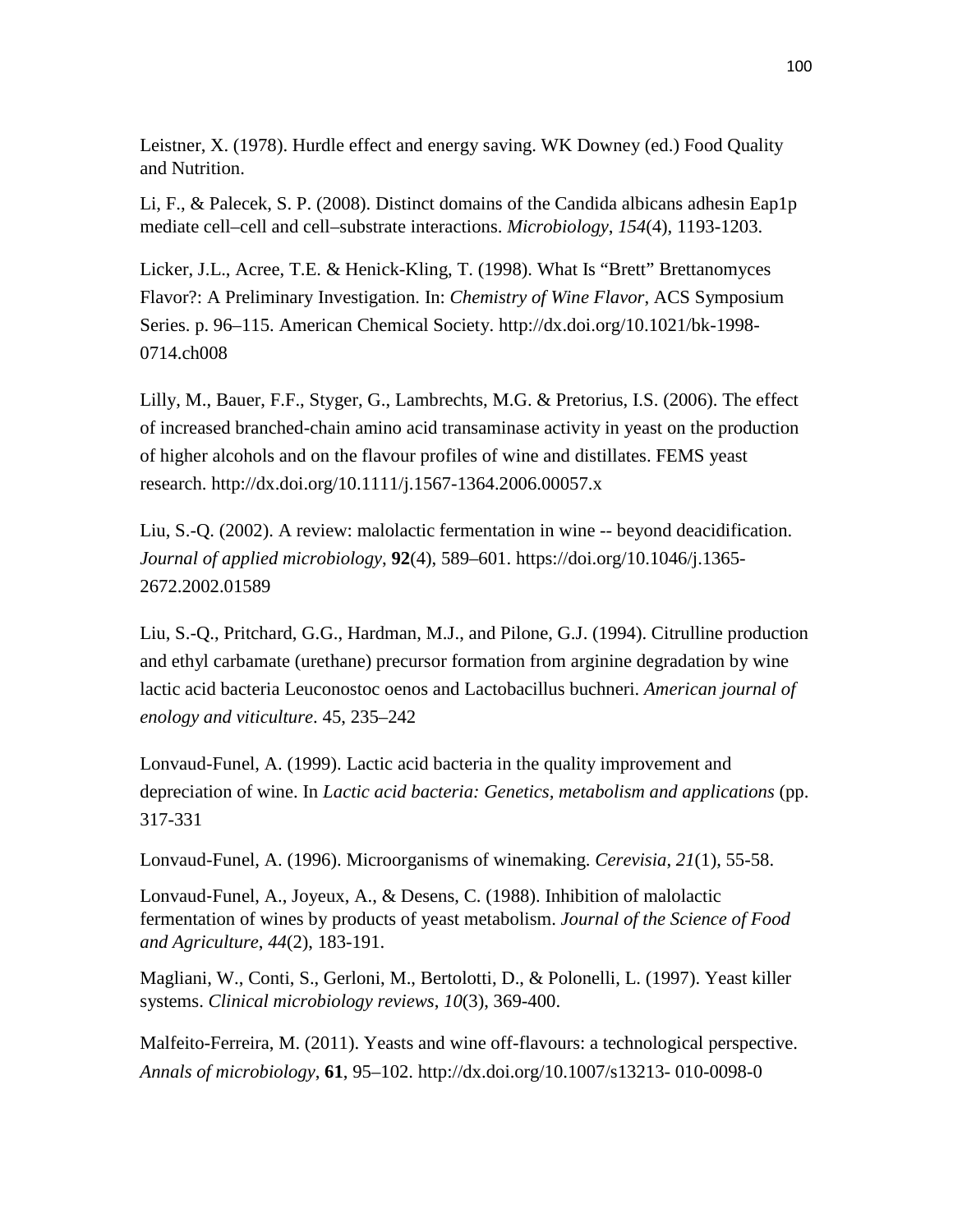Leistner, X. (1978). Hurdle effect and energy saving. WK Downey (ed.) Food Quality and Nutrition.

Li, F., & Palecek, S. P. (2008). Distinct domains of the Candida albicans adhesin Eap1p mediate cell–cell and cell–substrate interactions. *Microbiology*, *154*(4), 1193-1203.

Licker, J.L., Acree, T.E. & Henick-Kling, T. (1998). What Is "Brett" Brettanomyces Flavor?: A Preliminary Investigation. In: *Chemistry of Wine Flavor*, ACS Symposium Series. p. 96–115. American Chemical Society. http://dx.doi.org/10.1021/bk-1998- 0714.ch008

Lilly, M., Bauer, F.F., Styger, G., Lambrechts, M.G. & Pretorius, I.S. (2006). The effect of increased branched-chain amino acid transaminase activity in yeast on the production of higher alcohols and on the flavour profiles of wine and distillates. FEMS yeast research. http://dx.doi.org/10.1111/j.1567-1364.2006.00057.x

Liu, S.-Q. (2002). A review: malolactic fermentation in wine -- beyond deacidification. *Journal of applied microbiology*, **92**(4), 589–601. https://doi.org/10.1046/j.1365- 2672.2002.01589

Liu, S.-Q., Pritchard, G.G., Hardman, M.J., and Pilone, G.J. (1994). Citrulline production and ethyl carbamate (urethane) precursor formation from arginine degradation by wine lactic acid bacteria Leuconostoc oenos and Lactobacillus buchneri. *American journal of enology and viticulture*. 45, 235–242

Lonvaud-Funel, A. (1999). Lactic acid bacteria in the quality improvement and depreciation of wine. In *Lactic acid bacteria: Genetics, metabolism and applications* (pp. 317-331

Lonvaud-Funel, A. (1996). Microorganisms of winemaking. *Cerevisia*, *21*(1), 55-58.

Lonvaud‐Funel, A., Joyeux, A., & Desens, C. (1988). Inhibition of malolactic fermentation of wines by products of yeast metabolism. *Journal of the Science of Food and Agriculture*, *44*(2), 183-191.

Magliani, W., Conti, S., Gerloni, M., Bertolotti, D., & Polonelli, L. (1997). Yeast killer systems. *Clinical microbiology reviews*, *10*(3), 369-400.

Malfeito-Ferreira, M. (2011). Yeasts and wine off-flavours: a technological perspective. *Annals of microbiology*, **61**, 95–102. http://dx.doi.org/10.1007/s13213- 010-0098-0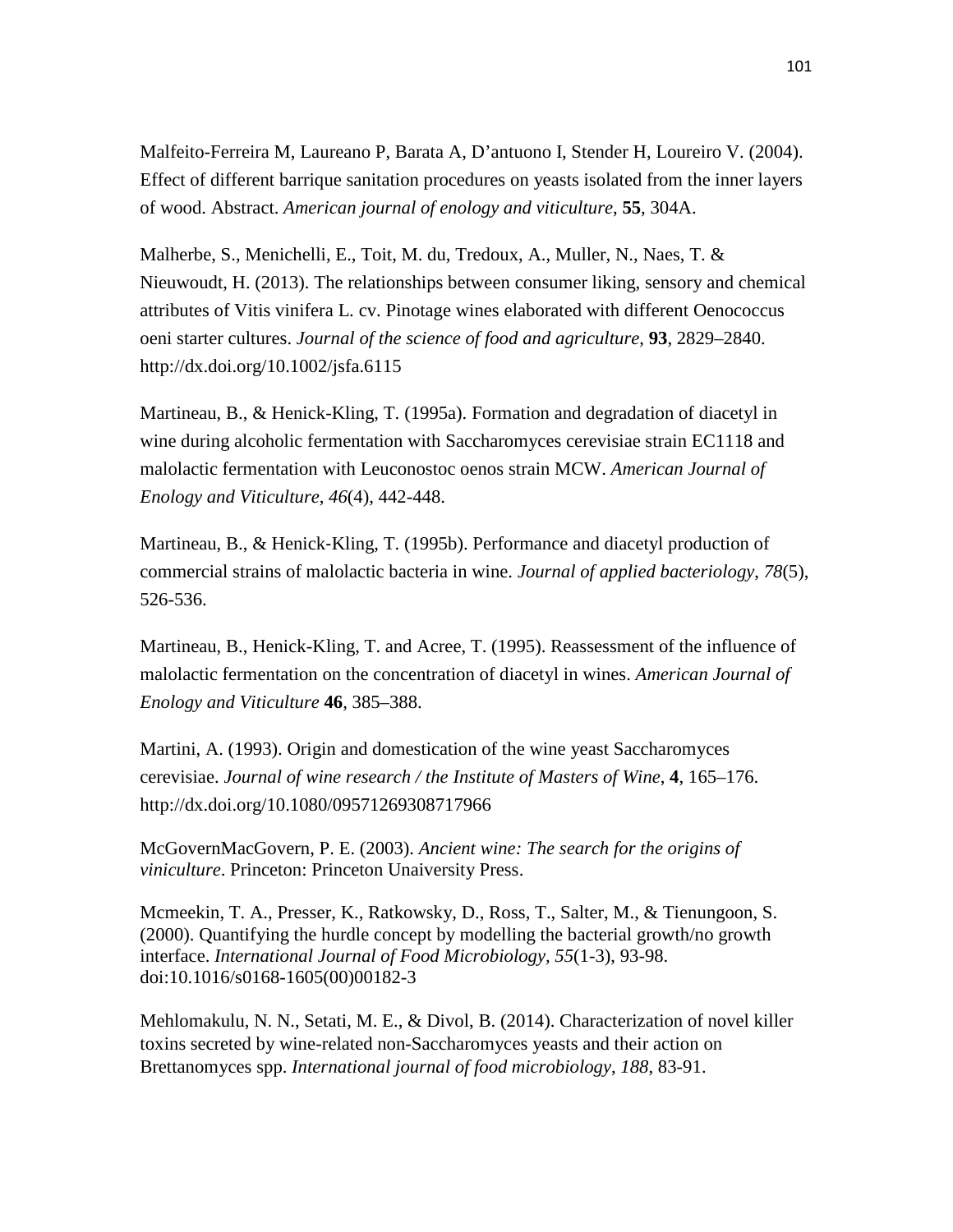Malfeito-Ferreira M, Laureano P, Barata A, D'antuono I, Stender H, Loureiro V. (2004). Effect of different barrique sanitation procedures on yeasts isolated from the inner layers of wood. Abstract. *American journal of enology and viticulture*, **55**, 304A.

Malherbe, S., Menichelli, E., Toit, M. du, Tredoux, A., Muller, N., Naes, T. & Nieuwoudt, H. (2013). The relationships between consumer liking, sensory and chemical attributes of Vitis vinifera L. cv. Pinotage wines elaborated with different Oenococcus oeni starter cultures. *Journal of the science of food and agriculture*, **93**, 2829–2840. http://dx.doi.org/10.1002/jsfa.6115

Martineau, B., & Henick-Kling, T. (1995a). Formation and degradation of diacetyl in wine during alcoholic fermentation with Saccharomyces cerevisiae strain EC1118 and malolactic fermentation with Leuconostoc oenos strain MCW. *American Journal of Enology and Viticulture*, *46*(4), 442-448.

Martineau, B., & Henick‐Kling, T. (1995b). Performance and diacetyl production of commercial strains of malolactic bacteria in wine. *Journal of applied bacteriology*, *78*(5), 526-536.

Martineau, B., Henick-Kling, T. and Acree, T. (1995). Reassessment of the influence of malolactic fermentation on the concentration of diacetyl in wines. *American Journal of Enology and Viticulture* **46**, 385–388.

Martini, A. (1993). Origin and domestication of the wine yeast Saccharomyces cerevisiae. *Journal of wine research / the Institute of Masters of Wine*, **4**, 165–176. http://dx.doi.org/10.1080/09571269308717966

McGovernMacGovern, P. E. (2003). *Ancient wine: The search for the origins of viniculture*. Princeton: Princeton Unaiversity Press.

Mcmeekin, T. A., Presser, K., Ratkowsky, D., Ross, T., Salter, M., & Tienungoon, S. (2000). Quantifying the hurdle concept by modelling the bacterial growth/no growth interface. *International Journal of Food Microbiology, 55*(1-3), 93-98. doi:10.1016/s0168-1605(00)00182-3

Mehlomakulu, N. N., Setati, M. E., & Divol, B. (2014). Characterization of novel killer toxins secreted by wine-related non-Saccharomyces yeasts and their action on Brettanomyces spp. *International journal of food microbiology*, *188*, 83-91.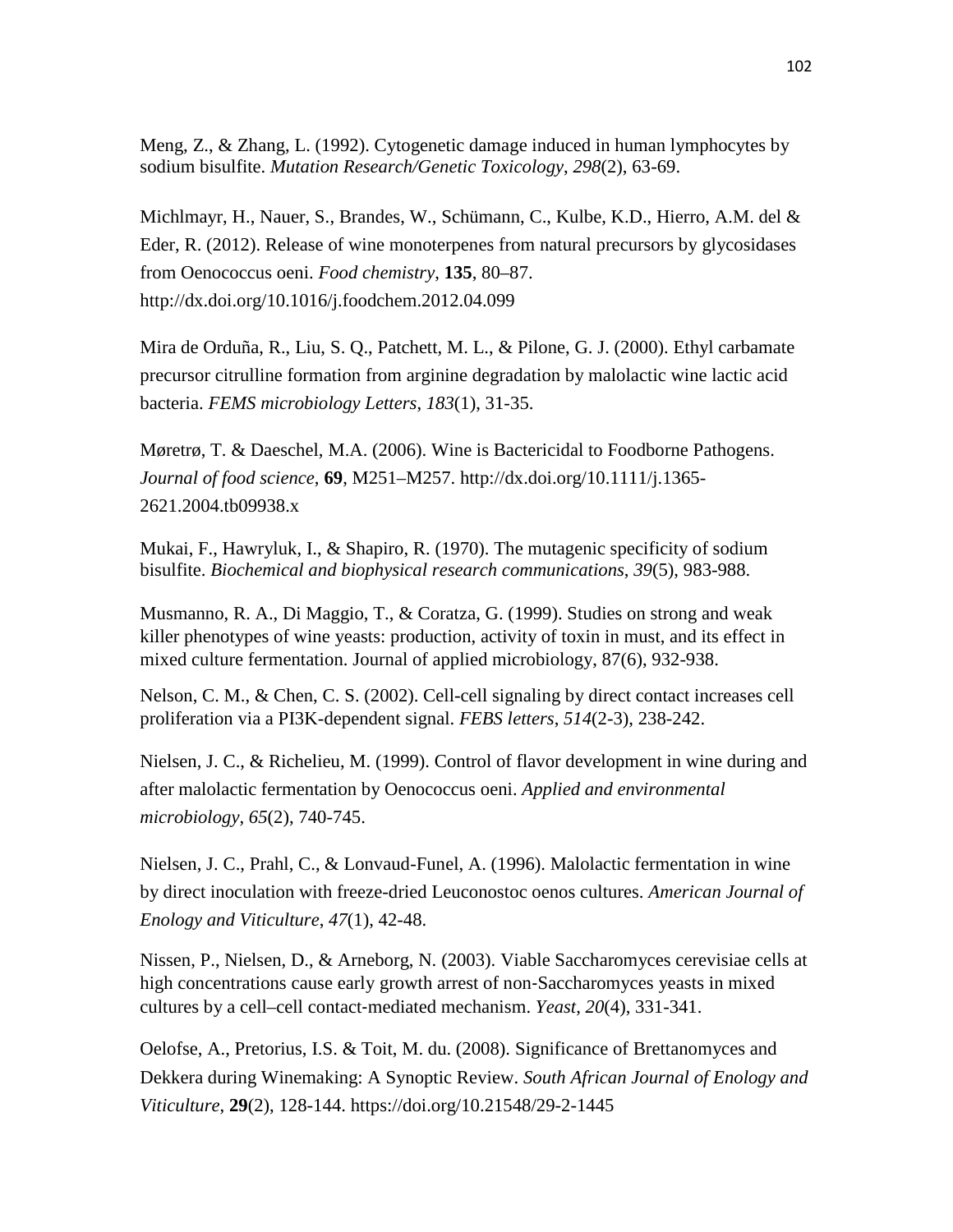Meng, Z., & Zhang, L. (1992). Cytogenetic damage induced in human lymphocytes by sodium bisulfite. *Mutation Research/Genetic Toxicology*, *298*(2), 63-69.

Michlmayr, H., Nauer, S., Brandes, W., Schümann, C., Kulbe, K.D., Hierro, A.M. del & Eder, R. (2012). Release of wine monoterpenes from natural precursors by glycosidases from Oenococcus oeni. *Food chemistry*, **135**, 80–87. http://dx.doi.org/10.1016/j.foodchem.2012.04.099

Mira de Orduña, R., Liu, S. Q., Patchett, M. L., & Pilone, G. J. (2000). Ethyl carbamate precursor citrulline formation from arginine degradation by malolactic wine lactic acid bacteria. *FEMS microbiology Letters*, *183*(1), 31-35.

Møretrø, T. & Daeschel, M.A. (2006). Wine is Bactericidal to Foodborne Pathogens. *Journal of food science*, **69**, M251–M257. http://dx.doi.org/10.1111/j.1365- 2621.2004.tb09938.x

Mukai, F., Hawryluk, I., & Shapiro, R. (1970). The mutagenic specificity of sodium bisulfite. *Biochemical and biophysical research communications*, *39*(5), 983-988.

Musmanno, R. A., Di Maggio, T., & Coratza, G. (1999). Studies on strong and weak killer phenotypes of wine yeasts: production, activity of toxin in must, and its effect in mixed culture fermentation. Journal of applied microbiology, 87(6), 932-938.

Nelson, C. M., & Chen, C. S. (2002). Cell-cell signaling by direct contact increases cell proliferation via a PI3K-dependent signal. *FEBS letters*, *514*(2-3), 238-242.

Nielsen, J. C., & Richelieu, M. (1999). Control of flavor development in wine during and after malolactic fermentation by Oenococcus oeni. *Applied and environmental microbiology*, *65*(2), 740-745.

Nielsen, J. C., Prahl, C., & Lonvaud-Funel, A. (1996). Malolactic fermentation in wine by direct inoculation with freeze-dried Leuconostoc oenos cultures. *American Journal of Enology and Viticulture*, *47*(1), 42-48.

Nissen, P., Nielsen, D., & Arneborg, N. (2003). Viable Saccharomyces cerevisiae cells at high concentrations cause early growth arrest of non-Saccharomyces yeasts in mixed cultures by a cell–cell contact‐mediated mechanism. *Yeast*, *20*(4), 331-341.

Oelofse, A., Pretorius, I.S. & Toit, M. du. (2008). Significance of Brettanomyces and Dekkera during Winemaking: A Synoptic Review. *South African Journal of Enology and Viticulture*, **29**(2), 128-144. https://doi.org/10.21548/29-2-1445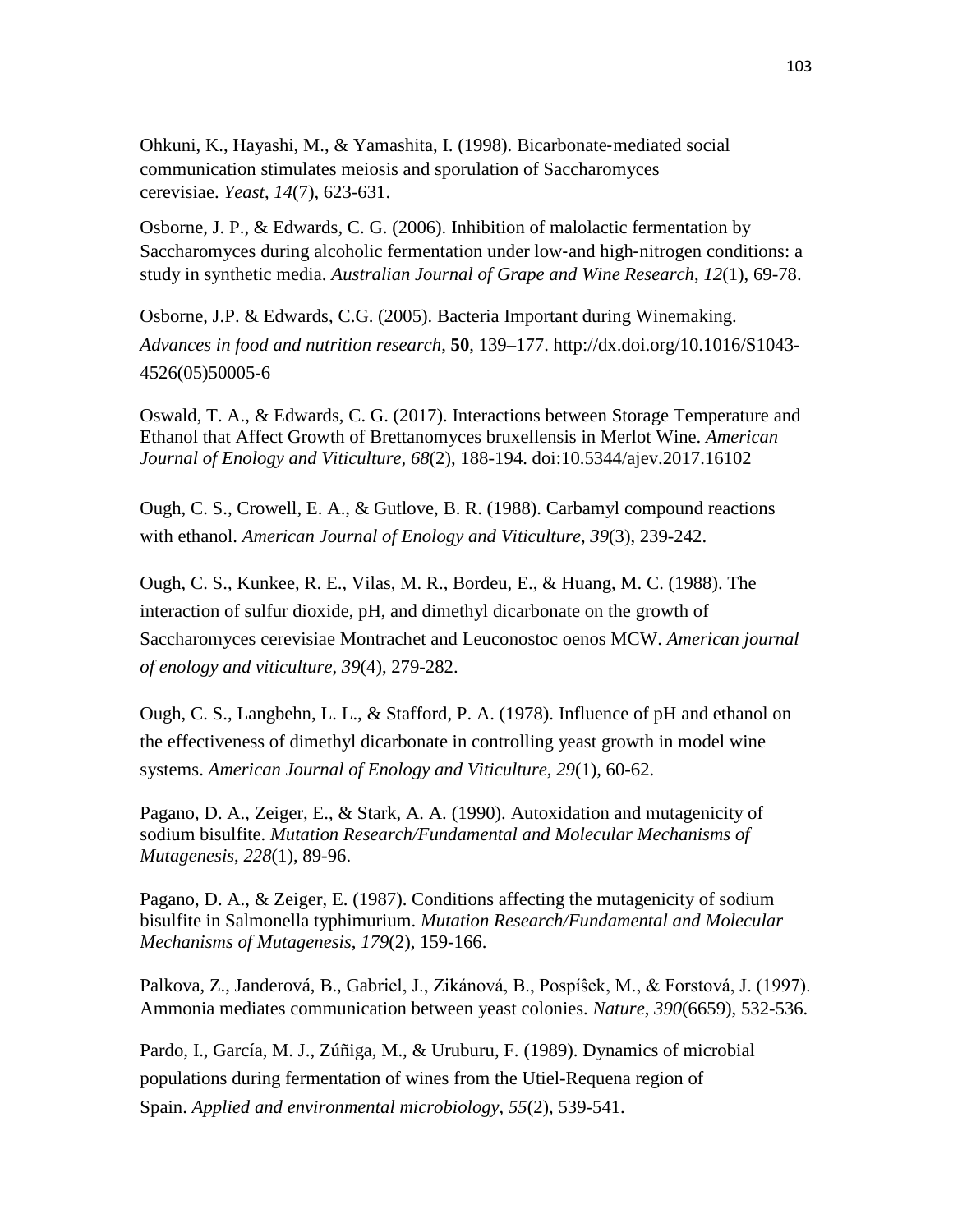Ohkuni, K., Hayashi, M., & Yamashita, I. (1998). Bicarbonate‐mediated social communication stimulates meiosis and sporulation of Saccharomyces cerevisiae. *Yeast*, *14*(7), 623-631.

Osborne, J. P., & Edwards, C. G. (2006). Inhibition of malolactic fermentation by Saccharomyces during alcoholic fermentation under low‐and high‐nitrogen conditions: a study in synthetic media. *Australian Journal of Grape and Wine Research*, *12*(1), 69-78.

Osborne, J.P. & Edwards, C.G. (2005). Bacteria Important during Winemaking. *Advances in food and nutrition research*, **50**, 139–177. http://dx.doi.org/10.1016/S1043- 4526(05)50005-6

Oswald, T. A., & Edwards, C. G. (2017). Interactions between Storage Temperature and Ethanol that Affect Growth of Brettanomyces bruxellensis in Merlot Wine. *American Journal of Enology and Viticulture, 68*(2), 188-194. doi:10.5344/ajev.2017.16102

Ough, C. S., Crowell, E. A., & Gutlove, B. R. (1988). Carbamyl compound reactions with ethanol. *American Journal of Enology and Viticulture*, *39*(3), 239-242.

Ough, C. S., Kunkee, R. E., Vilas, M. R., Bordeu, E., & Huang, M. C. (1988). The interaction of sulfur dioxide, pH, and dimethyl dicarbonate on the growth of Saccharomyces cerevisiae Montrachet and Leuconostoc oenos MCW. *American journal of enology and viticulture*, *39*(4), 279-282.

Ough, C. S., Langbehn, L. L., & Stafford, P. A. (1978). Influence of pH and ethanol on the effectiveness of dimethyl dicarbonate in controlling yeast growth in model wine systems. *American Journal of Enology and Viticulture*, *29*(1), 60-62.

Pagano, D. A., Zeiger, E., & Stark, A. A. (1990). Autoxidation and mutagenicity of sodium bisulfite. *Mutation Research/Fundamental and Molecular Mechanisms of Mutagenesis*, *228*(1), 89-96.

Pagano, D. A., & Zeiger, E. (1987). Conditions affecting the mutagenicity of sodium bisulfite in Salmonella typhimurium. *Mutation Research/Fundamental and Molecular Mechanisms of Mutagenesis*, *179*(2), 159-166.

Palkova, Z., Janderová, B., Gabriel, J., Zikánová, B., Pospíŝek, M., & Forstová, J. (1997). Ammonia mediates communication between yeast colonies. *Nature*, *390*(6659), 532-536.

Pardo, I., García, M. J., Zúñiga, M., & Uruburu, F. (1989). Dynamics of microbial populations during fermentation of wines from the Utiel-Requena region of Spain. *Applied and environmental microbiology*, *55*(2), 539-541.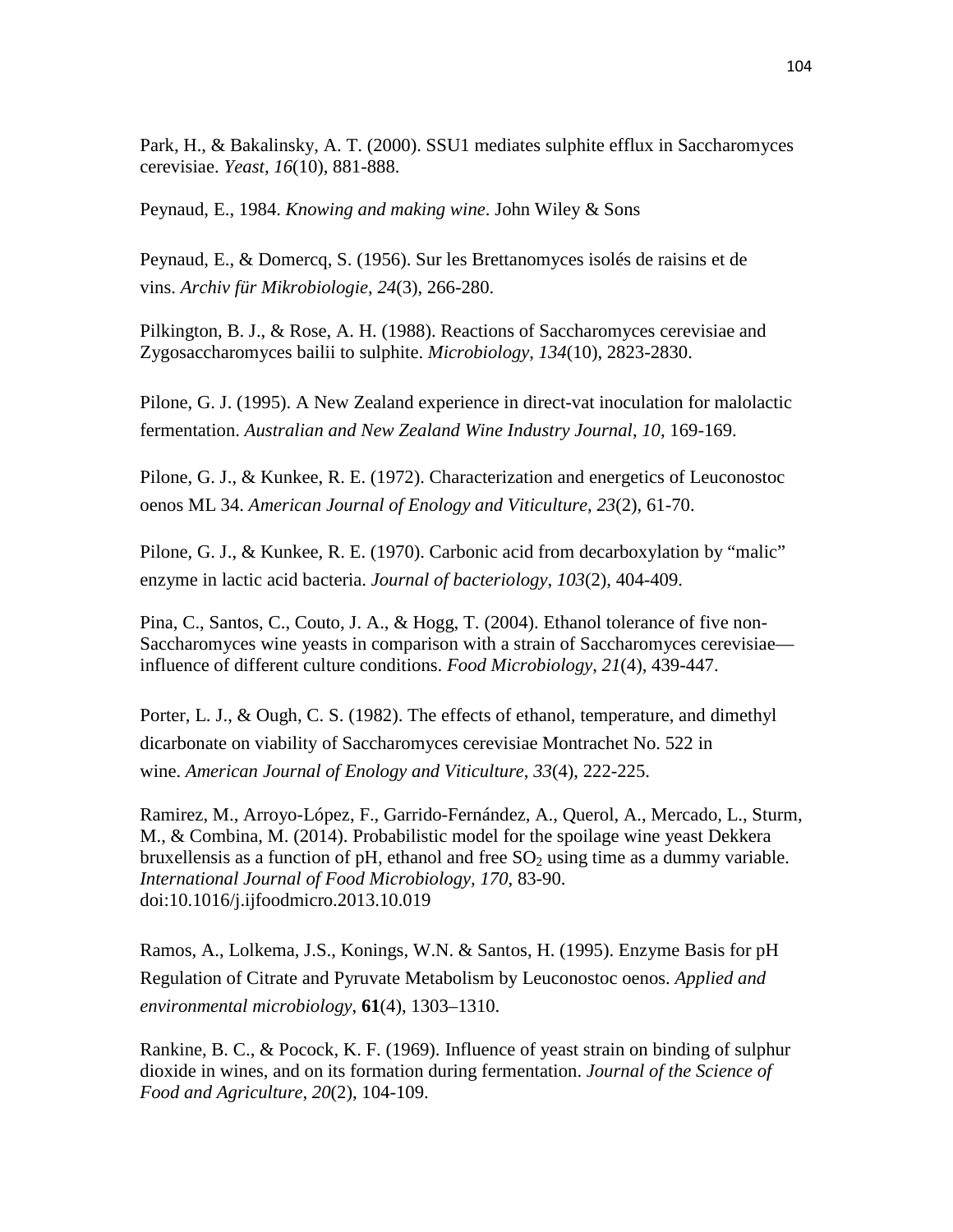Park, H., & Bakalinsky, A. T. (2000). SSU1 mediates sulphite efflux in Saccharomyces cerevisiae. *Yeast*, *16*(10), 881-888.

Peynaud, E., 1984. *Knowing and making wine*. John Wiley & Sons

Peynaud, E., & Domercq, S. (1956). Sur les Brettanomyces isolés de raisins et de vins. *Archiv für Mikrobiologie*, *24*(3), 266-280.

Pilkington, B. J., & Rose, A. H. (1988). Reactions of Saccharomyces cerevisiae and Zygosaccharomyces bailii to sulphite. *Microbiology*, *134*(10), 2823-2830.

Pilone, G. J. (1995). A New Zealand experience in direct-vat inoculation for malolactic fermentation. *Australian and New Zealand Wine Industry Journal*, *10*, 169-169.

Pilone, G. J., & Kunkee, R. E. (1972). Characterization and energetics of Leuconostoc oenos ML 34. *American Journal of Enology and Viticulture*, *23*(2), 61-70.

Pilone, G. J., & Kunkee, R. E. (1970). Carbonic acid from decarboxylation by "malic" enzyme in lactic acid bacteria. *Journal of bacteriology*, *103*(2), 404-409.

Pina, C., Santos, C., Couto, J. A., & Hogg, T. (2004). Ethanol tolerance of five non-Saccharomyces wine yeasts in comparison with a strain of Saccharomyces cerevisiae influence of different culture conditions. *Food Microbiology*, *21*(4), 439-447.

Porter, L. J., & Ough, C. S. (1982). The effects of ethanol, temperature, and dimethyl dicarbonate on viability of Saccharomyces cerevisiae Montrachet No. 522 in wine. *American Journal of Enology and Viticulture*, *33*(4), 222-225.

Ramirez, M., Arroyo-López, F., Garrido-Fernández, A., Querol, A., Mercado, L., Sturm, M., & Combina, M. (2014). Probabilistic model for the spoilage wine yeast Dekkera bruxellensis as a function of pH, ethanol and free  $SO<sub>2</sub>$  using time as a dummy variable. *International Journal of Food Microbiology, 170*, 83-90. doi:10.1016/j.ijfoodmicro.2013.10.019

Ramos, A., Lolkema, J.S., Konings, W.N. & Santos, H. (1995). Enzyme Basis for pH Regulation of Citrate and Pyruvate Metabolism by Leuconostoc oenos. *Applied and environmental microbiology*, **61**(4), 1303–1310.

Rankine, B. C., & Pocock, K. F. (1969). Influence of yeast strain on binding of sulphur dioxide in wines, and on its formation during fermentation. *Journal of the Science of Food and Agriculture*, *20*(2), 104-109.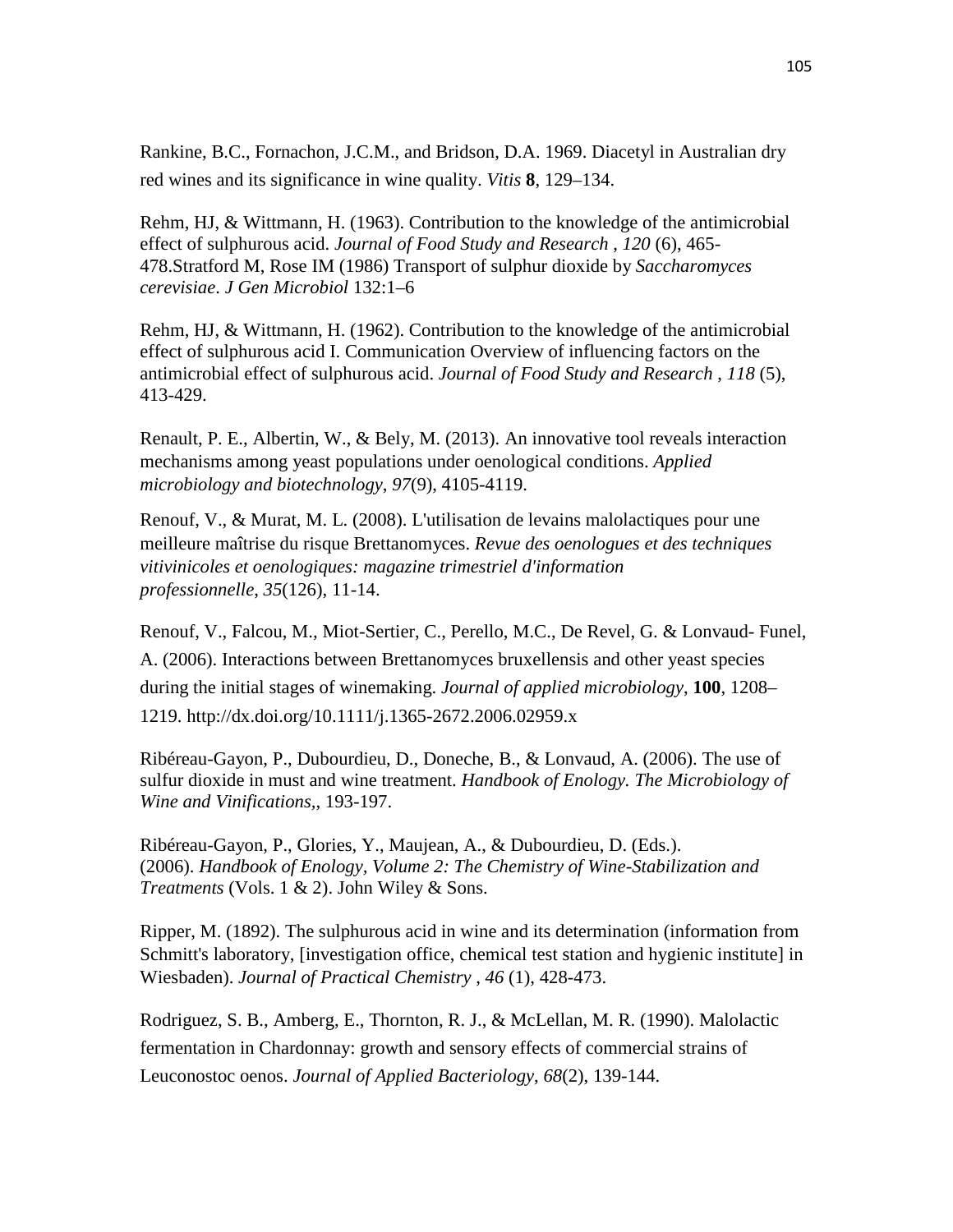Rankine, B.C., Fornachon, J.C.M., and Bridson, D.A. 1969. Diacetyl in Australian dry red wines and its significance in wine quality. *Vitis* **8**, 129–134.

Rehm, HJ, & Wittmann, H. (1963). Contribution to the knowledge of the antimicrobial effect of sulphurous acid. *Journal of Food Study and Research* , *120* (6), 465- 478.Stratford M, Rose IM (1986) Transport of sulphur dioxide by *Saccharomyces cerevisiae*. *J Gen Microbiol* 132:1–6

Rehm, HJ, & Wittmann, H. (1962). Contribution to the knowledge of the antimicrobial effect of sulphurous acid I. Communication Overview of influencing factors on the antimicrobial effect of sulphurous acid. *Journal of Food Study and Research* , *118* (5), 413-429.

Renault, P. E., Albertin, W., & Bely, M. (2013). An innovative tool reveals interaction mechanisms among yeast populations under oenological conditions. *Applied microbiology and biotechnology*, *97*(9), 4105-4119.

Renouf, V., & Murat, M. L. (2008). L'utilisation de levains malolactiques pour une meilleure maîtrise du risque Brettanomyces. *Revue des oenologues et des techniques vitivinicoles et oenologiques: magazine trimestriel d'information professionnelle*, *35*(126), 11-14.

Renouf, V., Falcou, M., Miot-Sertier, C., Perello, M.C., De Revel, G. & Lonvaud- Funel, A. (2006). Interactions between Brettanomyces bruxellensis and other yeast species during the initial stages of winemaking. *Journal of applied microbiology*, **100**, 1208– 1219. http://dx.doi.org/10.1111/j.1365-2672.2006.02959.x

Ribéreau-Gayon, P., Dubourdieu, D., Doneche, B., & Lonvaud, A. (2006). The use of sulfur dioxide in must and wine treatment. *Handbook of Enology. The Microbiology of Wine and Vinifications,*, 193-197.

Ribéreau-Gayon, P., Glories, Y., Maujean, A., & Dubourdieu, D. (Eds.). (2006). *Handbook of Enology, Volume 2: The Chemistry of Wine-Stabilization and Treatments* (Vols. 1 & 2). John Wiley & Sons.

Ripper, M. (1892). The sulphurous acid in wine and its determination (information from Schmitt's laboratory, [investigation office, chemical test station and hygienic institute] in Wiesbaden). *Journal of Practical Chemistry* , *46* (1), 428-473.

Rodriguez, S. B., Amberg, E., Thornton, R. J., & McLellan, M. R. (1990). Malolactic fermentation in Chardonnay: growth and sensory effects of commercial strains of Leuconostoc oenos. *Journal of Applied Bacteriology*, *68*(2), 139-144.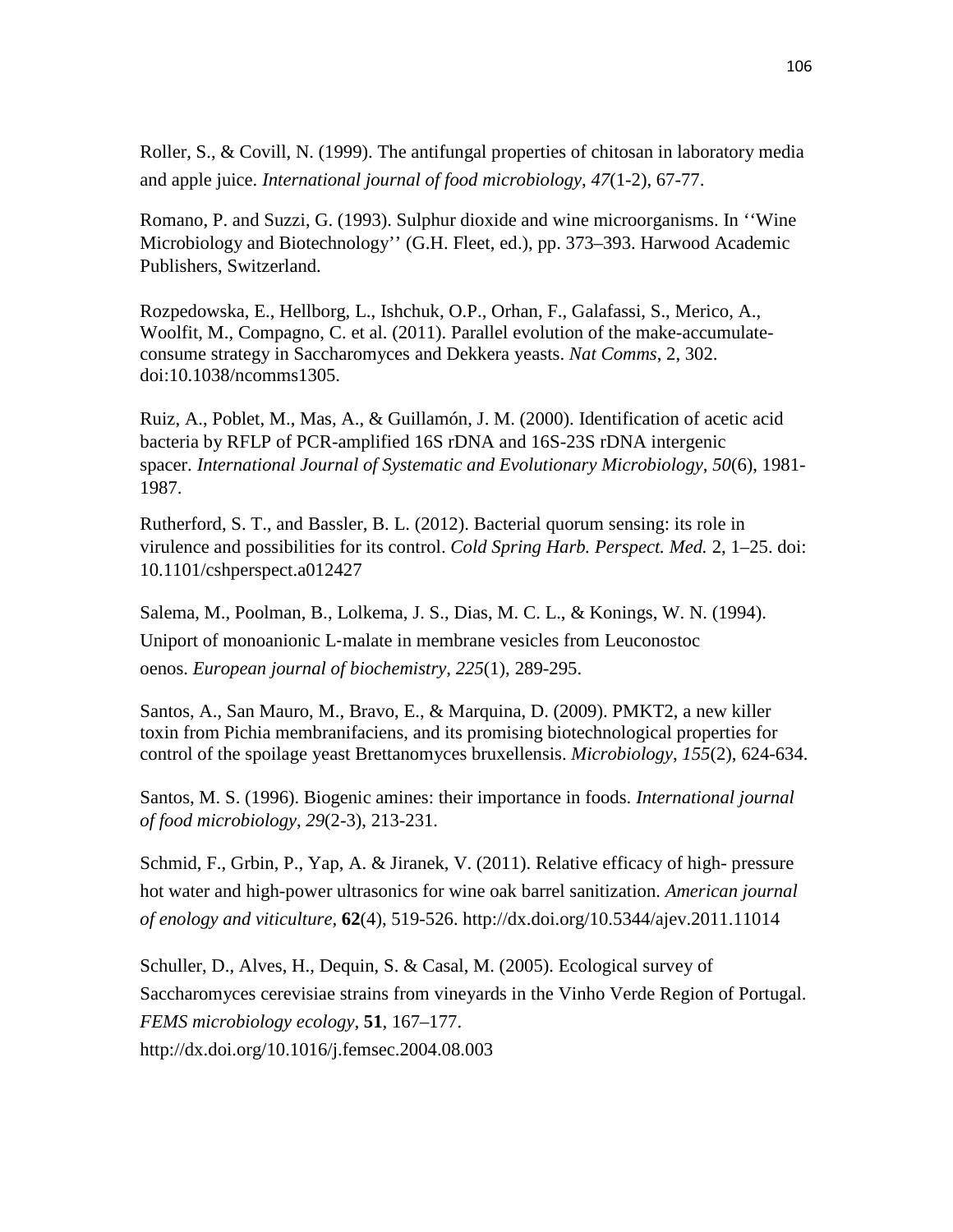Roller, S., & Covill, N. (1999). The antifungal properties of chitosan in laboratory media and apple juice. *International journal of food microbiology*, *47*(1-2), 67-77.

Romano, P. and Suzzi, G. (1993). Sulphur dioxide and wine microorganisms. In ''Wine Microbiology and Biotechnology'' (G.H. Fleet, ed.), pp. 373–393. Harwood Academic Publishers, Switzerland.

Rozpedowska, E., Hellborg, L., Ishchuk, O.P., Orhan, F., Galafassi, S., Merico, A., Woolfit, M., Compagno, C. et al. (2011). Parallel evolution of the make-accumulateconsume strategy in Saccharomyces and Dekkera yeasts. *Nat Comms*, 2, 302. doi:10.1038/ncomms1305.

Ruiz, A., Poblet, M., Mas, A., & Guillamón, J. M. (2000). Identification of acetic acid bacteria by RFLP of PCR-amplified 16S rDNA and 16S-23S rDNA intergenic spacer. *International Journal of Systematic and Evolutionary Microbiology*, *50*(6), 1981- 1987.

Rutherford, S. T., and Bassler, B. L. (2012). Bacterial quorum sensing: its role in virulence and possibilities for its control. *Cold Spring Harb. Perspect. Med.* 2, 1–25. doi: 10.1101/cshperspect.a012427

Salema, M., Poolman, B., Lolkema, J. S., Dias, M. C. L., & Konings, W. N. (1994). Uniport of monoanionic L‐malate in membrane vesicles from Leuconostoc oenos. *European journal of biochemistry*, *225*(1), 289-295.

Santos, A., San Mauro, M., Bravo, E., & Marquina, D. (2009). PMKT2, a new killer toxin from Pichia membranifaciens, and its promising biotechnological properties for control of the spoilage yeast Brettanomyces bruxellensis. *Microbiology*, *155*(2), 624-634.

Santos, M. S. (1996). Biogenic amines: their importance in foods. *International journal of food microbiology*, *29*(2-3), 213-231.

Schmid, F., Grbin, P., Yap, A. & Jiranek, V. (2011). Relative efficacy of high- pressure hot water and high-power ultrasonics for wine oak barrel sanitization. *American journal of enology and viticulture,* **62**(4), 519-526. http://dx.doi.org/10.5344/ajev.2011.11014

Schuller, D., Alves, H., Dequin, S. & Casal, M. (2005). Ecological survey of Saccharomyces cerevisiae strains from vineyards in the Vinho Verde Region of Portugal. *FEMS microbiology ecology*, **51**, 167–177. http://dx.doi.org/10.1016/j.femsec.2004.08.003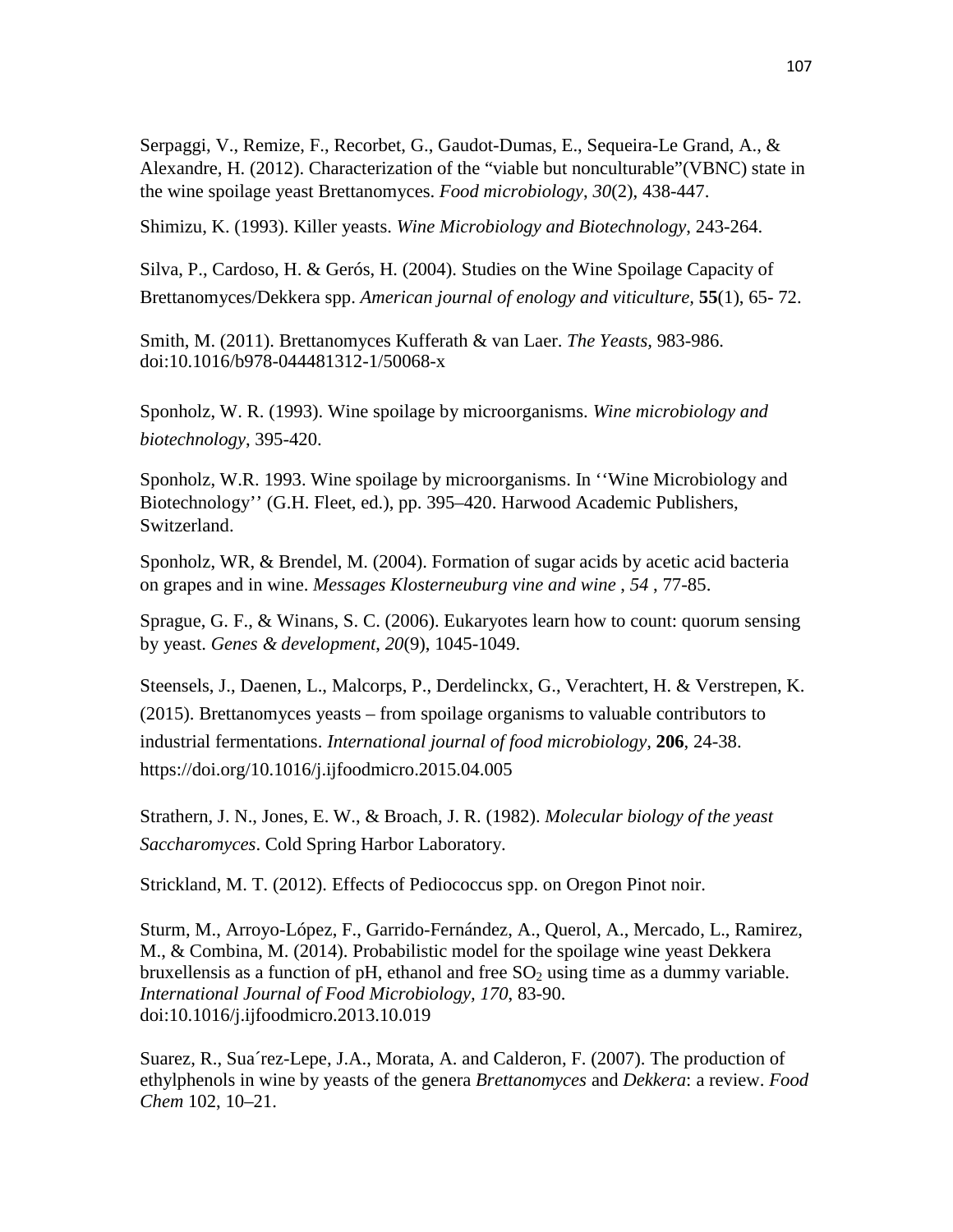Serpaggi, V., Remize, F., Recorbet, G., Gaudot-Dumas, E., Sequeira-Le Grand, A., & Alexandre, H. (2012). Characterization of the "viable but nonculturable"(VBNC) state in the wine spoilage yeast Brettanomyces. *Food microbiology*, *30*(2), 438-447.

Shimizu, K. (1993). Killer yeasts. *Wine Microbiology and Biotechnology*, 243-264.

Silva, P., Cardoso, H. & Gerós, H. (2004). Studies on the Wine Spoilage Capacity of Brettanomyces/Dekkera spp. *American journal of enology and viticulture,* **55**(1), 65- 72.

Smith, M. (2011). Brettanomyces Kufferath & van Laer. *The Yeasts,* 983-986. doi:10.1016/b978-044481312-1/50068-x

Sponholz, W. R. (1993). Wine spoilage by microorganisms. *Wine microbiology and biotechnology*, 395-420.

Sponholz, W.R. 1993. Wine spoilage by microorganisms. In ''Wine Microbiology and Biotechnology'' (G.H. Fleet, ed.), pp. 395–420. Harwood Academic Publishers, Switzerland.

Sponholz, WR, & Brendel, M. (2004). Formation of sugar acids by acetic acid bacteria on grapes and in wine. *Messages Klosterneuburg vine and wine* , *54* , 77-85.

Sprague, G. F., & Winans, S. C. (2006). Eukaryotes learn how to count: quorum sensing by yeast. *Genes & development*, *20*(9), 1045-1049.

Steensels, J., Daenen, L., Malcorps, P., Derdelinckx, G., Verachtert, H. & Verstrepen, K. (2015). Brettanomyces yeasts – from spoilage organisms to valuable contributors to industrial fermentations. *International journal of food microbiology,* **206**, 24-38. https://doi.org/10.1016/j.ijfoodmicro.2015.04.005

Strathern, J. N., Jones, E. W., & Broach, J. R. (1982). *Molecular biology of the yeast Saccharomyces*. Cold Spring Harbor Laboratory.

Strickland, M. T. (2012). Effects of Pediococcus spp. on Oregon Pinot noir.

Sturm, M., Arroyo-López, F., Garrido-Fernández, A., Querol, A., Mercado, L., Ramirez, M., & Combina, M. (2014). Probabilistic model for the spoilage wine yeast Dekkera bruxellensis as a function of pH, ethanol and free  $SO<sub>2</sub>$  using time as a dummy variable. *International Journal of Food Microbiology, 170*, 83-90. doi:10.1016/j.ijfoodmicro.2013.10.019

Suarez, R., Sua´rez-Lepe, J.A., Morata, A. and Calderon, F. (2007). The production of ethylphenols in wine by yeasts of the genera *Brettanomyces* and *Dekkera*: a review. *Food Chem* 102, 10–21.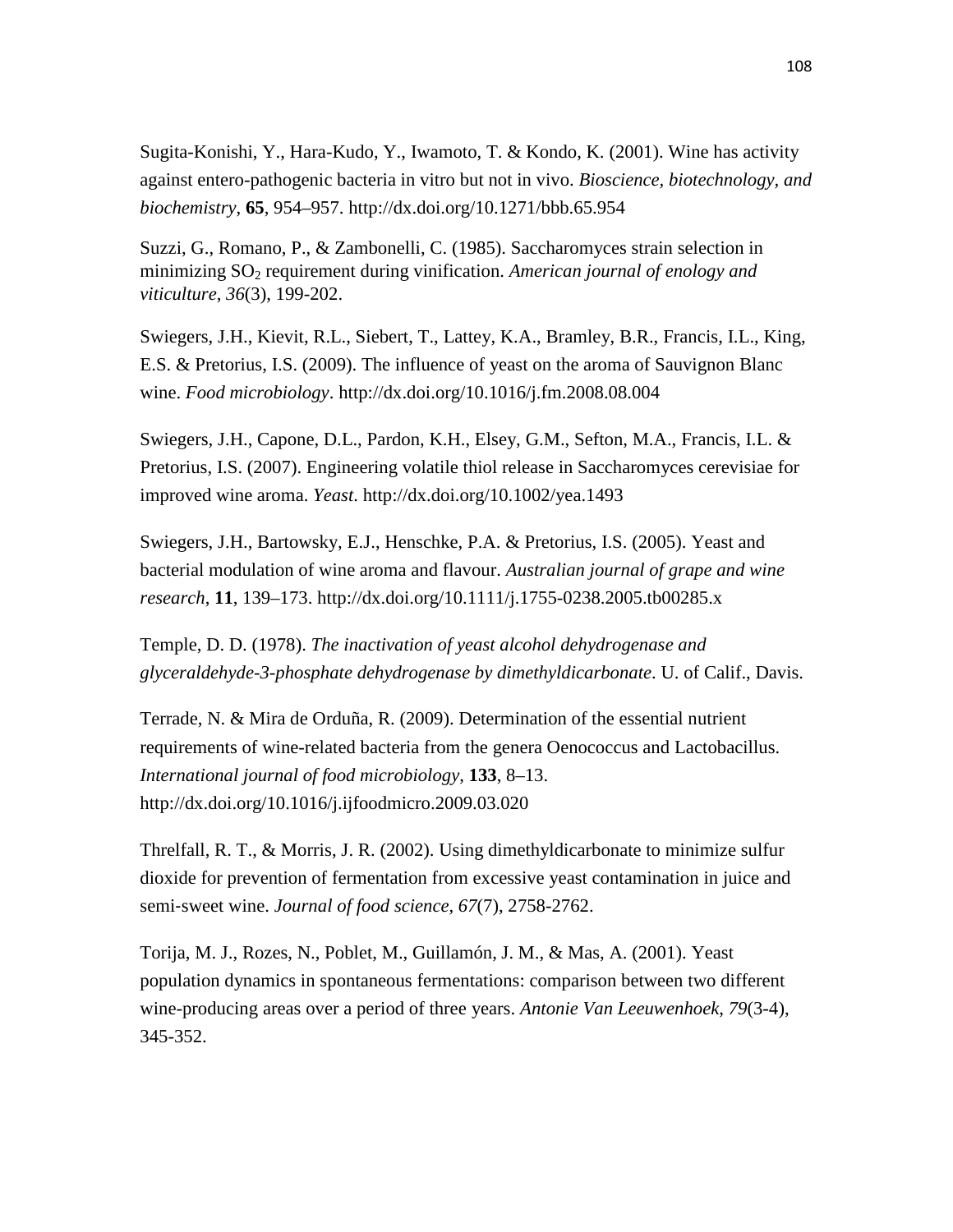Sugita-Konishi, Y., Hara-Kudo, Y., Iwamoto, T. & Kondo, K. (2001). Wine has activity against entero-pathogenic bacteria in vitro but not in vivo. *Bioscience, biotechnology, and biochemistry*, **65**, 954–957. http://dx.doi.org/10.1271/bbb.65.954

Suzzi, G., Romano, P., & Zambonelli, C. (1985). Saccharomyces strain selection in minimizing SO2 requirement during vinification. *American journal of enology and viticulture*, *36*(3), 199-202.

Swiegers, J.H., Kievit, R.L., Siebert, T., Lattey, K.A., Bramley, B.R., Francis, I.L., King, E.S. & Pretorius, I.S. (2009). The influence of yeast on the aroma of Sauvignon Blanc wine. *Food microbiology*. http://dx.doi.org/10.1016/j.fm.2008.08.004

Swiegers, J.H., Capone, D.L., Pardon, K.H., Elsey, G.M., Sefton, M.A., Francis, I.L. & Pretorius, I.S. (2007). Engineering volatile thiol release in Saccharomyces cerevisiae for improved wine aroma. *Yeast*. http://dx.doi.org/10.1002/yea.1493

Swiegers, J.H., Bartowsky, E.J., Henschke, P.A. & Pretorius, I.S. (2005). Yeast and bacterial modulation of wine aroma and flavour. *Australian journal of grape and wine research*, **11**, 139–173. http://dx.doi.org/10.1111/j.1755-0238.2005.tb00285.x

Temple, D. D. (1978). *The inactivation of yeast alcohol dehydrogenase and glyceraldehyde-3-phosphate dehydrogenase by dimethyldicarbonate*. U. of Calif., Davis.

Terrade, N. & Mira de Orduña, R. (2009). Determination of the essential nutrient requirements of wine-related bacteria from the genera Oenococcus and Lactobacillus. *International journal of food microbiology*, **133**, 8–13. http://dx.doi.org/10.1016/j.ijfoodmicro.2009.03.020

Threlfall, R. T., & Morris, J. R. (2002). Using dimethyldicarbonate to minimize sulfur dioxide for prevention of fermentation from excessive yeast contamination in juice and semi‐sweet wine. *Journal of food science*, *67*(7), 2758-2762.

Torija, M. J., Rozes, N., Poblet, M., Guillamón, J. M., & Mas, A. (2001). Yeast population dynamics in spontaneous fermentations: comparison between two different wine-producing areas over a period of three years. *Antonie Van Leeuwenhoek*, *79*(3-4), 345-352.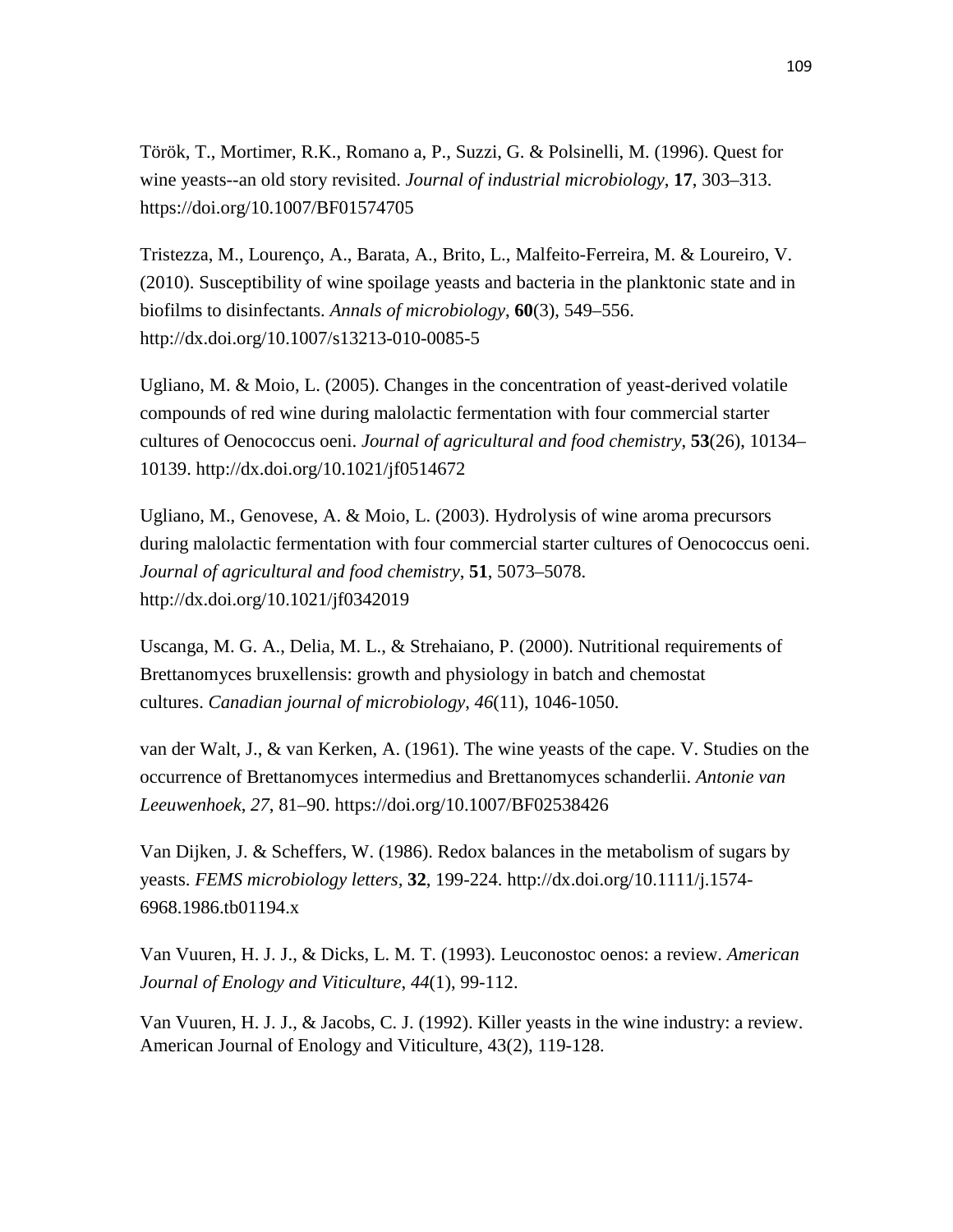Török, T., Mortimer, R.K., Romano a, P., Suzzi, G. & Polsinelli, M. (1996). Quest for wine yeasts--an old story revisited. *Journal of industrial microbiology*, **17**, 303–313. https://doi.org/10.1007/BF01574705

Tristezza, M., Lourenço, A., Barata, A., Brito, L., Malfeito-Ferreira, M. & Loureiro, V. (2010). Susceptibility of wine spoilage yeasts and bacteria in the planktonic state and in biofilms to disinfectants. *Annals of microbiology*, **60**(3), 549–556. http://dx.doi.org/10.1007/s13213-010-0085-5

Ugliano, M. & Moio, L. (2005). Changes in the concentration of yeast-derived volatile compounds of red wine during malolactic fermentation with four commercial starter cultures of Oenococcus oeni. *Journal of agricultural and food chemistry*, **53**(26), 10134– 10139. http://dx.doi.org/10.1021/jf0514672

Ugliano, M., Genovese, A. & Moio, L. (2003). Hydrolysis of wine aroma precursors during malolactic fermentation with four commercial starter cultures of Oenococcus oeni. *Journal of agricultural and food chemistry*, **51**, 5073–5078. http://dx.doi.org/10.1021/jf0342019

Uscanga, M. G. A., Delia, M. L., & Strehaiano, P. (2000). Nutritional requirements of Brettanomyces bruxellensis: growth and physiology in batch and chemostat cultures. *Canadian journal of microbiology*, *46*(11), 1046-1050.

van der Walt, J., & van Kerken, A. (1961). The wine yeasts of the cape. V. Studies on the occurrence of Brettanomyces intermedius and Brettanomyces schanderlii. *Antonie van Leeuwenhoek*, *27*, 81–90. https://doi.org/10.1007/BF02538426

Van Dijken, J. & Scheffers, W. (1986). Redox balances in the metabolism of sugars by yeasts. *FEMS microbiology letters,* **32**, 199-224. http://dx.doi.org/10.1111/j.1574- 6968.1986.tb01194.x

Van Vuuren, H. J. J., & Dicks, L. M. T. (1993). Leuconostoc oenos: a review. *American Journal of Enology and Viticulture*, *44*(1), 99-112.

Van Vuuren, H. J. J., & Jacobs, C. J. (1992). Killer yeasts in the wine industry: a review. American Journal of Enology and Viticulture, 43(2), 119-128.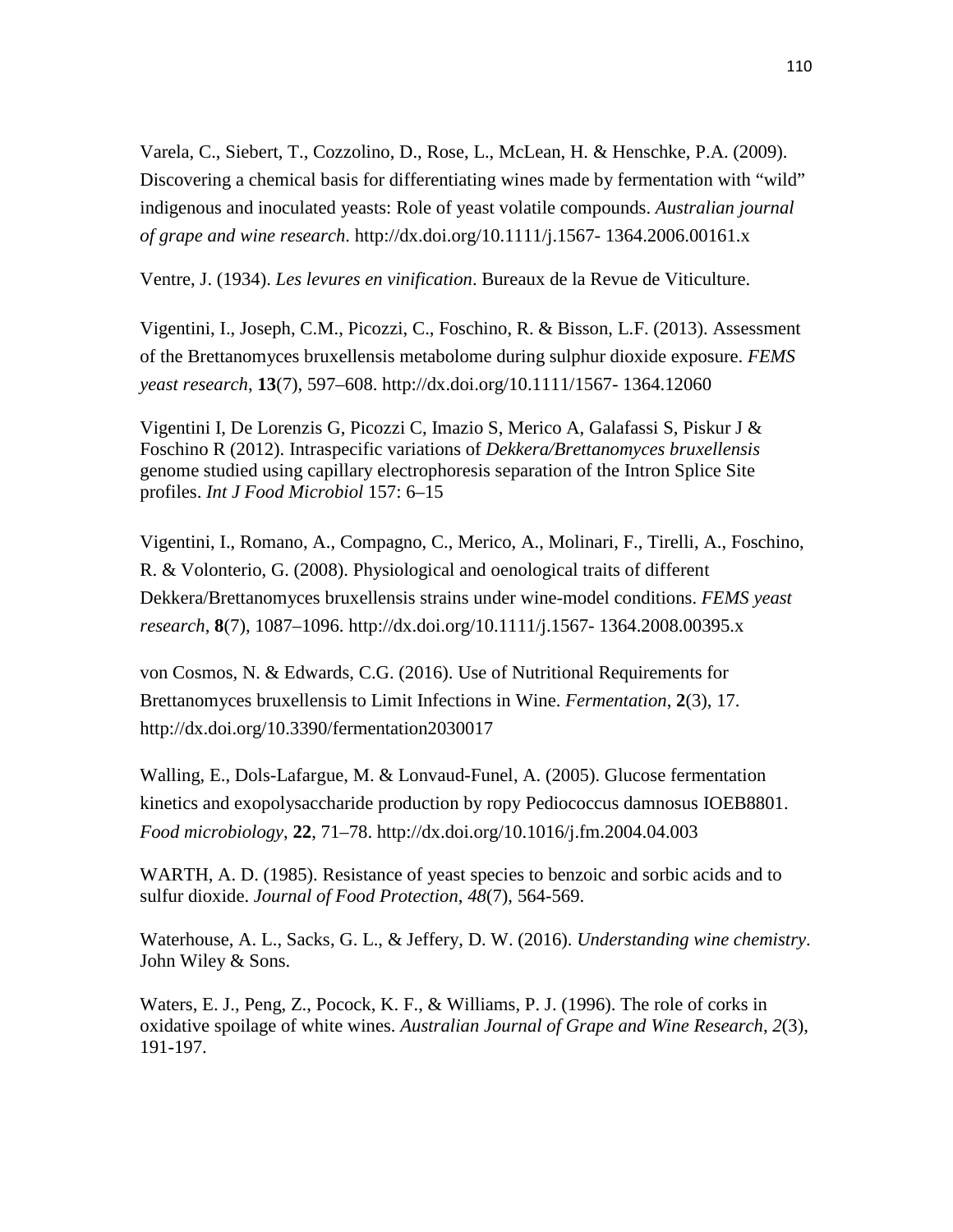Varela, C., Siebert, T., Cozzolino, D., Rose, L., McLean, H. & Henschke, P.A. (2009). Discovering a chemical basis for differentiating wines made by fermentation with "wild" indigenous and inoculated yeasts: Role of yeast volatile compounds. *Australian journal of grape and wine research*. http://dx.doi.org/10.1111/j.1567- 1364.2006.00161.x

Ventre, J. (1934). *Les levures en vinification*. Bureaux de la Revue de Viticulture.

Vigentini, I., Joseph, C.M., Picozzi, C., Foschino, R. & Bisson, L.F. (2013). Assessment of the Brettanomyces bruxellensis metabolome during sulphur dioxide exposure. *FEMS yeast research*, **13**(7), 597–608. http://dx.doi.org/10.1111/1567- 1364.12060

Vigentini I, De Lorenzis G, Picozzi C, Imazio S, Merico A, Galafassi S, Piskur J & Foschino R (2012). Intraspecific variations of *Dekkera/Brettanomyces bruxellensis* genome studied using capillary electrophoresis separation of the Intron Splice Site profiles. *Int J Food Microbiol* 157: 6–15

Vigentini, I., Romano, A., Compagno, C., Merico, A., Molinari, F., Tirelli, A., Foschino, R. & Volonterio, G. (2008). Physiological and oenological traits of different Dekkera/Brettanomyces bruxellensis strains under wine-model conditions. *FEMS yeast research*, **8**(7), 1087–1096. http://dx.doi.org/10.1111/j.1567- 1364.2008.00395.x

von Cosmos, N. & Edwards, C.G. (2016). Use of Nutritional Requirements for Brettanomyces bruxellensis to Limit Infections in Wine. *Fermentation*, **2**(3), 17. http://dx.doi.org/10.3390/fermentation2030017

Walling, E., Dols-Lafargue, M. & Lonvaud-Funel, A. (2005). Glucose fermentation kinetics and exopolysaccharide production by ropy Pediococcus damnosus IOEB8801. *Food microbiology*, **22**, 71–78. http://dx.doi.org/10.1016/j.fm.2004.04.003

WARTH, A. D. (1985). Resistance of yeast species to benzoic and sorbic acids and to sulfur dioxide. *Journal of Food Protection*, *48*(7), 564-569.

Waterhouse, A. L., Sacks, G. L., & Jeffery, D. W. (2016). *Understanding wine chemistry*. John Wiley & Sons.

Waters, E. J., Peng, Z., Pocock, K. F., & Williams, P. J. (1996). The role of corks in oxidative spoilage of white wines. *Australian Journal of Grape and Wine Research*, *2*(3), 191-197.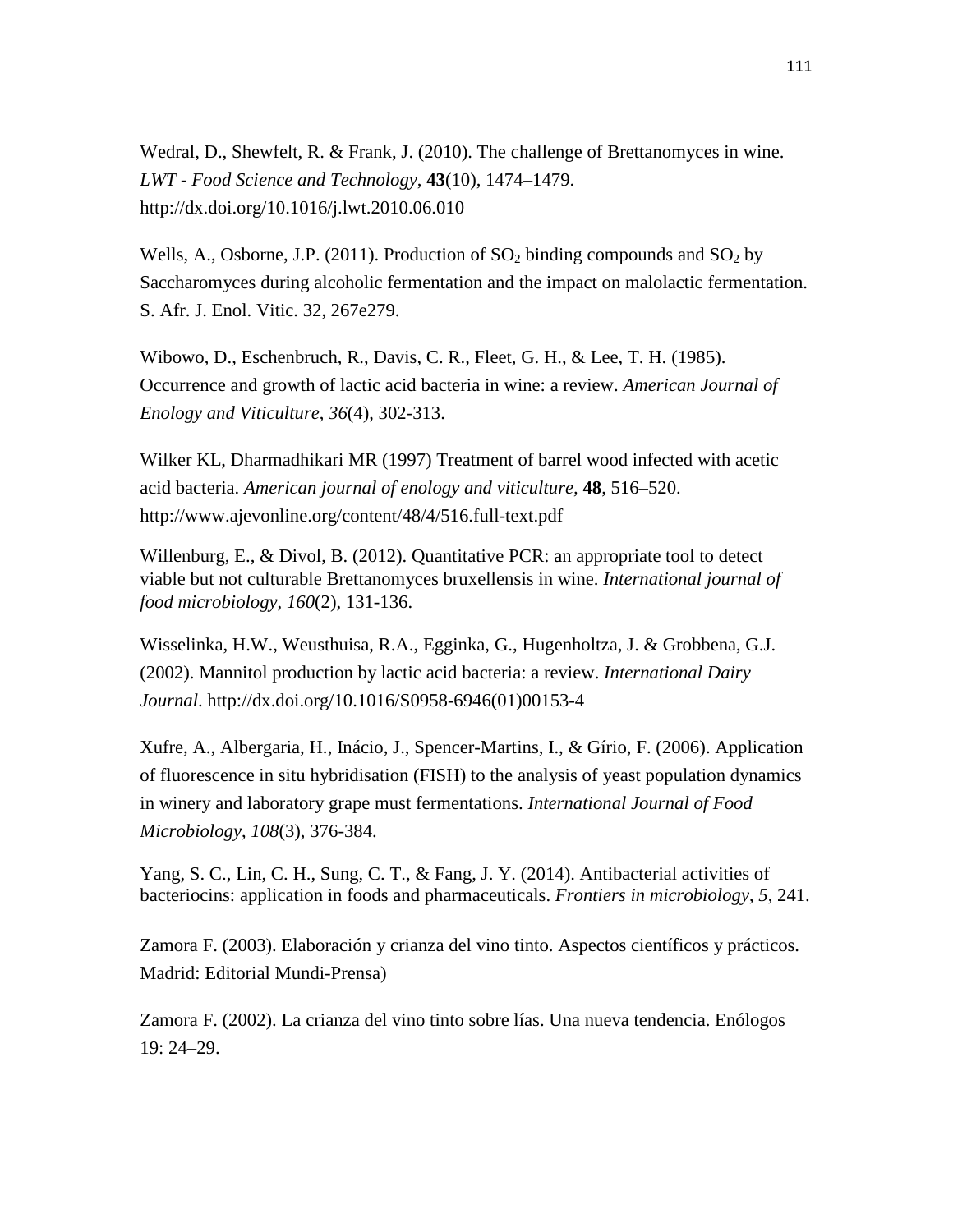Wedral, D., Shewfelt, R. & Frank, J. (2010). The challenge of Brettanomyces in wine. *LWT - Food Science and Technology*, **43**(10), 1474–1479. http://dx.doi.org/10.1016/j.lwt.2010.06.010

Wells, A., Osborne, J.P. (2011). Production of  $SO_2$  binding compounds and  $SO_2$  by Saccharomyces during alcoholic fermentation and the impact on malolactic fermentation. S. Afr. J. Enol. Vitic. 32, 267e279.

Wibowo, D., Eschenbruch, R., Davis, C. R., Fleet, G. H., & Lee, T. H. (1985). Occurrence and growth of lactic acid bacteria in wine: a review. *American Journal of Enology and Viticulture*, *36*(4), 302-313.

Wilker KL, Dharmadhikari MR (1997) Treatment of barrel wood infected with acetic acid bacteria. *American journal of enology and viticulture,* **48**, 516–520. http://www.ajevonline.org/content/48/4/516.full-text.pdf

Willenburg, E., & Divol, B. (2012). Quantitative PCR: an appropriate tool to detect viable but not culturable Brettanomyces bruxellensis in wine. *International journal of food microbiology*, *160*(2), 131-136.

Wisselinka, H.W., Weusthuisa, R.A., Egginka, G., Hugenholtza, J. & Grobbena, G.J. (2002). Mannitol production by lactic acid bacteria: a review. *International Dairy Journal*. http://dx.doi.org/10.1016/S0958-6946(01)00153-4

Xufre, A., Albergaria, H., Inácio, J., Spencer-Martins, I., & Gírio, F. (2006). Application of fluorescence in situ hybridisation (FISH) to the analysis of yeast population dynamics in winery and laboratory grape must fermentations. *International Journal of Food Microbiology*, *108*(3), 376-384.

Yang, S. C., Lin, C. H., Sung, C. T., & Fang, J. Y. (2014). Antibacterial activities of bacteriocins: application in foods and pharmaceuticals. *Frontiers in microbiology*, *5*, 241.

Zamora F. (2003). Elaboración y crianza del vino tinto. Aspectos científicos y prácticos. Madrid: Editorial Mundi-Prensa)

Zamora F. (2002). La crianza del vino tinto sobre lías. Una nueva tendencia. Enólogos 19: 24–29.